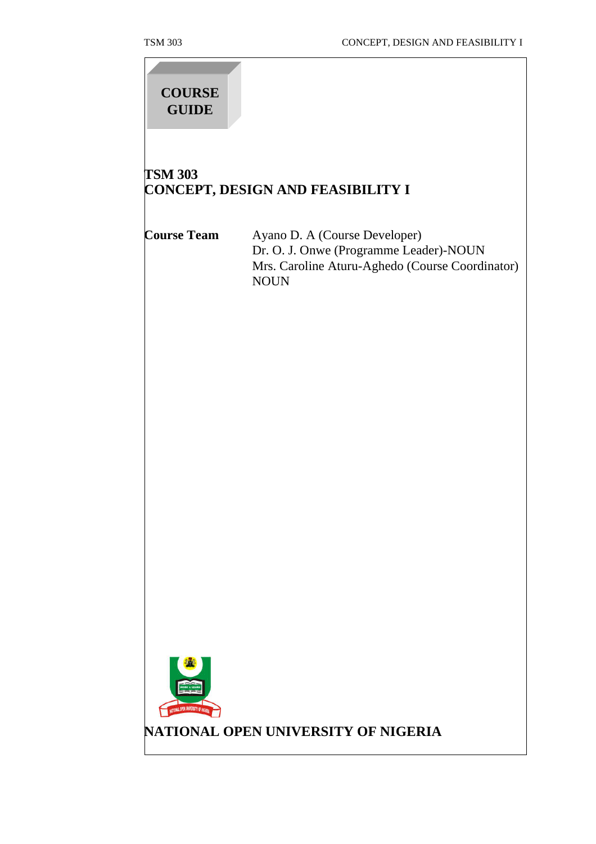# **COURSE GUIDE**

# **TSM 303 CONCEPT, DESIGN AND FEASIBILITY I**

**Course Team** Ayano D. A (Course Developer) Dr. O. J. Onwe (Programme Leader)-NOUN Mrs. Caroline Aturu-Aghedo (Course Coordinator) NOUN



**NATIONAL OPEN UNIVERSITY OF NIGERIA**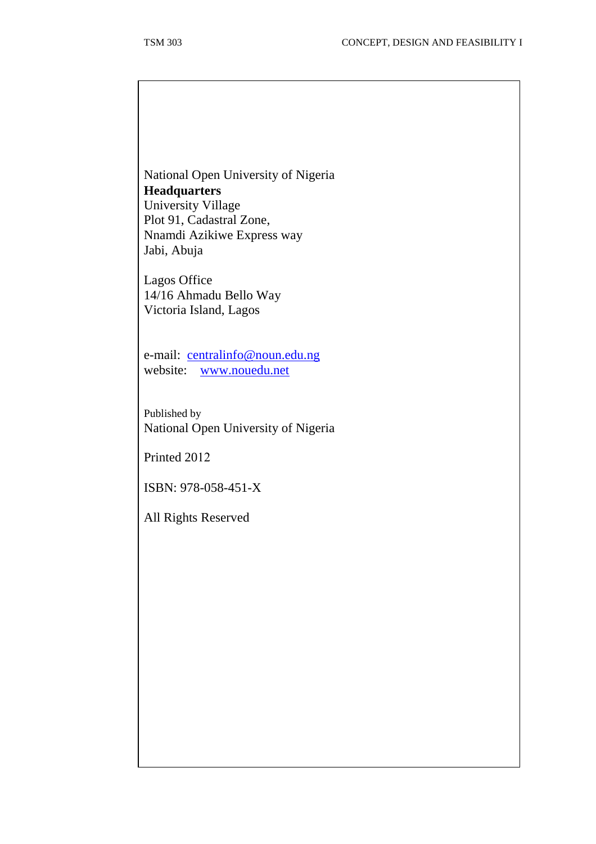National Open University of Nigeria **Headquarters**  University Village Plot 91, Cadastral Zone, Nnamdi Azikiwe Express way Jabi, Abuja

Lagos Office 14/16 Ahmadu Bello Way Victoria Island, Lagos

e-mail: centralinfo@noun.edu.ng website: www.nouedu.net

Published by National Open University of Nigeria

Printed 2012

ISBN: 978-058-451-X

All Rights Reserved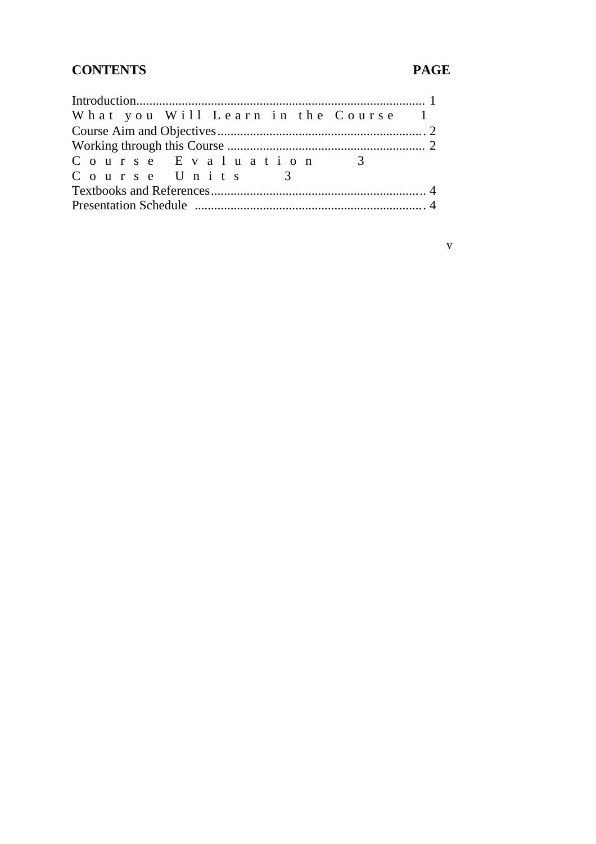# **CONTENTS PAGE**

v

| What you Will Learn in the Course 1 |  |
|-------------------------------------|--|
|                                     |  |
|                                     |  |
| Course Evaluation 3                 |  |
| Course Units 3                      |  |
|                                     |  |
|                                     |  |
|                                     |  |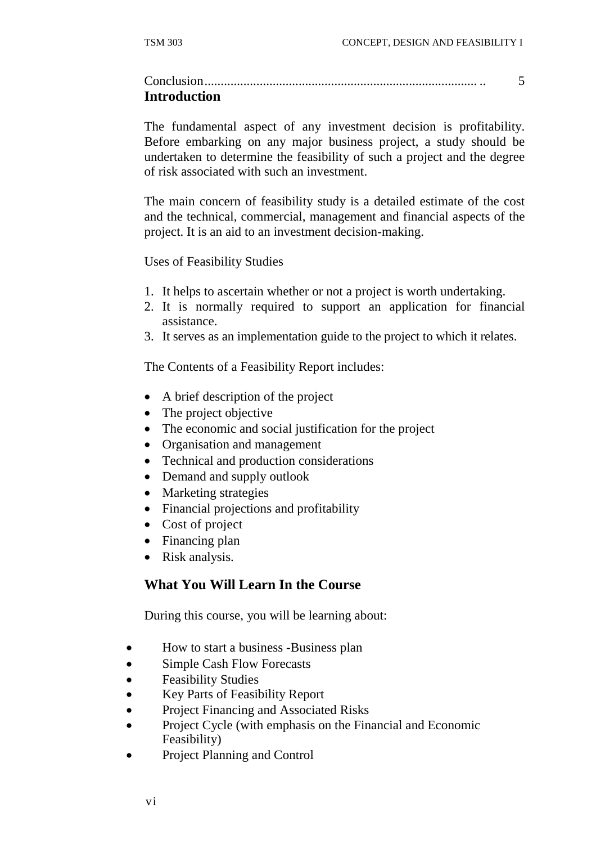| <b>Introduction</b> |  |
|---------------------|--|

The fundamental aspect of any investment decision is profitability. Before embarking on any major business project, a study should be undertaken to determine the feasibility of such a project and the degree of risk associated with such an investment.

The main concern of feasibility study is a detailed estimate of the cost and the technical, commercial, management and financial aspects of the project. It is an aid to an investment decision-making.

Uses of Feasibility Studies

- 1. It helps to ascertain whether or not a project is worth undertaking.
- 2. It is normally required to support an application for financial assistance.
- 3. It serves as an implementation guide to the project to which it relates.

The Contents of a Feasibility Report includes:

- A brief description of the project
- The project objective
- The economic and social justification for the project
- Organisation and management
- Technical and production considerations
- Demand and supply outlook
- Marketing strategies
- Financial projections and profitability
- Cost of project
- Financing plan
- Risk analysis.

#### **What You Will Learn In the Course**

During this course, you will be learning about:

- How to start a business -Business plan
- Simple Cash Flow Forecasts
- Feasibility Studies
- Key Parts of Feasibility Report
- Project Financing and Associated Risks
- Project Cycle (with emphasis on the Financial and Economic Feasibility)
- Project Planning and Control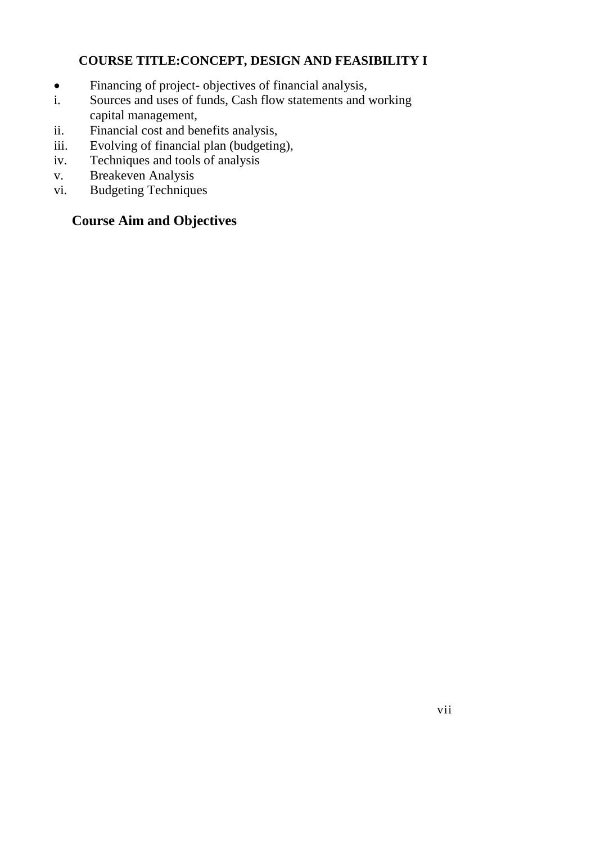## **COURSE TITLE:CONCEPT, DESIGN AND FEASIBILITY I**

- Financing of project- objectives of financial analysis,
- i. Sources and uses of funds, Cash flow statements and working capital management,
- ii. Financial cost and benefits analysis,
- iii. Evolving of financial plan (budgeting),
- iv. Techniques and tools of analysis
- v. Breakeven Analysis
- vi. Budgeting Techniques

# **Course Aim and Objectives**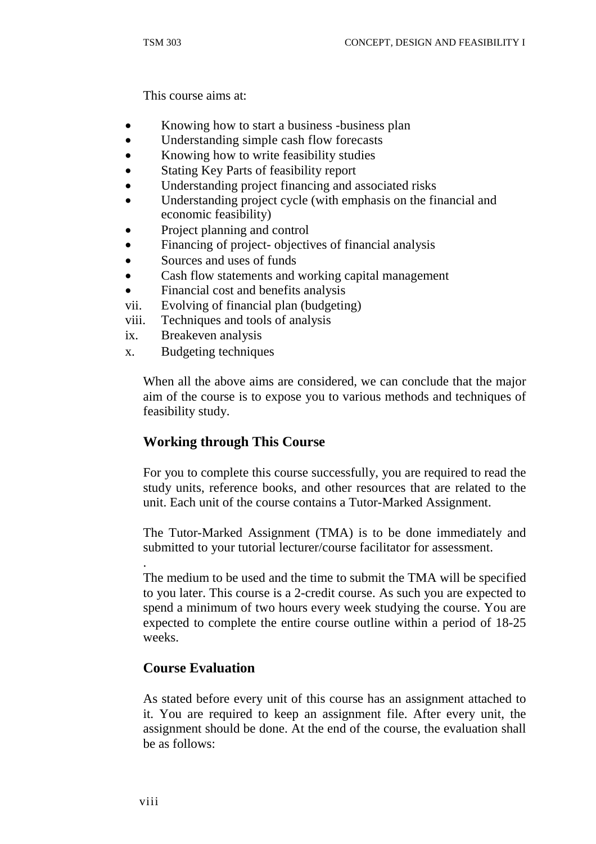This course aims at:

- Knowing how to start a business -business plan
- Understanding simple cash flow forecasts
- Knowing how to write feasibility studies
- Stating Key Parts of feasibility report
- Understanding project financing and associated risks
- Understanding project cycle (with emphasis on the financial and economic feasibility)
- Project planning and control
- Financing of project- objectives of financial analysis
- Sources and uses of funds
- Cash flow statements and working capital management
- Financial cost and benefits analysis
- vii. Evolving of financial plan (budgeting)
- viii. Techniques and tools of analysis
- ix. Breakeven analysis
- x. Budgeting techniques

When all the above aims are considered, we can conclude that the major aim of the course is to expose you to various methods and techniques of feasibility study.

# **Working through This Course**

For you to complete this course successfully, you are required to read the study units, reference books, and other resources that are related to the unit. Each unit of the course contains a Tutor-Marked Assignment.

The Tutor-Marked Assignment (TMA) is to be done immediately and submitted to your tutorial lecturer/course facilitator for assessment.

The medium to be used and the time to submit the TMA will be specified to you later. This course is a 2-credit course. As such you are expected to spend a minimum of two hours every week studying the course. You are expected to complete the entire course outline within a period of 18-25 weeks.

# **Course Evaluation**

As stated before every unit of this course has an assignment attached to it. You are required to keep an assignment file. After every unit, the assignment should be done. At the end of the course, the evaluation shall be as follows:

.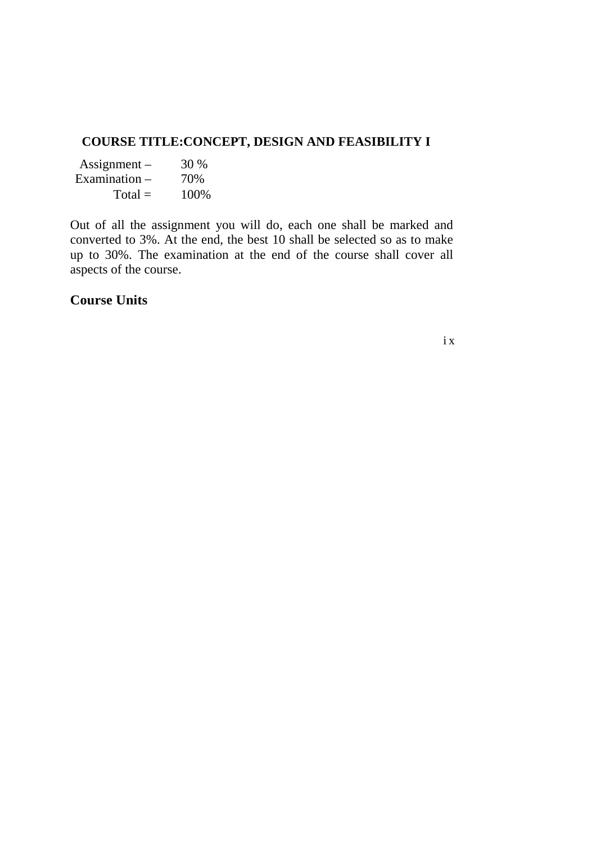# **COURSE TITLE:CONCEPT, DESIGN AND FEASIBILITY I**

| $\text{Assignment}$ – | 30 % |
|-----------------------|------|
| $Examination -$       | 70%  |
| $Total =$             | 100% |

Out of all the assignment you will do, each one shall be marked and converted to 3%. At the end, the best 10 shall be selected so as to make up to 30%. The examination at the end of the course shall cover all aspects of the course.

#### **Course Units**

#### i x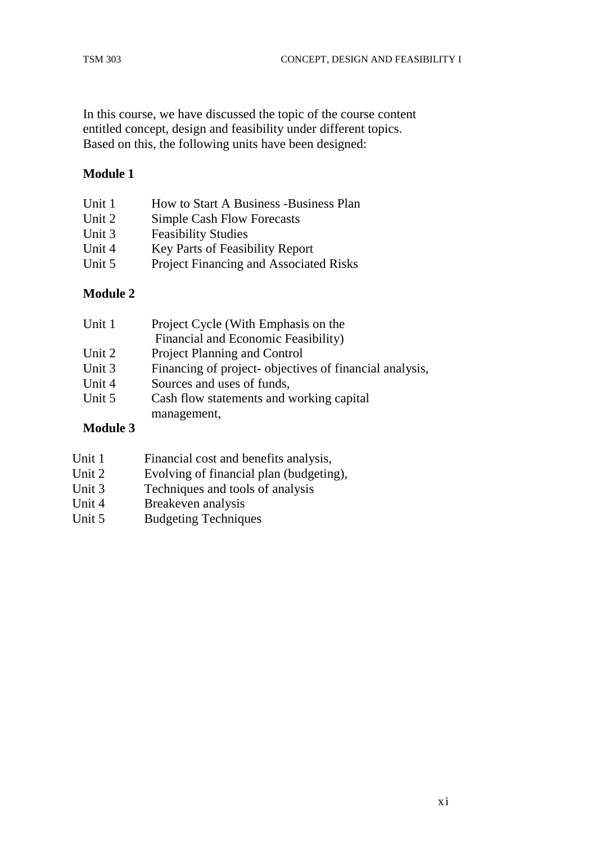In this course, we have discussed the topic of the course content entitled concept, design and feasibility under different topics. Based on this, the following units have been designed:

#### **Module 1**

| Unit 1 | How to Start A Business -Business Plan        |
|--------|-----------------------------------------------|
| Unit 2 | <b>Simple Cash Flow Forecasts</b>             |
| Unit 3 | <b>Feasibility Studies</b>                    |
| Unit 4 | Key Parts of Feasibility Report               |
| Unit 5 | <b>Project Financing and Associated Risks</b> |

#### **Module 2**

| Unit 1 | Project Cycle (With Emphasis on the                    |
|--------|--------------------------------------------------------|
|        | Financial and Economic Feasibility)                    |
| Unit 2 | <b>Project Planning and Control</b>                    |
| Unit 3 | Financing of project-objectives of financial analysis, |
| Unit 4 | Sources and uses of funds,                             |
| Unit 5 | Cash flow statements and working capital               |
|        | management,                                            |

#### **Module 3**

|  | Unit 1 | Financial cost and benefits analysis, |  |  |  |
|--|--------|---------------------------------------|--|--|--|
|--|--------|---------------------------------------|--|--|--|

- Unit 2 Evolving of financial plan (budgeting),
- Unit 3 Techniques and tools of analysis
- Unit 4 Breakeven analysis
- Unit 5 Budgeting Techniques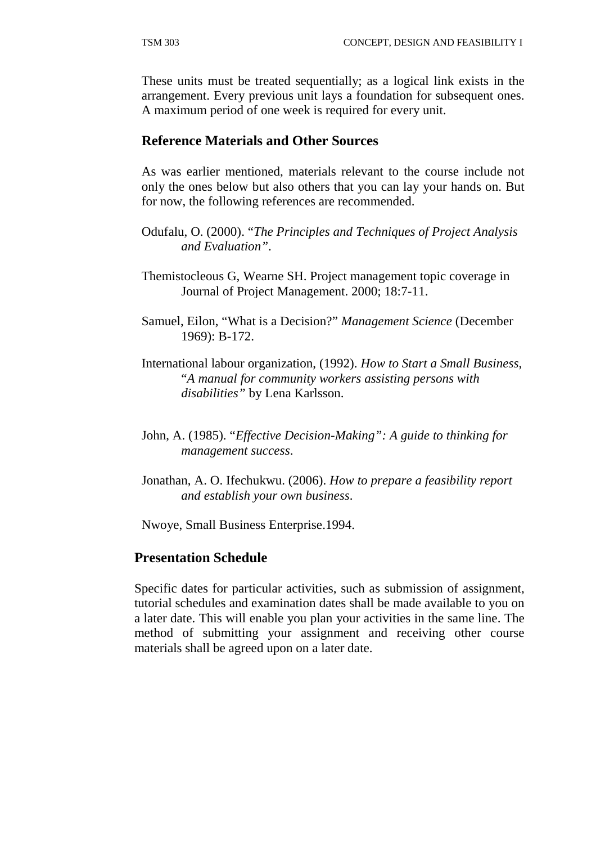These units must be treated sequentially; as a logical link exists in the arrangement. Every previous unit lays a foundation for subsequent ones. A maximum period of one week is required for every unit.

#### **Reference Materials and Other Sources**

As was earlier mentioned, materials relevant to the course include not only the ones below but also others that you can lay your hands on. But for now, the following references are recommended.

- Odufalu, O. (2000). "*The Principles and Techniques of Project Analysis and Evaluation"*.
- Themistocleous G, Wearne SH. Project management topic coverage in Journal of Project Management. 2000; 18:7-11.
- Samuel, Eilon, "What is a Decision?" *Management Science* (December 1969): B-172.
- International labour organization, (1992). *How to Start a Small Business*, "*A manual for community workers assisting persons with disabilities"* by Lena Karlsson.
- John, A. (1985). "*Effective Decision-Making": A guide to thinking for management success*.
- Jonathan, A. O. Ifechukwu. (2006). *How to prepare a feasibility report and establish your own business*.

Nwoye, Small Business Enterprise.1994.

#### **Presentation Schedule**

Specific dates for particular activities, such as submission of assignment, tutorial schedules and examination dates shall be made available to you on a later date. This will enable you plan your activities in the same line. The method of submitting your assignment and receiving other course materials shall be agreed upon on a later date.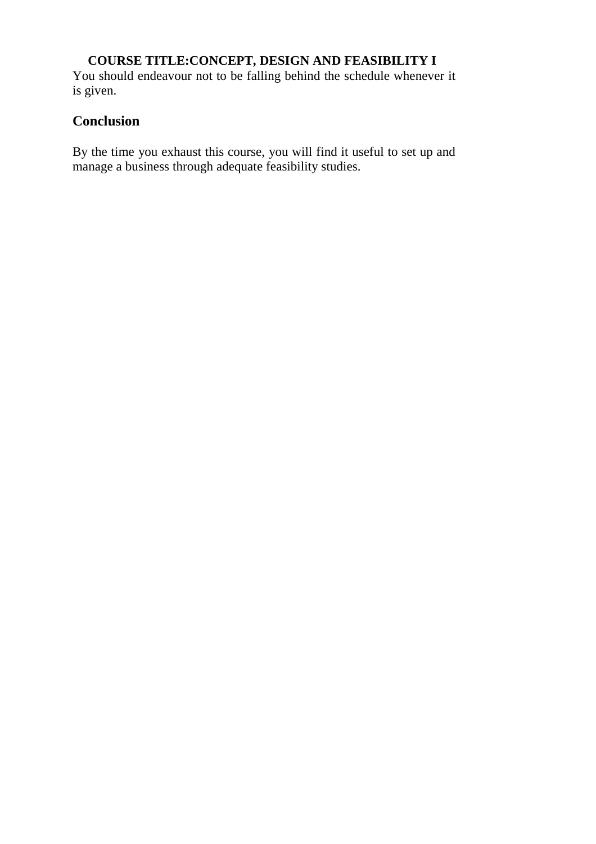# **COURSE TITLE:CONCEPT, DESIGN AND FEASIBILITY I**

You should endeavour not to be falling behind the schedule whenever it is given.

# **Conclusion**

By the time you exhaust this course, you will find it useful to set up and manage a business through adequate feasibility studies.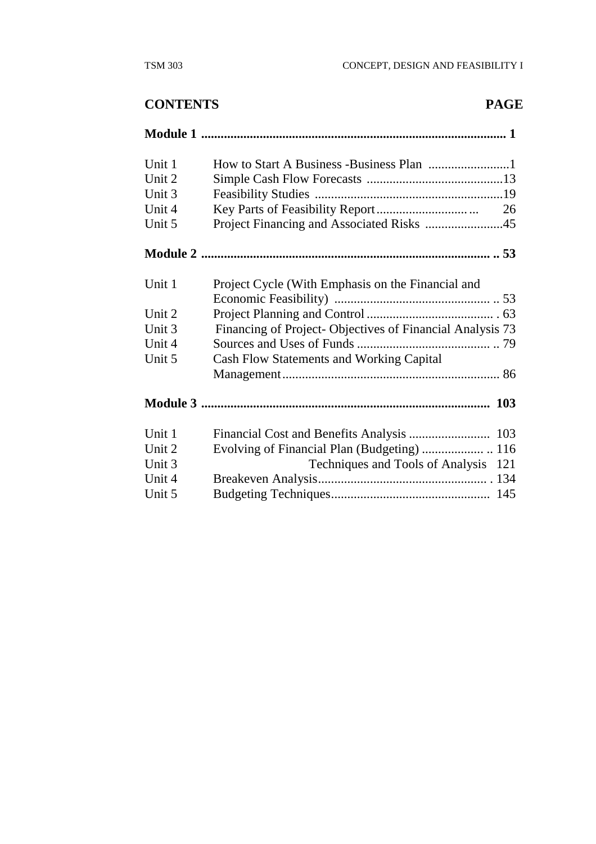# **CONTENTS PAGE**

| Unit 1 |                                                          |
|--------|----------------------------------------------------------|
| Unit 2 |                                                          |
| Unit 3 |                                                          |
| Unit 4 | 26                                                       |
| Unit 5 |                                                          |
|        |                                                          |
|        |                                                          |
| Unit 1 | Project Cycle (With Emphasis on the Financial and        |
|        |                                                          |
| Unit 2 |                                                          |
| Unit 3 | Financing of Project-Objectives of Financial Analysis 73 |
| Unit 4 |                                                          |
| Unit 5 | Cash Flow Statements and Working Capital                 |
|        |                                                          |
|        |                                                          |
|        |                                                          |
| Unit 1 |                                                          |
| Unit 2 | 116                                                      |
| Unit 3 | Techniques and Tools of Analysis 121                     |
| Unit 4 |                                                          |
| Unit 5 |                                                          |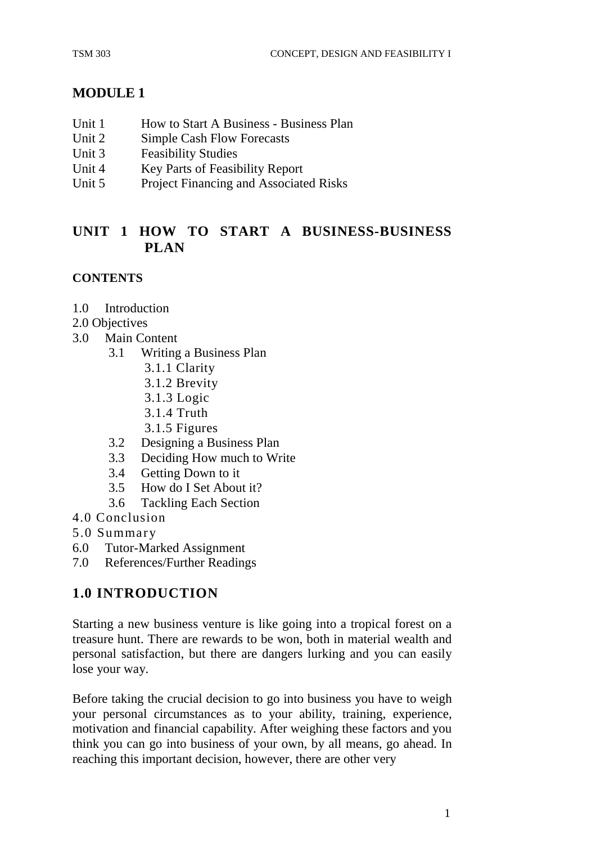## **MODULE 1**

- Unit 1 How to Start A Business Business Plan
- Unit 2 Simple Cash Flow Forecasts
- Unit 3 Feasibility Studies
- Unit 4 Key Parts of Feasibility Report
- Unit 5 Project Financing and Associated Risks

#### **UNIT 1 HOW TO START A BUSINESS-BUSINESS PLAN**

#### **CONTENTS**

- 1.0 Introduction
- 2.0 Objectives
- 3.0 Main Content
	- 3.1 Writing a Business Plan
		- 3.1.1 Clarity
		- 3.1.2 Brevity
		- 3.1.3 Logic
		- 3.1.4 Truth
		- 3.1.5 Figures
	- 3.2 Designing a Business Plan
	- 3.3 Deciding How much to Write
	- 3.4 Getting Down to it
	- 3.5 How do I Set About it?
	- 3.6 Tackling Each Section
- 4.0 Conclusion
- 5.0 Summary
- 6.0 Tutor-Marked Assignment
- 7.0 References/Further Readings

#### **1.0 INTRODUCTION**

Starting a new business venture is like going into a tropical forest on a treasure hunt. There are rewards to be won, both in material wealth and personal satisfaction, but there are dangers lurking and you can easily lose your way.

Before taking the crucial decision to go into business you have to weigh your personal circumstances as to your ability, training, experience, motivation and financial capability. After weighing these factors and you think you can go into business of your own, by all means, go ahead. In reaching this important decision, however, there are other very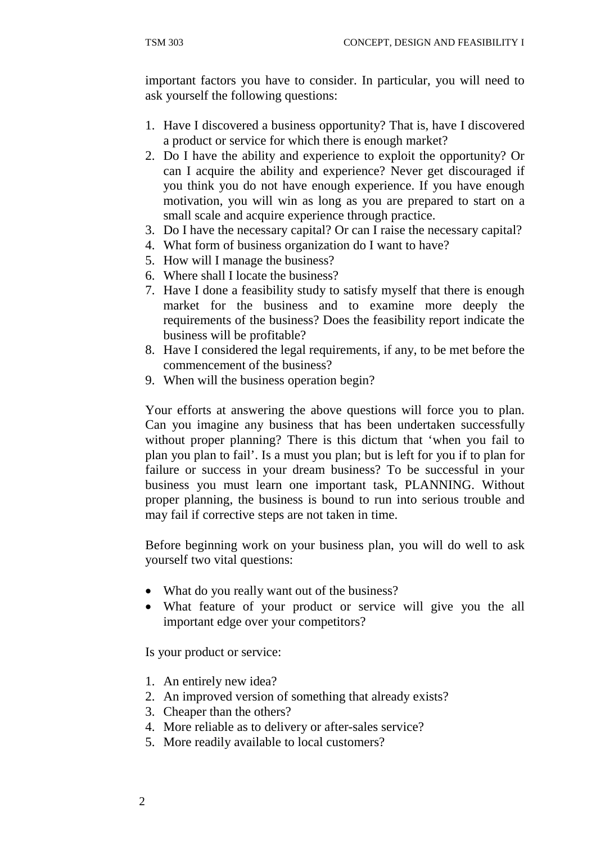important factors you have to consider. In particular, you will need to ask yourself the following questions:

- 1. Have I discovered a business opportunity? That is, have I discovered a product or service for which there is enough market?
- 2. Do I have the ability and experience to exploit the opportunity? Or can I acquire the ability and experience? Never get discouraged if you think you do not have enough experience. If you have enough motivation, you will win as long as you are prepared to start on a small scale and acquire experience through practice.
- 3. Do I have the necessary capital? Or can I raise the necessary capital?
- 4. What form of business organization do I want to have?
- 5. How will I manage the business?
- 6. Where shall I locate the business?
- 7. Have I done a feasibility study to satisfy myself that there is enough market for the business and to examine more deeply the requirements of the business? Does the feasibility report indicate the business will be profitable?
- 8. Have I considered the legal requirements, if any, to be met before the commencement of the business?
- 9. When will the business operation begin?

Your efforts at answering the above questions will force you to plan. Can you imagine any business that has been undertaken successfully without proper planning? There is this dictum that 'when you fail to plan you plan to fail'. Is a must you plan; but is left for you if to plan for failure or success in your dream business? To be successful in your business you must learn one important task, PLANNING. Without proper planning, the business is bound to run into serious trouble and may fail if corrective steps are not taken in time.

Before beginning work on your business plan, you will do well to ask yourself two vital questions:

- What do you really want out of the business?
- What feature of your product or service will give you the all important edge over your competitors?

Is your product or service:

- 1. An entirely new idea?
- 2. An improved version of something that already exists?
- 3. Cheaper than the others?
- 4. More reliable as to delivery or after-sales service?
- 5. More readily available to local customers?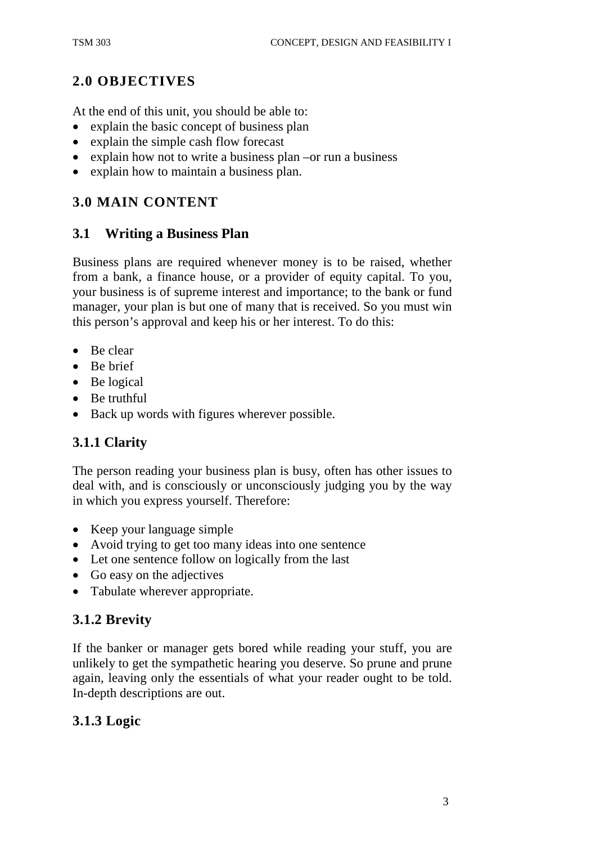# **2.0 OBJECTIVES**

At the end of this unit, you should be able to:

- explain the basic concept of business plan
- explain the simple cash flow forecast
- explain how not to write a business plan –or run a business
- explain how to maintain a business plan.

# **3.0 MAIN CONTENT**

#### **3.1 Writing a Business Plan**

Business plans are required whenever money is to be raised, whether from a bank, a finance house, or a provider of equity capital. To you, your business is of supreme interest and importance; to the bank or fund manager, your plan is but one of many that is received. So you must win this person's approval and keep his or her interest. To do this:

- Be clear
- Be brief
- Be logical
- Be truthful
- Back up words with figures wherever possible.

# **3.1.1 Clarity**

The person reading your business plan is busy, often has other issues to deal with, and is consciously or unconsciously judging you by the way in which you express yourself. Therefore:

- Keep your language simple
- Avoid trying to get too many ideas into one sentence
- Let one sentence follow on logically from the last
- Go easy on the adjectives
- Tabulate wherever appropriate.

#### **3.1.2 Brevity**

If the banker or manager gets bored while reading your stuff, you are unlikely to get the sympathetic hearing you deserve. So prune and prune again, leaving only the essentials of what your reader ought to be told. In-depth descriptions are out.

#### **3.1.3 Logic**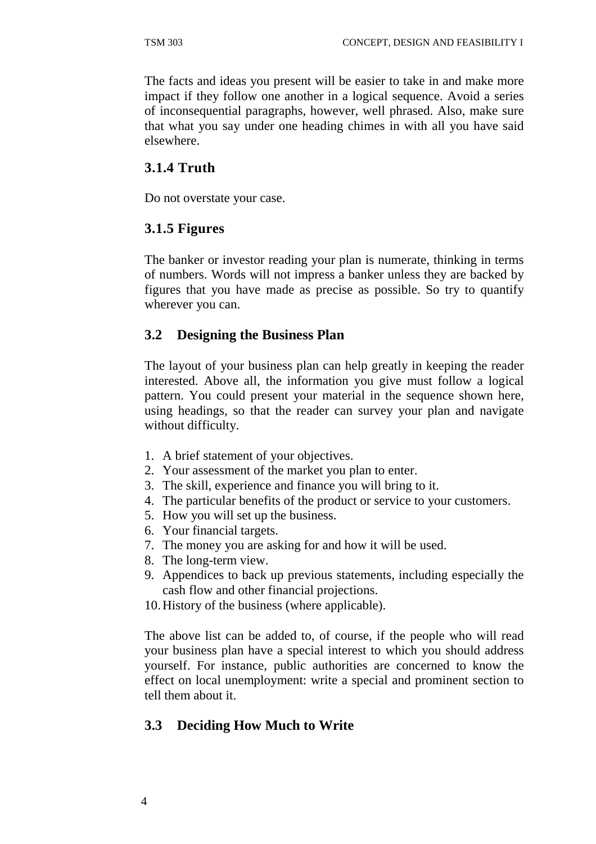The facts and ideas you present will be easier to take in and make more impact if they follow one another in a logical sequence. Avoid a series of inconsequential paragraphs, however, well phrased. Also, make sure that what you say under one heading chimes in with all you have said elsewhere.

#### **3.1.4 Truth**

Do not overstate your case.

#### **3.1.5 Figures**

The banker or investor reading your plan is numerate, thinking in terms of numbers. Words will not impress a banker unless they are backed by figures that you have made as precise as possible. So try to quantify wherever you can.

#### **3.2 Designing the Business Plan**

The layout of your business plan can help greatly in keeping the reader interested. Above all, the information you give must follow a logical pattern. You could present your material in the sequence shown here, using headings, so that the reader can survey your plan and navigate without difficulty.

- 1. A brief statement of your objectives.
- 2. Your assessment of the market you plan to enter.
- 3. The skill, experience and finance you will bring to it.
- 4. The particular benefits of the product or service to your customers.
- 5. How you will set up the business.
- 6. Your financial targets.
- 7. The money you are asking for and how it will be used.
- 8. The long-term view.
- 9. Appendices to back up previous statements, including especially the cash flow and other financial projections.
- 10.History of the business (where applicable).

The above list can be added to, of course, if the people who will read your business plan have a special interest to which you should address yourself. For instance, public authorities are concerned to know the effect on local unemployment: write a special and prominent section to tell them about it.

#### **3.3 Deciding How Much to Write**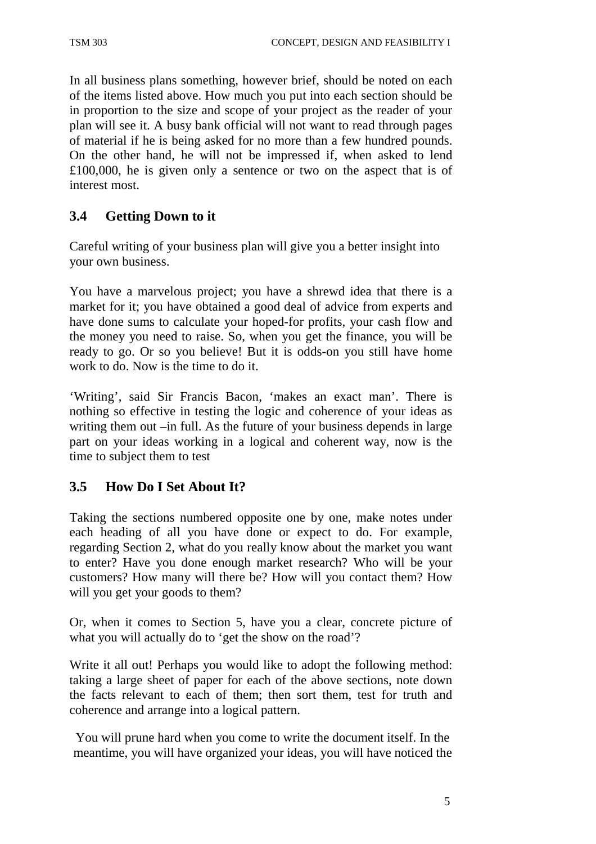In all business plans something, however brief, should be noted on each of the items listed above. How much you put into each section should be in proportion to the size and scope of your project as the reader of your plan will see it. A busy bank official will not want to read through pages of material if he is being asked for no more than a few hundred pounds. On the other hand, he will not be impressed if, when asked to lend £100,000, he is given only a sentence or two on the aspect that is of interest most.

# **3.4 Getting Down to it**

Careful writing of your business plan will give you a better insight into your own business.

You have a marvelous project; you have a shrewd idea that there is a market for it; you have obtained a good deal of advice from experts and have done sums to calculate your hoped-for profits, your cash flow and the money you need to raise. So, when you get the finance, you will be ready to go. Or so you believe! But it is odds-on you still have home work to do. Now is the time to do it.

'Writing', said Sir Francis Bacon, 'makes an exact man'. There is nothing so effective in testing the logic and coherence of your ideas as writing them out –in full. As the future of your business depends in large part on your ideas working in a logical and coherent way, now is the time to subject them to test

# **3.5 How Do I Set About It?**

Taking the sections numbered opposite one by one, make notes under each heading of all you have done or expect to do. For example, regarding Section 2, what do you really know about the market you want to enter? Have you done enough market research? Who will be your customers? How many will there be? How will you contact them? How will you get your goods to them?

Or, when it comes to Section 5, have you a clear, concrete picture of what you will actually do to 'get the show on the road'?

Write it all out! Perhaps you would like to adopt the following method: taking a large sheet of paper for each of the above sections, note down the facts relevant to each of them; then sort them, test for truth and coherence and arrange into a logical pattern.

You will prune hard when you come to write the document itself. In the meantime, you will have organized your ideas, you will have noticed the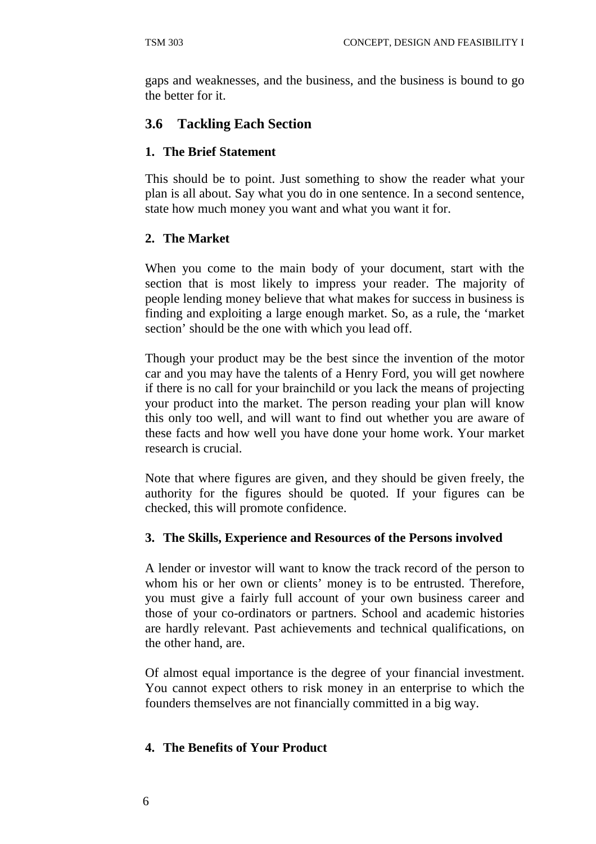gaps and weaknesses, and the business, and the business is bound to go the better for it.

# **3.6 Tackling Each Section**

#### **1. The Brief Statement**

This should be to point. Just something to show the reader what your plan is all about. Say what you do in one sentence. In a second sentence, state how much money you want and what you want it for.

#### **2. The Market**

When you come to the main body of your document, start with the section that is most likely to impress your reader. The majority of people lending money believe that what makes for success in business is finding and exploiting a large enough market. So, as a rule, the 'market section' should be the one with which you lead off.

Though your product may be the best since the invention of the motor car and you may have the talents of a Henry Ford, you will get nowhere if there is no call for your brainchild or you lack the means of projecting your product into the market. The person reading your plan will know this only too well, and will want to find out whether you are aware of these facts and how well you have done your home work. Your market research is crucial.

Note that where figures are given, and they should be given freely, the authority for the figures should be quoted. If your figures can be checked, this will promote confidence.

#### **3. The Skills, Experience and Resources of the Persons involved**

A lender or investor will want to know the track record of the person to whom his or her own or clients' money is to be entrusted. Therefore, you must give a fairly full account of your own business career and those of your co-ordinators or partners. School and academic histories are hardly relevant. Past achievements and technical qualifications, on the other hand, are.

Of almost equal importance is the degree of your financial investment. You cannot expect others to risk money in an enterprise to which the founders themselves are not financially committed in a big way.

#### **4. The Benefits of Your Product**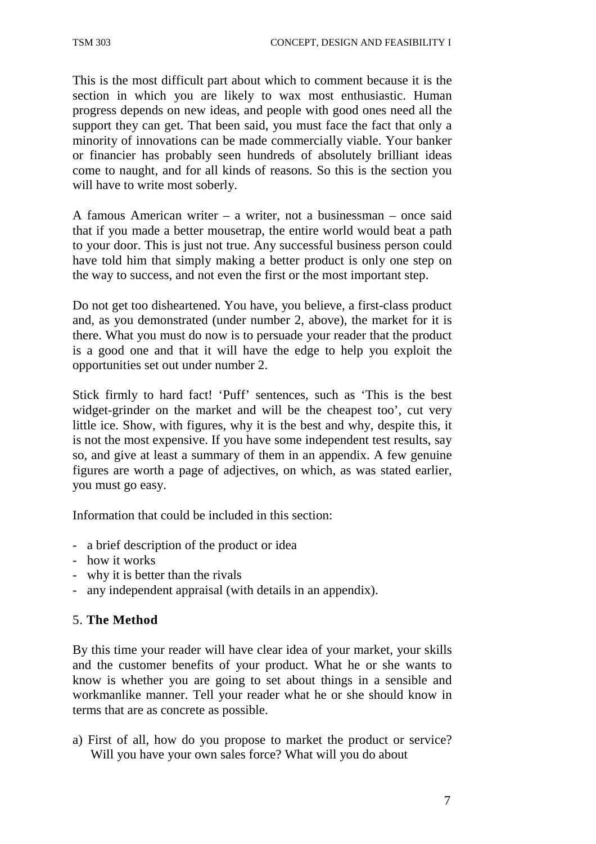This is the most difficult part about which to comment because it is the section in which you are likely to wax most enthusiastic. Human progress depends on new ideas, and people with good ones need all the support they can get. That been said, you must face the fact that only a minority of innovations can be made commercially viable. Your banker or financier has probably seen hundreds of absolutely brilliant ideas come to naught, and for all kinds of reasons. So this is the section you will have to write most soberly.

A famous American writer – a writer, not a businessman – once said that if you made a better mousetrap, the entire world would beat a path to your door. This is just not true. Any successful business person could have told him that simply making a better product is only one step on the way to success, and not even the first or the most important step.

Do not get too disheartened. You have, you believe, a first-class product and, as you demonstrated (under number 2, above), the market for it is there. What you must do now is to persuade your reader that the product is a good one and that it will have the edge to help you exploit the opportunities set out under number 2.

Stick firmly to hard fact! 'Puff' sentences, such as 'This is the best widget-grinder on the market and will be the cheapest too', cut very little ice. Show, with figures, why it is the best and why, despite this, it is not the most expensive. If you have some independent test results, say so, and give at least a summary of them in an appendix. A few genuine figures are worth a page of adjectives, on which, as was stated earlier, you must go easy.

Information that could be included in this section:

- a brief description of the product or idea
- how it works
- why it is better than the rivals
- any independent appraisal (with details in an appendix).

#### 5. **The Method**

By this time your reader will have clear idea of your market, your skills and the customer benefits of your product. What he or she wants to know is whether you are going to set about things in a sensible and workmanlike manner. Tell your reader what he or she should know in terms that are as concrete as possible.

a) First of all, how do you propose to market the product or service? Will you have your own sales force? What will you do about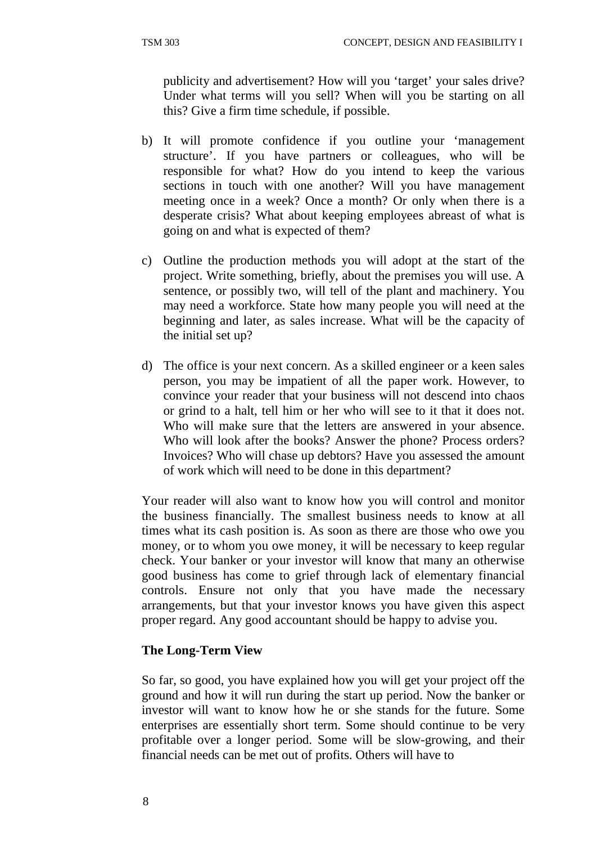publicity and advertisement? How will you 'target' your sales drive? Under what terms will you sell? When will you be starting on all this? Give a firm time schedule, if possible.

- b) It will promote confidence if you outline your 'management structure'. If you have partners or colleagues, who will be responsible for what? How do you intend to keep the various sections in touch with one another? Will you have management meeting once in a week? Once a month? Or only when there is a desperate crisis? What about keeping employees abreast of what is going on and what is expected of them?
- c) Outline the production methods you will adopt at the start of the project. Write something, briefly, about the premises you will use. A sentence, or possibly two, will tell of the plant and machinery. You may need a workforce. State how many people you will need at the beginning and later, as sales increase. What will be the capacity of the initial set up?
- d) The office is your next concern. As a skilled engineer or a keen sales person, you may be impatient of all the paper work. However, to convince your reader that your business will not descend into chaos or grind to a halt, tell him or her who will see to it that it does not. Who will make sure that the letters are answered in your absence. Who will look after the books? Answer the phone? Process orders? Invoices? Who will chase up debtors? Have you assessed the amount of work which will need to be done in this department?

Your reader will also want to know how you will control and monitor the business financially. The smallest business needs to know at all times what its cash position is. As soon as there are those who owe you money, or to whom you owe money, it will be necessary to keep regular check. Your banker or your investor will know that many an otherwise good business has come to grief through lack of elementary financial controls. Ensure not only that you have made the necessary arrangements, but that your investor knows you have given this aspect proper regard. Any good accountant should be happy to advise you.

#### **The Long-Term View**

So far, so good, you have explained how you will get your project off the ground and how it will run during the start up period. Now the banker or investor will want to know how he or she stands for the future. Some enterprises are essentially short term. Some should continue to be very profitable over a longer period. Some will be slow-growing, and their financial needs can be met out of profits. Others will have to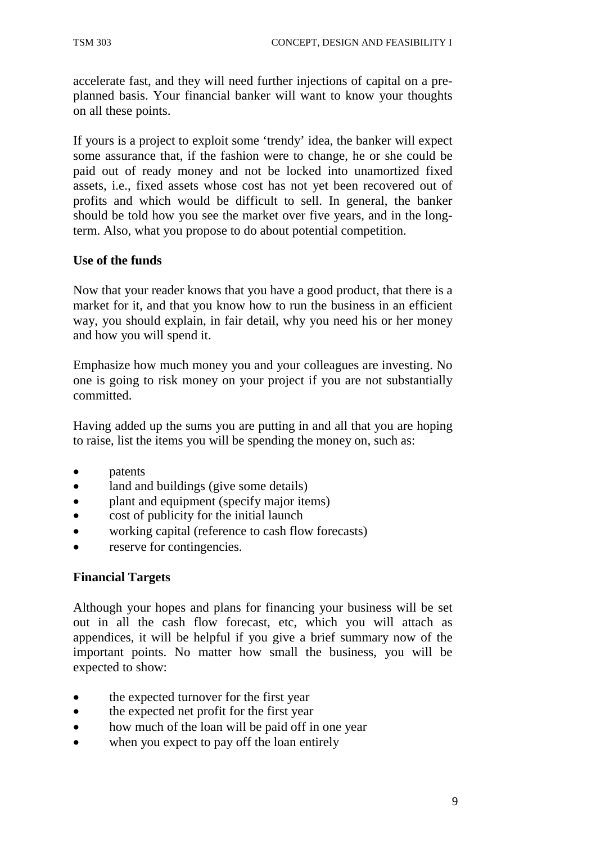accelerate fast, and they will need further injections of capital on a preplanned basis. Your financial banker will want to know your thoughts on all these points.

If yours is a project to exploit some 'trendy' idea, the banker will expect some assurance that, if the fashion were to change, he or she could be paid out of ready money and not be locked into unamortized fixed assets, i.e., fixed assets whose cost has not yet been recovered out of profits and which would be difficult to sell. In general, the banker should be told how you see the market over five years, and in the longterm. Also, what you propose to do about potential competition.

#### **Use of the funds**

Now that your reader knows that you have a good product, that there is a market for it, and that you know how to run the business in an efficient way, you should explain, in fair detail, why you need his or her money and how you will spend it.

Emphasize how much money you and your colleagues are investing. No one is going to risk money on your project if you are not substantially committed.

Having added up the sums you are putting in and all that you are hoping to raise, list the items you will be spending the money on, such as:

- patents
- land and buildings (give some details)
- plant and equipment (specify major items)
- cost of publicity for the initial launch
- working capital (reference to cash flow forecasts)
- reserve for contingencies.

#### **Financial Targets**

Although your hopes and plans for financing your business will be set out in all the cash flow forecast, etc, which you will attach as appendices, it will be helpful if you give a brief summary now of the important points. No matter how small the business, you will be expected to show:

- the expected turnover for the first year
- the expected net profit for the first year
- how much of the loan will be paid off in one year
- when you expect to pay off the loan entirely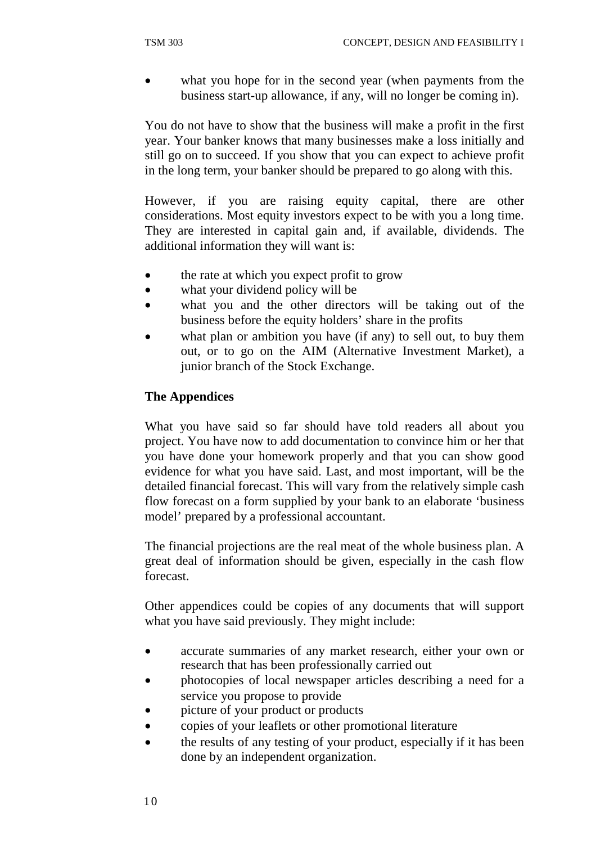what you hope for in the second year (when payments from the business start-up allowance, if any, will no longer be coming in).

You do not have to show that the business will make a profit in the first year. Your banker knows that many businesses make a loss initially and still go on to succeed. If you show that you can expect to achieve profit in the long term, your banker should be prepared to go along with this.

However, if you are raising equity capital, there are other considerations. Most equity investors expect to be with you a long time. They are interested in capital gain and, if available, dividends. The additional information they will want is:

- the rate at which you expect profit to grow
- what your dividend policy will be
- what you and the other directors will be taking out of the business before the equity holders' share in the profits
- what plan or ambition you have (if any) to sell out, to buy them out, or to go on the AIM (Alternative Investment Market), a junior branch of the Stock Exchange.

#### **The Appendices**

What you have said so far should have told readers all about you project. You have now to add documentation to convince him or her that you have done your homework properly and that you can show good evidence for what you have said. Last, and most important, will be the detailed financial forecast. This will vary from the relatively simple cash flow forecast on a form supplied by your bank to an elaborate 'business model' prepared by a professional accountant.

The financial projections are the real meat of the whole business plan. A great deal of information should be given, especially in the cash flow forecast.

Other appendices could be copies of any documents that will support what you have said previously. They might include:

- accurate summaries of any market research, either your own or research that has been professionally carried out
- photocopies of local newspaper articles describing a need for a service you propose to provide
- picture of your product or products
- copies of your leaflets or other promotional literature
- the results of any testing of your product, especially if it has been done by an independent organization.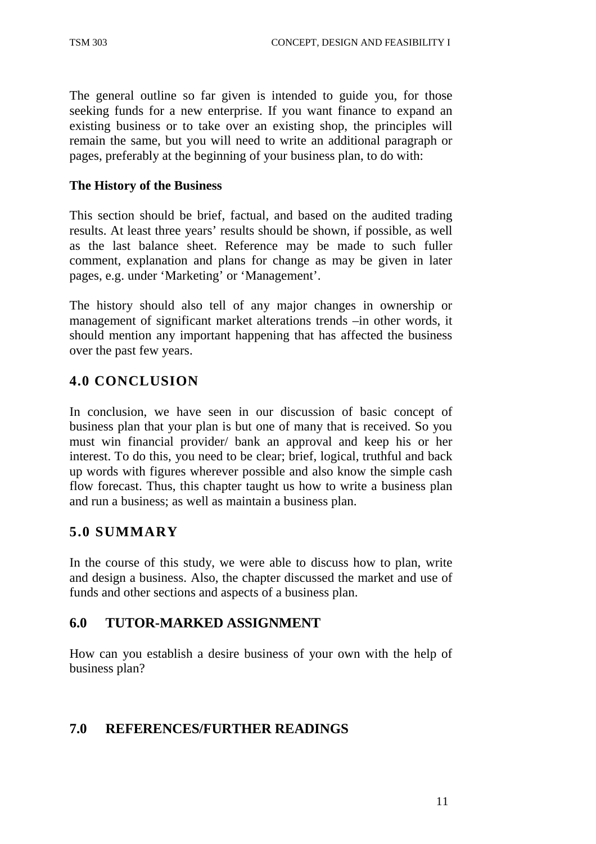The general outline so far given is intended to guide you, for those seeking funds for a new enterprise. If you want finance to expand an existing business or to take over an existing shop, the principles will remain the same, but you will need to write an additional paragraph or pages, preferably at the beginning of your business plan, to do with:

#### **The History of the Business**

This section should be brief, factual, and based on the audited trading results. At least three years' results should be shown, if possible, as well as the last balance sheet. Reference may be made to such fuller comment, explanation and plans for change as may be given in later pages, e.g. under 'Marketing' or 'Management'.

The history should also tell of any major changes in ownership or management of significant market alterations trends –in other words, it should mention any important happening that has affected the business over the past few years.

# **4.0 CONCLUSION**

In conclusion, we have seen in our discussion of basic concept of business plan that your plan is but one of many that is received. So you must win financial provider/ bank an approval and keep his or her interest. To do this, you need to be clear; brief, logical, truthful and back up words with figures wherever possible and also know the simple cash flow forecast. Thus, this chapter taught us how to write a business plan and run a business; as well as maintain a business plan.

#### **5.0 SUMMARY**

In the course of this study, we were able to discuss how to plan, write and design a business. Also, the chapter discussed the market and use of funds and other sections and aspects of a business plan.

#### **6.0 TUTOR-MARKED ASSIGNMENT**

How can you establish a desire business of your own with the help of business plan?

#### **7.0 REFERENCES/FURTHER READINGS**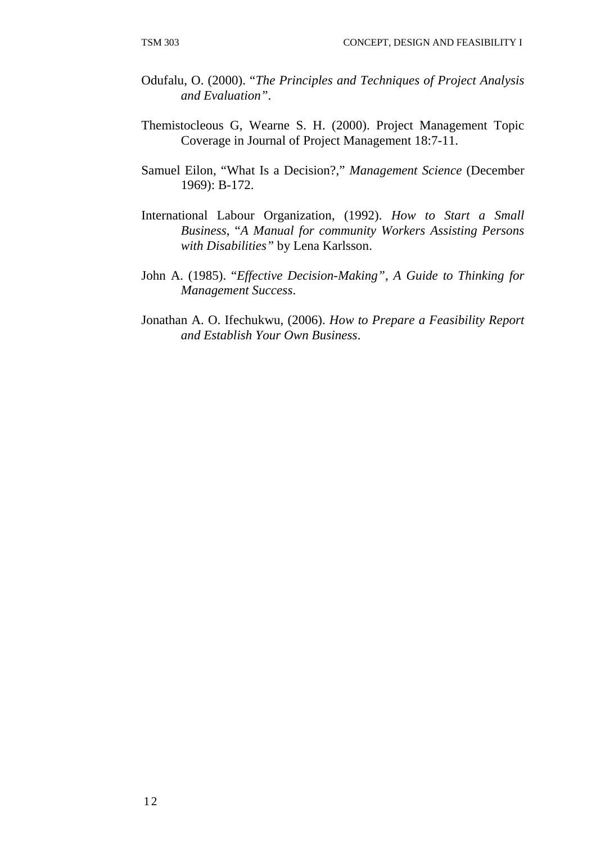- Odufalu, O. (2000). "*The Principles and Techniques of Project Analysis and Evaluation"*.
- Themistocleous G, Wearne S. H. (2000). Project Management Topic Coverage in Journal of Project Management 18:7-11.
- Samuel Eilon, "What Is a Decision?," *Management Science* (December 1969): B-172.
- International Labour Organization, (1992). *How to Start a Small Business*, "*A Manual for community Workers Assisting Persons with Disabilities"* by Lena Karlsson.
- John A. (1985). "*Effective Decision-Making"*, *A Guide to Thinking for Management Success*.
- Jonathan A. O. Ifechukwu, (2006). *How to Prepare a Feasibility Report and Establish Your Own Business*.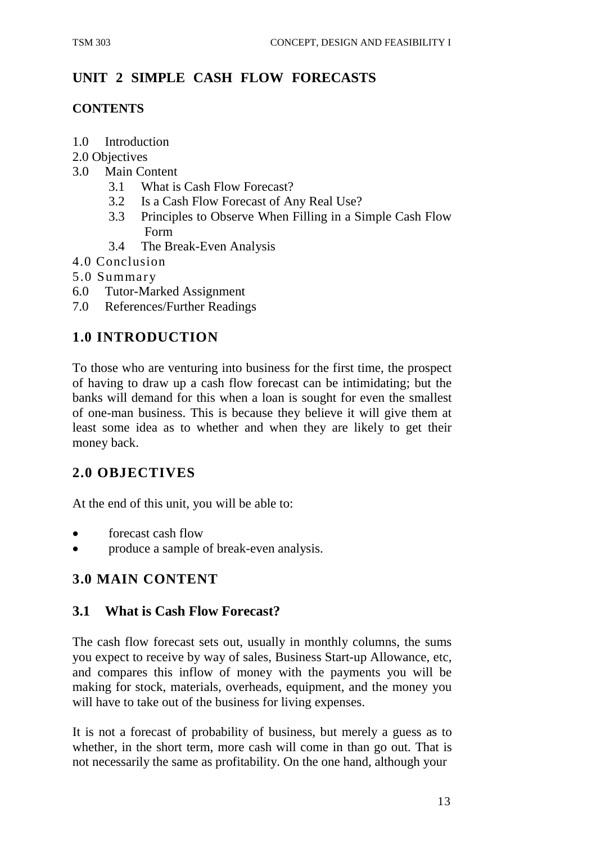# **UNIT 2 SIMPLE CASH FLOW FORECASTS**

#### **CONTENTS**

- 1.0 Introduction
- 2.0 Objectives
- 3.0 Main Content
	- 3.1 What is Cash Flow Forecast?
	- 3.2 Is a Cash Flow Forecast of Any Real Use?
	- 3.3 Principles to Observe When Filling in a Simple Cash Flow Form
	- 3.4 The Break-Even Analysis
- 4.0 Conclusion
- 5.0 Summary
- 6.0 Tutor-Marked Assignment
- 7.0 References/Further Readings

# **1.0 INTRODUCTION**

To those who are venturing into business for the first time, the prospect of having to draw up a cash flow forecast can be intimidating; but the banks will demand for this when a loan is sought for even the smallest of one-man business. This is because they believe it will give them at least some idea as to whether and when they are likely to get their money back.

#### **2.0 OBJECTIVES**

At the end of this unit, you will be able to:

- forecast cash flow
- produce a sample of break-even analysis.

#### **3.0 MAIN CONTENT**

#### **3.1 What is Cash Flow Forecast?**

The cash flow forecast sets out, usually in monthly columns, the sums you expect to receive by way of sales, Business Start-up Allowance, etc, and compares this inflow of money with the payments you will be making for stock, materials, overheads, equipment, and the money you will have to take out of the business for living expenses.

It is not a forecast of probability of business, but merely a guess as to whether, in the short term, more cash will come in than go out. That is not necessarily the same as profitability. On the one hand, although your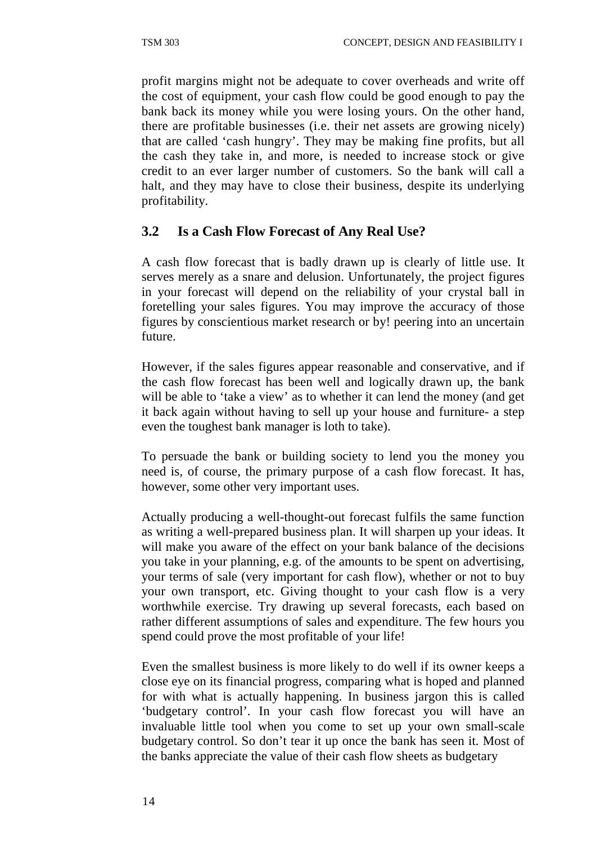profit margins might not be adequate to cover overheads and write off the cost of equipment, your cash flow could be good enough to pay the bank back its money while you were losing yours. On the other hand, there are profitable businesses (i.e. their net assets are growing nicely) that are called 'cash hungry'. They may be making fine profits, but all the cash they take in, and more, is needed to increase stock or give credit to an ever larger number of customers. So the bank will call a halt, and they may have to close their business, despite its underlying profitability.

#### **3.2 Is a Cash Flow Forecast of Any Real Use?**

A cash flow forecast that is badly drawn up is clearly of little use. It serves merely as a snare and delusion. Unfortunately, the project figures in your forecast will depend on the reliability of your crystal ball in foretelling your sales figures. You may improve the accuracy of those figures by conscientious market research or by! peering into an uncertain future.

However, if the sales figures appear reasonable and conservative, and if the cash flow forecast has been well and logically drawn up, the bank will be able to 'take a view' as to whether it can lend the money (and get it back again without having to sell up your house and furniture- a step even the toughest bank manager is loth to take).

To persuade the bank or building society to lend you the money you need is, of course, the primary purpose of a cash flow forecast. It has, however, some other very important uses.

Actually producing a well-thought-out forecast fulfils the same function as writing a well-prepared business plan. It will sharpen up your ideas. It will make you aware of the effect on your bank balance of the decisions you take in your planning, e.g. of the amounts to be spent on advertising, your terms of sale (very important for cash flow), whether or not to buy your own transport, etc. Giving thought to your cash flow is a very worthwhile exercise. Try drawing up several forecasts, each based on rather different assumptions of sales and expenditure. The few hours you spend could prove the most profitable of your life!

Even the smallest business is more likely to do well if its owner keeps a close eye on its financial progress, comparing what is hoped and planned for with what is actually happening. In business jargon this is called 'budgetary control'. In your cash flow forecast you will have an invaluable little tool when you come to set up your own small-scale budgetary control. So don't tear it up once the bank has seen it. Most of the banks appreciate the value of their cash flow sheets as budgetary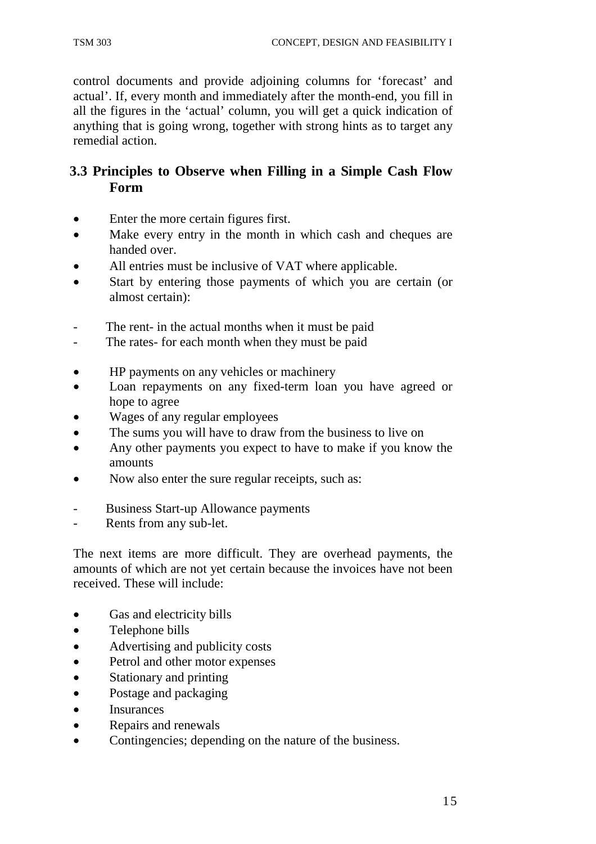control documents and provide adjoining columns for 'forecast' and actual'. If, every month and immediately after the month-end, you fill in all the figures in the 'actual' column, you will get a quick indication of anything that is going wrong, together with strong hints as to target any remedial action.

# **3.3 Principles to Observe when Filling in a Simple Cash Flow Form**

- Enter the more certain figures first.
- Make every entry in the month in which cash and cheques are handed over.
- All entries must be inclusive of VAT where applicable.
- Start by entering those payments of which you are certain (or almost certain):
- The rent- in the actual months when it must be paid
- The rates- for each month when they must be paid
- HP payments on any vehicles or machinery
- Loan repayments on any fixed-term loan you have agreed or hope to agree
- Wages of any regular employees
- The sums you will have to draw from the business to live on
- Any other payments you expect to have to make if you know the amounts
- Now also enter the sure regular receipts, such as:
- Business Start-up Allowance payments
- Rents from any sub-let.

The next items are more difficult. They are overhead payments, the amounts of which are not yet certain because the invoices have not been received. These will include:

- Gas and electricity bills
- Telephone bills
- Advertising and publicity costs
- Petrol and other motor expenses
- Stationary and printing
- Postage and packaging
- Insurances
- Repairs and renewals
- Contingencies; depending on the nature of the business.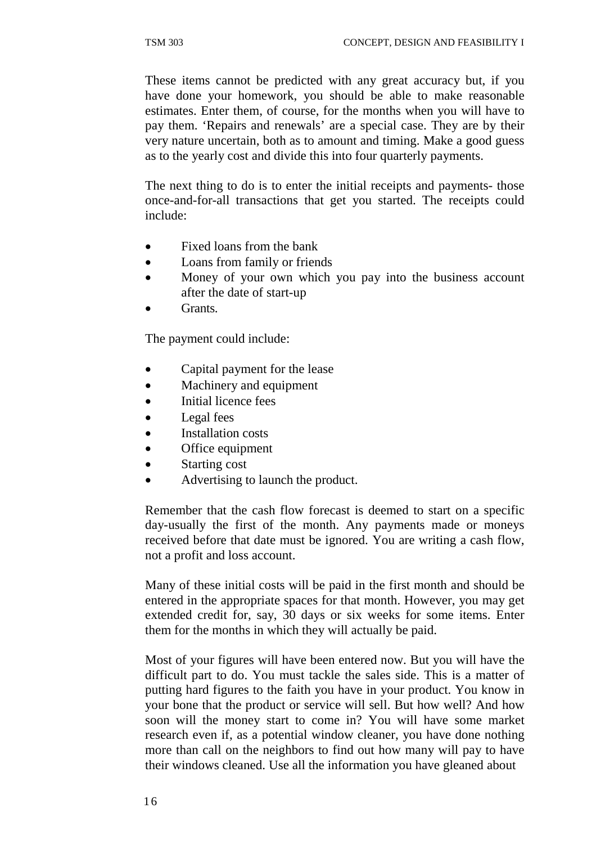These items cannot be predicted with any great accuracy but, if you have done your homework, you should be able to make reasonable estimates. Enter them, of course, for the months when you will have to pay them. 'Repairs and renewals' are a special case. They are by their very nature uncertain, both as to amount and timing. Make a good guess as to the yearly cost and divide this into four quarterly payments.

The next thing to do is to enter the initial receipts and payments- those once-and-for-all transactions that get you started. The receipts could include:

- Fixed loans from the bank
- Loans from family or friends
- Money of your own which you pay into the business account after the date of start-up
- Grants.

The payment could include:

- Capital payment for the lease
- Machinery and equipment
- Initial licence fees
- Legal fees
- **Installation costs**
- Office equipment
- Starting cost
- Advertising to launch the product.

Remember that the cash flow forecast is deemed to start on a specific day-usually the first of the month. Any payments made or moneys received before that date must be ignored. You are writing a cash flow, not a profit and loss account.

Many of these initial costs will be paid in the first month and should be entered in the appropriate spaces for that month. However, you may get extended credit for, say, 30 days or six weeks for some items. Enter them for the months in which they will actually be paid.

Most of your figures will have been entered now. But you will have the difficult part to do. You must tackle the sales side. This is a matter of putting hard figures to the faith you have in your product. You know in your bone that the product or service will sell. But how well? And how soon will the money start to come in? You will have some market research even if, as a potential window cleaner, you have done nothing more than call on the neighbors to find out how many will pay to have their windows cleaned. Use all the information you have gleaned about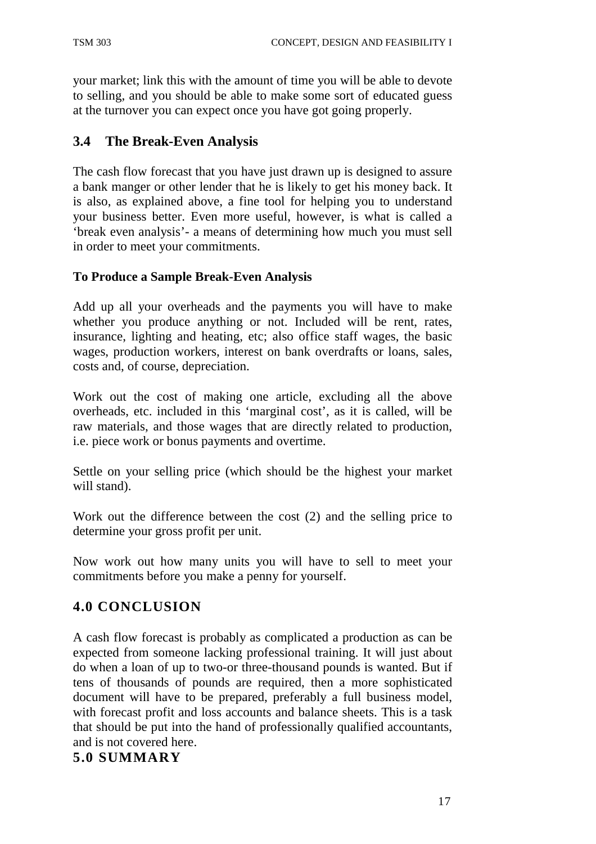your market; link this with the amount of time you will be able to devote to selling, and you should be able to make some sort of educated guess at the turnover you can expect once you have got going properly.

## **3.4 The Break-Even Analysis**

The cash flow forecast that you have just drawn up is designed to assure a bank manger or other lender that he is likely to get his money back. It is also, as explained above, a fine tool for helping you to understand your business better. Even more useful, however, is what is called a 'break even analysis'- a means of determining how much you must sell in order to meet your commitments.

#### **To Produce a Sample Break-Even Analysis**

Add up all your overheads and the payments you will have to make whether you produce anything or not. Included will be rent, rates, insurance, lighting and heating, etc; also office staff wages, the basic wages, production workers, interest on bank overdrafts or loans, sales, costs and, of course, depreciation.

Work out the cost of making one article, excluding all the above overheads, etc. included in this 'marginal cost', as it is called, will be raw materials, and those wages that are directly related to production, i.e. piece work or bonus payments and overtime.

Settle on your selling price (which should be the highest your market will stand).

Work out the difference between the cost (2) and the selling price to determine your gross profit per unit.

Now work out how many units you will have to sell to meet your commitments before you make a penny for yourself.

# **4.0 CONCLUSION**

A cash flow forecast is probably as complicated a production as can be expected from someone lacking professional training. It will just about do when a loan of up to two-or three-thousand pounds is wanted. But if tens of thousands of pounds are required, then a more sophisticated document will have to be prepared, preferably a full business model, with forecast profit and loss accounts and balance sheets. This is a task that should be put into the hand of professionally qualified accountants, and is not covered here.

#### **5.0 SUMMARY**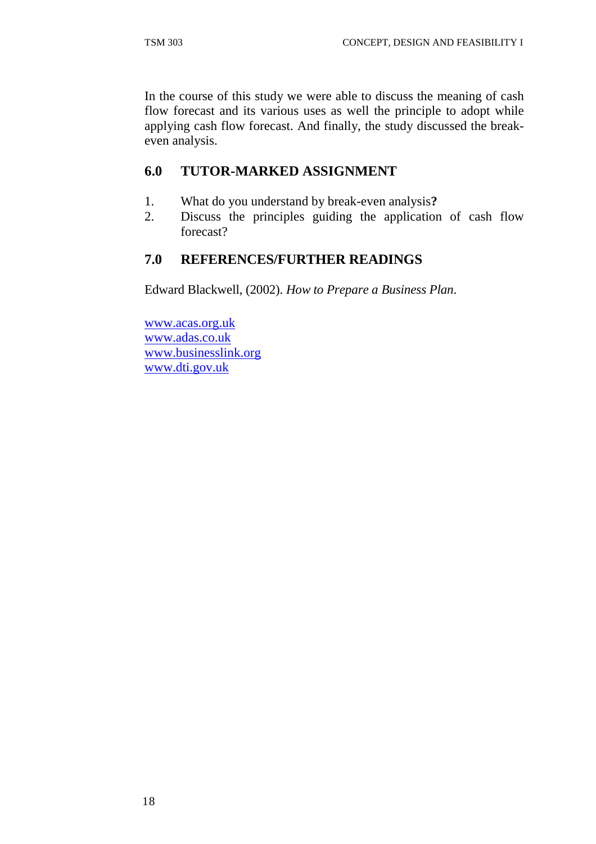In the course of this study we were able to discuss the meaning of cash flow forecast and its various uses as well the principle to adopt while applying cash flow forecast. And finally, the study discussed the breakeven analysis.

# **6.0 TUTOR-MARKED ASSIGNMENT**

- 1. What do you understand by break-even analysis**?**
- 2. Discuss the principles guiding the application of cash flow forecast?

# **7.0 REFERENCES/FURTHER READINGS**

Edward Blackwell, (2002). *How to Prepare a Business Plan*.

www.acas.org.uk www.adas.co.uk www.businesslink.org www.dti.gov.uk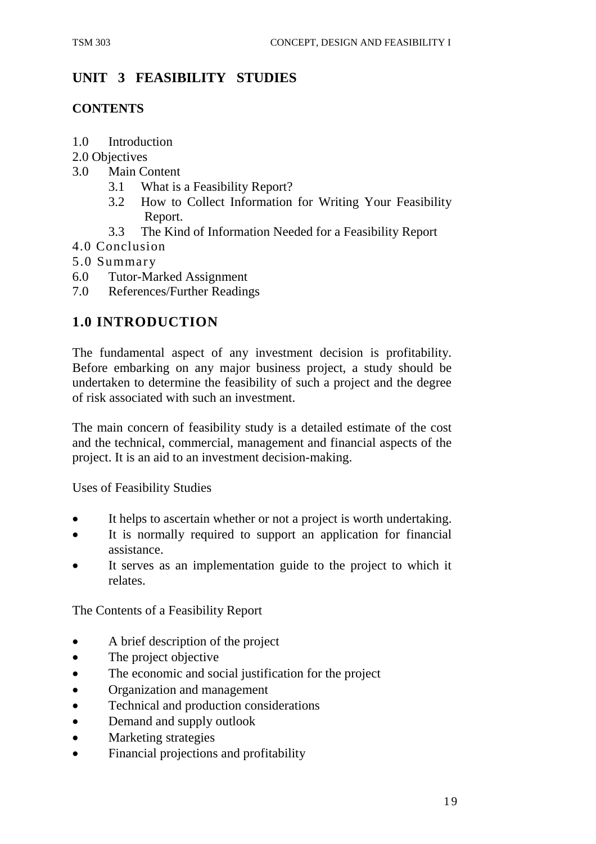# **UNIT 3 FEASIBILITY STUDIES**

#### **CONTENTS**

- 1.0 Introduction
- 2.0 Objectives
- 3.0 Main Content
	- 3.1 What is a Feasibility Report?
	- 3.2 How to Collect Information for Writing Your Feasibility Report.
	- 3.3 The Kind of Information Needed for a Feasibility Report
- 4.0 Conclusion
- 5.0 Summary
- 6.0 Tutor-Marked Assignment
- 7.0 References/Further Readings

# **1.0 INTRODUCTION**

The fundamental aspect of any investment decision is profitability. Before embarking on any major business project, a study should be undertaken to determine the feasibility of such a project and the degree of risk associated with such an investment.

The main concern of feasibility study is a detailed estimate of the cost and the technical, commercial, management and financial aspects of the project. It is an aid to an investment decision-making.

Uses of Feasibility Studies

- It helps to ascertain whether or not a project is worth undertaking.
- It is normally required to support an application for financial assistance.
- It serves as an implementation guide to the project to which it relates.

The Contents of a Feasibility Report

- A brief description of the project
- The project objective
- The economic and social justification for the project
- Organization and management
- Technical and production considerations
- Demand and supply outlook
- Marketing strategies
- Financial projections and profitability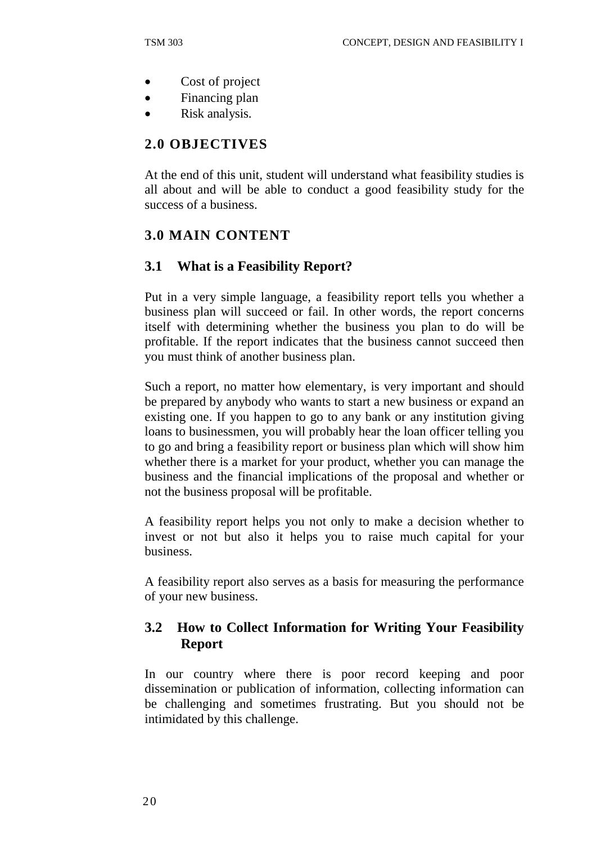- Cost of project
- Financing plan
- Risk analysis.

# **2.0 OBJECTIVES**

At the end of this unit, student will understand what feasibility studies is all about and will be able to conduct a good feasibility study for the success of a business.

# **3.0 MAIN CONTENT**

# **3.1 What is a Feasibility Report?**

Put in a very simple language, a feasibility report tells you whether a business plan will succeed or fail. In other words, the report concerns itself with determining whether the business you plan to do will be profitable. If the report indicates that the business cannot succeed then you must think of another business plan.

Such a report, no matter how elementary, is very important and should be prepared by anybody who wants to start a new business or expand an existing one. If you happen to go to any bank or any institution giving loans to businessmen, you will probably hear the loan officer telling you to go and bring a feasibility report or business plan which will show him whether there is a market for your product, whether you can manage the business and the financial implications of the proposal and whether or not the business proposal will be profitable.

A feasibility report helps you not only to make a decision whether to invest or not but also it helps you to raise much capital for your business.

A feasibility report also serves as a basis for measuring the performance of your new business.

# **3.2 How to Collect Information for Writing Your Feasibility Report**

In our country where there is poor record keeping and poor dissemination or publication of information, collecting information can be challenging and sometimes frustrating. But you should not be intimidated by this challenge.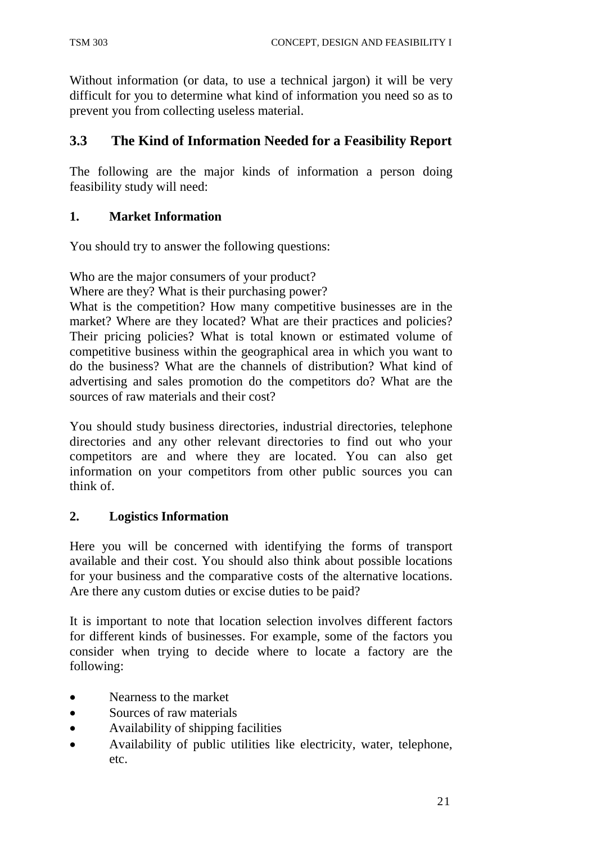Without information (or data, to use a technical jargon) it will be very difficult for you to determine what kind of information you need so as to prevent you from collecting useless material.

# **3.3 The Kind of Information Needed for a Feasibility Report**

The following are the major kinds of information a person doing feasibility study will need:

#### **1. Market Information**

You should try to answer the following questions:

Who are the major consumers of your product?

Where are they? What is their purchasing power?

What is the competition? How many competitive businesses are in the market? Where are they located? What are their practices and policies? Their pricing policies? What is total known or estimated volume of competitive business within the geographical area in which you want to do the business? What are the channels of distribution? What kind of advertising and sales promotion do the competitors do? What are the sources of raw materials and their cost?

You should study business directories, industrial directories, telephone directories and any other relevant directories to find out who your competitors are and where they are located. You can also get information on your competitors from other public sources you can think of.

#### **2. Logistics Information**

Here you will be concerned with identifying the forms of transport available and their cost. You should also think about possible locations for your business and the comparative costs of the alternative locations. Are there any custom duties or excise duties to be paid?

It is important to note that location selection involves different factors for different kinds of businesses. For example, some of the factors you consider when trying to decide where to locate a factory are the following:

- Nearness to the market
- Sources of raw materials
- Availability of shipping facilities
- Availability of public utilities like electricity, water, telephone, etc.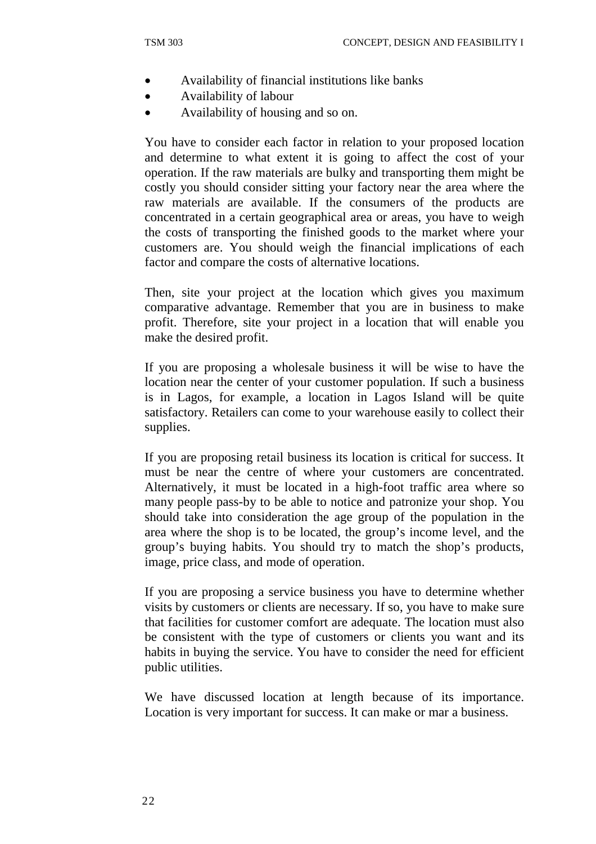- Availability of financial institutions like banks
- Availability of labour
- Availability of housing and so on.

You have to consider each factor in relation to your proposed location and determine to what extent it is going to affect the cost of your operation. If the raw materials are bulky and transporting them might be costly you should consider sitting your factory near the area where the raw materials are available. If the consumers of the products are concentrated in a certain geographical area or areas, you have to weigh the costs of transporting the finished goods to the market where your customers are. You should weigh the financial implications of each factor and compare the costs of alternative locations.

Then, site your project at the location which gives you maximum comparative advantage. Remember that you are in business to make profit. Therefore, site your project in a location that will enable you make the desired profit.

If you are proposing a wholesale business it will be wise to have the location near the center of your customer population. If such a business is in Lagos, for example, a location in Lagos Island will be quite satisfactory. Retailers can come to your warehouse easily to collect their supplies.

If you are proposing retail business its location is critical for success. It must be near the centre of where your customers are concentrated. Alternatively, it must be located in a high-foot traffic area where so many people pass-by to be able to notice and patronize your shop. You should take into consideration the age group of the population in the area where the shop is to be located, the group's income level, and the group's buying habits. You should try to match the shop's products, image, price class, and mode of operation.

If you are proposing a service business you have to determine whether visits by customers or clients are necessary. If so, you have to make sure that facilities for customer comfort are adequate. The location must also be consistent with the type of customers or clients you want and its habits in buying the service. You have to consider the need for efficient public utilities.

We have discussed location at length because of its importance. Location is very important for success. It can make or mar a business.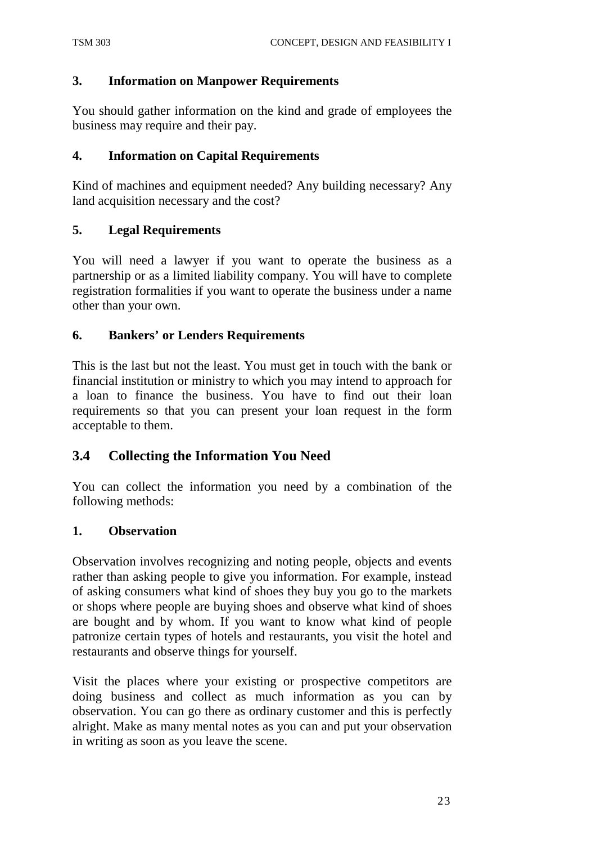#### **3. Information on Manpower Requirements**

You should gather information on the kind and grade of employees the business may require and their pay.

#### **4. Information on Capital Requirements**

Kind of machines and equipment needed? Any building necessary? Any land acquisition necessary and the cost?

#### **5. Legal Requirements**

You will need a lawyer if you want to operate the business as a partnership or as a limited liability company. You will have to complete registration formalities if you want to operate the business under a name other than your own.

#### **6. Bankers' or Lenders Requirements**

This is the last but not the least. You must get in touch with the bank or financial institution or ministry to which you may intend to approach for a loan to finance the business. You have to find out their loan requirements so that you can present your loan request in the form acceptable to them.

#### **3.4 Collecting the Information You Need**

You can collect the information you need by a combination of the following methods:

#### **1. Observation**

Observation involves recognizing and noting people, objects and events rather than asking people to give you information. For example, instead of asking consumers what kind of shoes they buy you go to the markets or shops where people are buying shoes and observe what kind of shoes are bought and by whom. If you want to know what kind of people patronize certain types of hotels and restaurants, you visit the hotel and restaurants and observe things for yourself.

Visit the places where your existing or prospective competitors are doing business and collect as much information as you can by observation. You can go there as ordinary customer and this is perfectly alright. Make as many mental notes as you can and put your observation in writing as soon as you leave the scene.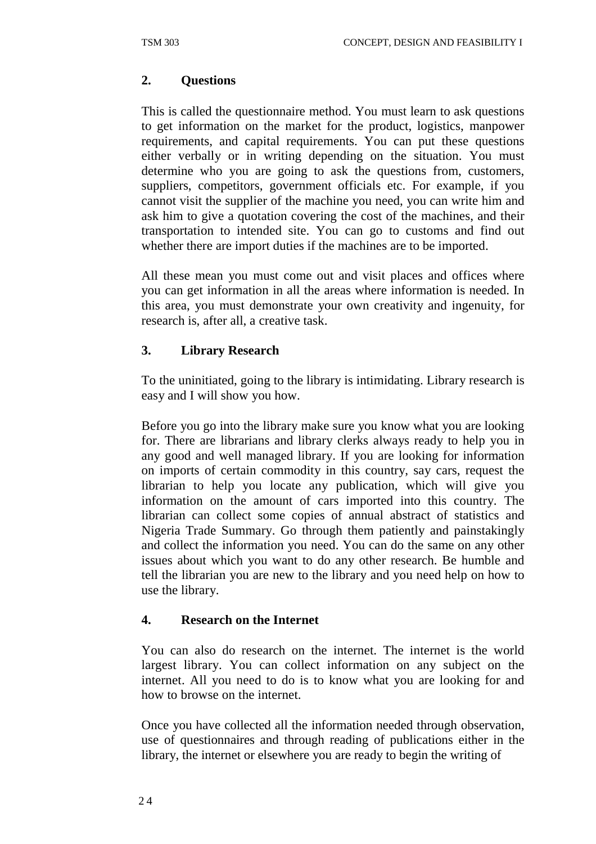#### **2. Questions**

This is called the questionnaire method. You must learn to ask questions to get information on the market for the product, logistics, manpower requirements, and capital requirements. You can put these questions either verbally or in writing depending on the situation. You must determine who you are going to ask the questions from, customers, suppliers, competitors, government officials etc. For example, if you cannot visit the supplier of the machine you need, you can write him and ask him to give a quotation covering the cost of the machines, and their transportation to intended site. You can go to customs and find out whether there are import duties if the machines are to be imported.

All these mean you must come out and visit places and offices where you can get information in all the areas where information is needed. In this area, you must demonstrate your own creativity and ingenuity, for research is, after all, a creative task.

#### **3. Library Research**

To the uninitiated, going to the library is intimidating. Library research is easy and I will show you how.

Before you go into the library make sure you know what you are looking for. There are librarians and library clerks always ready to help you in any good and well managed library. If you are looking for information on imports of certain commodity in this country, say cars, request the librarian to help you locate any publication, which will give you information on the amount of cars imported into this country. The librarian can collect some copies of annual abstract of statistics and Nigeria Trade Summary. Go through them patiently and painstakingly and collect the information you need. You can do the same on any other issues about which you want to do any other research. Be humble and tell the librarian you are new to the library and you need help on how to use the library.

#### **4. Research on the Internet**

You can also do research on the internet. The internet is the world largest library. You can collect information on any subject on the internet. All you need to do is to know what you are looking for and how to browse on the internet.

Once you have collected all the information needed through observation, use of questionnaires and through reading of publications either in the library, the internet or elsewhere you are ready to begin the writing of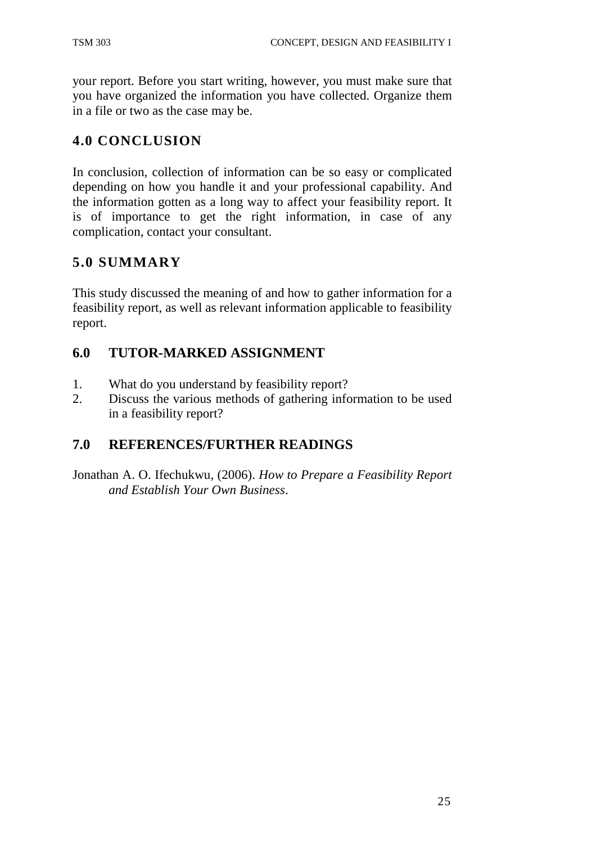your report. Before you start writing, however, you must make sure that you have organized the information you have collected. Organize them in a file or two as the case may be.

# **4.0 CONCLUSION**

In conclusion, collection of information can be so easy or complicated depending on how you handle it and your professional capability. And the information gotten as a long way to affect your feasibility report. It is of importance to get the right information, in case of any complication, contact your consultant.

# **5.0 SUMMARY**

This study discussed the meaning of and how to gather information for a feasibility report, as well as relevant information applicable to feasibility report.

#### **6.0 TUTOR-MARKED ASSIGNMENT**

- 1. What do you understand by feasibility report?
- 2. Discuss the various methods of gathering information to be used in a feasibility report?

#### **7.0 REFERENCES/FURTHER READINGS**

Jonathan A. O. Ifechukwu, (2006). *How to Prepare a Feasibility Report and Establish Your Own Business*.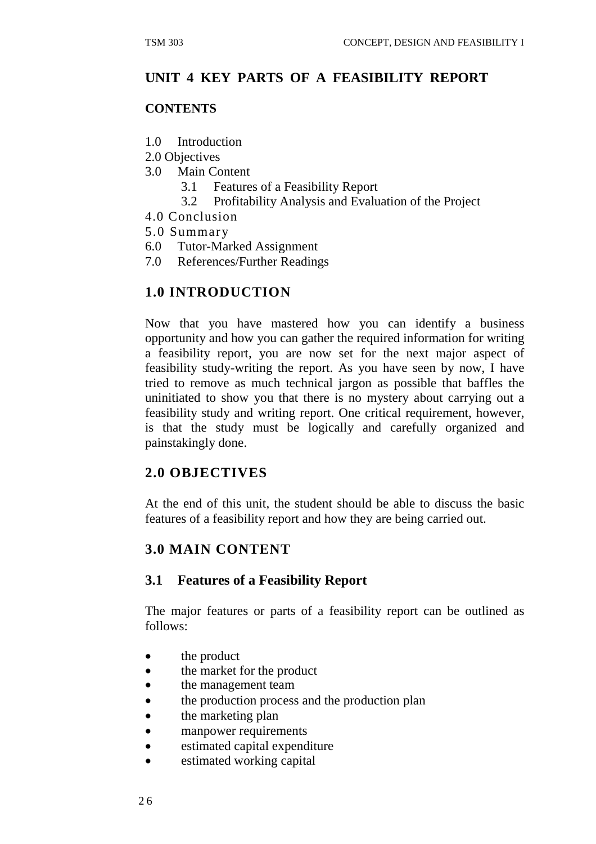# **UNIT 4 KEY PARTS OF A FEASIBILITY REPORT**

### **CONTENTS**

- 1.0 Introduction
- 2.0 Objectives
- 3.0 Main Content
	- 3.1 Features of a Feasibility Report
	- 3.2 Profitability Analysis and Evaluation of the Project
- 4.0 Conclusion
- 5.0 Summary
- 6.0 Tutor-Marked Assignment
- 7.0 References/Further Readings

# **1.0 INTRODUCTION**

Now that you have mastered how you can identify a business opportunity and how you can gather the required information for writing a feasibility report, you are now set for the next major aspect of feasibility study-writing the report. As you have seen by now, I have tried to remove as much technical jargon as possible that baffles the uninitiated to show you that there is no mystery about carrying out a feasibility study and writing report. One critical requirement, however, is that the study must be logically and carefully organized and painstakingly done.

# **2.0 OBJECTIVES**

At the end of this unit, the student should be able to discuss the basic features of a feasibility report and how they are being carried out.

## **3.0 MAIN CONTENT**

## **3.1 Features of a Feasibility Report**

The major features or parts of a feasibility report can be outlined as follows:

- the product
- the market for the product
- the management team
- the production process and the production plan
- the marketing plan
- manpower requirements
- estimated capital expenditure
- estimated working capital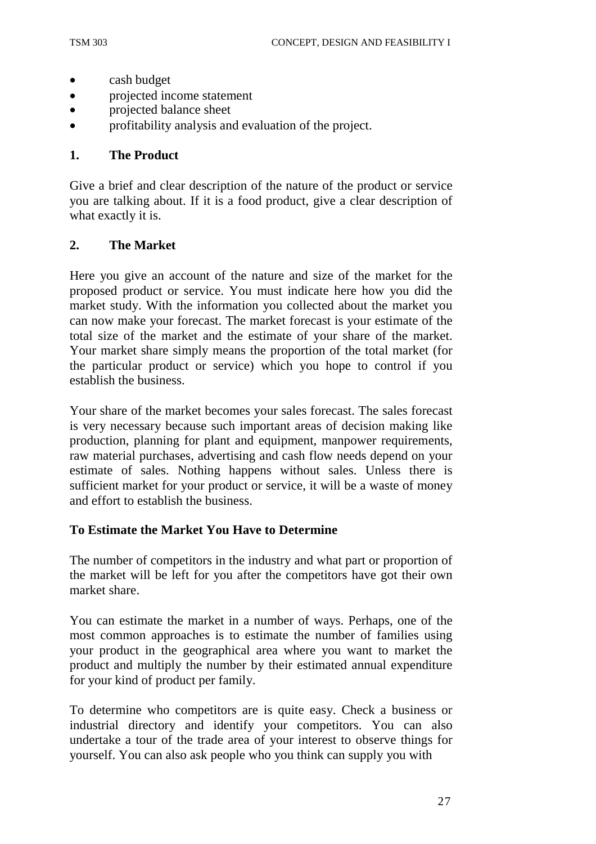- cash budget
- **projected income statement**
- projected balance sheet
- profitability analysis and evaluation of the project.

#### **1. The Product**

Give a brief and clear description of the nature of the product or service you are talking about. If it is a food product, give a clear description of what exactly it is.

#### **2. The Market**

Here you give an account of the nature and size of the market for the proposed product or service. You must indicate here how you did the market study. With the information you collected about the market you can now make your forecast. The market forecast is your estimate of the total size of the market and the estimate of your share of the market. Your market share simply means the proportion of the total market (for the particular product or service) which you hope to control if you establish the business.

Your share of the market becomes your sales forecast. The sales forecast is very necessary because such important areas of decision making like production, planning for plant and equipment, manpower requirements, raw material purchases, advertising and cash flow needs depend on your estimate of sales. Nothing happens without sales. Unless there is sufficient market for your product or service, it will be a waste of money and effort to establish the business.

#### **To Estimate the Market You Have to Determine**

The number of competitors in the industry and what part or proportion of the market will be left for you after the competitors have got their own market share.

You can estimate the market in a number of ways. Perhaps, one of the most common approaches is to estimate the number of families using your product in the geographical area where you want to market the product and multiply the number by their estimated annual expenditure for your kind of product per family.

To determine who competitors are is quite easy. Check a business or industrial directory and identify your competitors. You can also undertake a tour of the trade area of your interest to observe things for yourself. You can also ask people who you think can supply you with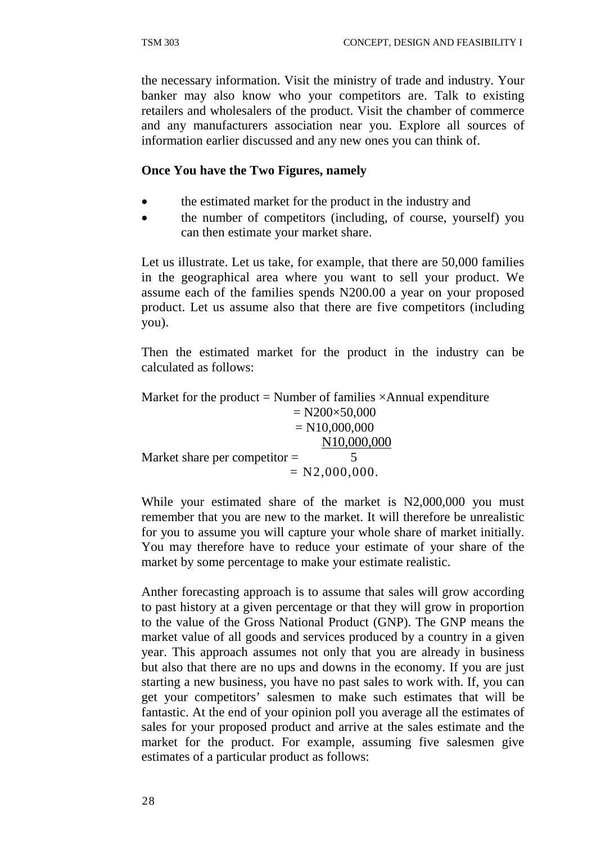the necessary information. Visit the ministry of trade and industry. Your banker may also know who your competitors are. Talk to existing retailers and wholesalers of the product. Visit the chamber of commerce and any manufacturers association near you. Explore all sources of information earlier discussed and any new ones you can think of.

## **Once You have the Two Figures, namely**

- the estimated market for the product in the industry and
- the number of competitors (including, of course, yourself) you can then estimate your market share.

Let us illustrate. Let us take, for example, that there are 50,000 families in the geographical area where you want to sell your product. We assume each of the families spends N200.00 a year on your proposed product. Let us assume also that there are five competitors (including you).

Then the estimated market for the product in the industry can be calculated as follows:

Market for the product  $=$  Number of families  $\times$ Annual expenditure  $= N200 \times 50,000$  $= N10,000,000$ N10,000,000 Market share per competitor  $=$  5  $= N2,000,000.$ 

While your estimated share of the market is N2,000,000 you must remember that you are new to the market. It will therefore be unrealistic for you to assume you will capture your whole share of market initially. You may therefore have to reduce your estimate of your share of the market by some percentage to make your estimate realistic.

Anther forecasting approach is to assume that sales will grow according to past history at a given percentage or that they will grow in proportion to the value of the Gross National Product (GNP). The GNP means the market value of all goods and services produced by a country in a given year. This approach assumes not only that you are already in business but also that there are no ups and downs in the economy. If you are just starting a new business, you have no past sales to work with. If, you can get your competitors' salesmen to make such estimates that will be fantastic. At the end of your opinion poll you average all the estimates of sales for your proposed product and arrive at the sales estimate and the market for the product. For example, assuming five salesmen give estimates of a particular product as follows: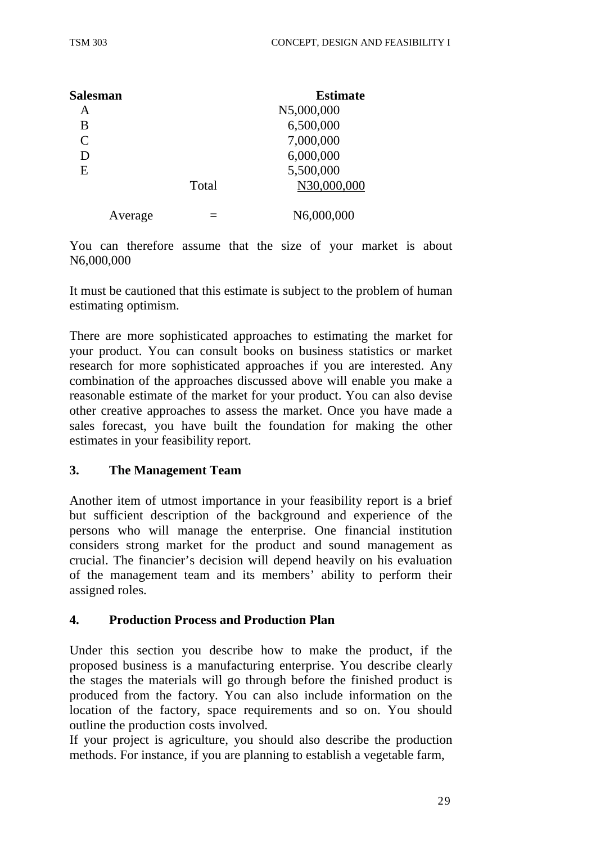| Salesman      |         |       | <b>Estimate</b> |
|---------------|---------|-------|-----------------|
| A             |         |       | N5,000,000      |
| B             |         |       | 6,500,000       |
| $\mathcal{C}$ |         |       | 7,000,000       |
| D             |         |       | 6,000,000       |
| E             |         |       | 5,500,000       |
|               |         | Total | N30,000,000     |
|               | Average |       | N6,000,000      |

You can therefore assume that the size of your market is about N6,000,000

It must be cautioned that this estimate is subject to the problem of human estimating optimism.

There are more sophisticated approaches to estimating the market for your product. You can consult books on business statistics or market research for more sophisticated approaches if you are interested. Any combination of the approaches discussed above will enable you make a reasonable estimate of the market for your product. You can also devise other creative approaches to assess the market. Once you have made a sales forecast, you have built the foundation for making the other estimates in your feasibility report.

## **3. The Management Team**

Another item of utmost importance in your feasibility report is a brief but sufficient description of the background and experience of the persons who will manage the enterprise. One financial institution considers strong market for the product and sound management as crucial. The financier's decision will depend heavily on his evaluation of the management team and its members' ability to perform their assigned roles.

### **4. Production Process and Production Plan**

Under this section you describe how to make the product, if the proposed business is a manufacturing enterprise. You describe clearly the stages the materials will go through before the finished product is produced from the factory. You can also include information on the location of the factory, space requirements and so on. You should outline the production costs involved.

If your project is agriculture, you should also describe the production methods. For instance, if you are planning to establish a vegetable farm,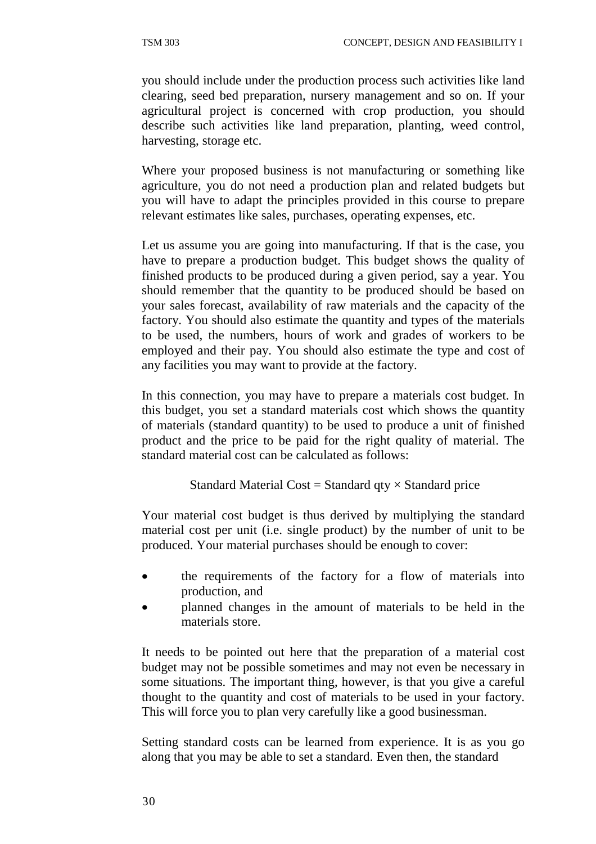you should include under the production process such activities like land clearing, seed bed preparation, nursery management and so on. If your agricultural project is concerned with crop production, you should describe such activities like land preparation, planting, weed control, harvesting, storage etc.

Where your proposed business is not manufacturing or something like agriculture, you do not need a production plan and related budgets but you will have to adapt the principles provided in this course to prepare relevant estimates like sales, purchases, operating expenses, etc.

Let us assume you are going into manufacturing. If that is the case, you have to prepare a production budget. This budget shows the quality of finished products to be produced during a given period, say a year. You should remember that the quantity to be produced should be based on your sales forecast, availability of raw materials and the capacity of the factory. You should also estimate the quantity and types of the materials to be used, the numbers, hours of work and grades of workers to be employed and their pay. You should also estimate the type and cost of any facilities you may want to provide at the factory.

In this connection, you may have to prepare a materials cost budget. In this budget, you set a standard materials cost which shows the quantity of materials (standard quantity) to be used to produce a unit of finished product and the price to be paid for the right quality of material. The standard material cost can be calculated as follows:

Standard Material Cost = Standard qty  $\times$  Standard price

Your material cost budget is thus derived by multiplying the standard material cost per unit (i.e. single product) by the number of unit to be produced. Your material purchases should be enough to cover:

- the requirements of the factory for a flow of materials into production, and
- planned changes in the amount of materials to be held in the materials store.

It needs to be pointed out here that the preparation of a material cost budget may not be possible sometimes and may not even be necessary in some situations. The important thing, however, is that you give a careful thought to the quantity and cost of materials to be used in your factory. This will force you to plan very carefully like a good businessman.

Setting standard costs can be learned from experience. It is as you go along that you may be able to set a standard. Even then, the standard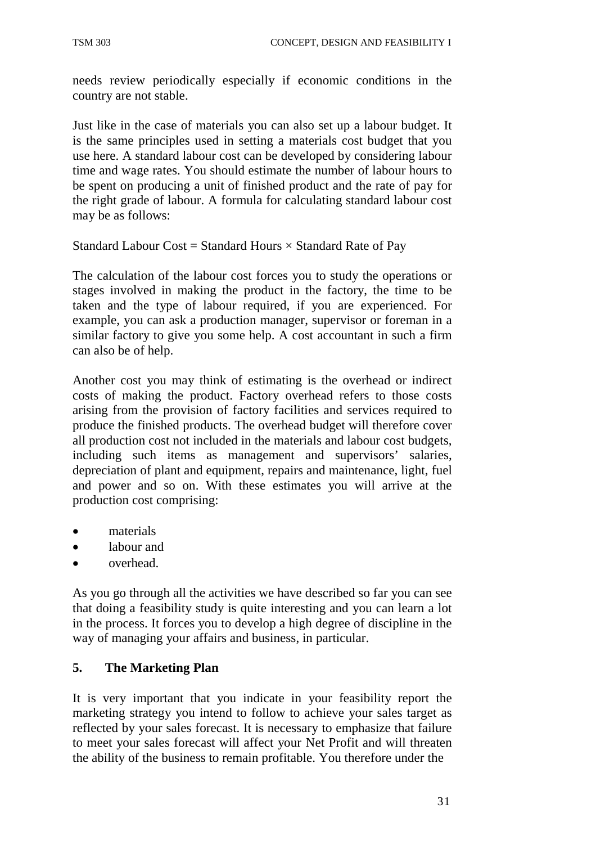needs review periodically especially if economic conditions in the country are not stable.

Just like in the case of materials you can also set up a labour budget. It is the same principles used in setting a materials cost budget that you use here. A standard labour cost can be developed by considering labour time and wage rates. You should estimate the number of labour hours to be spent on producing a unit of finished product and the rate of pay for the right grade of labour. A formula for calculating standard labour cost may be as follows:

Standard Labour Cost = Standard Hours  $\times$  Standard Rate of Pay

The calculation of the labour cost forces you to study the operations or stages involved in making the product in the factory, the time to be taken and the type of labour required, if you are experienced. For example, you can ask a production manager, supervisor or foreman in a similar factory to give you some help. A cost accountant in such a firm can also be of help.

Another cost you may think of estimating is the overhead or indirect costs of making the product. Factory overhead refers to those costs arising from the provision of factory facilities and services required to produce the finished products. The overhead budget will therefore cover all production cost not included in the materials and labour cost budgets, including such items as management and supervisors' salaries, depreciation of plant and equipment, repairs and maintenance, light, fuel and power and so on. With these estimates you will arrive at the production cost comprising:

- materials
- labour and
- overhead.

As you go through all the activities we have described so far you can see that doing a feasibility study is quite interesting and you can learn a lot in the process. It forces you to develop a high degree of discipline in the way of managing your affairs and business, in particular.

#### **5. The Marketing Plan**

It is very important that you indicate in your feasibility report the marketing strategy you intend to follow to achieve your sales target as reflected by your sales forecast. It is necessary to emphasize that failure to meet your sales forecast will affect your Net Profit and will threaten the ability of the business to remain profitable. You therefore under the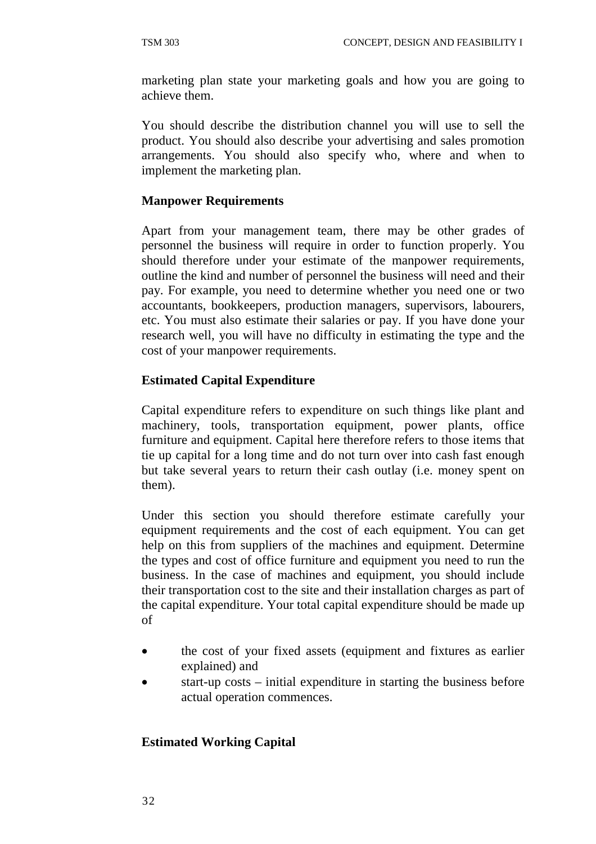marketing plan state your marketing goals and how you are going to achieve them.

You should describe the distribution channel you will use to sell the product. You should also describe your advertising and sales promotion arrangements. You should also specify who, where and when to implement the marketing plan.

#### **Manpower Requirements**

Apart from your management team, there may be other grades of personnel the business will require in order to function properly. You should therefore under your estimate of the manpower requirements, outline the kind and number of personnel the business will need and their pay. For example, you need to determine whether you need one or two accountants, bookkeepers, production managers, supervisors, labourers, etc. You must also estimate their salaries or pay. If you have done your research well, you will have no difficulty in estimating the type and the cost of your manpower requirements.

#### **Estimated Capital Expenditure**

Capital expenditure refers to expenditure on such things like plant and machinery, tools, transportation equipment, power plants, office furniture and equipment. Capital here therefore refers to those items that tie up capital for a long time and do not turn over into cash fast enough but take several years to return their cash outlay (i.e. money spent on them).

Under this section you should therefore estimate carefully your equipment requirements and the cost of each equipment. You can get help on this from suppliers of the machines and equipment. Determine the types and cost of office furniture and equipment you need to run the business. In the case of machines and equipment, you should include their transportation cost to the site and their installation charges as part of the capital expenditure. Your total capital expenditure should be made up of

- the cost of your fixed assets (equipment and fixtures as earlier explained) and
- start-up costs initial expenditure in starting the business before actual operation commences.

#### **Estimated Working Capital**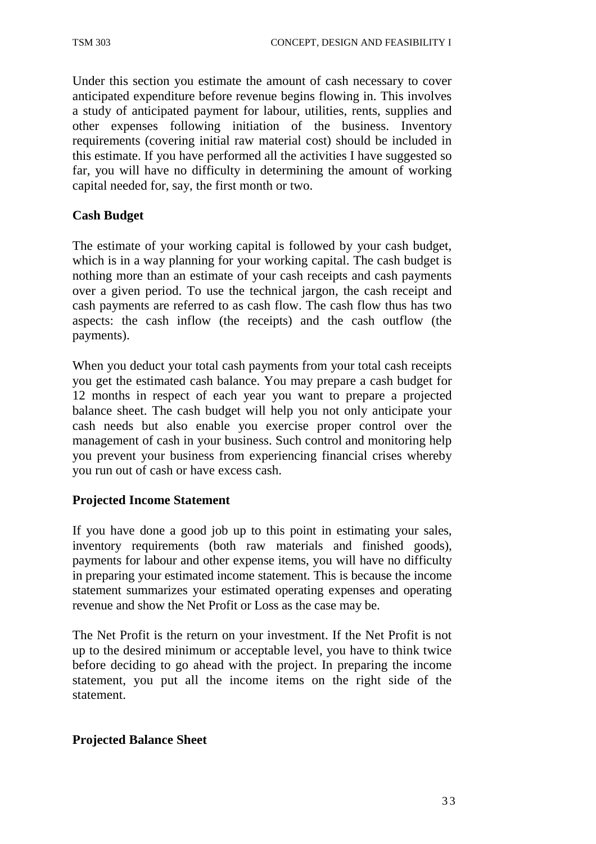Under this section you estimate the amount of cash necessary to cover anticipated expenditure before revenue begins flowing in. This involves a study of anticipated payment for labour, utilities, rents, supplies and other expenses following initiation of the business. Inventory requirements (covering initial raw material cost) should be included in this estimate. If you have performed all the activities I have suggested so far, you will have no difficulty in determining the amount of working capital needed for, say, the first month or two.

#### **Cash Budget**

The estimate of your working capital is followed by your cash budget, which is in a way planning for your working capital. The cash budget is nothing more than an estimate of your cash receipts and cash payments over a given period. To use the technical jargon, the cash receipt and cash payments are referred to as cash flow. The cash flow thus has two aspects: the cash inflow (the receipts) and the cash outflow (the payments).

When you deduct your total cash payments from your total cash receipts you get the estimated cash balance. You may prepare a cash budget for 12 months in respect of each year you want to prepare a projected balance sheet. The cash budget will help you not only anticipate your cash needs but also enable you exercise proper control over the management of cash in your business. Such control and monitoring help you prevent your business from experiencing financial crises whereby you run out of cash or have excess cash.

#### **Projected Income Statement**

If you have done a good job up to this point in estimating your sales, inventory requirements (both raw materials and finished goods), payments for labour and other expense items, you will have no difficulty in preparing your estimated income statement. This is because the income statement summarizes your estimated operating expenses and operating revenue and show the Net Profit or Loss as the case may be.

The Net Profit is the return on your investment. If the Net Profit is not up to the desired minimum or acceptable level, you have to think twice before deciding to go ahead with the project. In preparing the income statement, you put all the income items on the right side of the statement.

#### **Projected Balance Sheet**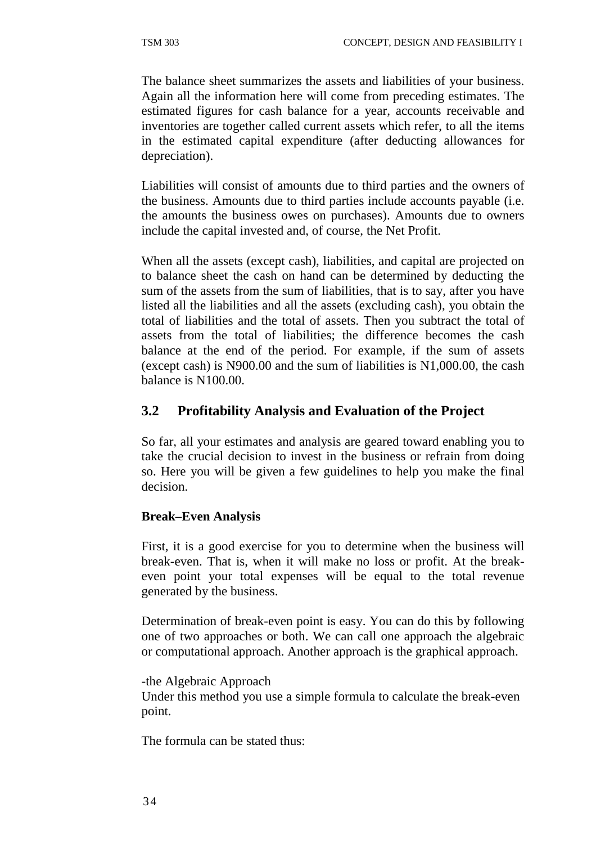The balance sheet summarizes the assets and liabilities of your business. Again all the information here will come from preceding estimates. The estimated figures for cash balance for a year, accounts receivable and inventories are together called current assets which refer, to all the items in the estimated capital expenditure (after deducting allowances for depreciation).

Liabilities will consist of amounts due to third parties and the owners of the business. Amounts due to third parties include accounts payable (i.e. the amounts the business owes on purchases). Amounts due to owners include the capital invested and, of course, the Net Profit.

When all the assets (except cash), liabilities, and capital are projected on to balance sheet the cash on hand can be determined by deducting the sum of the assets from the sum of liabilities, that is to say, after you have listed all the liabilities and all the assets (excluding cash), you obtain the total of liabilities and the total of assets. Then you subtract the total of assets from the total of liabilities; the difference becomes the cash balance at the end of the period. For example, if the sum of assets (except cash) is N900.00 and the sum of liabilities is N1,000.00, the cash balance is N100.00.

## **3.2 Profitability Analysis and Evaluation of the Project**

So far, all your estimates and analysis are geared toward enabling you to take the crucial decision to invest in the business or refrain from doing so. Here you will be given a few guidelines to help you make the final decision.

### **Break–Even Analysis**

First, it is a good exercise for you to determine when the business will break-even. That is, when it will make no loss or profit. At the breakeven point your total expenses will be equal to the total revenue generated by the business.

Determination of break-even point is easy. You can do this by following one of two approaches or both. We can call one approach the algebraic or computational approach. Another approach is the graphical approach.

### -the Algebraic Approach

Under this method you use a simple formula to calculate the break-even point.

The formula can be stated thus: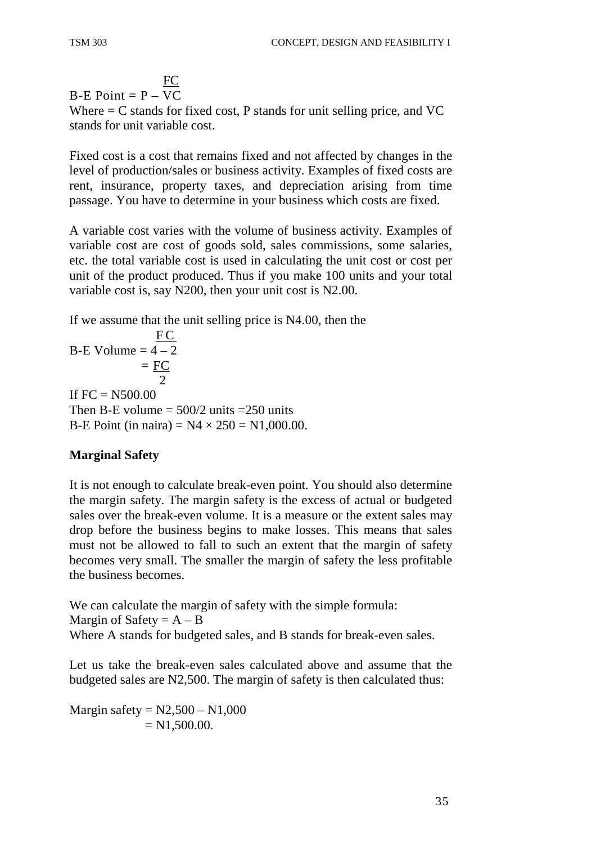$$
B-E Point = P - \frac{FC}{VC}
$$

Where  $= C$  stands for fixed cost, P stands for unit selling price, and VC stands for unit variable cost.

Fixed cost is a cost that remains fixed and not affected by changes in the level of production/sales or business activity. Examples of fixed costs are rent, insurance, property taxes, and depreciation arising from time passage. You have to determine in your business which costs are fixed.

A variable cost varies with the volume of business activity. Examples of variable cost are cost of goods sold, sales commissions, some salaries, etc. the total variable cost is used in calculating the unit cost or cost per unit of the product produced. Thus if you make 100 units and your total variable cost is, say N200, then your unit cost is N2.00.

If we assume that the unit selling price is N4.00, then the

B-E Volume = 
$$
4-2
$$
  
\n=  $\frac{FC}{2}$   
\nIf FC = N500.00  
\nThen B-E volume = 500/2 units = 250 units  
\nB-E Point (in naira) = N4 × 250 = N1,000.00.

## **Marginal Safety**

It is not enough to calculate break-even point. You should also determine the margin safety. The margin safety is the excess of actual or budgeted sales over the break-even volume. It is a measure or the extent sales may drop before the business begins to make losses. This means that sales must not be allowed to fall to such an extent that the margin of safety becomes very small. The smaller the margin of safety the less profitable the business becomes.

We can calculate the margin of safety with the simple formula: Margin of Safety  $= A - B$ Where A stands for budgeted sales, and B stands for break-even sales.

Let us take the break-even sales calculated above and assume that the budgeted sales are N2,500. The margin of safety is then calculated thus:

Margin safety =  $N2,500 - N1,000$  $= N1,500.00.$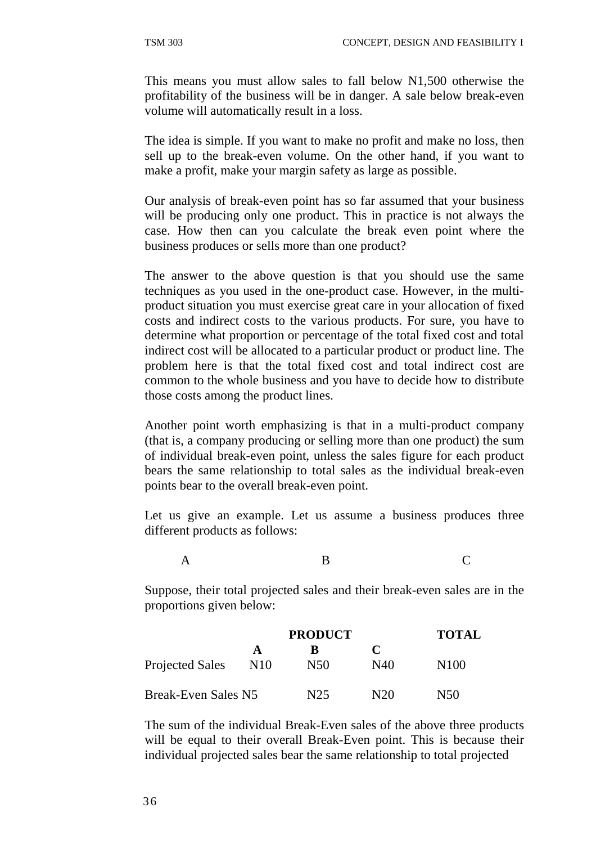This means you must allow sales to fall below N1,500 otherwise the profitability of the business will be in danger. A sale below break-even volume will automatically result in a loss.

The idea is simple. If you want to make no profit and make no loss, then sell up to the break-even volume. On the other hand, if you want to make a profit, make your margin safety as large as possible.

Our analysis of break-even point has so far assumed that your business will be producing only one product. This in practice is not always the case. How then can you calculate the break even point where the business produces or sells more than one product?

The answer to the above question is that you should use the same techniques as you used in the one-product case. However, in the multiproduct situation you must exercise great care in your allocation of fixed costs and indirect costs to the various products. For sure, you have to determine what proportion or percentage of the total fixed cost and total indirect cost will be allocated to a particular product or product line. The problem here is that the total fixed cost and total indirect cost are common to the whole business and you have to decide how to distribute those costs among the product lines.

Another point worth emphasizing is that in a multi-product company (that is, a company producing or selling more than one product) the sum of individual break-even point, unless the sales figure for each product bears the same relationship to total sales as the individual break-even points bear to the overall break-even point.

Let us give an example. Let us assume a business produces three different products as follows:

 $\mathbf A$  B C

Suppose, their total projected sales and their break-even sales are in the proportions given below:

|                        | <b>PRODUCT</b>  |     |              | <b>TOTAL</b>     |  |
|------------------------|-----------------|-----|--------------|------------------|--|
|                        | A               | к   | $\mathbf{C}$ |                  |  |
| <b>Projected Sales</b> | N <sub>10</sub> | N50 | N40          | N <sub>100</sub> |  |
| Break-Even Sales N5    |                 | N25 | N20          | N50              |  |

The sum of the individual Break-Even sales of the above three products will be equal to their overall Break-Even point. This is because their individual projected sales bear the same relationship to total projected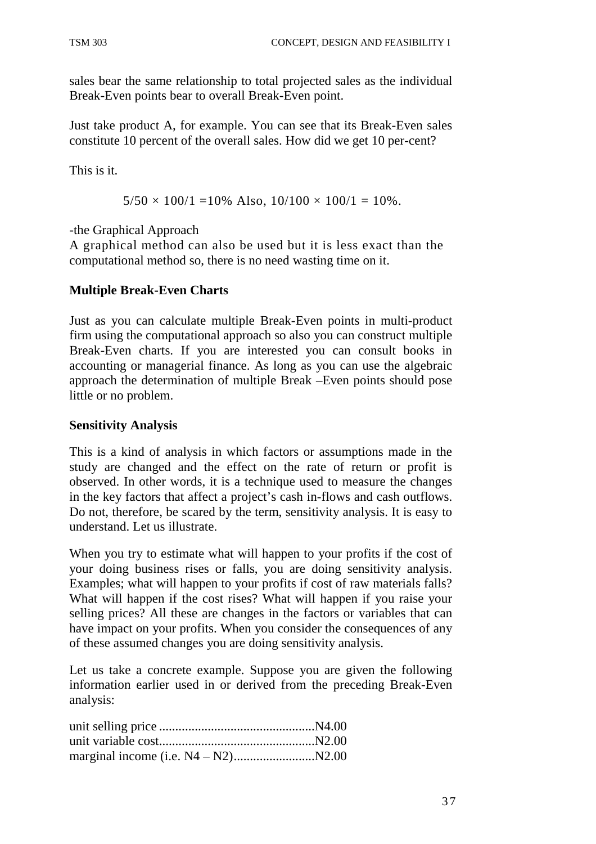sales bear the same relationship to total projected sales as the individual Break-Even points bear to overall Break-Even point.

Just take product A, for example. You can see that its Break-Even sales constitute 10 percent of the overall sales. How did we get 10 per-cent?

This is it.

 $5/50 \times 100/1 = 10\%$  Also,  $10/100 \times 100/1 = 10\%$ .

-the Graphical Approach

A graphical method can also be used but it is less exact than the computational method so, there is no need wasting time on it.

## **Multiple Break-Even Charts**

Just as you can calculate multiple Break-Even points in multi-product firm using the computational approach so also you can construct multiple Break-Even charts. If you are interested you can consult books in accounting or managerial finance. As long as you can use the algebraic approach the determination of multiple Break –Even points should pose little or no problem.

### **Sensitivity Analysis**

This is a kind of analysis in which factors or assumptions made in the study are changed and the effect on the rate of return or profit is observed. In other words, it is a technique used to measure the changes in the key factors that affect a project's cash in-flows and cash outflows. Do not, therefore, be scared by the term, sensitivity analysis. It is easy to understand. Let us illustrate.

When you try to estimate what will happen to your profits if the cost of your doing business rises or falls, you are doing sensitivity analysis. Examples; what will happen to your profits if cost of raw materials falls? What will happen if the cost rises? What will happen if you raise your selling prices? All these are changes in the factors or variables that can have impact on your profits. When you consider the consequences of any of these assumed changes you are doing sensitivity analysis.

Let us take a concrete example. Suppose you are given the following information earlier used in or derived from the preceding Break-Even analysis: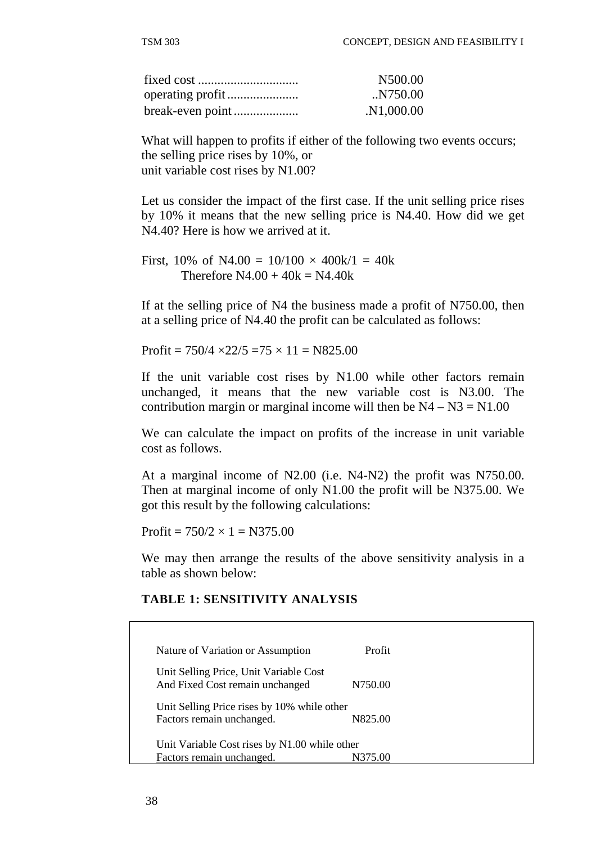| N500.00   |
|-----------|
| .N750.00  |
| N1,000.00 |

What will happen to profits if either of the following two events occurs; the selling price rises by 10%, or unit variable cost rises by N1.00?

Let us consider the impact of the first case. If the unit selling price rises by 10% it means that the new selling price is N4.40. How did we get N4.40? Here is how we arrived at it.

First,  $10\%$  of N4.00 =  $10/100 \times 400k/1 = 40k$ Therefore  $N4.00 + 40k = N4.40k$ 

If at the selling price of N4 the business made a profit of N750.00, then at a selling price of N4.40 the profit can be calculated as follows:

Profit =  $750/4 \times 22/5 = 75 \times 11 = N825.00$ 

If the unit variable cost rises by N1.00 while other factors remain unchanged, it means that the new variable cost is N3.00. The contribution margin or marginal income will then be  $N4 - N3 = N1.00$ 

We can calculate the impact on profits of the increase in unit variable cost as follows.

At a marginal income of N2.00 (i.e. N4-N2) the profit was N750.00. Then at marginal income of only N1.00 the profit will be N375.00. We got this result by the following calculations:

Profit =  $750/2 \times 1 = N375.00$ 

We may then arrange the results of the above sensitivity analysis in a table as shown below:

#### **TABLE 1: SENSITIVITY ANALYSIS**

| Nature of Variation or Assumption                                         | Profit  |
|---------------------------------------------------------------------------|---------|
| Unit Selling Price, Unit Variable Cost<br>And Fixed Cost remain unchanged | N750.00 |
| Unit Selling Price rises by 10% while other<br>Factors remain unchanged.  | N825.00 |
| Unit Variable Cost rises by N1.00 while other                             |         |
| Factors remain unchanged.                                                 | N375.00 |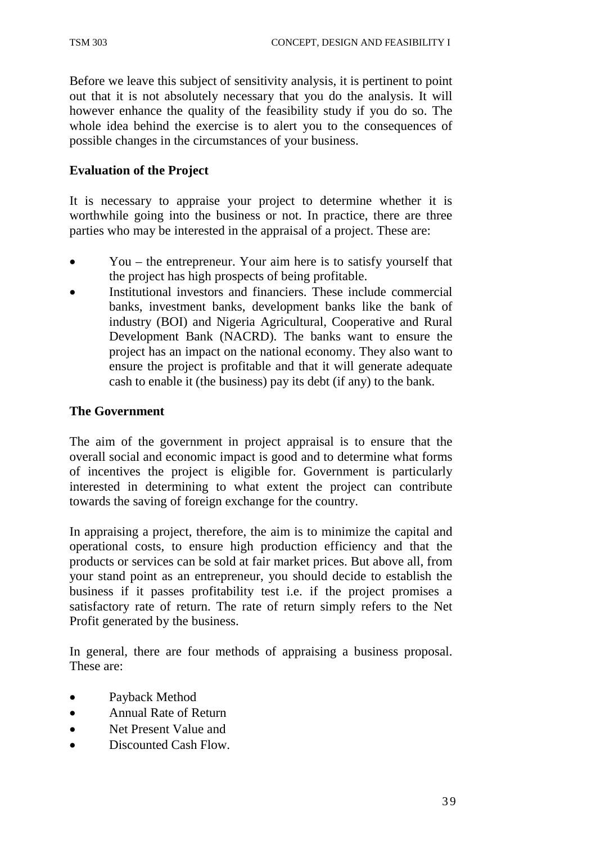Before we leave this subject of sensitivity analysis, it is pertinent to point out that it is not absolutely necessary that you do the analysis. It will however enhance the quality of the feasibility study if you do so. The whole idea behind the exercise is to alert you to the consequences of possible changes in the circumstances of your business.

#### **Evaluation of the Project**

It is necessary to appraise your project to determine whether it is worthwhile going into the business or not. In practice, there are three parties who may be interested in the appraisal of a project. These are:

- You the entrepreneur. Your aim here is to satisfy yourself that the project has high prospects of being profitable.
- Institutional investors and financiers. These include commercial banks, investment banks, development banks like the bank of industry (BOI) and Nigeria Agricultural, Cooperative and Rural Development Bank (NACRD). The banks want to ensure the project has an impact on the national economy. They also want to ensure the project is profitable and that it will generate adequate cash to enable it (the business) pay its debt (if any) to the bank.

#### **The Government**

The aim of the government in project appraisal is to ensure that the overall social and economic impact is good and to determine what forms of incentives the project is eligible for. Government is particularly interested in determining to what extent the project can contribute towards the saving of foreign exchange for the country.

In appraising a project, therefore, the aim is to minimize the capital and operational costs, to ensure high production efficiency and that the products or services can be sold at fair market prices. But above all, from your stand point as an entrepreneur, you should decide to establish the business if it passes profitability test i.e. if the project promises a satisfactory rate of return. The rate of return simply refers to the Net Profit generated by the business.

In general, there are four methods of appraising a business proposal. These are:

- Payback Method
- Annual Rate of Return
- Net Present Value and
- Discounted Cash Flow.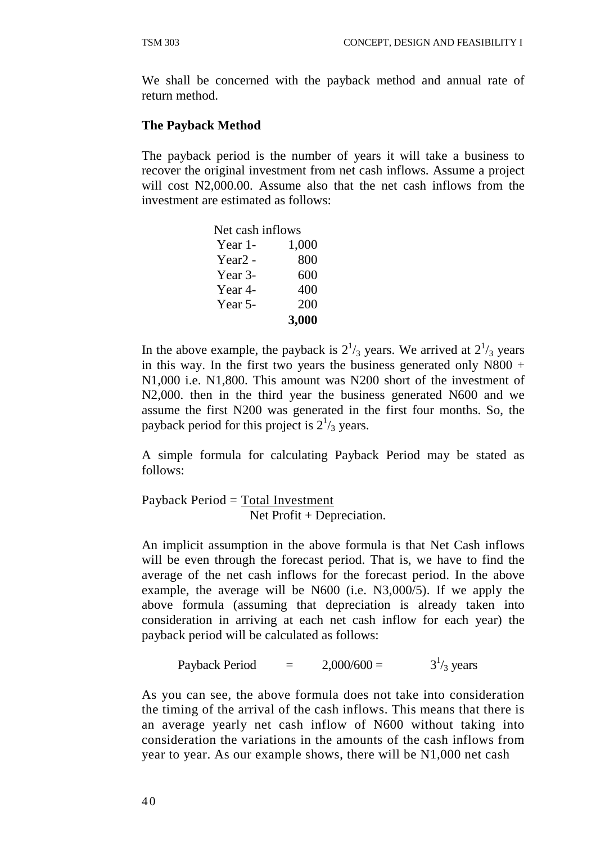We shall be concerned with the payback method and annual rate of return method.

## **The Payback Method**

The payback period is the number of years it will take a business to recover the original investment from net cash inflows. Assume a project will cost N2,000.00. Assume also that the net cash inflows from the investment are estimated as follows:

|            | Net cash inflows |  |
|------------|------------------|--|
| Year 1-    | 1,000            |  |
| Year $2$ - | 800              |  |
| Year 3-    | 600              |  |
| Year 4-    | 400              |  |
| Year 5-    | 200              |  |
|            | 3,000            |  |

In the above example, the payback is  $2^{1/3}$  years. We arrived at  $2^{1/3}$  years in this way. In the first two years the business generated only  $N800 +$ N1,000 i.e. N1,800. This amount was N200 short of the investment of N2,000. then in the third year the business generated N600 and we assume the first N200 was generated in the first four months. So, the payback period for this project is  $2^{1/3}$  years.

A simple formula for calculating Payback Period may be stated as follows:

Payback Period = Total Investment Net Profit + Depreciation.

An implicit assumption in the above formula is that Net Cash inflows will be even through the forecast period. That is, we have to find the average of the net cash inflows for the forecast period. In the above example, the average will be N600 (i.e. N3,000/5). If we apply the above formula (assuming that depreciation is already taken into consideration in arriving at each net cash inflow for each year) the payback period will be calculated as follows:

Payback Period = 
$$
2,000/600 = 3^{1/3}
$$
 years

As you can see, the above formula does not take into consideration the timing of the arrival of the cash inflows. This means that there is an average yearly net cash inflow of N600 without taking into consideration the variations in the amounts of the cash inflows from year to year. As our example shows, there will be N1,000 net cash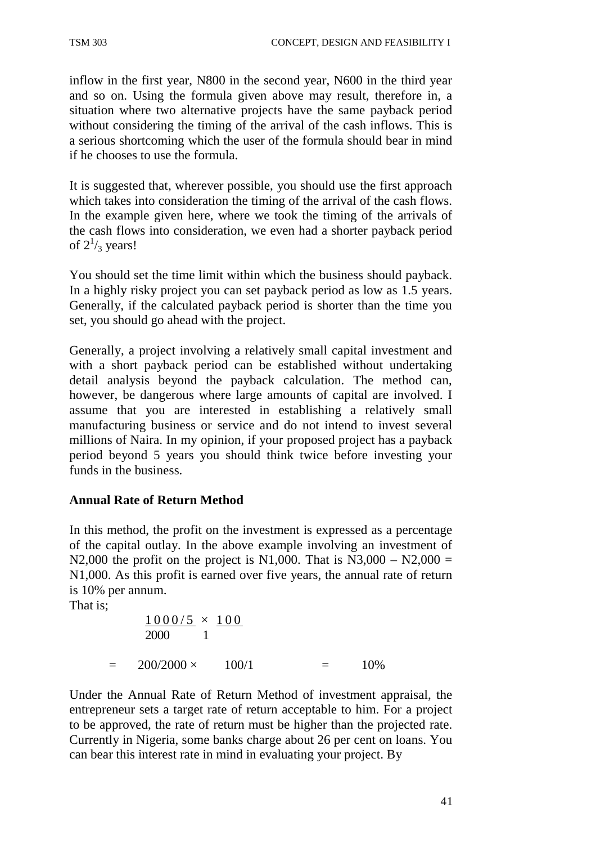inflow in the first year, N800 in the second year, N600 in the third year and so on. Using the formula given above may result, therefore in, a situation where two alternative projects have the same payback period without considering the timing of the arrival of the cash inflows. This is a serious shortcoming which the user of the formula should bear in mind if he chooses to use the formula.

It is suggested that, wherever possible, you should use the first approach which takes into consideration the timing of the arrival of the cash flows. In the example given here, where we took the timing of the arrivals of the cash flows into consideration, we even had a shorter payback period of  $2^1$ /<sub>3</sub> years!

You should set the time limit within which the business should payback. In a highly risky project you can set payback period as low as 1.5 years. Generally, if the calculated payback period is shorter than the time you set, you should go ahead with the project.

Generally, a project involving a relatively small capital investment and with a short payback period can be established without undertaking detail analysis beyond the payback calculation. The method can, however, be dangerous where large amounts of capital are involved. I assume that you are interested in establishing a relatively small manufacturing business or service and do not intend to invest several millions of Naira. In my opinion, if your proposed project has a payback period beyond 5 years you should think twice before investing your funds in the business.

## **Annual Rate of Return Method**

In this method, the profit on the investment is expressed as a percentage of the capital outlay. In the above example involving an investment of N2,000 the profit on the project is N1,000. That is N3,000 – N2,000 = N1,000. As this profit is earned over five years, the annual rate of return is 10% per annum.

That is;

$$
\frac{1000/5 \times 100}{2000 \times 1}
$$
  
= 200/2000 \times 100/1 = 10%

Under the Annual Rate of Return Method of investment appraisal, the entrepreneur sets a target rate of return acceptable to him. For a project to be approved, the rate of return must be higher than the projected rate. Currently in Nigeria, some banks charge about 26 per cent on loans. You can bear this interest rate in mind in evaluating your project. By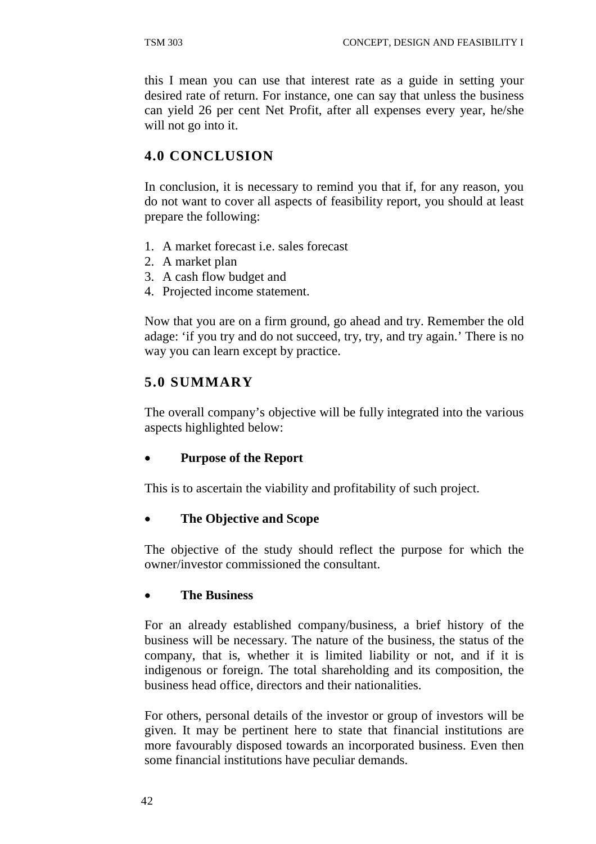this I mean you can use that interest rate as a guide in setting your desired rate of return. For instance, one can say that unless the business can yield 26 per cent Net Profit, after all expenses every year, he/she will not go into it.

# **4.0 CONCLUSION**

In conclusion, it is necessary to remind you that if, for any reason, you do not want to cover all aspects of feasibility report, you should at least prepare the following:

- 1. A market forecast i.e. sales forecast
- 2. A market plan
- 3. A cash flow budget and
- 4. Projected income statement.

Now that you are on a firm ground, go ahead and try. Remember the old adage: 'if you try and do not succeed, try, try, and try again.' There is no way you can learn except by practice.

# **5.0 SUMMARY**

The overall company's objective will be fully integrated into the various aspects highlighted below:

## • **Purpose of the Report**

This is to ascertain the viability and profitability of such project.

### • **The Objective and Scope**

The objective of the study should reflect the purpose for which the owner/investor commissioned the consultant.

### • **The Business**

For an already established company/business, a brief history of the business will be necessary. The nature of the business, the status of the company, that is, whether it is limited liability or not, and if it is indigenous or foreign. The total shareholding and its composition, the business head office, directors and their nationalities.

For others, personal details of the investor or group of investors will be given. It may be pertinent here to state that financial institutions are more favourably disposed towards an incorporated business. Even then some financial institutions have peculiar demands.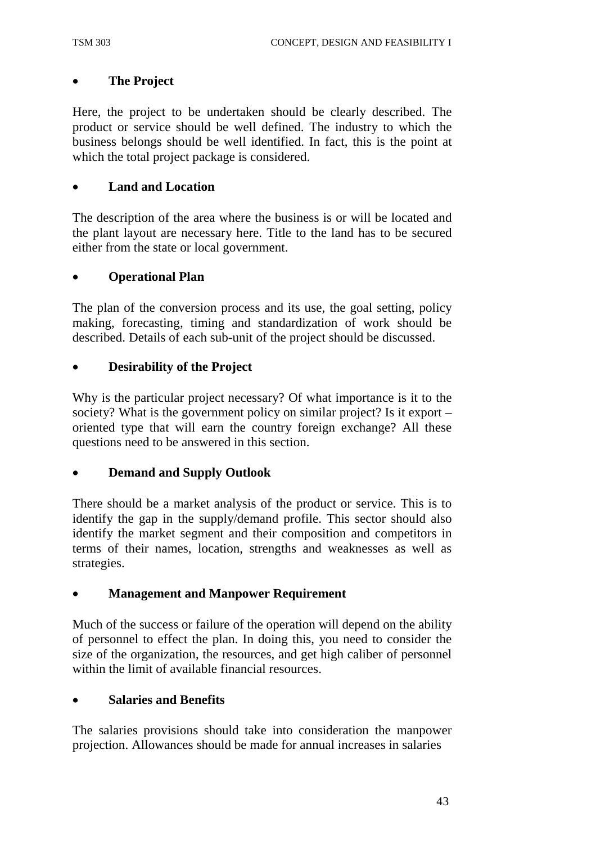### • **The Project**

Here, the project to be undertaken should be clearly described. The product or service should be well defined. The industry to which the business belongs should be well identified. In fact, this is the point at which the total project package is considered.

## • **Land and Location**

The description of the area where the business is or will be located and the plant layout are necessary here. Title to the land has to be secured either from the state or local government.

## • **Operational Plan**

The plan of the conversion process and its use, the goal setting, policy making, forecasting, timing and standardization of work should be described. Details of each sub-unit of the project should be discussed.

## • **Desirability of the Project**

Why is the particular project necessary? Of what importance is it to the society? What is the government policy on similar project? Is it export – oriented type that will earn the country foreign exchange? All these questions need to be answered in this section.

### • **Demand and Supply Outlook**

There should be a market analysis of the product or service. This is to identify the gap in the supply/demand profile. This sector should also identify the market segment and their composition and competitors in terms of their names, location, strengths and weaknesses as well as strategies.

### • **Management and Manpower Requirement**

Much of the success or failure of the operation will depend on the ability of personnel to effect the plan. In doing this, you need to consider the size of the organization, the resources, and get high caliber of personnel within the limit of available financial resources.

### • **Salaries and Benefits**

The salaries provisions should take into consideration the manpower projection. Allowances should be made for annual increases in salaries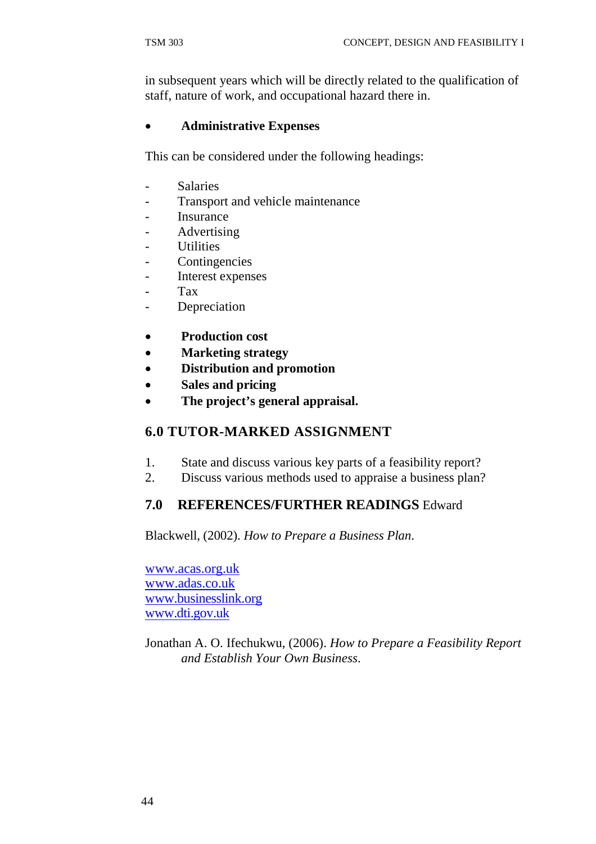in subsequent years which will be directly related to the qualification of staff, nature of work, and occupational hazard there in.

### • **Administrative Expenses**

This can be considered under the following headings:

- Salaries
- Transport and vehicle maintenance
- Insurance
- Advertising
- **Utilities**
- **Contingencies**
- Interest expenses
- Tax
- **Depreciation**
- **Production cost**
- **Marketing strategy**
- **Distribution and promotion**
- **Sales and pricing**
- **The project's general appraisal.**

## **6.0 TUTOR-MARKED ASSIGNMENT**

- 1. State and discuss various key parts of a feasibility report?
- 2. Discuss various methods used to appraise a business plan?

## **7.0 REFERENCES/FURTHER READINGS** Edward

Blackwell, (2002). *How to Prepare a Business Plan*.

www.acas.org.uk www.adas.co.uk www.businesslink.org www.dti.gov.uk

Jonathan A. O. Ifechukwu, (2006). *How to Prepare a Feasibility Report and Establish Your Own Business*.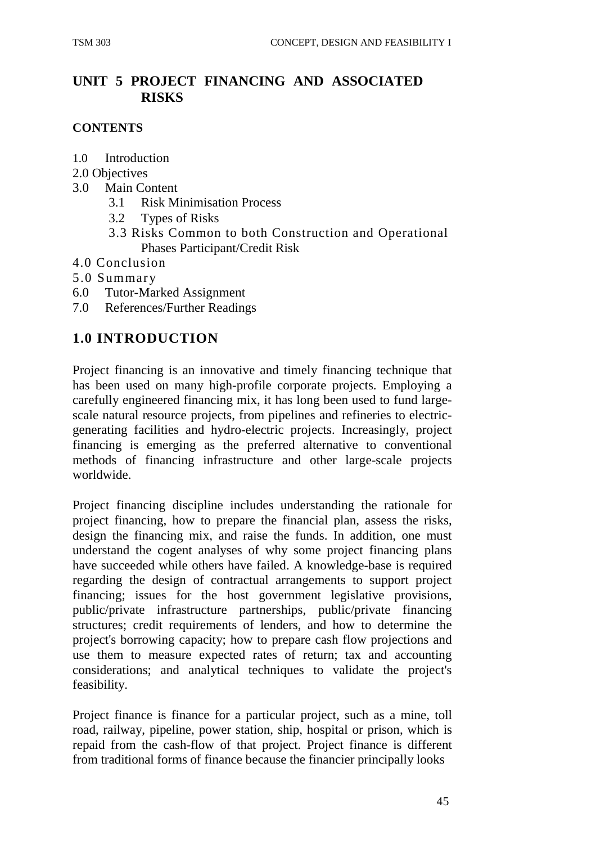# **UNIT 5 PROJECT FINANCING AND ASSOCIATED RISKS**

#### **CONTENTS**

- 1.0 Introduction
- 2.0 Objectives
- 3.0 Main Content
	- 3.1 Risk Minimisation Process
	- 3.2 Types of Risks
	- 3.3 Risks Common to both Construction and Operational Phases Participant/Credit Risk
- 4.0 Conclusion
- 5.0 Summary
- 6.0 Tutor-Marked Assignment
- 7.0 References/Further Readings

## **1.0 INTRODUCTION**

Project financing is an innovative and timely financing technique that has been used on many high-profile corporate projects. Employing a carefully engineered financing mix, it has long been used to fund largescale natural resource projects, from pipelines and refineries to electricgenerating facilities and hydro-electric projects. Increasingly, project financing is emerging as the preferred alternative to conventional methods of financing infrastructure and other large-scale projects worldwide.

Project financing discipline includes understanding the rationale for project financing, how to prepare the financial plan, assess the risks, design the financing mix, and raise the funds. In addition, one must understand the cogent analyses of why some project financing plans have succeeded while others have failed. A knowledge-base is required regarding the design of contractual arrangements to support project financing; issues for the host government legislative provisions, public/private infrastructure partnerships, public/private financing structures; credit requirements of lenders, and how to determine the project's borrowing capacity; how to prepare cash flow projections and use them to measure expected rates of return; tax and accounting considerations; and analytical techniques to validate the project's feasibility.

Project finance is finance for a particular project, such as a mine, toll road, railway, pipeline, power station, ship, hospital or prison, which is repaid from the cash-flow of that project. Project finance is different from traditional forms of finance because the financier principally looks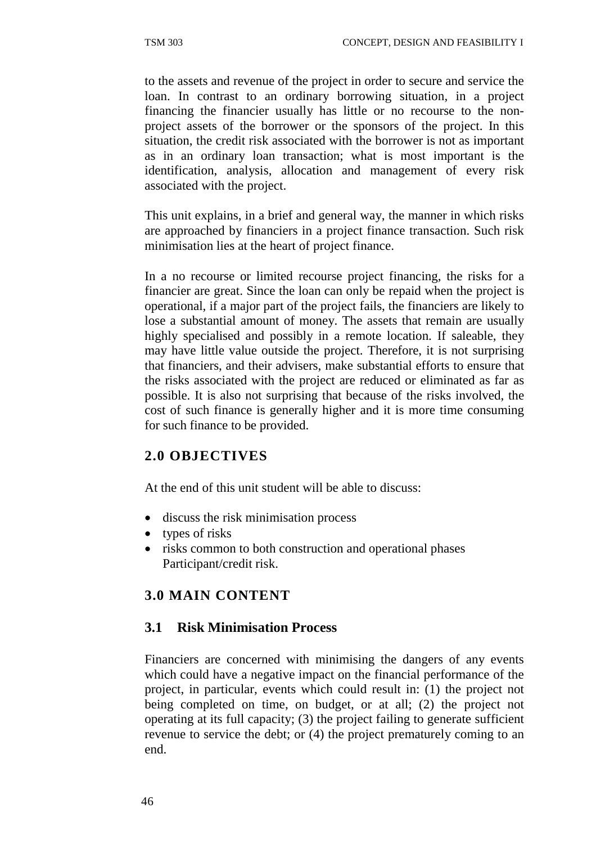to the assets and revenue of the project in order to secure and service the loan. In contrast to an ordinary borrowing situation, in a project financing the financier usually has little or no recourse to the nonproject assets of the borrower or the sponsors of the project. In this situation, the credit risk associated with the borrower is not as important as in an ordinary loan transaction; what is most important is the identification, analysis, allocation and management of every risk associated with the project.

This unit explains, in a brief and general way, the manner in which risks are approached by financiers in a project finance transaction. Such risk minimisation lies at the heart of project finance.

In a no recourse or limited recourse project financing, the risks for a financier are great. Since the loan can only be repaid when the project is operational, if a major part of the project fails, the financiers are likely to lose a substantial amount of money. The assets that remain are usually highly specialised and possibly in a remote location. If saleable, they may have little value outside the project. Therefore, it is not surprising that financiers, and their advisers, make substantial efforts to ensure that the risks associated with the project are reduced or eliminated as far as possible. It is also not surprising that because of the risks involved, the cost of such finance is generally higher and it is more time consuming for such finance to be provided.

### **2.0 OBJECTIVES**

At the end of this unit student will be able to discuss:

- discuss the risk minimisation process
- types of risks
- risks common to both construction and operational phases Participant/credit risk.

## **3.0 MAIN CONTENT**

### **3.1 Risk Minimisation Process**

Financiers are concerned with minimising the dangers of any events which could have a negative impact on the financial performance of the project, in particular, events which could result in: (1) the project not being completed on time, on budget, or at all; (2) the project not operating at its full capacity; (3) the project failing to generate sufficient revenue to service the debt; or (4) the project prematurely coming to an end.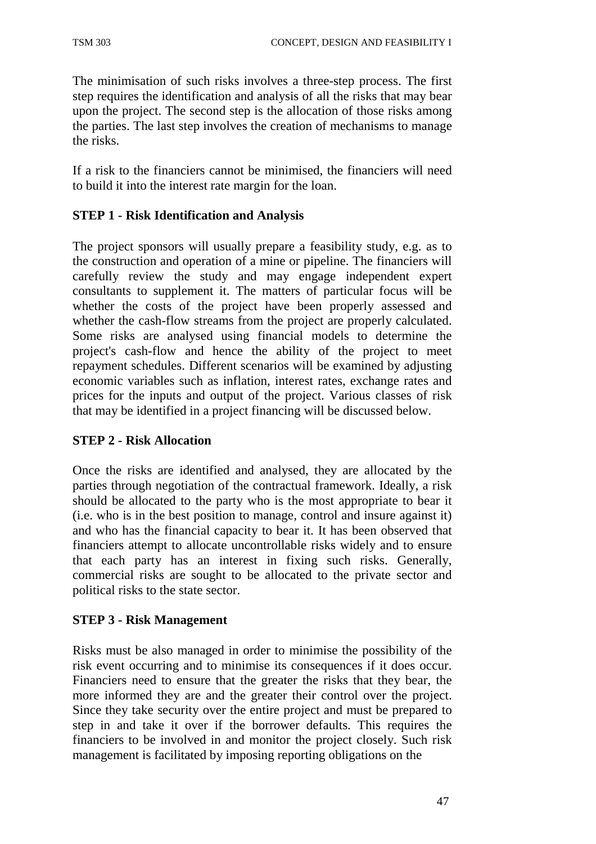The minimisation of such risks involves a three-step process. The first step requires the identification and analysis of all the risks that may bear upon the project. The second step is the allocation of those risks among the parties. The last step involves the creation of mechanisms to manage the risks.

If a risk to the financiers cannot be minimised, the financiers will need to build it into the interest rate margin for the loan.

### **STEP 1 - Risk Identification and Analysis**

The project sponsors will usually prepare a feasibility study, e.g. as to the construction and operation of a mine or pipeline. The financiers will carefully review the study and may engage independent expert consultants to supplement it. The matters of particular focus will be whether the costs of the project have been properly assessed and whether the cash-flow streams from the project are properly calculated. Some risks are analysed using financial models to determine the project's cash-flow and hence the ability of the project to meet repayment schedules. Different scenarios will be examined by adjusting economic variables such as inflation, interest rates, exchange rates and prices for the inputs and output of the project. Various classes of risk that may be identified in a project financing will be discussed below.

#### **STEP 2 - Risk Allocation**

Once the risks are identified and analysed, they are allocated by the parties through negotiation of the contractual framework. Ideally, a risk should be allocated to the party who is the most appropriate to bear it (i.e. who is in the best position to manage, control and insure against it) and who has the financial capacity to bear it. It has been observed that financiers attempt to allocate uncontrollable risks widely and to ensure that each party has an interest in fixing such risks. Generally, commercial risks are sought to be allocated to the private sector and political risks to the state sector.

#### **STEP 3 - Risk Management**

Risks must be also managed in order to minimise the possibility of the risk event occurring and to minimise its consequences if it does occur. Financiers need to ensure that the greater the risks that they bear, the more informed they are and the greater their control over the project. Since they take security over the entire project and must be prepared to step in and take it over if the borrower defaults. This requires the financiers to be involved in and monitor the project closely. Such risk management is facilitated by imposing reporting obligations on the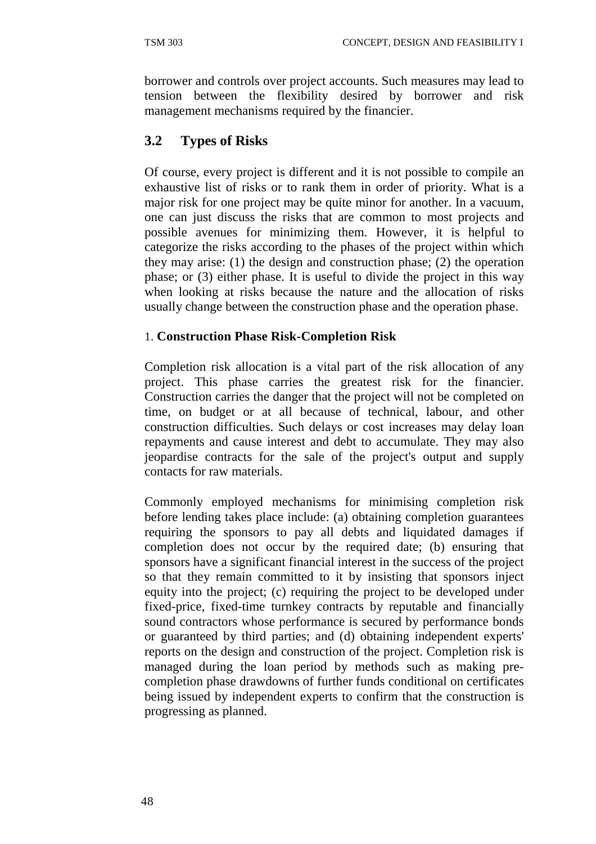borrower and controls over project accounts. Such measures may lead to tension between the flexibility desired by borrower and risk management mechanisms required by the financier.

# **3.2 Types of Risks**

Of course, every project is different and it is not possible to compile an exhaustive list of risks or to rank them in order of priority. What is a major risk for one project may be quite minor for another. In a vacuum, one can just discuss the risks that are common to most projects and possible avenues for minimizing them. However, it is helpful to categorize the risks according to the phases of the project within which they may arise: (1) the design and construction phase; (2) the operation phase; or (3) either phase. It is useful to divide the project in this way when looking at risks because the nature and the allocation of risks usually change between the construction phase and the operation phase.

### 1. **Construction Phase Risk-Completion Risk**

Completion risk allocation is a vital part of the risk allocation of any project. This phase carries the greatest risk for the financier. Construction carries the danger that the project will not be completed on time, on budget or at all because of technical, labour, and other construction difficulties. Such delays or cost increases may delay loan repayments and cause interest and debt to accumulate. They may also jeopardise contracts for the sale of the project's output and supply contacts for raw materials.

Commonly employed mechanisms for minimising completion risk before lending takes place include: (a) obtaining completion guarantees requiring the sponsors to pay all debts and liquidated damages if completion does not occur by the required date; (b) ensuring that sponsors have a significant financial interest in the success of the project so that they remain committed to it by insisting that sponsors inject equity into the project; (c) requiring the project to be developed under fixed-price, fixed-time turnkey contracts by reputable and financially sound contractors whose performance is secured by performance bonds or guaranteed by third parties; and (d) obtaining independent experts' reports on the design and construction of the project. Completion risk is managed during the loan period by methods such as making precompletion phase drawdowns of further funds conditional on certificates being issued by independent experts to confirm that the construction is progressing as planned.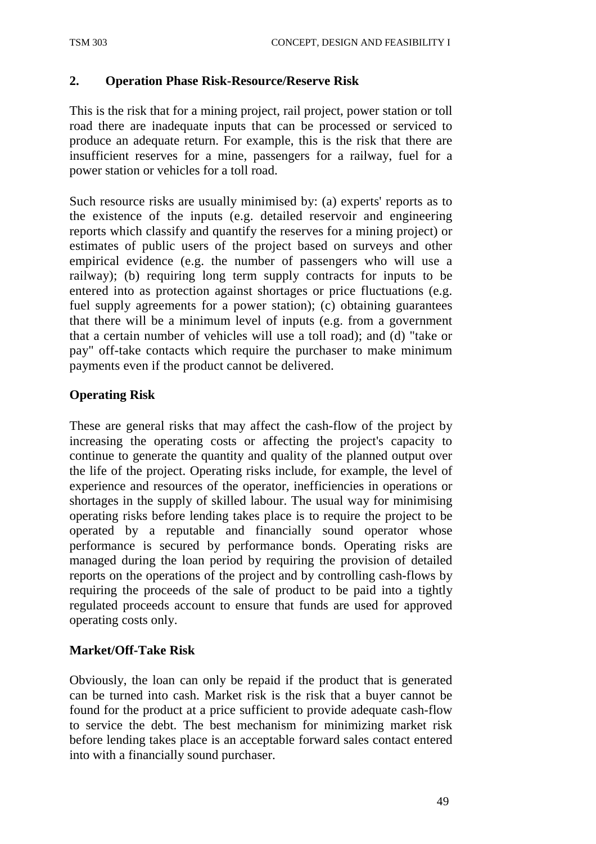#### **2. Operation Phase Risk-Resource/Reserve Risk**

This is the risk that for a mining project, rail project, power station or toll road there are inadequate inputs that can be processed or serviced to produce an adequate return. For example, this is the risk that there are insufficient reserves for a mine, passengers for a railway, fuel for a power station or vehicles for a toll road.

Such resource risks are usually minimised by: (a) experts' reports as to the existence of the inputs (e.g. detailed reservoir and engineering reports which classify and quantify the reserves for a mining project) or estimates of public users of the project based on surveys and other empirical evidence (e.g. the number of passengers who will use a railway); (b) requiring long term supply contracts for inputs to be entered into as protection against shortages or price fluctuations (e.g. fuel supply agreements for a power station); (c) obtaining guarantees that there will be a minimum level of inputs (e.g. from a government that a certain number of vehicles will use a toll road); and (d) "take or pay" off-take contacts which require the purchaser to make minimum payments even if the product cannot be delivered.

#### **Operating Risk**

These are general risks that may affect the cash-flow of the project by increasing the operating costs or affecting the project's capacity to continue to generate the quantity and quality of the planned output over the life of the project. Operating risks include, for example, the level of experience and resources of the operator, inefficiencies in operations or shortages in the supply of skilled labour. The usual way for minimising operating risks before lending takes place is to require the project to be operated by a reputable and financially sound operator whose performance is secured by performance bonds. Operating risks are managed during the loan period by requiring the provision of detailed reports on the operations of the project and by controlling cash-flows by requiring the proceeds of the sale of product to be paid into a tightly regulated proceeds account to ensure that funds are used for approved operating costs only.

#### **Market/Off-Take Risk**

Obviously, the loan can only be repaid if the product that is generated can be turned into cash. Market risk is the risk that a buyer cannot be found for the product at a price sufficient to provide adequate cash-flow to service the debt. The best mechanism for minimizing market risk before lending takes place is an acceptable forward sales contact entered into with a financially sound purchaser.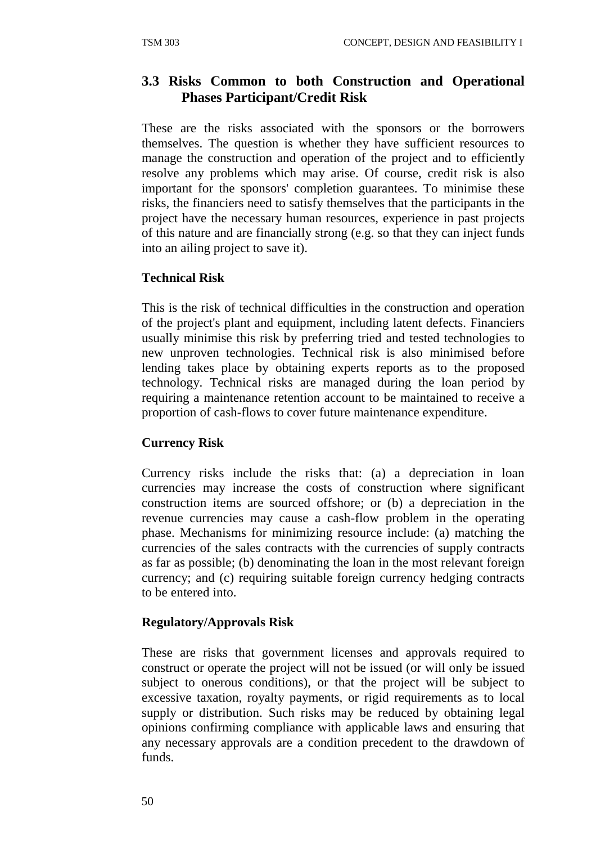## **3.3 Risks Common to both Construction and Operational Phases Participant/Credit Risk**

These are the risks associated with the sponsors or the borrowers themselves. The question is whether they have sufficient resources to manage the construction and operation of the project and to efficiently resolve any problems which may arise. Of course, credit risk is also important for the sponsors' completion guarantees. To minimise these risks, the financiers need to satisfy themselves that the participants in the project have the necessary human resources, experience in past projects of this nature and are financially strong (e.g. so that they can inject funds into an ailing project to save it).

### **Technical Risk**

This is the risk of technical difficulties in the construction and operation of the project's plant and equipment, including latent defects. Financiers usually minimise this risk by preferring tried and tested technologies to new unproven technologies. Technical risk is also minimised before lending takes place by obtaining experts reports as to the proposed technology. Technical risks are managed during the loan period by requiring a maintenance retention account to be maintained to receive a proportion of cash-flows to cover future maintenance expenditure.

### **Currency Risk**

Currency risks include the risks that: (a) a depreciation in loan currencies may increase the costs of construction where significant construction items are sourced offshore; or (b) a depreciation in the revenue currencies may cause a cash-flow problem in the operating phase. Mechanisms for minimizing resource include: (a) matching the currencies of the sales contracts with the currencies of supply contracts as far as possible; (b) denominating the loan in the most relevant foreign currency; and (c) requiring suitable foreign currency hedging contracts to be entered into.

### **Regulatory/Approvals Risk**

These are risks that government licenses and approvals required to construct or operate the project will not be issued (or will only be issued subject to onerous conditions), or that the project will be subject to excessive taxation, royalty payments, or rigid requirements as to local supply or distribution. Such risks may be reduced by obtaining legal opinions confirming compliance with applicable laws and ensuring that any necessary approvals are a condition precedent to the drawdown of funds.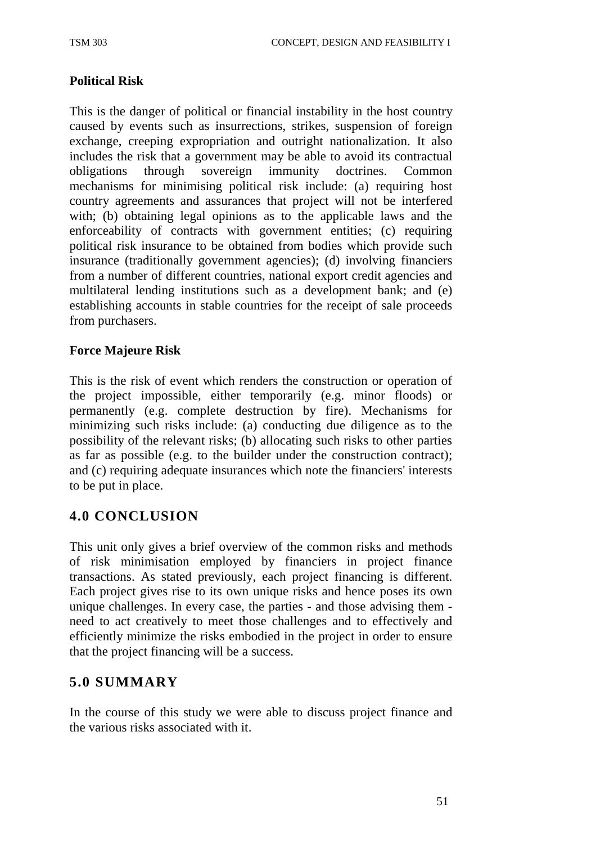### **Political Risk**

This is the danger of political or financial instability in the host country caused by events such as insurrections, strikes, suspension of foreign exchange, creeping expropriation and outright nationalization. It also includes the risk that a government may be able to avoid its contractual obligations through sovereign immunity doctrines. Common mechanisms for minimising political risk include: (a) requiring host country agreements and assurances that project will not be interfered with; (b) obtaining legal opinions as to the applicable laws and the enforceability of contracts with government entities; (c) requiring political risk insurance to be obtained from bodies which provide such insurance (traditionally government agencies); (d) involving financiers from a number of different countries, national export credit agencies and multilateral lending institutions such as a development bank; and (e) establishing accounts in stable countries for the receipt of sale proceeds from purchasers.

### **Force Majeure Risk**

This is the risk of event which renders the construction or operation of the project impossible, either temporarily (e.g. minor floods) or permanently (e.g. complete destruction by fire). Mechanisms for minimizing such risks include: (a) conducting due diligence as to the possibility of the relevant risks; (b) allocating such risks to other parties as far as possible (e.g. to the builder under the construction contract); and (c) requiring adequate insurances which note the financiers' interests to be put in place.

# **4.0 CONCLUSION**

This unit only gives a brief overview of the common risks and methods of risk minimisation employed by financiers in project finance transactions. As stated previously, each project financing is different. Each project gives rise to its own unique risks and hence poses its own unique challenges. In every case, the parties - and those advising them need to act creatively to meet those challenges and to effectively and efficiently minimize the risks embodied in the project in order to ensure that the project financing will be a success.

# **5.0 SUMMARY**

In the course of this study we were able to discuss project finance and the various risks associated with it.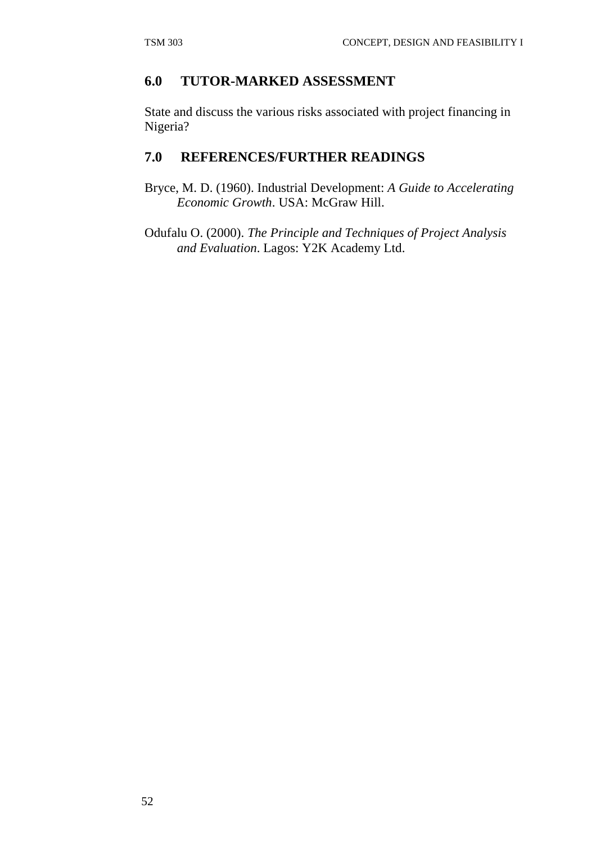#### **6.0 TUTOR-MARKED ASSESSMENT**

State and discuss the various risks associated with project financing in Nigeria?

# **7.0 REFERENCES/FURTHER READINGS**

Bryce, M. D. (1960). Industrial Development: *A Guide to Accelerating Economic Growth*. USA: McGraw Hill.

Odufalu O. (2000). *The Principle and Techniques of Project Analysis and Evaluation*. Lagos: Y2K Academy Ltd.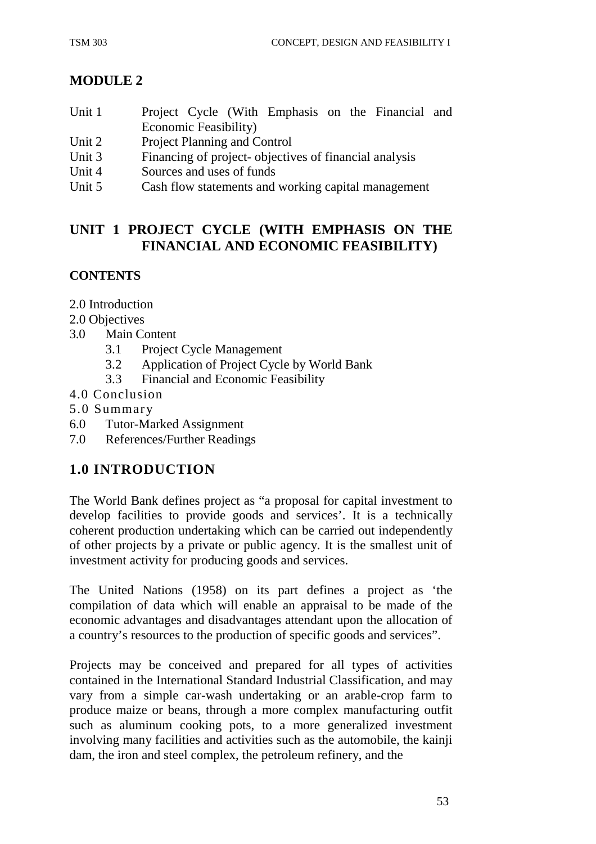# **MODULE 2**

- Unit 1 Project Cycle (With Emphasis on the Financial and Economic Feasibility)
- Unit 2 Project Planning and Control
- Unit 3 Financing of project- objectives of financial analysis
- Unit 4 Sources and uses of funds
- Unit 5 Cash flow statements and working capital management

# **UNIT 1 PROJECT CYCLE (WITH EMPHASIS ON THE FINANCIAL AND ECONOMIC FEASIBILITY)**

## **CONTENTS**

- 2.0 Introduction
- 2.0 Objectives
- 3.0 Main Content
	- 3.1 Project Cycle Management
	- 3.2 Application of Project Cycle by World Bank
	- 3.3 Financial and Economic Feasibility
- 4.0 Conclusion
- 5.0 Summary
- 6.0 Tutor-Marked Assignment
- 7.0 References/Further Readings

# **1.0 INTRODUCTION**

The World Bank defines project as "a proposal for capital investment to develop facilities to provide goods and services'. It is a technically coherent production undertaking which can be carried out independently of other projects by a private or public agency. It is the smallest unit of investment activity for producing goods and services.

The United Nations (1958) on its part defines a project as 'the compilation of data which will enable an appraisal to be made of the economic advantages and disadvantages attendant upon the allocation of a country's resources to the production of specific goods and services".

Projects may be conceived and prepared for all types of activities contained in the International Standard Industrial Classification, and may vary from a simple car-wash undertaking or an arable-crop farm to produce maize or beans, through a more complex manufacturing outfit such as aluminum cooking pots, to a more generalized investment involving many facilities and activities such as the automobile, the kainji dam, the iron and steel complex, the petroleum refinery, and the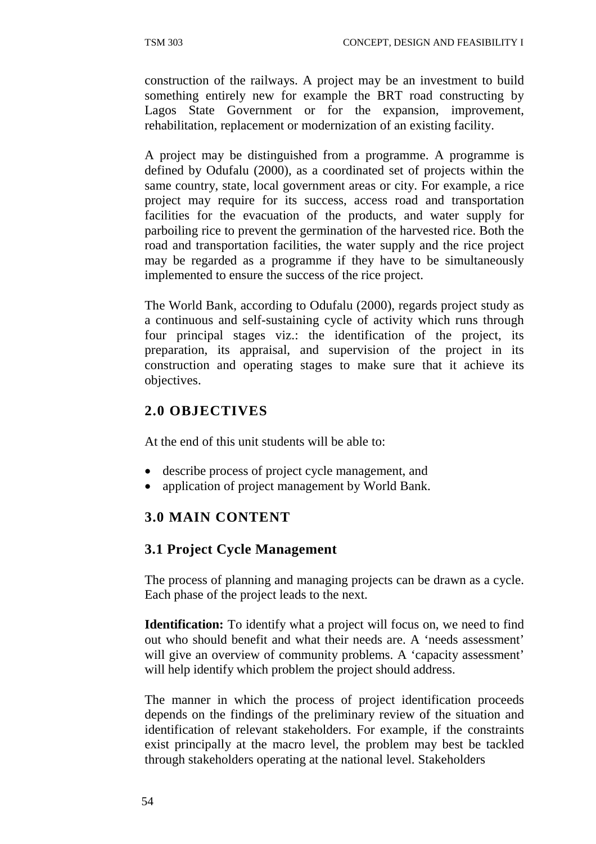construction of the railways. A project may be an investment to build something entirely new for example the BRT road constructing by Lagos State Government or for the expansion, improvement, rehabilitation, replacement or modernization of an existing facility.

A project may be distinguished from a programme. A programme is defined by Odufalu (2000), as a coordinated set of projects within the same country, state, local government areas or city. For example, a rice project may require for its success, access road and transportation facilities for the evacuation of the products, and water supply for parboiling rice to prevent the germination of the harvested rice. Both the road and transportation facilities, the water supply and the rice project may be regarded as a programme if they have to be simultaneously implemented to ensure the success of the rice project.

The World Bank, according to Odufalu (2000), regards project study as a continuous and self-sustaining cycle of activity which runs through four principal stages viz.: the identification of the project, its preparation, its appraisal, and supervision of the project in its construction and operating stages to make sure that it achieve its objectives.

# **2.0 OBJECTIVES**

At the end of this unit students will be able to:

- describe process of project cycle management, and
- application of project management by World Bank.

# **3.0 MAIN CONTENT**

# **3.1 Project Cycle Management**

The process of planning and managing projects can be drawn as a cycle. Each phase of the project leads to the next.

**Identification:** To identify what a project will focus on, we need to find out who should benefit and what their needs are. A 'needs assessment' will give an overview of community problems. A 'capacity assessment' will help identify which problem the project should address.

The manner in which the process of project identification proceeds depends on the findings of the preliminary review of the situation and identification of relevant stakeholders. For example, if the constraints exist principally at the macro level, the problem may best be tackled through stakeholders operating at the national level. Stakeholders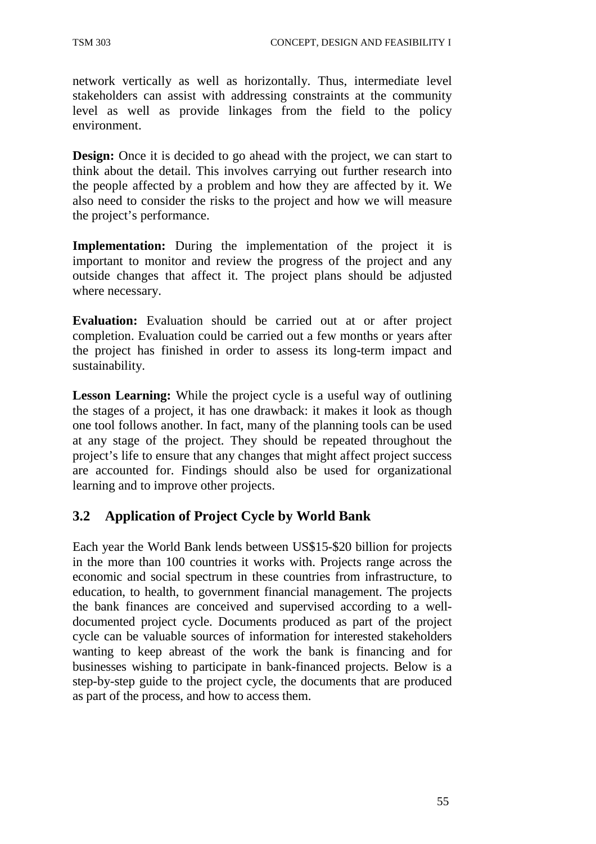network vertically as well as horizontally. Thus, intermediate level stakeholders can assist with addressing constraints at the community level as well as provide linkages from the field to the policy environment.

**Design:** Once it is decided to go ahead with the project, we can start to think about the detail. This involves carrying out further research into the people affected by a problem and how they are affected by it. We also need to consider the risks to the project and how we will measure the project's performance.

**Implementation:** During the implementation of the project it is important to monitor and review the progress of the project and any outside changes that affect it. The project plans should be adjusted where necessary.

**Evaluation:** Evaluation should be carried out at or after project completion. Evaluation could be carried out a few months or years after the project has finished in order to assess its long-term impact and sustainability.

**Lesson Learning:** While the project cycle is a useful way of outlining the stages of a project, it has one drawback: it makes it look as though one tool follows another. In fact, many of the planning tools can be used at any stage of the project. They should be repeated throughout the project's life to ensure that any changes that might affect project success are accounted for. Findings should also be used for organizational learning and to improve other projects.

# **3.2 Application of Project Cycle by World Bank**

Each year the World Bank lends between US\$15-\$20 billion for projects in the more than 100 countries it works with. Projects range across the economic and social spectrum in these countries from infrastructure, to education, to health, to government financial management. The projects the bank finances are conceived and supervised according to a welldocumented project cycle. Documents produced as part of the project cycle can be valuable sources of information for interested stakeholders wanting to keep abreast of the work the bank is financing and for businesses wishing to participate in bank-financed projects. Below is a step-by-step guide to the project cycle, the documents that are produced as part of the process, and how to access them.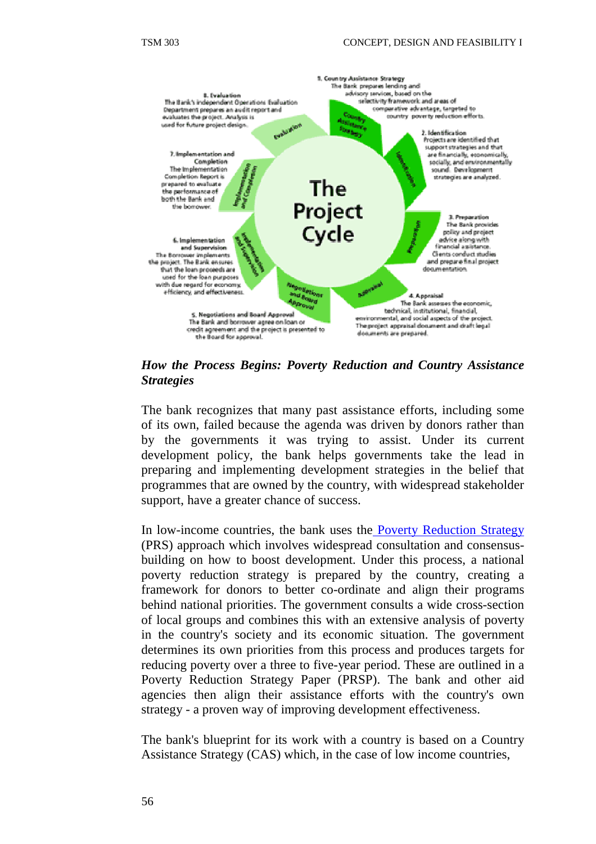

*How the Process Begins: Poverty Reduction and Country Assistance Strategies* 

The bank recognizes that many past assistance efforts, including some of its own, failed because the agenda was driven by donors rather than by the governments it was trying to assist. Under its current development policy, the bank helps governments take the lead in preparing and implementing development strategies in the belief that programmes that are owned by the country, with widespread stakeholder support, have a greater chance of success.

In low-income countries, the bank uses the Poverty Reduction Strategy (PRS) approach which involves widespread consultation and consensusbuilding on how to boost development. Under this process, a national poverty reduction strategy is prepared by the country, creating a framework for donors to better co-ordinate and align their programs behind national priorities. The government consults a wide cross-section of local groups and combines this with an extensive analysis of poverty in the country's society and its economic situation. The government determines its own priorities from this process and produces targets for reducing poverty over a three to five-year period. These are outlined in a Poverty Reduction Strategy Paper (PRSP). The bank and other aid agencies then align their assistance efforts with the country's own strategy - a proven way of improving development effectiveness.

The bank's blueprint for its work with a country is based on a Country Assistance Strategy (CAS) which, in the case of low income countries,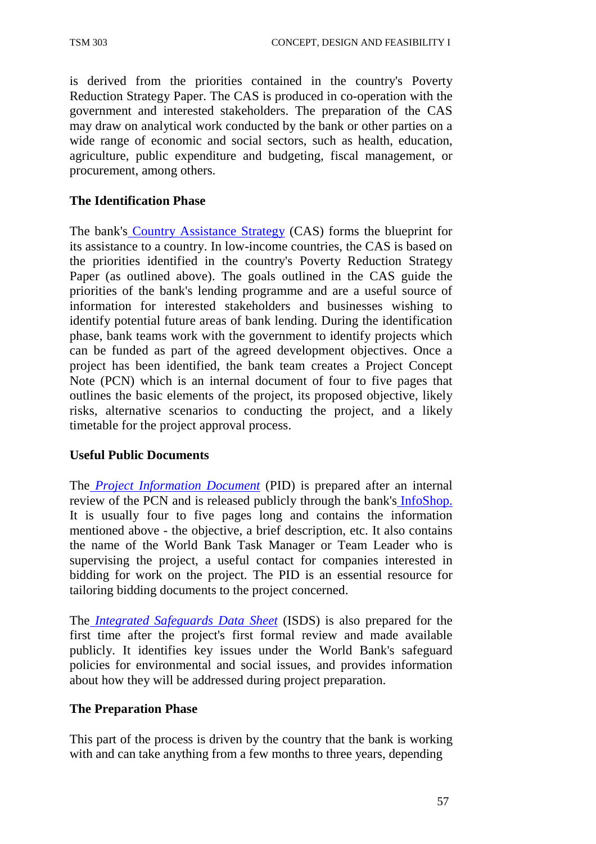is derived from the priorities contained in the country's Poverty Reduction Strategy Paper. The CAS is produced in co-operation with the government and interested stakeholders. The preparation of the CAS may draw on analytical work conducted by the bank or other parties on a wide range of economic and social sectors, such as health, education, agriculture, public expenditure and budgeting, fiscal management, or procurement, among others.

#### **The Identification Phase**

The bank's Country Assistance Strategy (CAS) forms the blueprint for its assistance to a country. In low-income countries, the CAS is based on the priorities identified in the country's Poverty Reduction Strategy Paper (as outlined above). The goals outlined in the CAS guide the priorities of the bank's lending programme and are a useful source of information for interested stakeholders and businesses wishing to identify potential future areas of bank lending. During the identification phase, bank teams work with the government to identify projects which can be funded as part of the agreed development objectives. Once a project has been identified, the bank team creates a Project Concept Note (PCN) which is an internal document of four to five pages that outlines the basic elements of the project, its proposed objective, likely risks, alternative scenarios to conducting the project, and a likely timetable for the project approval process.

#### **Useful Public Documents**

The *Project Information Document* (PID) is prepared after an internal review of the PCN and is released publicly through the bank's InfoShop. It is usually four to five pages long and contains the information mentioned above - the objective, a brief description, etc. It also contains the name of the World Bank Task Manager or Team Leader who is supervising the project, a useful contact for companies interested in bidding for work on the project. The PID is an essential resource for tailoring bidding documents to the project concerned.

The *Integrated Safeguards Data Sheet* (ISDS) is also prepared for the first time after the project's first formal review and made available publicly. It identifies key issues under the World Bank's safeguard policies for environmental and social issues, and provides information about how they will be addressed during project preparation.

#### **The Preparation Phase**

This part of the process is driven by the country that the bank is working with and can take anything from a few months to three years, depending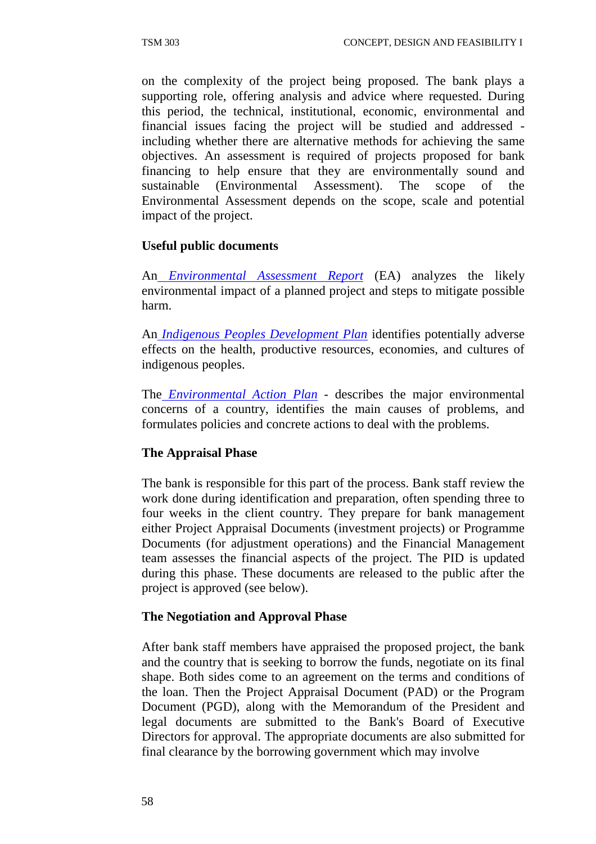on the complexity of the project being proposed. The bank plays a supporting role, offering analysis and advice where requested. During this period, the technical, institutional, economic, environmental and financial issues facing the project will be studied and addressed including whether there are alternative methods for achieving the same objectives. An assessment is required of projects proposed for bank financing to help ensure that they are environmentally sound and sustainable (Environmental Assessment). The scope of the Environmental Assessment depends on the scope, scale and potential impact of the project.

#### **Useful public documents**

An *Environmental Assessment Report* (EA) analyzes the likely environmental impact of a planned project and steps to mitigate possible harm.

An *Indigenous Peoples Development Plan* identifies potentially adverse effects on the health, productive resources, economies, and cultures of indigenous peoples.

The *Environmental Action Plan* - describes the major environmental concerns of a country, identifies the main causes of problems, and formulates policies and concrete actions to deal with the problems.

### **The Appraisal Phase**

The bank is responsible for this part of the process. Bank staff review the work done during identification and preparation, often spending three to four weeks in the client country. They prepare for bank management either Project Appraisal Documents (investment projects) or Programme Documents (for adjustment operations) and the Financial Management team assesses the financial aspects of the project. The PID is updated during this phase. These documents are released to the public after the project is approved (see below).

### **The Negotiation and Approval Phase**

After bank staff members have appraised the proposed project, the bank and the country that is seeking to borrow the funds, negotiate on its final shape. Both sides come to an agreement on the terms and conditions of the loan. Then the Project Appraisal Document (PAD) or the Program Document (PGD), along with the Memorandum of the President and legal documents are submitted to the Bank's Board of Executive Directors for approval. The appropriate documents are also submitted for final clearance by the borrowing government which may involve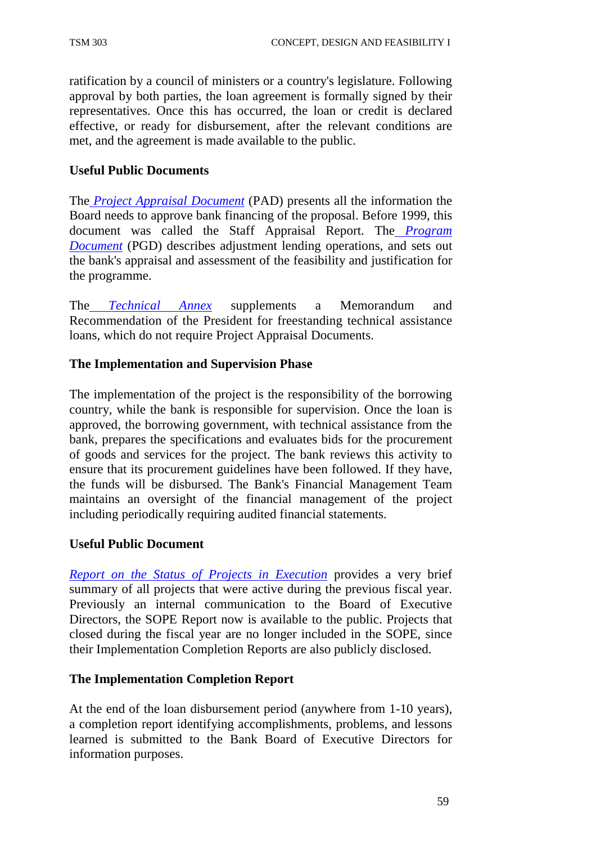ratification by a council of ministers or a country's legislature. Following approval by both parties, the loan agreement is formally signed by their representatives. Once this has occurred, the loan or credit is declared effective, or ready for disbursement, after the relevant conditions are met, and the agreement is made available to the public.

#### **Useful Public Documents**

The *Project Appraisal Document* (PAD) presents all the information the Board needs to approve bank financing of the proposal. Before 1999, this document was called the Staff Appraisal Report. The *Program Document* (PGD) describes adjustment lending operations, and sets out the bank's appraisal and assessment of the feasibility and justification for the programme.

The *Technical Annex* supplements a Memorandum and Recommendation of the President for freestanding technical assistance loans, which do not require Project Appraisal Documents.

#### **The Implementation and Supervision Phase**

The implementation of the project is the responsibility of the borrowing country, while the bank is responsible for supervision. Once the loan is approved, the borrowing government, with technical assistance from the bank, prepares the specifications and evaluates bids for the procurement of goods and services for the project. The bank reviews this activity to ensure that its procurement guidelines have been followed. If they have, the funds will be disbursed. The Bank's Financial Management Team maintains an oversight of the financial management of the project including periodically requiring audited financial statements.

#### **Useful Public Document**

*Report on the Status of Projects in Execution* provides a very brief summary of all projects that were active during the previous fiscal year. Previously an internal communication to the Board of Executive Directors, the SOPE Report now is available to the public. Projects that closed during the fiscal year are no longer included in the SOPE, since their Implementation Completion Reports are also publicly disclosed.

#### **The Implementation Completion Report**

At the end of the loan disbursement period (anywhere from 1-10 years), a completion report identifying accomplishments, problems, and lessons learned is submitted to the Bank Board of Executive Directors for information purposes.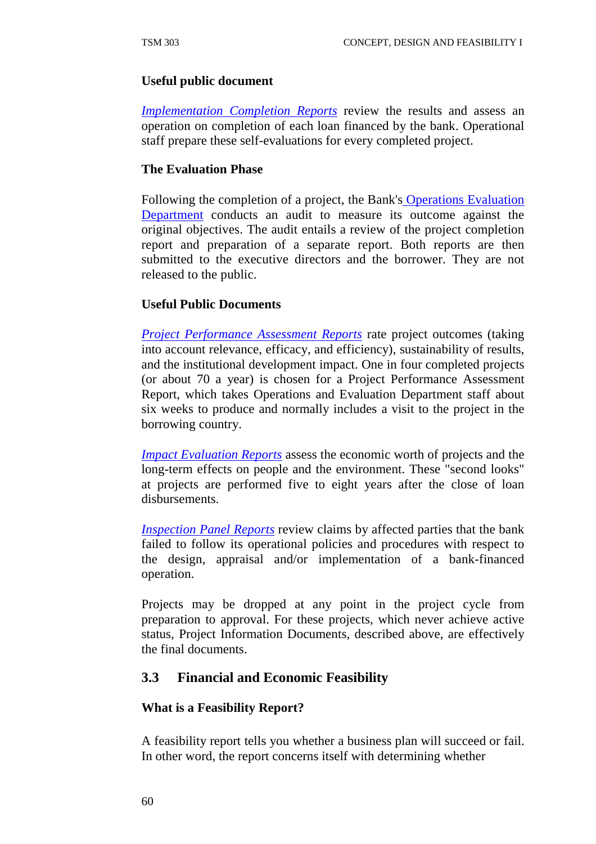#### **Useful public document**

*Implementation Completion Reports* review the results and assess an operation on completion of each loan financed by the bank. Operational staff prepare these self-evaluations for every completed project.

#### **The Evaluation Phase**

Following the completion of a project, the Bank's Operations Evaluation Department conducts an audit to measure its outcome against the original objectives. The audit entails a review of the project completion report and preparation of a separate report. Both reports are then submitted to the executive directors and the borrower. They are not released to the public.

#### **Useful Public Documents**

*Project Performance Assessment Reports* rate project outcomes (taking into account relevance, efficacy, and efficiency), sustainability of results, and the institutional development impact. One in four completed projects (or about 70 a year) is chosen for a Project Performance Assessment Report, which takes Operations and Evaluation Department staff about six weeks to produce and normally includes a visit to the project in the borrowing country.

*Impact Evaluation Reports* assess the economic worth of projects and the long-term effects on people and the environment. These "second looks" at projects are performed five to eight years after the close of loan disbursements.

*Inspection Panel Reports* review claims by affected parties that the bank failed to follow its operational policies and procedures with respect to the design, appraisal and/or implementation of a bank-financed operation.

Projects may be dropped at any point in the project cycle from preparation to approval. For these projects, which never achieve active status, Project Information Documents, described above, are effectively the final documents.

## **3.3 Financial and Economic Feasibility**

#### **What is a Feasibility Report?**

A feasibility report tells you whether a business plan will succeed or fail. In other word, the report concerns itself with determining whether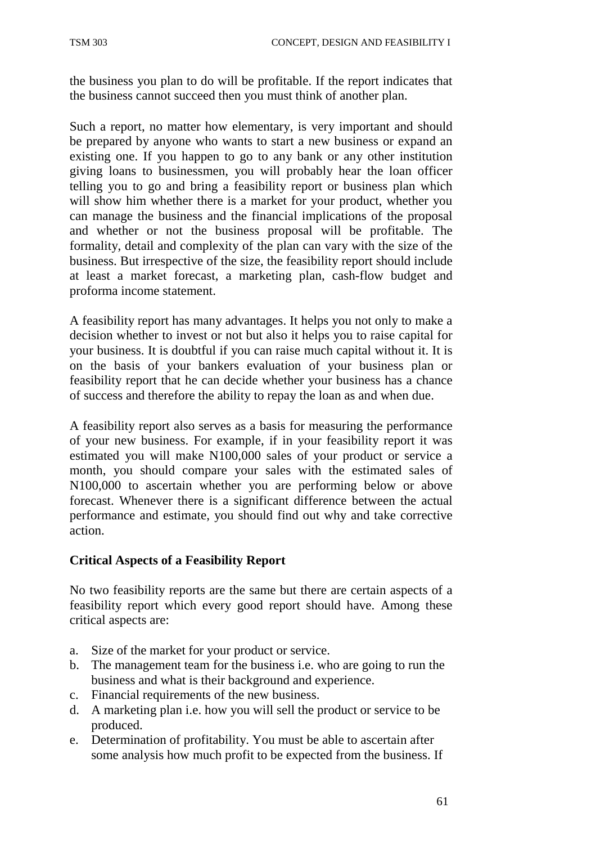the business you plan to do will be profitable. If the report indicates that the business cannot succeed then you must think of another plan.

Such a report, no matter how elementary, is very important and should be prepared by anyone who wants to start a new business or expand an existing one. If you happen to go to any bank or any other institution giving loans to businessmen, you will probably hear the loan officer telling you to go and bring a feasibility report or business plan which will show him whether there is a market for your product, whether you can manage the business and the financial implications of the proposal and whether or not the business proposal will be profitable. The formality, detail and complexity of the plan can vary with the size of the business. But irrespective of the size, the feasibility report should include at least a market forecast, a marketing plan, cash-flow budget and proforma income statement.

A feasibility report has many advantages. It helps you not only to make a decision whether to invest or not but also it helps you to raise capital for your business. It is doubtful if you can raise much capital without it. It is on the basis of your bankers evaluation of your business plan or feasibility report that he can decide whether your business has a chance of success and therefore the ability to repay the loan as and when due.

A feasibility report also serves as a basis for measuring the performance of your new business. For example, if in your feasibility report it was estimated you will make N100,000 sales of your product or service a month, you should compare your sales with the estimated sales of N100,000 to ascertain whether you are performing below or above forecast. Whenever there is a significant difference between the actual performance and estimate, you should find out why and take corrective action.

### **Critical Aspects of a Feasibility Report**

No two feasibility reports are the same but there are certain aspects of a feasibility report which every good report should have. Among these critical aspects are:

- a. Size of the market for your product or service.
- b. The management team for the business i.e. who are going to run the business and what is their background and experience.
- c. Financial requirements of the new business.
- d. A marketing plan i.e. how you will sell the product or service to be produced.
- e. Determination of profitability. You must be able to ascertain after some analysis how much profit to be expected from the business. If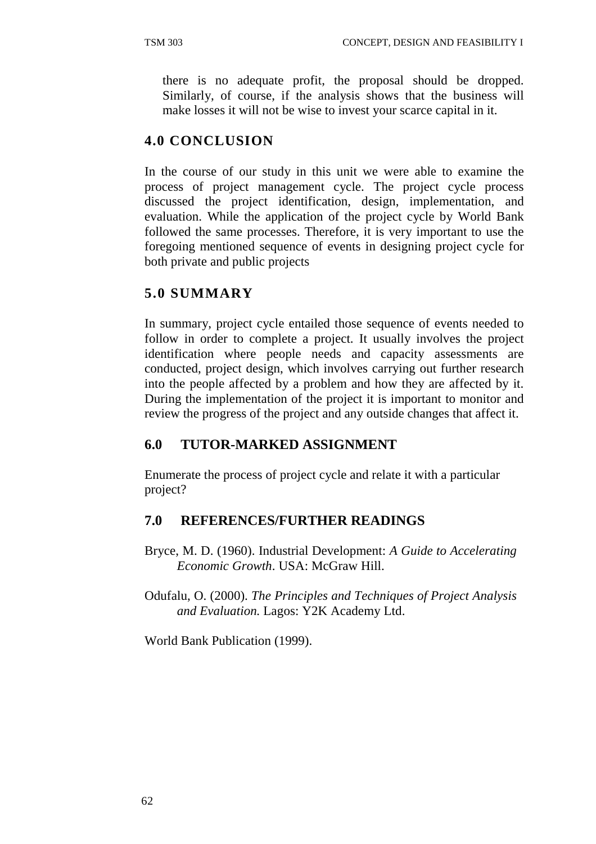there is no adequate profit, the proposal should be dropped. Similarly, of course, if the analysis shows that the business will make losses it will not be wise to invest your scarce capital in it.

## **4.0 CONCLUSION**

In the course of our study in this unit we were able to examine the process of project management cycle. The project cycle process discussed the project identification, design, implementation, and evaluation. While the application of the project cycle by World Bank followed the same processes. Therefore, it is very important to use the foregoing mentioned sequence of events in designing project cycle for both private and public projects

## **5.0 SUMMARY**

In summary, project cycle entailed those sequence of events needed to follow in order to complete a project. It usually involves the project identification where people needs and capacity assessments are conducted, project design, which involves carrying out further research into the people affected by a problem and how they are affected by it. During the implementation of the project it is important to monitor and review the progress of the project and any outside changes that affect it.

## **6.0 TUTOR-MARKED ASSIGNMENT**

Enumerate the process of project cycle and relate it with a particular project?

## **7.0 REFERENCES/FURTHER READINGS**

- Bryce, M. D. (1960). Industrial Development: *A Guide to Accelerating Economic Growth*. USA: McGraw Hill.
- Odufalu, O. (2000). *The Principles and Techniques of Project Analysis and Evaluation.* Lagos: Y2K Academy Ltd.

World Bank Publication (1999).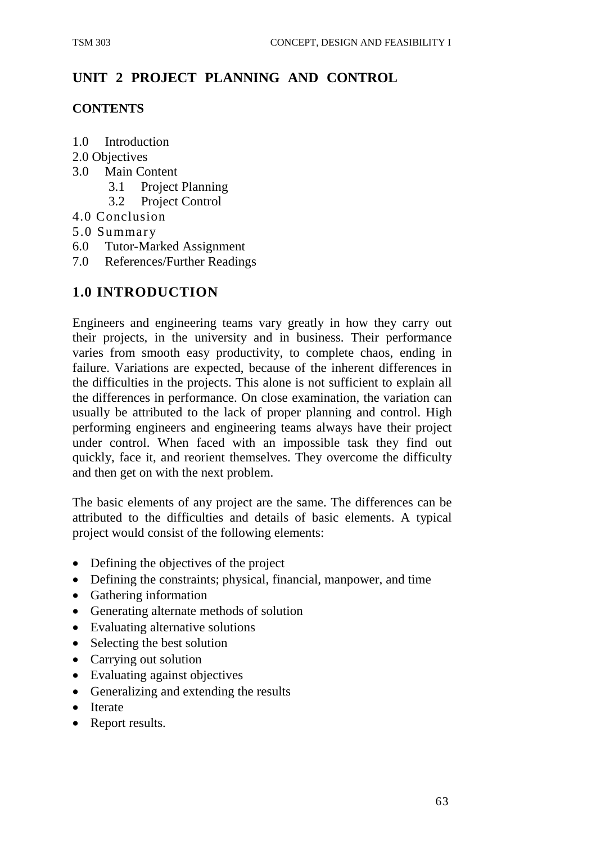# **UNIT 2 PROJECT PLANNING AND CONTROL**

### **CONTENTS**

- 1.0 Introduction
- 2.0 Objectives
- 3.0 Main Content
	- 3.1 Project Planning
	- 3.2 Project Control
- 4.0 Conclusion
- 5.0 Summary
- 6.0 Tutor-Marked Assignment
- 7.0 References/Further Readings

## **1.0 INTRODUCTION**

Engineers and engineering teams vary greatly in how they carry out their projects, in the university and in business. Their performance varies from smooth easy productivity, to complete chaos, ending in failure. Variations are expected, because of the inherent differences in the difficulties in the projects. This alone is not sufficient to explain all the differences in performance. On close examination, the variation can usually be attributed to the lack of proper planning and control. High performing engineers and engineering teams always have their project under control. When faced with an impossible task they find out quickly, face it, and reorient themselves. They overcome the difficulty and then get on with the next problem.

The basic elements of any project are the same. The differences can be attributed to the difficulties and details of basic elements. A typical project would consist of the following elements:

- Defining the objectives of the project
- Defining the constraints; physical, financial, manpower, and time
- Gathering information
- Generating alternate methods of solution
- Evaluating alternative solutions
- Selecting the best solution
- Carrying out solution
- Evaluating against objectives
- Generalizing and extending the results
- Iterate
- Report results.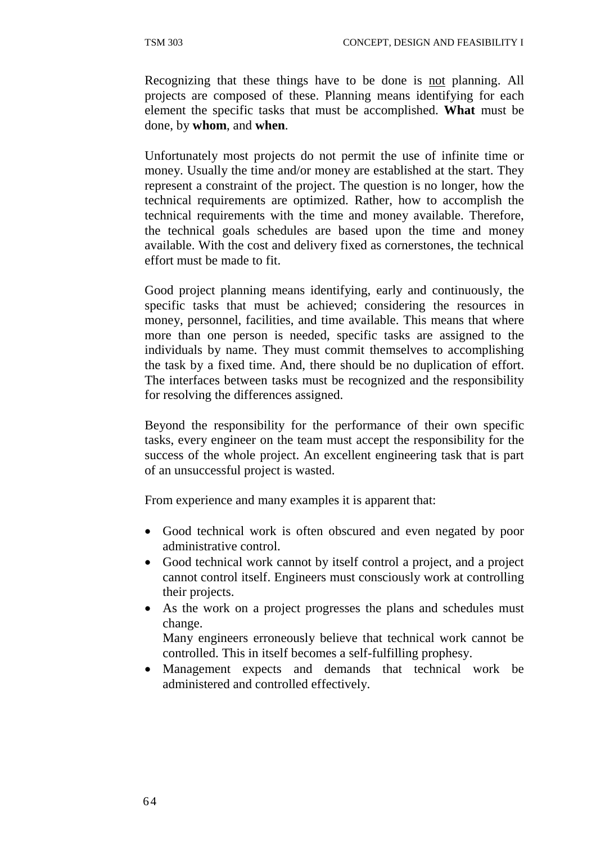Recognizing that these things have to be done is not planning. All projects are composed of these. Planning means identifying for each element the specific tasks that must be accomplished. **What** must be done, by **whom**, and **when**.

Unfortunately most projects do not permit the use of infinite time or money. Usually the time and/or money are established at the start. They represent a constraint of the project. The question is no longer, how the technical requirements are optimized. Rather, how to accomplish the technical requirements with the time and money available. Therefore, the technical goals schedules are based upon the time and money available. With the cost and delivery fixed as cornerstones, the technical effort must be made to fit.

Good project planning means identifying, early and continuously, the specific tasks that must be achieved; considering the resources in money, personnel, facilities, and time available. This means that where more than one person is needed, specific tasks are assigned to the individuals by name. They must commit themselves to accomplishing the task by a fixed time. And, there should be no duplication of effort. The interfaces between tasks must be recognized and the responsibility for resolving the differences assigned.

Beyond the responsibility for the performance of their own specific tasks, every engineer on the team must accept the responsibility for the success of the whole project. An excellent engineering task that is part of an unsuccessful project is wasted.

From experience and many examples it is apparent that:

- Good technical work is often obscured and even negated by poor administrative control.
- Good technical work cannot by itself control a project, and a project cannot control itself. Engineers must consciously work at controlling their projects.
- As the work on a project progresses the plans and schedules must change.

Many engineers erroneously believe that technical work cannot be controlled. This in itself becomes a self-fulfilling prophesy.

• Management expects and demands that technical work be administered and controlled effectively.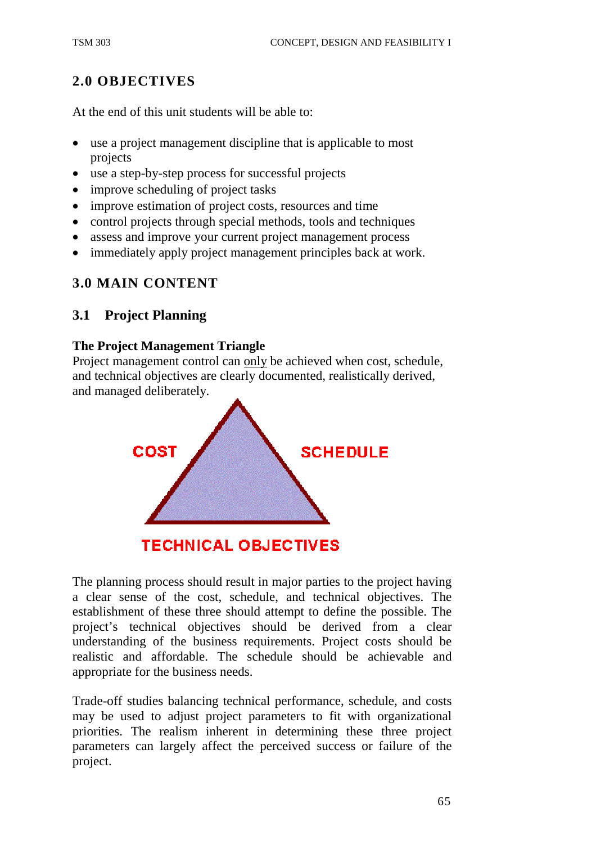# **2.0 OBJECTIVES**

At the end of this unit students will be able to:

- use a project management discipline that is applicable to most projects
- use a step-by-step process for successful projects
- improve scheduling of project tasks
- improve estimation of project costs, resources and time
- control projects through special methods, tools and techniques
- assess and improve your current project management process
- immediately apply project management principles back at work.

## **3.0 MAIN CONTENT**

## **3.1 Project Planning**

### **The Project Management Triangle**

Project management control can only be achieved when cost, schedule, and technical objectives are clearly documented, realistically derived, and managed deliberately.



The planning process should result in major parties to the project having a clear sense of the cost, schedule, and technical objectives. The establishment of these three should attempt to define the possible. The project's technical objectives should be derived from a clear understanding of the business requirements. Project costs should be realistic and affordable. The schedule should be achievable and appropriate for the business needs.

Trade-off studies balancing technical performance, schedule, and costs may be used to adjust project parameters to fit with organizational priorities. The realism inherent in determining these three project parameters can largely affect the perceived success or failure of the project.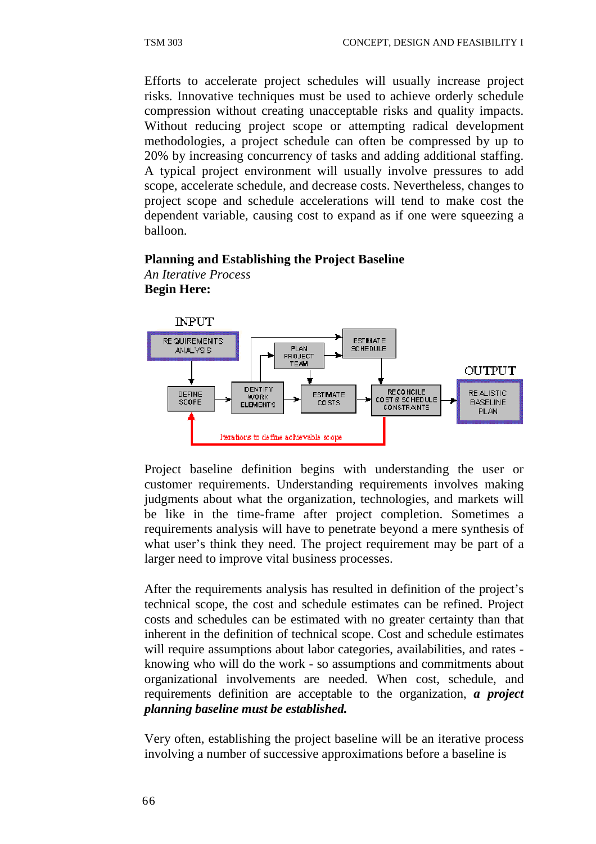Efforts to accelerate project schedules will usually increase project risks. Innovative techniques must be used to achieve orderly schedule compression without creating unacceptable risks and quality impacts. Without reducing project scope or attempting radical development methodologies, a project schedule can often be compressed by up to 20% by increasing concurrency of tasks and adding additional staffing. A typical project environment will usually involve pressures to add scope, accelerate schedule, and decrease costs. Nevertheless, changes to project scope and schedule accelerations will tend to make cost the dependent variable, causing cost to expand as if one were squeezing a balloon.

#### **Planning and Establishing the Project Baseline**



*An Iterative Process*  **Begin Here:** 

Project baseline definition begins with understanding the user or customer requirements. Understanding requirements involves making judgments about what the organization, technologies, and markets will be like in the time-frame after project completion. Sometimes a requirements analysis will have to penetrate beyond a mere synthesis of what user's think they need. The project requirement may be part of a larger need to improve vital business processes.

After the requirements analysis has resulted in definition of the project's technical scope, the cost and schedule estimates can be refined. Project costs and schedules can be estimated with no greater certainty than that inherent in the definition of technical scope. Cost and schedule estimates will require assumptions about labor categories, availabilities, and rates knowing who will do the work - so assumptions and commitments about organizational involvements are needed. When cost, schedule, and requirements definition are acceptable to the organization, *a project planning baseline must be established.*

Very often, establishing the project baseline will be an iterative process involving a number of successive approximations before a baseline is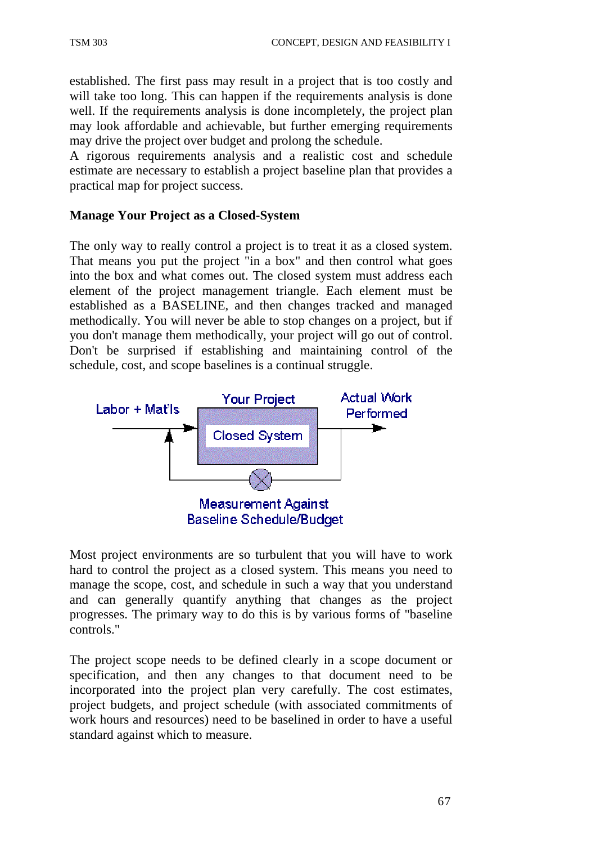established. The first pass may result in a project that is too costly and will take too long. This can happen if the requirements analysis is done well. If the requirements analysis is done incompletely, the project plan may look affordable and achievable, but further emerging requirements may drive the project over budget and prolong the schedule.

A rigorous requirements analysis and a realistic cost and schedule estimate are necessary to establish a project baseline plan that provides a practical map for project success.

#### **Manage Your Project as a Closed-System**

The only way to really control a project is to treat it as a closed system. That means you put the project "in a box" and then control what goes into the box and what comes out. The closed system must address each element of the project management triangle. Each element must be established as a BASELINE, and then changes tracked and managed methodically. You will never be able to stop changes on a project, but if you don't manage them methodically, your project will go out of control. Don't be surprised if establishing and maintaining control of the schedule, cost, and scope baselines is a continual struggle.



Most project environments are so turbulent that you will have to work hard to control the project as a closed system. This means you need to manage the scope, cost, and schedule in such a way that you understand and can generally quantify anything that changes as the project progresses. The primary way to do this is by various forms of "baseline controls."

The project scope needs to be defined clearly in a scope document or specification, and then any changes to that document need to be incorporated into the project plan very carefully. The cost estimates, project budgets, and project schedule (with associated commitments of work hours and resources) need to be baselined in order to have a useful standard against which to measure.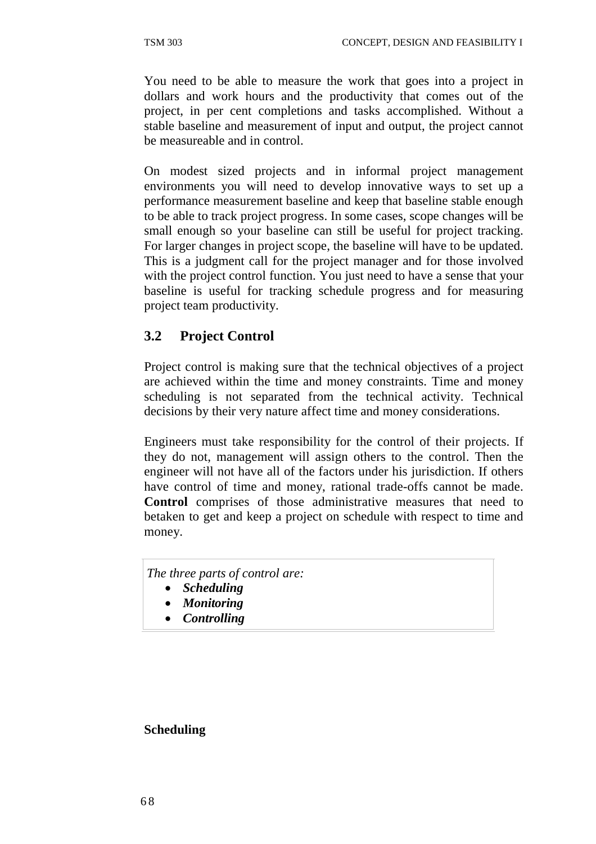You need to be able to measure the work that goes into a project in dollars and work hours and the productivity that comes out of the project, in per cent completions and tasks accomplished. Without a stable baseline and measurement of input and output, the project cannot be measureable and in control.

On modest sized projects and in informal project management environments you will need to develop innovative ways to set up a performance measurement baseline and keep that baseline stable enough to be able to track project progress. In some cases, scope changes will be small enough so your baseline can still be useful for project tracking. For larger changes in project scope, the baseline will have to be updated. This is a judgment call for the project manager and for those involved with the project control function. You just need to have a sense that your baseline is useful for tracking schedule progress and for measuring project team productivity.

## **3.2 Project Control**

Project control is making sure that the technical objectives of a project are achieved within the time and money constraints. Time and money scheduling is not separated from the technical activity. Technical decisions by their very nature affect time and money considerations.

Engineers must take responsibility for the control of their projects. If they do not, management will assign others to the control. Then the engineer will not have all of the factors under his jurisdiction. If others have control of time and money, rational trade-offs cannot be made. **Control** comprises of those administrative measures that need to betaken to get and keep a project on schedule with respect to time and money.

*The three parts of control are:* 

- *Scheduling*
- *Monitoring*
- *Controlling*

#### **Scheduling**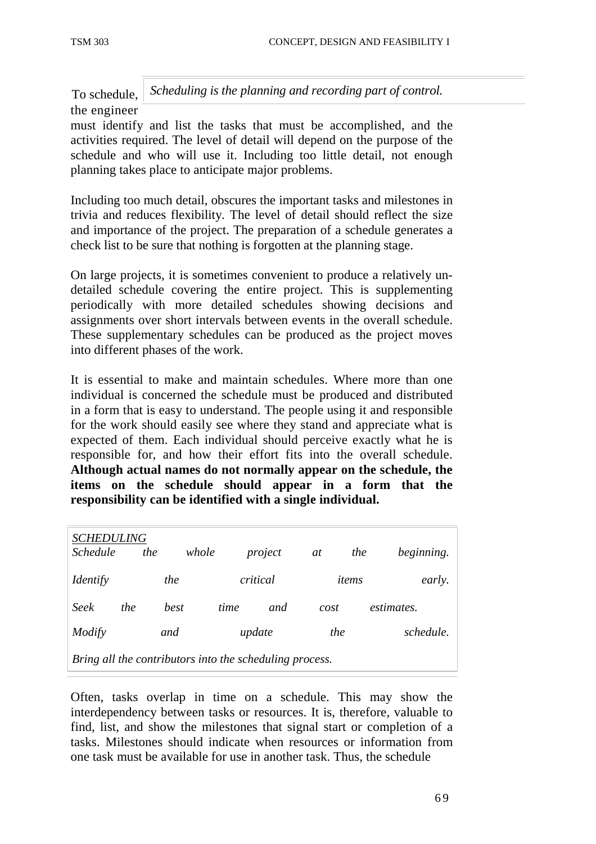To schedule, *Scheduling is the planning and recording part of control.* 

the engineer

must identify and list the tasks that must be accomplished, and the activities required. The level of detail will depend on the purpose of the schedule and who will use it. Including too little detail, not enough planning takes place to anticipate major problems.

Including too much detail, obscures the important tasks and milestones in trivia and reduces flexibility. The level of detail should reflect the size and importance of the project. The preparation of a schedule generates a check list to be sure that nothing is forgotten at the planning stage.

On large projects, it is sometimes convenient to produce a relatively undetailed schedule covering the entire project. This is supplementing periodically with more detailed schedules showing decisions and assignments over short intervals between events in the overall schedule. These supplementary schedules can be produced as the project moves into different phases of the work.

It is essential to make and maintain schedules. Where more than one individual is concerned the schedule must be produced and distributed in a form that is easy to understand. The people using it and responsible for the work should easily see where they stand and appreciate what is expected of them. Each individual should perceive exactly what he is responsible for, and how their effort fits into the overall schedule. **Although actual names do not normally appear on the schedule, the items on the schedule should appear in a form that the responsibility can be identified with a single individual.**

| <b>SCHEDULING</b><br><b>Schedule</b>                    |     | the  | whole |          | project | <i>at</i> | the   | beginning.        |
|---------------------------------------------------------|-----|------|-------|----------|---------|-----------|-------|-------------------|
| <i>Identify</i>                                         |     | the  |       | critical |         |           | items | early.            |
| <b>Seek</b>                                             | the | best |       | time     | and     | cost      |       | <i>estimates.</i> |
| <b>Modify</b>                                           |     | and  |       | update   |         | the       |       | schedule.         |
| Bring all the contributors into the scheduling process. |     |      |       |          |         |           |       |                   |

Often, tasks overlap in time on a schedule. This may show the interdependency between tasks or resources. It is, therefore, valuable to find, list, and show the milestones that signal start or completion of a tasks. Milestones should indicate when resources or information from one task must be available for use in another task. Thus, the schedule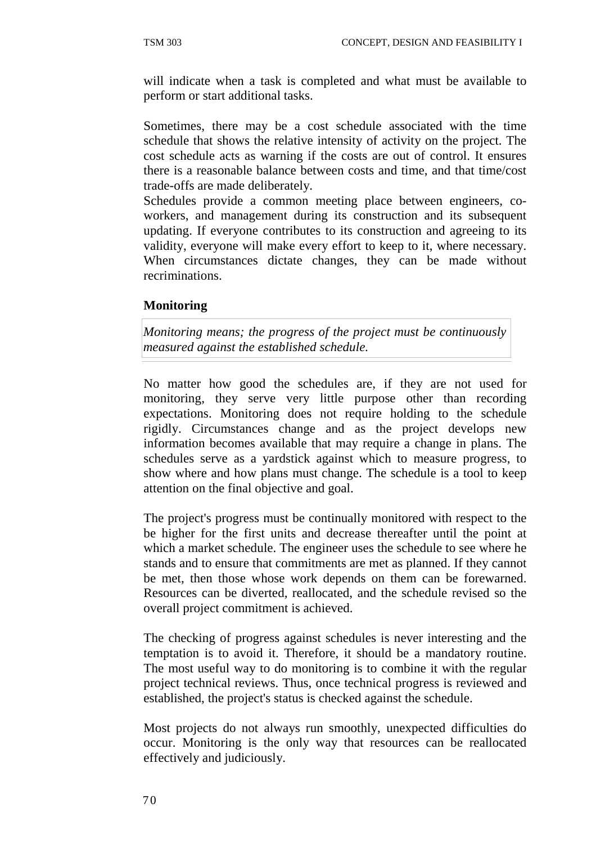will indicate when a task is completed and what must be available to perform or start additional tasks.

Sometimes, there may be a cost schedule associated with the time schedule that shows the relative intensity of activity on the project. The cost schedule acts as warning if the costs are out of control. It ensures there is a reasonable balance between costs and time, and that time/cost trade-offs are made deliberately.

Schedules provide a common meeting place between engineers, coworkers, and management during its construction and its subsequent updating. If everyone contributes to its construction and agreeing to its validity, everyone will make every effort to keep to it, where necessary. When circumstances dictate changes, they can be made without recriminations.

#### **Monitoring**

*Monitoring means; the progress of the project must be continuously measured against the established schedule.* 

No matter how good the schedules are, if they are not used for monitoring, they serve very little purpose other than recording expectations. Monitoring does not require holding to the schedule rigidly. Circumstances change and as the project develops new information becomes available that may require a change in plans. The schedules serve as a yardstick against which to measure progress, to show where and how plans must change. The schedule is a tool to keep attention on the final objective and goal.

The project's progress must be continually monitored with respect to the be higher for the first units and decrease thereafter until the point at which a market schedule. The engineer uses the schedule to see where he stands and to ensure that commitments are met as planned. If they cannot be met, then those whose work depends on them can be forewarned. Resources can be diverted, reallocated, and the schedule revised so the overall project commitment is achieved.

The checking of progress against schedules is never interesting and the temptation is to avoid it. Therefore, it should be a mandatory routine. The most useful way to do monitoring is to combine it with the regular project technical reviews. Thus, once technical progress is reviewed and established, the project's status is checked against the schedule.

Most projects do not always run smoothly, unexpected difficulties do occur. Monitoring is the only way that resources can be reallocated effectively and judiciously.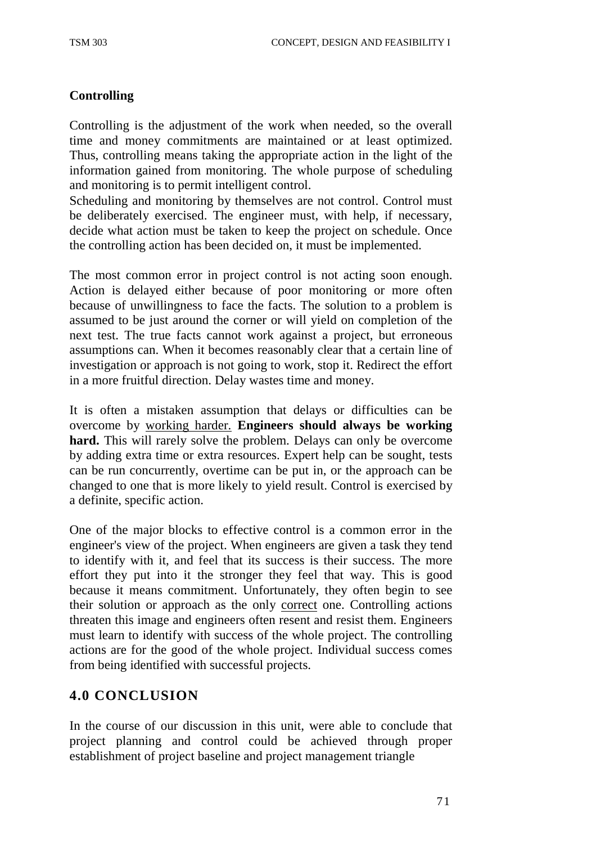#### **Controlling**

Controlling is the adjustment of the work when needed, so the overall time and money commitments are maintained or at least optimized. Thus, controlling means taking the appropriate action in the light of the information gained from monitoring. The whole purpose of scheduling and monitoring is to permit intelligent control.

Scheduling and monitoring by themselves are not control. Control must be deliberately exercised. The engineer must, with help, if necessary, decide what action must be taken to keep the project on schedule. Once the controlling action has been decided on, it must be implemented.

The most common error in project control is not acting soon enough. Action is delayed either because of poor monitoring or more often because of unwillingness to face the facts. The solution to a problem is assumed to be just around the corner or will yield on completion of the next test. The true facts cannot work against a project, but erroneous assumptions can. When it becomes reasonably clear that a certain line of investigation or approach is not going to work, stop it. Redirect the effort in a more fruitful direction. Delay wastes time and money.

It is often a mistaken assumption that delays or difficulties can be overcome by working harder. **Engineers should always be working hard.** This will rarely solve the problem. Delays can only be overcome by adding extra time or extra resources. Expert help can be sought, tests can be run concurrently, overtime can be put in, or the approach can be changed to one that is more likely to yield result. Control is exercised by a definite, specific action.

One of the major blocks to effective control is a common error in the engineer's view of the project. When engineers are given a task they tend to identify with it, and feel that its success is their success. The more effort they put into it the stronger they feel that way. This is good because it means commitment. Unfortunately, they often begin to see their solution or approach as the only correct one. Controlling actions threaten this image and engineers often resent and resist them. Engineers must learn to identify with success of the whole project. The controlling actions are for the good of the whole project. Individual success comes from being identified with successful projects.

#### **4.0 CONCLUSION**

In the course of our discussion in this unit, were able to conclude that project planning and control could be achieved through proper establishment of project baseline and project management triangle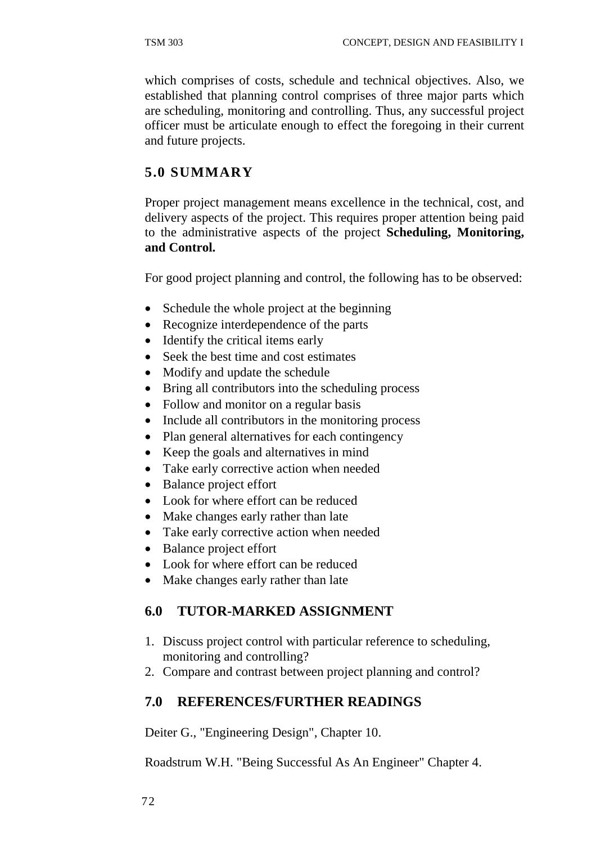which comprises of costs, schedule and technical objectives. Also, we established that planning control comprises of three major parts which are scheduling, monitoring and controlling. Thus, any successful project officer must be articulate enough to effect the foregoing in their current and future projects.

## **5.0 SUMMARY**

Proper project management means excellence in the technical, cost, and delivery aspects of the project. This requires proper attention being paid to the administrative aspects of the project **Scheduling, Monitoring, and Control.**

For good project planning and control, the following has to be observed:

- Schedule the whole project at the beginning
- Recognize interdependence of the parts
- Identify the critical items early
- Seek the best time and cost estimates
- Modify and update the schedule
- Bring all contributors into the scheduling process
- Follow and monitor on a regular basis
- Include all contributors in the monitoring process
- Plan general alternatives for each contingency
- Keep the goals and alternatives in mind
- Take early corrective action when needed
- Balance project effort
- Look for where effort can be reduced
- Make changes early rather than late
- Take early corrective action when needed
- Balance project effort
- Look for where effort can be reduced
- Make changes early rather than late

## **6.0 TUTOR-MARKED ASSIGNMENT**

- 1. Discuss project control with particular reference to scheduling, monitoring and controlling?
- 2. Compare and contrast between project planning and control?

## **7.0 REFERENCES/FURTHER READINGS**

Deiter G., "Engineering Design", Chapter 10.

Roadstrum W.H. "Being Successful As An Engineer" Chapter 4.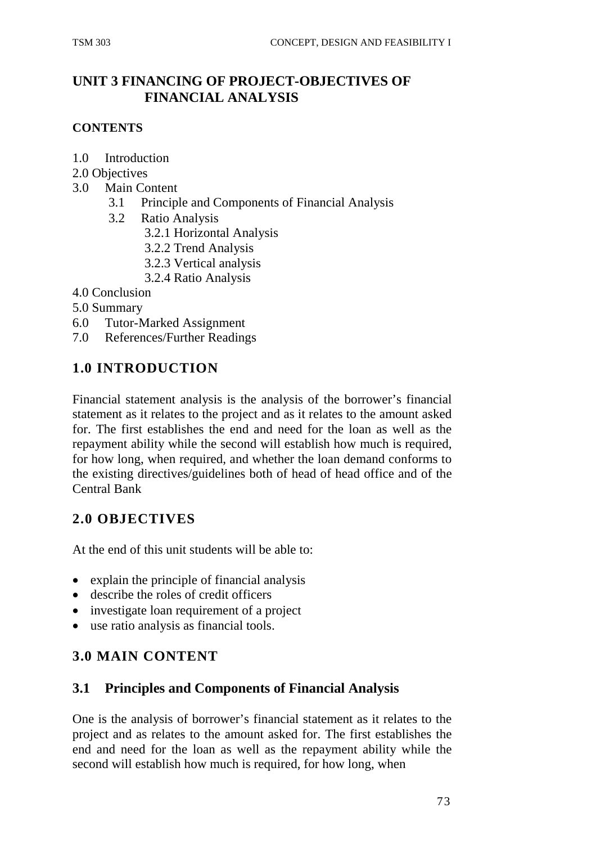## **UNIT 3 FINANCING OF PROJECT-OBJECTIVES OF FINANCIAL ANALYSIS**

#### **CONTENTS**

- 1.0 Introduction
- 2.0 Objectives
- 3.0 Main Content
	- 3.1 Principle and Components of Financial Analysis
	- 3.2 Ratio Analysis
		- 3.2.1 Horizontal Analysis
		- 3.2.2 Trend Analysis
		- 3.2.3 Vertical analysis
		- 3.2.4 Ratio Analysis
- 4.0 Conclusion
- 5.0 Summary
- 6.0 Tutor-Marked Assignment
- 7.0 References/Further Readings

## **1.0 INTRODUCTION**

Financial statement analysis is the analysis of the borrower's financial statement as it relates to the project and as it relates to the amount asked for. The first establishes the end and need for the loan as well as the repayment ability while the second will establish how much is required, for how long, when required, and whether the loan demand conforms to the existing directives/guidelines both of head of head office and of the Central Bank

## **2.0 OBJECTIVES**

At the end of this unit students will be able to:

- explain the principle of financial analysis
- describe the roles of credit officers
- investigate loan requirement of a project
- use ratio analysis as financial tools.

## **3.0 MAIN CONTENT**

#### **3.1 Principles and Components of Financial Analysis**

One is the analysis of borrower's financial statement as it relates to the project and as relates to the amount asked for. The first establishes the end and need for the loan as well as the repayment ability while the second will establish how much is required, for how long, when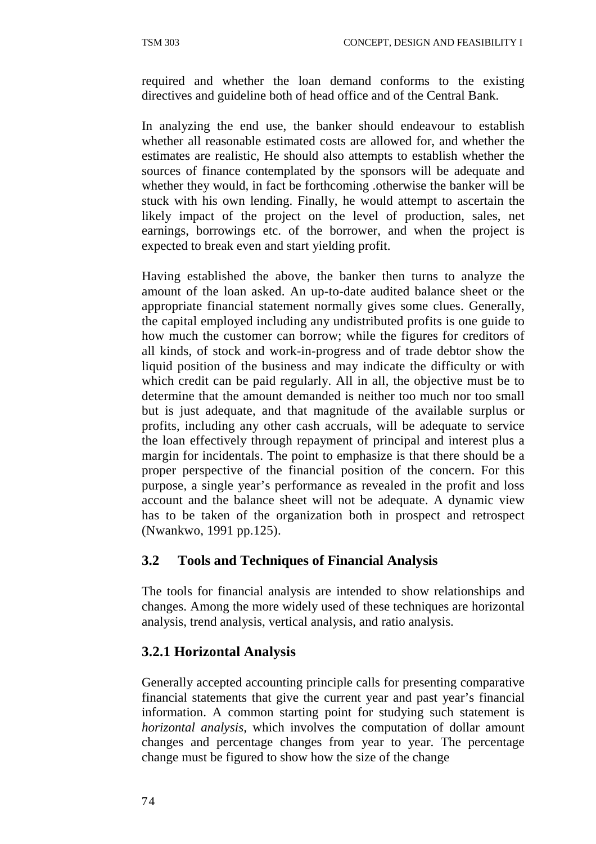required and whether the loan demand conforms to the existing directives and guideline both of head office and of the Central Bank.

In analyzing the end use, the banker should endeavour to establish whether all reasonable estimated costs are allowed for, and whether the estimates are realistic, He should also attempts to establish whether the sources of finance contemplated by the sponsors will be adequate and whether they would, in fact be forthcoming otherwise the banker will be stuck with his own lending. Finally, he would attempt to ascertain the likely impact of the project on the level of production, sales, net earnings, borrowings etc. of the borrower, and when the project is expected to break even and start yielding profit.

Having established the above, the banker then turns to analyze the amount of the loan asked. An up-to-date audited balance sheet or the appropriate financial statement normally gives some clues. Generally, the capital employed including any undistributed profits is one guide to how much the customer can borrow; while the figures for creditors of all kinds, of stock and work-in-progress and of trade debtor show the liquid position of the business and may indicate the difficulty or with which credit can be paid regularly. All in all, the objective must be to determine that the amount demanded is neither too much nor too small but is just adequate, and that magnitude of the available surplus or profits, including any other cash accruals, will be adequate to service the loan effectively through repayment of principal and interest plus a margin for incidentals. The point to emphasize is that there should be a proper perspective of the financial position of the concern. For this purpose, a single year's performance as revealed in the profit and loss account and the balance sheet will not be adequate. A dynamic view has to be taken of the organization both in prospect and retrospect (Nwankwo, 1991 pp.125).

## **3.2 Tools and Techniques of Financial Analysis**

The tools for financial analysis are intended to show relationships and changes. Among the more widely used of these techniques are horizontal analysis, trend analysis, vertical analysis, and ratio analysis.

#### **3.2.1 Horizontal Analysis**

Generally accepted accounting principle calls for presenting comparative financial statements that give the current year and past year's financial information. A common starting point for studying such statement is *horizontal analysis*, which involves the computation of dollar amount changes and percentage changes from year to year. The percentage change must be figured to show how the size of the change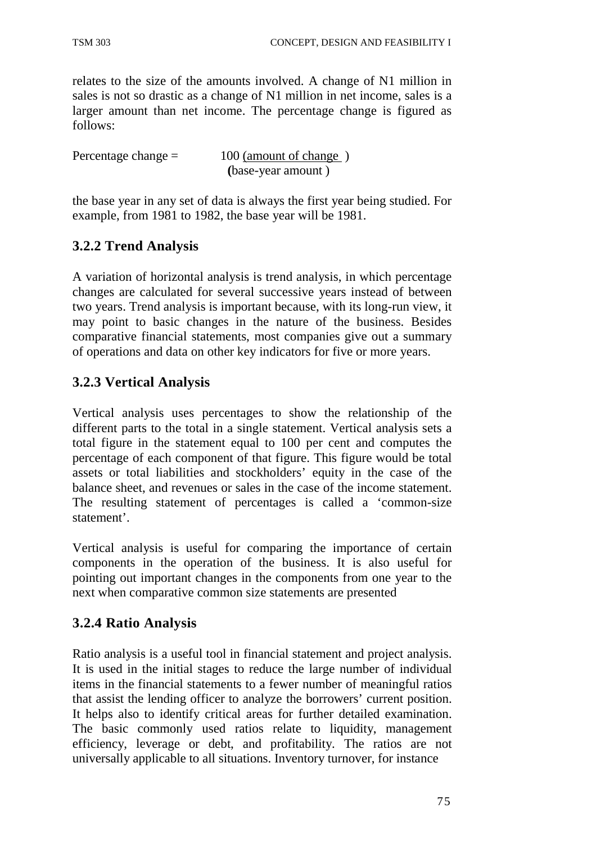relates to the size of the amounts involved. A change of N1 million in sales is not so drastic as a change of N1 million in net income, sales is a larger amount than net income. The percentage change is figured as follows:

Percentage change  $=$  100 (amount of change) **(**base-year amount )

the base year in any set of data is always the first year being studied. For example, from 1981 to 1982, the base year will be 1981.

# **3.2.2 Trend Analysis**

A variation of horizontal analysis is trend analysis, in which percentage changes are calculated for several successive years instead of between two years. Trend analysis is important because, with its long-run view, it may point to basic changes in the nature of the business. Besides comparative financial statements, most companies give out a summary of operations and data on other key indicators for five or more years.

# **3.2.3 Vertical Analysis**

Vertical analysis uses percentages to show the relationship of the different parts to the total in a single statement. Vertical analysis sets a total figure in the statement equal to 100 per cent and computes the percentage of each component of that figure. This figure would be total assets or total liabilities and stockholders' equity in the case of the balance sheet, and revenues or sales in the case of the income statement. The resulting statement of percentages is called a 'common-size statement'.

Vertical analysis is useful for comparing the importance of certain components in the operation of the business. It is also useful for pointing out important changes in the components from one year to the next when comparative common size statements are presented

## **3.2.4 Ratio Analysis**

Ratio analysis is a useful tool in financial statement and project analysis. It is used in the initial stages to reduce the large number of individual items in the financial statements to a fewer number of meaningful ratios that assist the lending officer to analyze the borrowers' current position. It helps also to identify critical areas for further detailed examination. The basic commonly used ratios relate to liquidity, management efficiency, leverage or debt, and profitability. The ratios are not universally applicable to all situations. Inventory turnover, for instance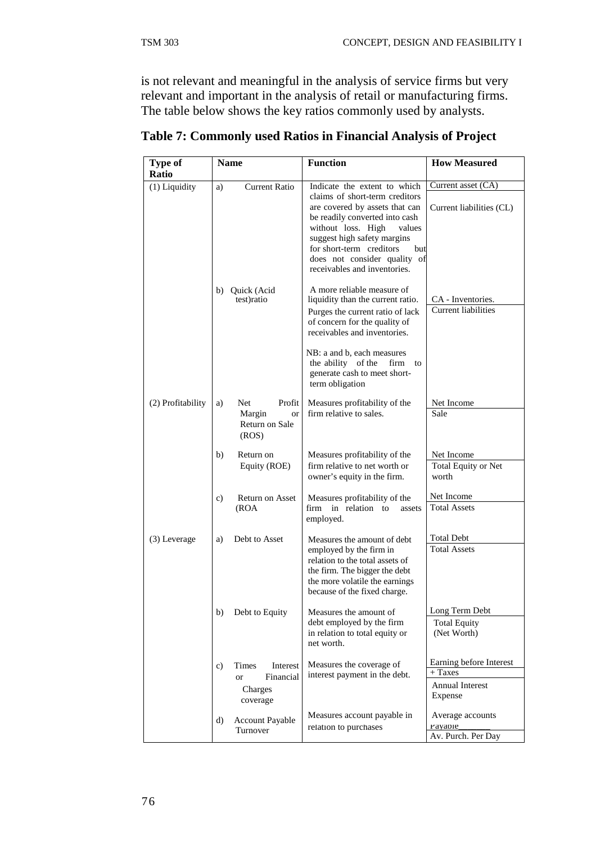is not relevant and meaningful in the analysis of service firms but very relevant and important in the analysis of retail or manufacturing firms. The table below shows the key ratios commonly used by analysts.

| Type of<br>Ratio  | <b>Name</b>                                                              | <b>Function</b>                                                                                                                                                                                                                                                                                                                    | <b>How Measured</b>                                              |  |
|-------------------|--------------------------------------------------------------------------|------------------------------------------------------------------------------------------------------------------------------------------------------------------------------------------------------------------------------------------------------------------------------------------------------------------------------------|------------------------------------------------------------------|--|
| (1) Liquidity     | <b>Current Ratio</b><br>a)<br>Quick (Acid<br>b)                          | Indicate the extent to which<br>claims of short-term creditors<br>are covered by assets that can<br>be readily converted into cash<br>without loss. High<br>values<br>suggest high safety margins<br>for short-term creditors<br>but<br>does not consider quality of<br>receivables and inventories.<br>A more reliable measure of | Current asset (CA)<br>Current liabilities (CL)                   |  |
|                   | test) ratio                                                              | liquidity than the current ratio.<br>Purges the current ratio of lack<br>of concern for the quality of<br>receivables and inventories.<br>NB: a and b, each measures<br>the ability of the<br>firm<br>to<br>generate cash to meet short-<br>term obligation                                                                        | CA - Inventories.<br><b>Current liabilities</b>                  |  |
| (2) Profitability | Net<br>Profit<br>a)<br>Margin<br><b>or</b><br>Return on Sale<br>(ROS)    | Measures profitability of the<br>firm relative to sales.                                                                                                                                                                                                                                                                           | Net Income<br>Sale                                               |  |
|                   | b)<br>Return on<br>Equity (ROE)                                          | Measures profitability of the<br>firm relative to net worth or<br>owner's equity in the firm.                                                                                                                                                                                                                                      | Net Income<br><b>Total Equity or Net</b><br>worth                |  |
|                   | Return on Asset<br>c)<br>(ROA)                                           | Measures profitability of the<br>firm in relation to<br>assets<br>employed.                                                                                                                                                                                                                                                        | Net Income<br><b>Total Assets</b>                                |  |
| (3) Leverage      | Debt to Asset<br>a)                                                      | Measures the amount of debt<br>employed by the firm in<br>relation to the total assets of<br>the firm. The bigger the debt<br>the more volatile the earnings<br>because of the fixed charge.                                                                                                                                       | <b>Total Debt</b><br><b>Total Assets</b>                         |  |
|                   | b)<br>Debt to Equity                                                     | Measures the amount of<br>debt employed by the firm<br>in relation to total equity or<br>net worth.                                                                                                                                                                                                                                | Long Term Debt<br><b>Total Equity</b><br>(Net Worth)             |  |
|                   | <b>Times</b><br>Interest<br>c)<br>Financial<br>or<br>Charges<br>coverage | Measures the coverage of<br>interest payment in the debt.                                                                                                                                                                                                                                                                          | Earning before Interest<br>+ Taxes<br>Annual Interest<br>Expense |  |
|                   | $\rm d$<br>Account Payable<br>Turnover                                   | Measures account payable in<br>relation to purchases                                                                                                                                                                                                                                                                               | Average accounts<br>rayapie<br>Av. Purch. Per Day                |  |

**Table 7: Commonly used Ratios in Financial Analysis of Project**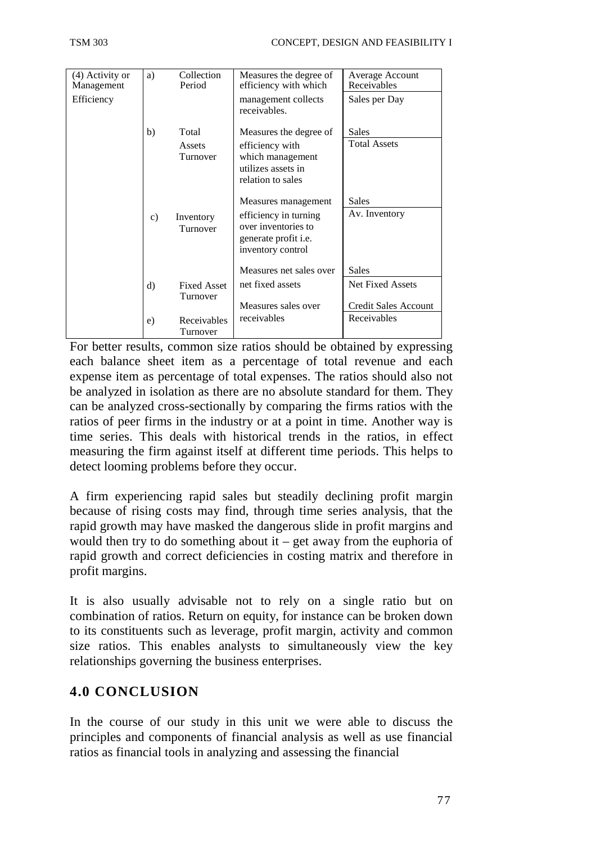| (4) Activity or<br>Management<br>Efficiency | a)            | Collection<br>Period           | Measures the degree of<br>efficiency with which<br>management collects<br>receivables.                                  | Average Account<br>Receivables<br>Sales per Day                 |
|---------------------------------------------|---------------|--------------------------------|-------------------------------------------------------------------------------------------------------------------------|-----------------------------------------------------------------|
|                                             | b)            | Total<br>Assets<br>Turnover    | Measures the degree of<br>efficiency with<br>which management<br>utilizes assets in<br>relation to sales                | Sales<br><b>Total Assets</b>                                    |
|                                             | $\mathbf{c})$ | Inventory<br>Turnover          | Measures management<br>efficiency in turning<br>over inventories to<br>generate profit <i>i.e.</i><br>inventory control | <b>Sales</b><br>Av. Inventory                                   |
|                                             | d)            | <b>Fixed Asset</b><br>Turnover | Measures net sales over<br>net fixed assets<br>Measures sales over                                                      | <b>Sales</b><br><b>Net Fixed Assets</b><br>Credit Sales Account |
|                                             | e)            | Receivables<br>Turnover        | receivables                                                                                                             | Receivables                                                     |

For better results, common size ratios should be obtained by expressing each balance sheet item as a percentage of total revenue and each expense item as percentage of total expenses. The ratios should also not be analyzed in isolation as there are no absolute standard for them. They can be analyzed cross-sectionally by comparing the firms ratios with the ratios of peer firms in the industry or at a point in time. Another way is time series. This deals with historical trends in the ratios, in effect measuring the firm against itself at different time periods. This helps to detect looming problems before they occur.

A firm experiencing rapid sales but steadily declining profit margin because of rising costs may find, through time series analysis, that the rapid growth may have masked the dangerous slide in profit margins and would then try to do something about it – get away from the euphoria of rapid growth and correct deficiencies in costing matrix and therefore in profit margins.

It is also usually advisable not to rely on a single ratio but on combination of ratios. Return on equity, for instance can be broken down to its constituents such as leverage, profit margin, activity and common size ratios. This enables analysts to simultaneously view the key relationships governing the business enterprises.

## **4.0 CONCLUSION**

In the course of our study in this unit we were able to discuss the principles and components of financial analysis as well as use financial ratios as financial tools in analyzing and assessing the financial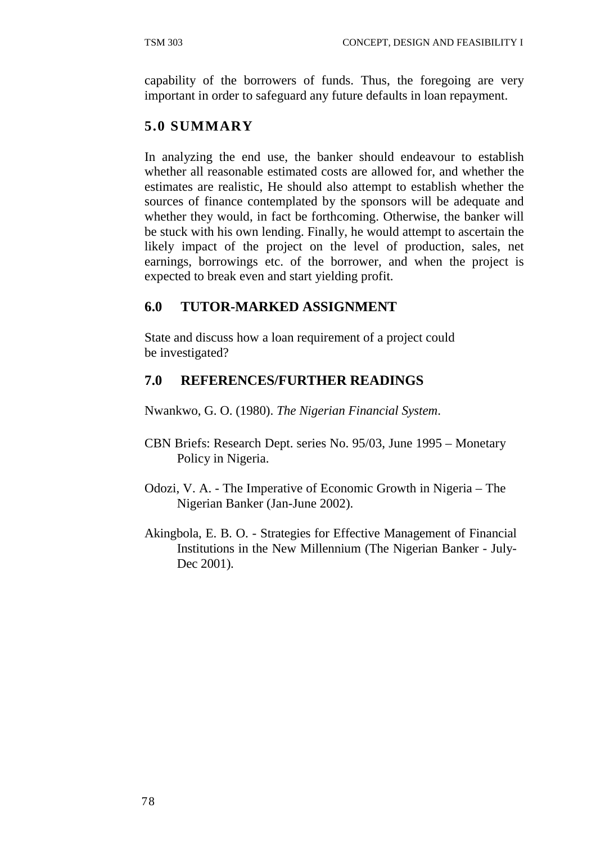capability of the borrowers of funds. Thus, the foregoing are very important in order to safeguard any future defaults in loan repayment.

# **5.0 SUMMARY**

In analyzing the end use, the banker should endeavour to establish whether all reasonable estimated costs are allowed for, and whether the estimates are realistic, He should also attempt to establish whether the sources of finance contemplated by the sponsors will be adequate and whether they would, in fact be forthcoming. Otherwise, the banker will be stuck with his own lending. Finally, he would attempt to ascertain the likely impact of the project on the level of production, sales, net earnings, borrowings etc. of the borrower, and when the project is expected to break even and start yielding profit.

## **6.0 TUTOR-MARKED ASSIGNMENT**

State and discuss how a loan requirement of a project could be investigated?

## **7.0 REFERENCES/FURTHER READINGS**

Nwankwo, G. O. (1980). *The Nigerian Financial System*.

- CBN Briefs: Research Dept. series No. 95/03, June 1995 Monetary Policy in Nigeria.
- Odozi, V. A. The Imperative of Economic Growth in Nigeria The Nigerian Banker (Jan-June 2002).
- Akingbola, E. B. O. Strategies for Effective Management of Financial Institutions in the New Millennium (The Nigerian Banker - July-Dec 2001).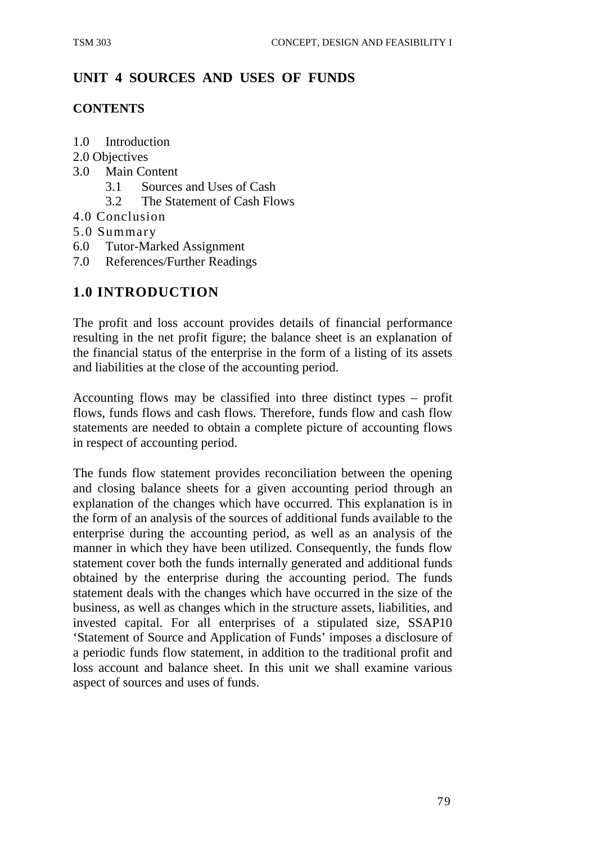# **UNIT 4 SOURCES AND USES OF FUNDS**

### **CONTENTS**

- 1.0 Introduction
- 2.0 Objectives
- 3.0 Main Content
	- 3.1 Sources and Uses of Cash
	- 3.2 The Statement of Cash Flows
- 4.0 Conclusion
- 5.0 Summary
- 6.0 Tutor-Marked Assignment
- 7.0 References/Further Readings

## **1.0 INTRODUCTION**

The profit and loss account provides details of financial performance resulting in the net profit figure; the balance sheet is an explanation of the financial status of the enterprise in the form of a listing of its assets and liabilities at the close of the accounting period.

Accounting flows may be classified into three distinct types – profit flows, funds flows and cash flows. Therefore, funds flow and cash flow statements are needed to obtain a complete picture of accounting flows in respect of accounting period.

The funds flow statement provides reconciliation between the opening and closing balance sheets for a given accounting period through an explanation of the changes which have occurred. This explanation is in the form of an analysis of the sources of additional funds available to the enterprise during the accounting period, as well as an analysis of the manner in which they have been utilized. Consequently, the funds flow statement cover both the funds internally generated and additional funds obtained by the enterprise during the accounting period. The funds statement deals with the changes which have occurred in the size of the business, as well as changes which in the structure assets, liabilities, and invested capital. For all enterprises of a stipulated size, SSAP10 'Statement of Source and Application of Funds' imposes a disclosure of a periodic funds flow statement, in addition to the traditional profit and loss account and balance sheet. In this unit we shall examine various aspect of sources and uses of funds.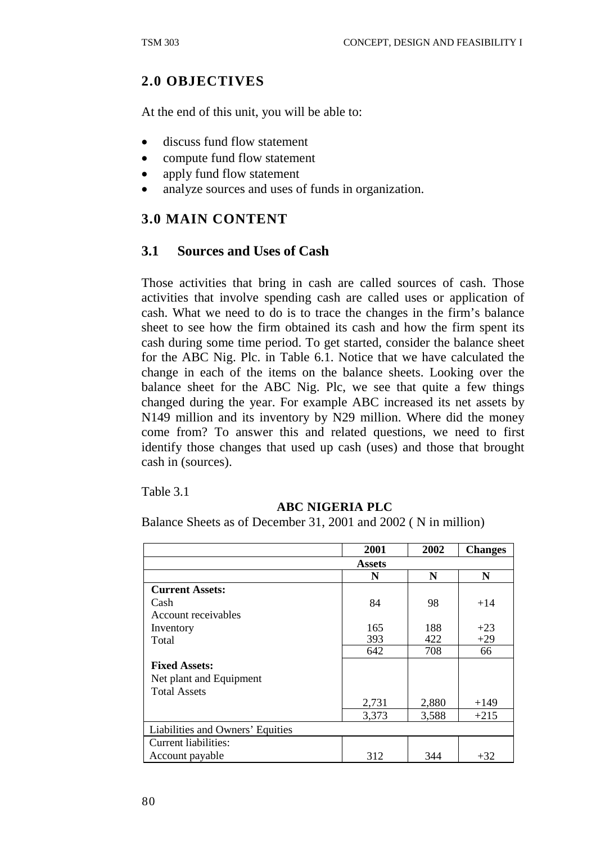# **2.0 OBJECTIVES**

At the end of this unit, you will be able to:

- discuss fund flow statement
- compute fund flow statement
- apply fund flow statement
- analyze sources and uses of funds in organization.

## **3.0 MAIN CONTENT**

### **3.1 Sources and Uses of Cash**

Those activities that bring in cash are called sources of cash. Those activities that involve spending cash are called uses or application of cash. What we need to do is to trace the changes in the firm's balance sheet to see how the firm obtained its cash and how the firm spent its cash during some time period. To get started, consider the balance sheet for the ABC Nig. Plc. in Table 6.1. Notice that we have calculated the change in each of the items on the balance sheets. Looking over the balance sheet for the ABC Nig. Plc, we see that quite a few things changed during the year. For example ABC increased its net assets by N149 million and its inventory by N29 million. Where did the money come from? To answer this and related questions, we need to first identify those changes that used up cash (uses) and those that brought cash in (sources).

Table 3.1

#### **ABC NIGERIA PLC**

Balance Sheets as of December 31, 2001 and 2002 ( N in million)

|                                  | 2001          | 2002  | <b>Changes</b> |
|----------------------------------|---------------|-------|----------------|
|                                  | <b>Assets</b> |       |                |
|                                  | N             | N     | N              |
| <b>Current Assets:</b>           |               |       |                |
| Cash                             | 84            | 98    | $+14$          |
| Account receivables              |               |       |                |
| Inventory                        | 165           | 188   | $+23$          |
| Total                            | 393           | 422   | $+29$          |
|                                  | 642           | 708   | 66             |
| <b>Fixed Assets:</b>             |               |       |                |
| Net plant and Equipment          |               |       |                |
| <b>Total Assets</b>              |               |       |                |
|                                  | 2,731         | 2,880 | $+149$         |
|                                  | 3,373         | 3,588 | $+215$         |
| Liabilities and Owners' Equities |               |       |                |
| <b>Current liabilities:</b>      |               |       |                |
| Account payable                  | 312           | 344   | $+32$          |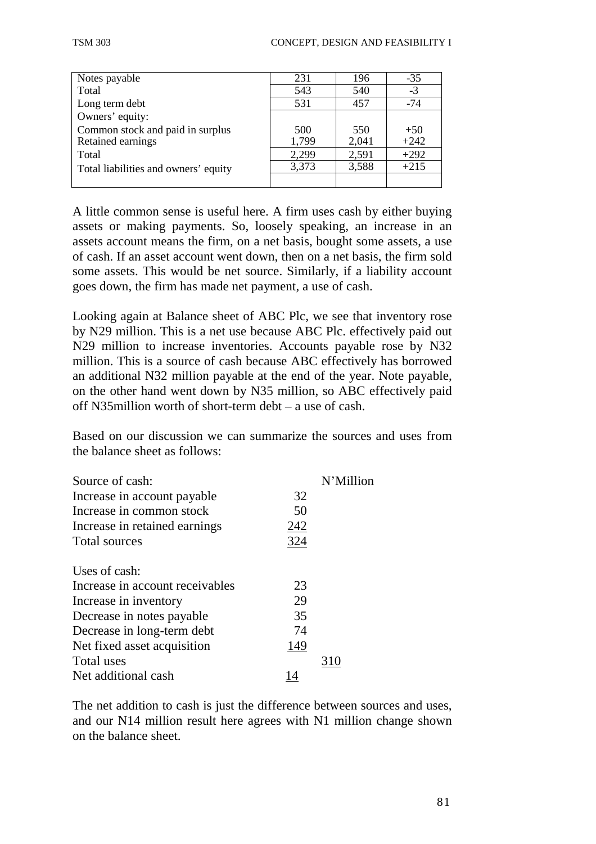| Notes payable                        | 231   | 196   | $-35$  |
|--------------------------------------|-------|-------|--------|
| Total                                | 543   | 540   | $-3$   |
| Long term debt                       | 531   | 457   | $-74$  |
| Owners' equity:                      |       |       |        |
| Common stock and paid in surplus     | 500   | 550   | $+50$  |
| Retained earnings                    | 1,799 | 2,041 | $+242$ |
| Total                                | 2,299 | 2,591 | $+292$ |
| Total liabilities and owners' equity | 3,373 | 3,588 | $+215$ |
|                                      |       |       |        |

A little common sense is useful here. A firm uses cash by either buying assets or making payments. So, loosely speaking, an increase in an assets account means the firm, on a net basis, bought some assets, a use of cash. If an asset account went down, then on a net basis, the firm sold some assets. This would be net source. Similarly, if a liability account goes down, the firm has made net payment, a use of cash.

Looking again at Balance sheet of ABC Plc, we see that inventory rose by N29 million. This is a net use because ABC Plc. effectively paid out N29 million to increase inventories. Accounts payable rose by N32 million. This is a source of cash because ABC effectively has borrowed an additional N32 million payable at the end of the year. Note payable, on the other hand went down by N35 million, so ABC effectively paid off N35million worth of short-term debt – a use of cash.

Based on our discussion we can summarize the sources and uses from the balance sheet as follows:

| Source of cash:                 |     | N'Million |
|---------------------------------|-----|-----------|
| Increase in account payable     | 32  |           |
| Increase in common stock        | 50  |           |
| Increase in retained earnings   | 242 |           |
| Total sources                   | 324 |           |
| Uses of cash:                   |     |           |
| Increase in account receivables | 23  |           |
| Increase in inventory           | 29  |           |
| Decrease in notes payable       | 35  |           |
| Decrease in long-term debt      | 74  |           |
| Net fixed asset acquisition     | 149 |           |
| Total uses                      |     | 310       |
| Net additional cash             | 14  |           |

The net addition to cash is just the difference between sources and uses, and our N14 million result here agrees with N1 million change shown on the balance sheet.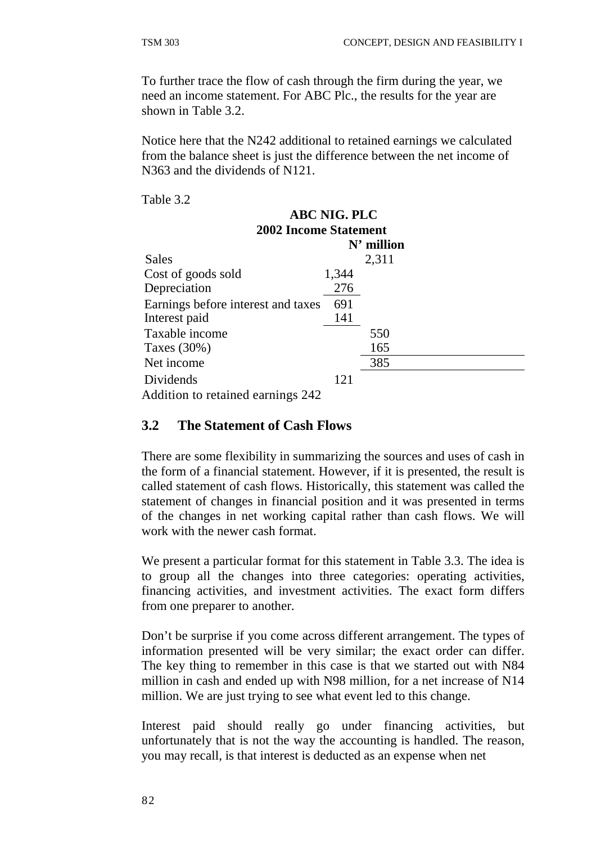To further trace the flow of cash through the firm during the year, we need an income statement. For ABC Plc., the results for the year are shown in Table 3.2.

Notice here that the N242 additional to retained earnings we calculated from the balance sheet is just the difference between the net income of N363 and the dividends of N121.

Table 3.2

| <b>ABC NIG. PLC</b>                |       |       |  |  |  |  |
|------------------------------------|-------|-------|--|--|--|--|
| <b>2002 Income Statement</b>       |       |       |  |  |  |  |
| $N'$ million                       |       |       |  |  |  |  |
| Sales                              |       | 2,311 |  |  |  |  |
| Cost of goods sold                 | 1,344 |       |  |  |  |  |
| Depreciation                       | 276   |       |  |  |  |  |
| Earnings before interest and taxes | 691   |       |  |  |  |  |
| Interest paid<br>141               |       |       |  |  |  |  |
| Taxable income                     |       | 550   |  |  |  |  |
| Taxes $(30\%)$                     |       | 165   |  |  |  |  |
| Net income                         |       | 385   |  |  |  |  |
| Dividends                          | 121   |       |  |  |  |  |
| Addition to retained earnings 242  |       |       |  |  |  |  |

#### **3.2 The Statement of Cash Flows**

There are some flexibility in summarizing the sources and uses of cash in the form of a financial statement. However, if it is presented, the result is called statement of cash flows. Historically, this statement was called the statement of changes in financial position and it was presented in terms of the changes in net working capital rather than cash flows. We will work with the newer cash format.

We present a particular format for this statement in Table 3.3. The idea is to group all the changes into three categories: operating activities, financing activities, and investment activities. The exact form differs from one preparer to another.

Don't be surprise if you come across different arrangement. The types of information presented will be very similar; the exact order can differ. The key thing to remember in this case is that we started out with N84 million in cash and ended up with N98 million, for a net increase of N14 million. We are just trying to see what event led to this change.

Interest paid should really go under financing activities, but unfortunately that is not the way the accounting is handled. The reason, you may recall, is that interest is deducted as an expense when net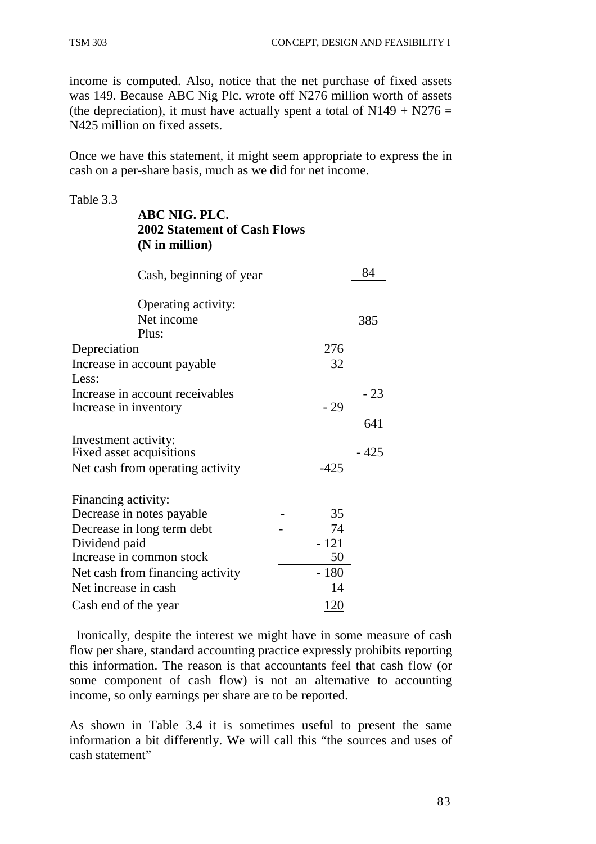income is computed. Also, notice that the net purchase of fixed assets was 149. Because ABC Nig Plc. wrote off N276 million worth of assets (the depreciation), it must have actually spent a total of  $N149 + N276 =$ N425 million on fixed assets.

Once we have this statement, it might seem appropriate to express the in cash on a per-share basis, much as we did for net income.

Table 3.3

**ABC NIG. PLC. 2002 Statement of Cash Flows (N in million)** 

| Cash, beginning of year          |        | 84    |
|----------------------------------|--------|-------|
| Operating activity:              |        |       |
| Net income<br>Plus:              |        | 385   |
| Depreciation                     | 276    |       |
| Increase in account payable      | 32     |       |
| Less:                            |        |       |
| Increase in account receivables  |        | $-23$ |
| Increase in inventory            | - 29   |       |
|                                  |        | 641   |
| Investment activity:             |        |       |
| Fixed asset acquisitions         |        | - 425 |
| Net cash from operating activity | $-425$ |       |
| Financing activity:              |        |       |
| Decrease in notes payable        | 35     |       |
| Decrease in long term debt       | 74     |       |
| Dividend paid                    | - 121  |       |
| Increase in common stock         | 50     |       |
| Net cash from financing activity | - 180  |       |
| Net increase in cash             | 14     |       |
| Cash end of the year             | 120    |       |

Ironically, despite the interest we might have in some measure of cash flow per share, standard accounting practice expressly prohibits reporting this information. The reason is that accountants feel that cash flow (or some component of cash flow) is not an alternative to accounting income, so only earnings per share are to be reported.

As shown in Table 3.4 it is sometimes useful to present the same information a bit differently. We will call this "the sources and uses of cash statement"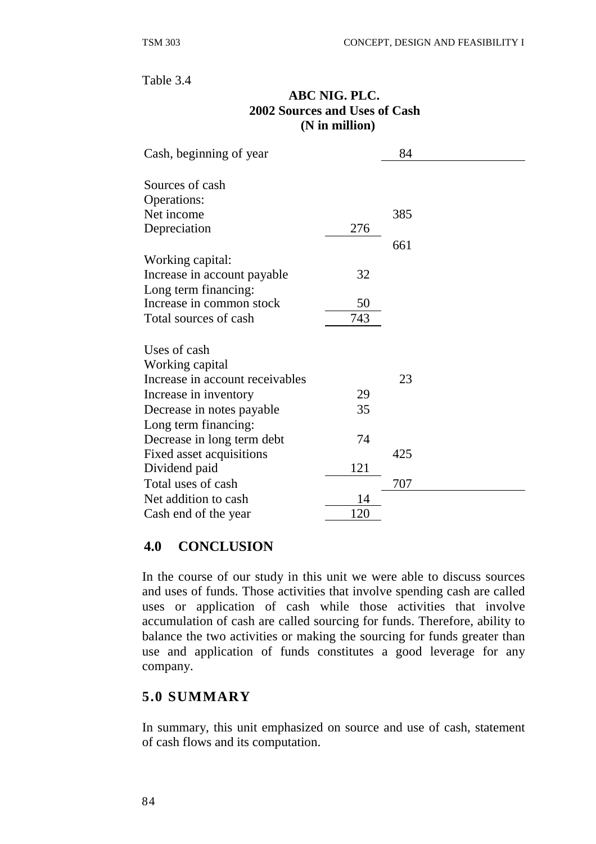Table 3.4

#### **ABC NIG. PLC. 2002 Sources and Uses of Cash (N in million)**

| Cash, beginning of year         |     | 84  |  |
|---------------------------------|-----|-----|--|
| Sources of cash                 |     |     |  |
| Operations:                     |     |     |  |
| Net income                      |     | 385 |  |
| Depreciation                    | 276 |     |  |
|                                 |     | 661 |  |
| Working capital:                |     |     |  |
| Increase in account payable     | 32  |     |  |
| Long term financing:            |     |     |  |
| Increase in common stock        | 50  |     |  |
| Total sources of cash           | 743 |     |  |
|                                 |     |     |  |
| Uses of cash                    |     |     |  |
| Working capital                 |     |     |  |
| Increase in account receivables |     | 23  |  |
| Increase in inventory           | 29  |     |  |
| Decrease in notes payable       | 35  |     |  |
| Long term financing:            |     |     |  |
| Decrease in long term debt      | 74  |     |  |
| Fixed asset acquisitions        |     | 425 |  |
| Dividend paid                   | 121 |     |  |
| Total uses of cash              |     | 707 |  |
| Net addition to cash            | 14  |     |  |
| Cash end of the year            | 120 |     |  |

## **4.0 CONCLUSION**

In the course of our study in this unit we were able to discuss sources and uses of funds. Those activities that involve spending cash are called uses or application of cash while those activities that involve accumulation of cash are called sourcing for funds. Therefore, ability to balance the two activities or making the sourcing for funds greater than use and application of funds constitutes a good leverage for any company.

## **5.0 SUMMARY**

In summary, this unit emphasized on source and use of cash, statement of cash flows and its computation.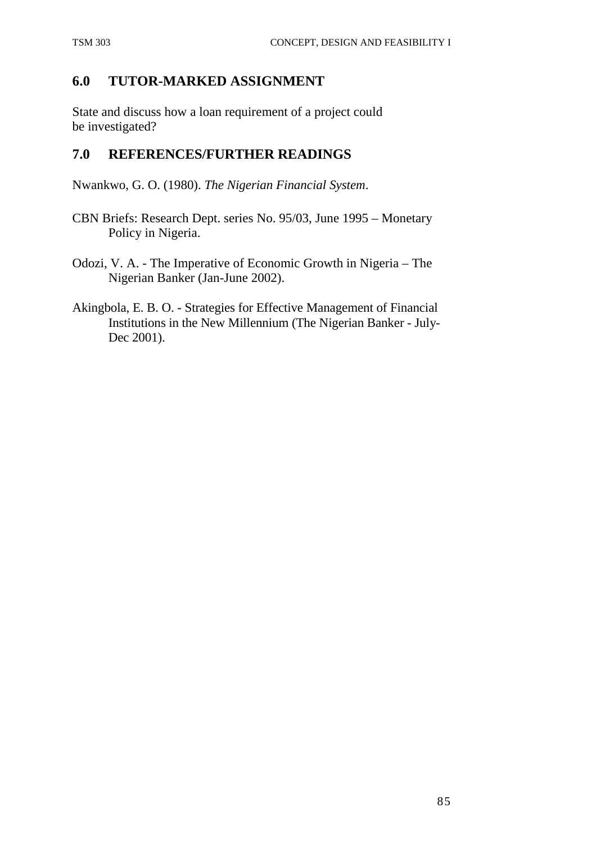## **6.0 TUTOR-MARKED ASSIGNMENT**

State and discuss how a loan requirement of a project could be investigated?

### **7.0 REFERENCES/FURTHER READINGS**

Nwankwo, G. O. (1980). *The Nigerian Financial System*.

- CBN Briefs: Research Dept. series No. 95/03, June 1995 Monetary Policy in Nigeria.
- Odozi, V. A. The Imperative of Economic Growth in Nigeria The Nigerian Banker (Jan-June 2002).
- Akingbola, E. B. O. Strategies for Effective Management of Financial Institutions in the New Millennium (The Nigerian Banker - July-Dec 2001).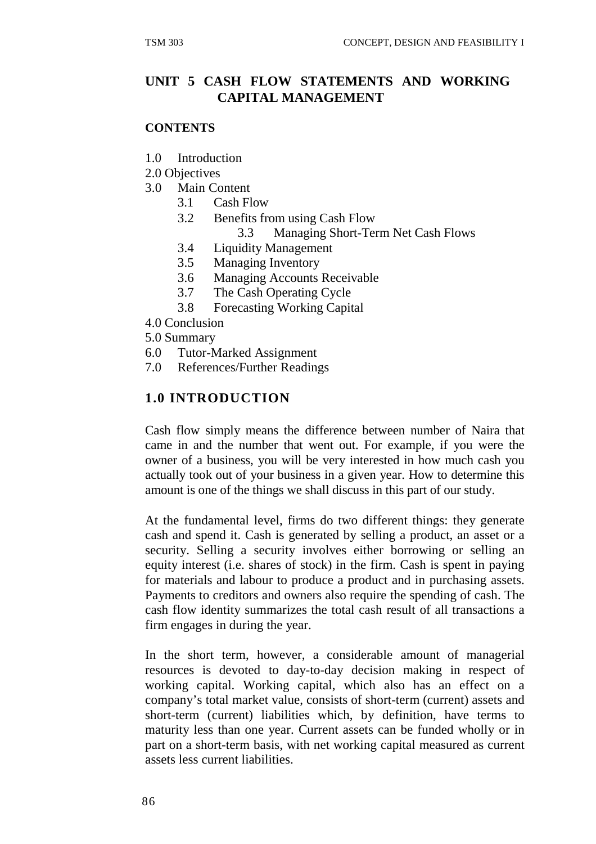## **UNIT 5 CASH FLOW STATEMENTS AND WORKING CAPITAL MANAGEMENT**

#### **CONTENTS**

- 1.0 Introduction
- 2.0 Objectives
- 3.0 Main Content
	- 3.1 Cash Flow
	- 3.2 Benefits from using Cash Flow
		- 3.3 Managing Short-Term Net Cash Flows
	- 3.4 Liquidity Management
	- 3.5 Managing Inventory
	- 3.6 Managing Accounts Receivable
	- 3.7 The Cash Operating Cycle
	- 3.8 Forecasting Working Capital
- 4.0 Conclusion
- 5.0 Summary
- 6.0 Tutor-Marked Assignment
- 7.0 References/Further Readings

### **1.0 INTRODUCTION**

Cash flow simply means the difference between number of Naira that came in and the number that went out. For example, if you were the owner of a business, you will be very interested in how much cash you actually took out of your business in a given year. How to determine this amount is one of the things we shall discuss in this part of our study.

At the fundamental level, firms do two different things: they generate cash and spend it. Cash is generated by selling a product, an asset or a security. Selling a security involves either borrowing or selling an equity interest (i.e. shares of stock) in the firm. Cash is spent in paying for materials and labour to produce a product and in purchasing assets. Payments to creditors and owners also require the spending of cash. The cash flow identity summarizes the total cash result of all transactions a firm engages in during the year.

In the short term, however, a considerable amount of managerial resources is devoted to day-to-day decision making in respect of working capital. Working capital, which also has an effect on a company's total market value, consists of short-term (current) assets and short-term (current) liabilities which, by definition, have terms to maturity less than one year. Current assets can be funded wholly or in part on a short-term basis, with net working capital measured as current assets less current liabilities.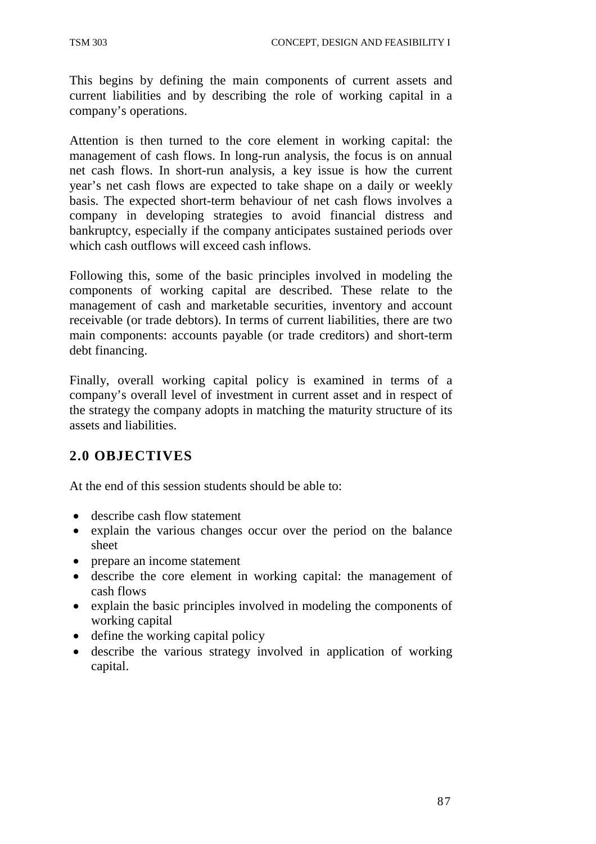This begins by defining the main components of current assets and current liabilities and by describing the role of working capital in a company's operations.

Attention is then turned to the core element in working capital: the management of cash flows. In long-run analysis, the focus is on annual net cash flows. In short-run analysis, a key issue is how the current year's net cash flows are expected to take shape on a daily or weekly basis. The expected short-term behaviour of net cash flows involves a company in developing strategies to avoid financial distress and bankruptcy, especially if the company anticipates sustained periods over which cash outflows will exceed cash inflows.

Following this, some of the basic principles involved in modeling the components of working capital are described. These relate to the management of cash and marketable securities, inventory and account receivable (or trade debtors). In terms of current liabilities, there are two main components: accounts payable (or trade creditors) and short-term debt financing.

Finally, overall working capital policy is examined in terms of a company's overall level of investment in current asset and in respect of the strategy the company adopts in matching the maturity structure of its assets and liabilities.

## **2.0 OBJECTIVES**

At the end of this session students should be able to:

- describe cash flow statement
- explain the various changes occur over the period on the balance sheet
- prepare an income statement
- describe the core element in working capital: the management of cash flows
- explain the basic principles involved in modeling the components of working capital
- define the working capital policy
- describe the various strategy involved in application of working capital.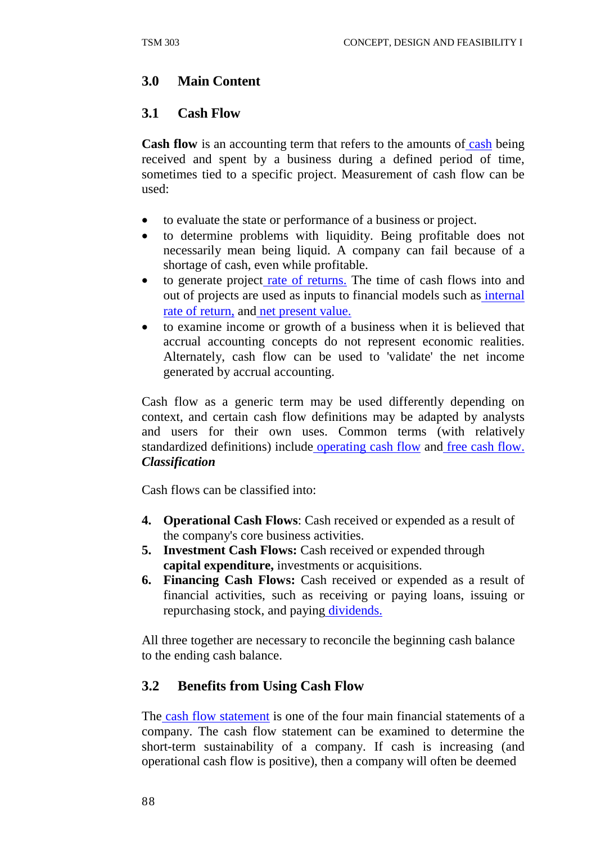## **3.0 Main Content**

## **3.1 Cash Flow**

**Cash flow** is an accounting term that refers to the amounts of cash being received and spent by a business during a defined period of time, sometimes tied to a specific project. Measurement of cash flow can be used:

- to evaluate the state or performance of a business or project.
- to determine problems with liquidity. Being profitable does not necessarily mean being liquid. A company can fail because of a shortage of cash, even while profitable.
- to generate project rate of returns. The time of cash flows into and out of projects are used as inputs to financial models such as internal rate of return, and net present value.
- to examine income or growth of a business when it is believed that accrual accounting concepts do not represent economic realities. Alternately, cash flow can be used to 'validate' the net income generated by accrual accounting.

Cash flow as a generic term may be used differently depending on context, and certain cash flow definitions may be adapted by analysts and users for their own uses. Common terms (with relatively standardized definitions) include operating cash flow and free cash flow. *Classification*

Cash flows can be classified into:

- **4. Operational Cash Flows**: Cash received or expended as a result of the company's core business activities.
- **5. Investment Cash Flows:** Cash received or expended through **capital expenditure,** investments or acquisitions.
- **6. Financing Cash Flows:** Cash received or expended as a result of financial activities, such as receiving or paying loans, issuing or repurchasing stock, and paying dividends.

All three together are necessary to reconcile the beginning cash balance to the ending cash balance.

## **3.2 Benefits from Using Cash Flow**

The cash flow statement is one of the four main financial statements of a company. The cash flow statement can be examined to determine the short-term sustainability of a company. If cash is increasing (and operational cash flow is positive), then a company will often be deemed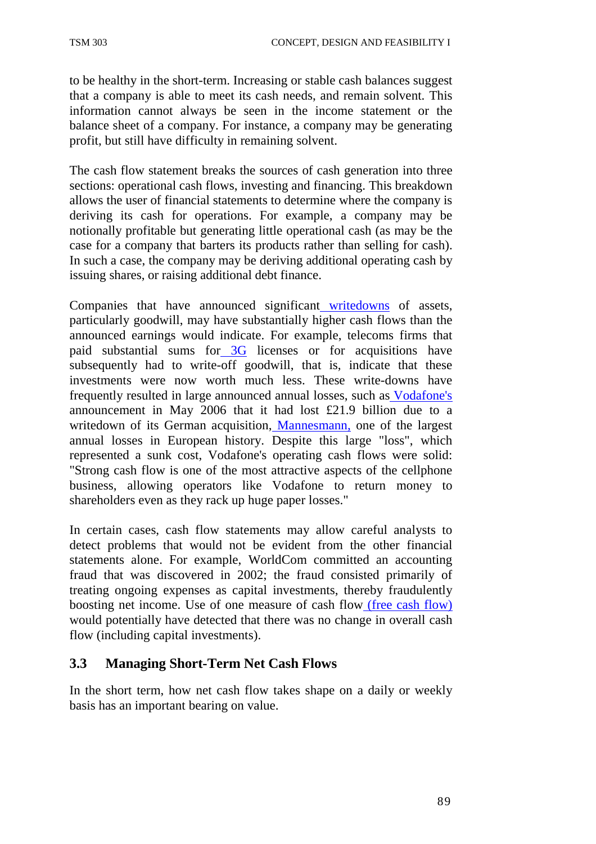to be healthy in the short-term. Increasing or stable cash balances suggest that a company is able to meet its cash needs, and remain solvent. This information cannot always be seen in the income statement or the balance sheet of a company. For instance, a company may be generating profit, but still have difficulty in remaining solvent.

The cash flow statement breaks the sources of cash generation into three sections: operational cash flows, investing and financing. This breakdown allows the user of financial statements to determine where the company is deriving its cash for operations. For example, a company may be notionally profitable but generating little operational cash (as may be the case for a company that barters its products rather than selling for cash). In such a case, the company may be deriving additional operating cash by issuing shares, or raising additional debt finance.

Companies that have announced significant writedowns of assets, particularly goodwill, may have substantially higher cash flows than the announced earnings would indicate. For example, telecoms firms that paid substantial sums for 3G licenses or for acquisitions have subsequently had to write-off goodwill, that is, indicate that these investments were now worth much less. These write-downs have frequently resulted in large announced annual losses, such as Vodafone's announcement in May 2006 that it had lost £21.9 billion due to a writedown of its German acquisition, Mannesmann, one of the largest annual losses in European history. Despite this large "loss", which represented a sunk cost, Vodafone's operating cash flows were solid: "Strong cash flow is one of the most attractive aspects of the cellphone business, allowing operators like Vodafone to return money to shareholders even as they rack up huge paper losses."

In certain cases, cash flow statements may allow careful analysts to detect problems that would not be evident from the other financial statements alone. For example, WorldCom committed an accounting fraud that was discovered in 2002; the fraud consisted primarily of treating ongoing expenses as capital investments, thereby fraudulently boosting net income. Use of one measure of cash flow (free cash flow) would potentially have detected that there was no change in overall cash flow (including capital investments).

## **3.3 Managing Short-Term Net Cash Flows**

In the short term, how net cash flow takes shape on a daily or weekly basis has an important bearing on value.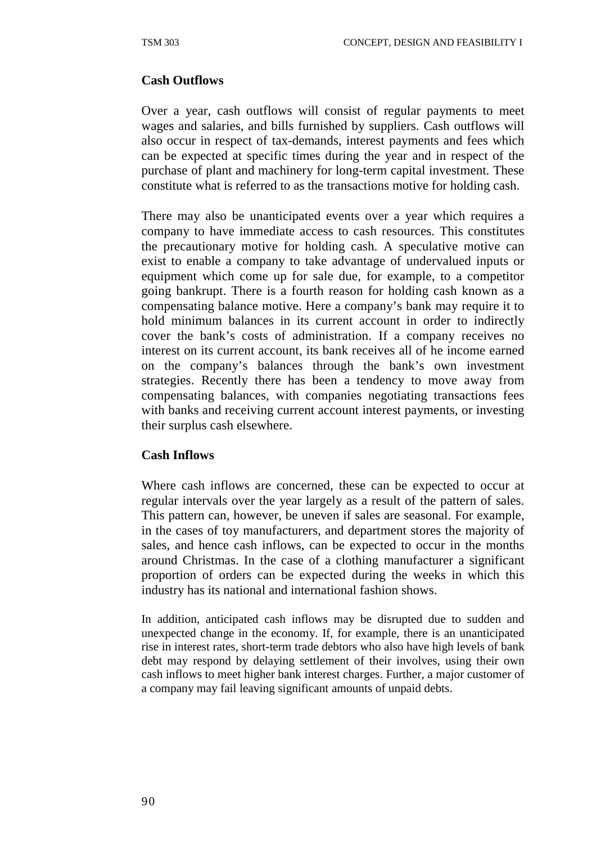#### **Cash Outflows**

Over a year, cash outflows will consist of regular payments to meet wages and salaries, and bills furnished by suppliers. Cash outflows will also occur in respect of tax-demands, interest payments and fees which can be expected at specific times during the year and in respect of the purchase of plant and machinery for long-term capital investment. These constitute what is referred to as the transactions motive for holding cash.

There may also be unanticipated events over a year which requires a company to have immediate access to cash resources. This constitutes the precautionary motive for holding cash. A speculative motive can exist to enable a company to take advantage of undervalued inputs or equipment which come up for sale due, for example, to a competitor going bankrupt. There is a fourth reason for holding cash known as a compensating balance motive. Here a company's bank may require it to hold minimum balances in its current account in order to indirectly cover the bank's costs of administration. If a company receives no interest on its current account, its bank receives all of he income earned on the company's balances through the bank's own investment strategies. Recently there has been a tendency to move away from compensating balances, with companies negotiating transactions fees with banks and receiving current account interest payments, or investing their surplus cash elsewhere.

#### **Cash Inflows**

Where cash inflows are concerned, these can be expected to occur at regular intervals over the year largely as a result of the pattern of sales. This pattern can, however, be uneven if sales are seasonal. For example, in the cases of toy manufacturers, and department stores the majority of sales, and hence cash inflows, can be expected to occur in the months around Christmas. In the case of a clothing manufacturer a significant proportion of orders can be expected during the weeks in which this industry has its national and international fashion shows.

In addition, anticipated cash inflows may be disrupted due to sudden and unexpected change in the economy. If, for example, there is an unanticipated rise in interest rates, short-term trade debtors who also have high levels of bank debt may respond by delaying settlement of their involves, using their own cash inflows to meet higher bank interest charges. Further, a major customer of a company may fail leaving significant amounts of unpaid debts.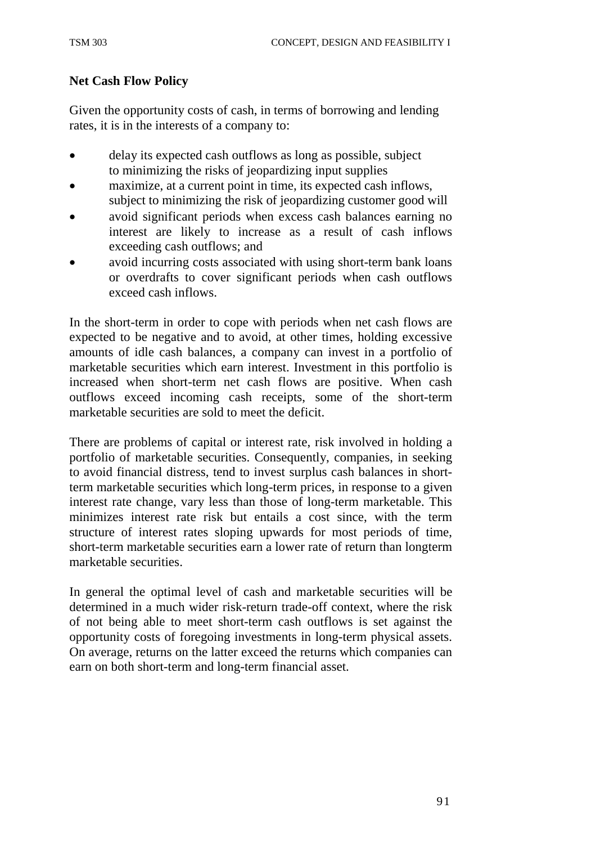### **Net Cash Flow Policy**

Given the opportunity costs of cash, in terms of borrowing and lending rates, it is in the interests of a company to:

- delay its expected cash outflows as long as possible, subject to minimizing the risks of jeopardizing input supplies
- maximize, at a current point in time, its expected cash inflows, subject to minimizing the risk of jeopardizing customer good will
- avoid significant periods when excess cash balances earning no interest are likely to increase as a result of cash inflows exceeding cash outflows; and
- avoid incurring costs associated with using short-term bank loans or overdrafts to cover significant periods when cash outflows exceed cash inflows.

In the short-term in order to cope with periods when net cash flows are expected to be negative and to avoid, at other times, holding excessive amounts of idle cash balances, a company can invest in a portfolio of marketable securities which earn interest. Investment in this portfolio is increased when short-term net cash flows are positive. When cash outflows exceed incoming cash receipts, some of the short-term marketable securities are sold to meet the deficit.

There are problems of capital or interest rate, risk involved in holding a portfolio of marketable securities. Consequently, companies, in seeking to avoid financial distress, tend to invest surplus cash balances in shortterm marketable securities which long-term prices, in response to a given interest rate change, vary less than those of long-term marketable. This minimizes interest rate risk but entails a cost since, with the term structure of interest rates sloping upwards for most periods of time, short-term marketable securities earn a lower rate of return than longterm marketable securities.

In general the optimal level of cash and marketable securities will be determined in a much wider risk-return trade-off context, where the risk of not being able to meet short-term cash outflows is set against the opportunity costs of foregoing investments in long-term physical assets. On average, returns on the latter exceed the returns which companies can earn on both short-term and long-term financial asset.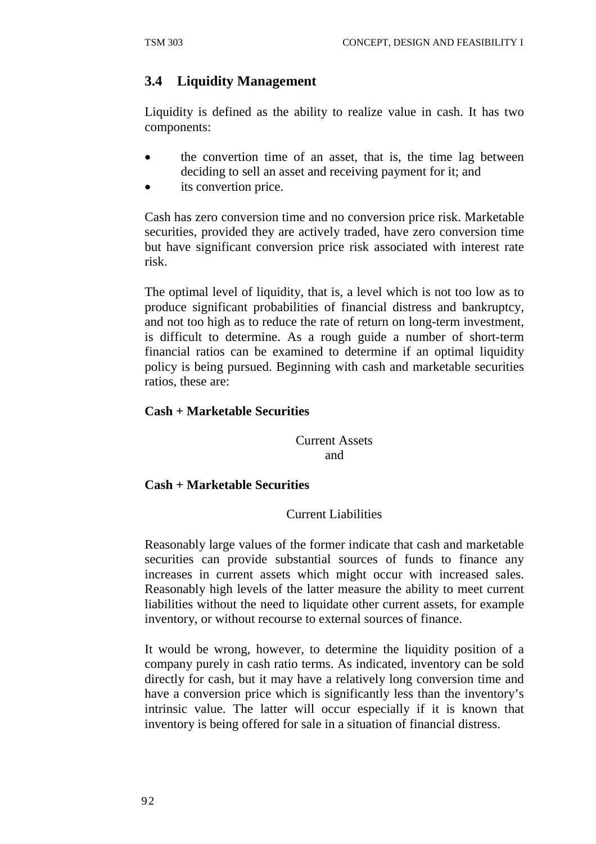## **3.4 Liquidity Management**

Liquidity is defined as the ability to realize value in cash. It has two components:

- the convertion time of an asset, that is, the time lag between deciding to sell an asset and receiving payment for it; and
- its convertion price.

Cash has zero conversion time and no conversion price risk. Marketable securities, provided they are actively traded, have zero conversion time but have significant conversion price risk associated with interest rate risk.

The optimal level of liquidity, that is, a level which is not too low as to produce significant probabilities of financial distress and bankruptcy, and not too high as to reduce the rate of return on long-term investment, is difficult to determine. As a rough guide a number of short-term financial ratios can be examined to determine if an optimal liquidity policy is being pursued. Beginning with cash and marketable securities ratios, these are:

#### **Cash + Marketable Securities**

Current Assets and

#### **Cash + Marketable Securities**

#### Current Liabilities

Reasonably large values of the former indicate that cash and marketable securities can provide substantial sources of funds to finance any increases in current assets which might occur with increased sales. Reasonably high levels of the latter measure the ability to meet current liabilities without the need to liquidate other current assets, for example inventory, or without recourse to external sources of finance.

It would be wrong, however, to determine the liquidity position of a company purely in cash ratio terms. As indicated, inventory can be sold directly for cash, but it may have a relatively long conversion time and have a conversion price which is significantly less than the inventory's intrinsic value. The latter will occur especially if it is known that inventory is being offered for sale in a situation of financial distress.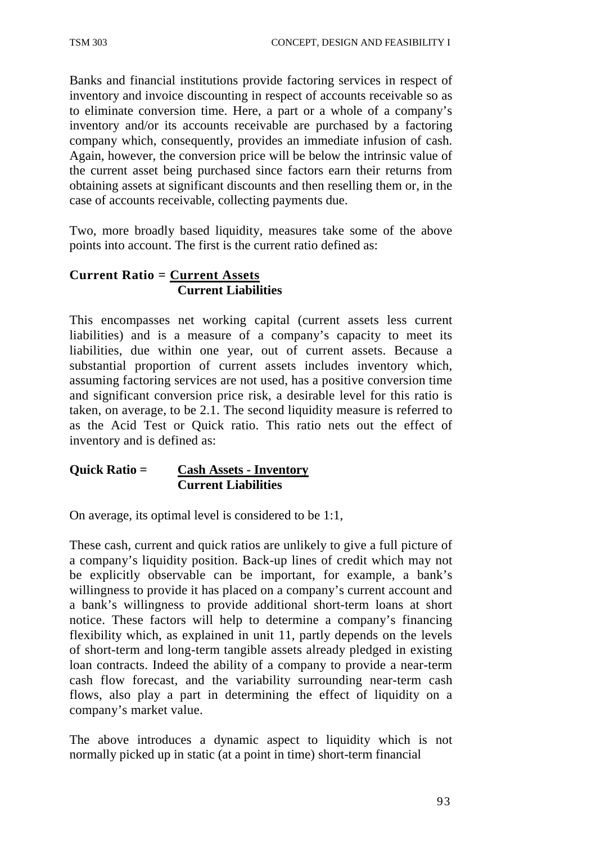Banks and financial institutions provide factoring services in respect of inventory and invoice discounting in respect of accounts receivable so as to eliminate conversion time. Here, a part or a whole of a company's inventory and/or its accounts receivable are purchased by a factoring company which, consequently, provides an immediate infusion of cash. Again, however, the conversion price will be below the intrinsic value of the current asset being purchased since factors earn their returns from obtaining assets at significant discounts and then reselling them or, in the case of accounts receivable, collecting payments due.

Two, more broadly based liquidity, measures take some of the above points into account. The first is the current ratio defined as:

#### **Current Ratio = Current Assets Current Liabilities**

This encompasses net working capital (current assets less current liabilities) and is a measure of a company's capacity to meet its liabilities, due within one year, out of current assets. Because a substantial proportion of current assets includes inventory which, assuming factoring services are not used, has a positive conversion time and significant conversion price risk, a desirable level for this ratio is taken, on average, to be 2.1. The second liquidity measure is referred to as the Acid Test or Quick ratio. This ratio nets out the effect of inventory and is defined as:

#### **Quick Ratio = Cash Assets - Inventory Current Liabilities**

On average, its optimal level is considered to be 1:1,

These cash, current and quick ratios are unlikely to give a full picture of a company's liquidity position. Back-up lines of credit which may not be explicitly observable can be important, for example, a bank's willingness to provide it has placed on a company's current account and a bank's willingness to provide additional short-term loans at short notice. These factors will help to determine a company's financing flexibility which, as explained in unit 11, partly depends on the levels of short-term and long-term tangible assets already pledged in existing loan contracts. Indeed the ability of a company to provide a near-term cash flow forecast, and the variability surrounding near-term cash flows, also play a part in determining the effect of liquidity on a company's market value.

The above introduces a dynamic aspect to liquidity which is not normally picked up in static (at a point in time) short-term financial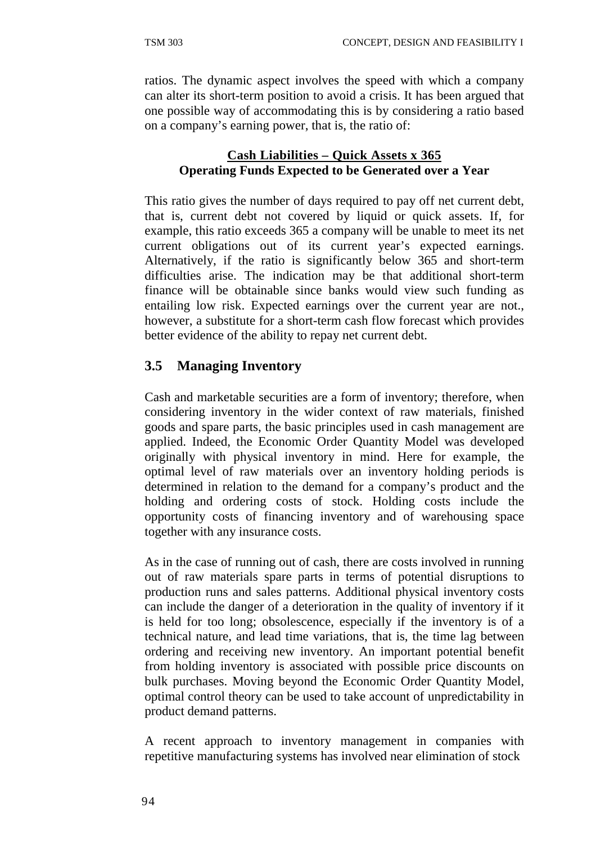ratios. The dynamic aspect involves the speed with which a company can alter its short-term position to avoid a crisis. It has been argued that one possible way of accommodating this is by considering a ratio based on a company's earning power, that is, the ratio of:

### **Cash Liabilities – Quick Assets x 365 Operating Funds Expected to be Generated over a Year**

This ratio gives the number of days required to pay off net current debt, that is, current debt not covered by liquid or quick assets. If, for example, this ratio exceeds 365 a company will be unable to meet its net current obligations out of its current year's expected earnings. Alternatively, if the ratio is significantly below 365 and short-term difficulties arise. The indication may be that additional short-term finance will be obtainable since banks would view such funding as entailing low risk. Expected earnings over the current year are not., however, a substitute for a short-term cash flow forecast which provides better evidence of the ability to repay net current debt.

## **3.5 Managing Inventory**

Cash and marketable securities are a form of inventory; therefore, when considering inventory in the wider context of raw materials, finished goods and spare parts, the basic principles used in cash management are applied. Indeed, the Economic Order Quantity Model was developed originally with physical inventory in mind. Here for example, the optimal level of raw materials over an inventory holding periods is determined in relation to the demand for a company's product and the holding and ordering costs of stock. Holding costs include the opportunity costs of financing inventory and of warehousing space together with any insurance costs.

As in the case of running out of cash, there are costs involved in running out of raw materials spare parts in terms of potential disruptions to production runs and sales patterns. Additional physical inventory costs can include the danger of a deterioration in the quality of inventory if it is held for too long; obsolescence, especially if the inventory is of a technical nature, and lead time variations, that is, the time lag between ordering and receiving new inventory. An important potential benefit from holding inventory is associated with possible price discounts on bulk purchases. Moving beyond the Economic Order Quantity Model, optimal control theory can be used to take account of unpredictability in product demand patterns.

A recent approach to inventory management in companies with repetitive manufacturing systems has involved near elimination of stock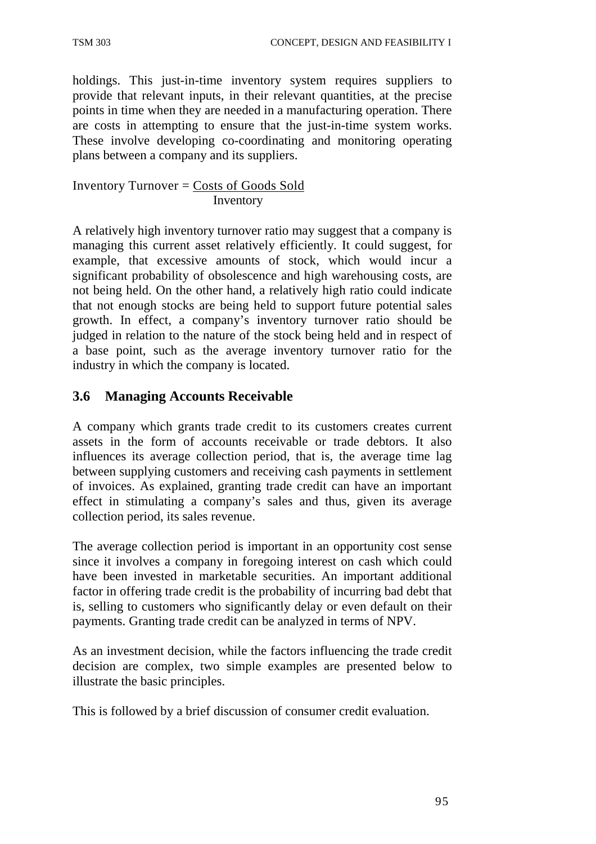holdings. This just-in-time inventory system requires suppliers to provide that relevant inputs, in their relevant quantities, at the precise points in time when they are needed in a manufacturing operation. There are costs in attempting to ensure that the just-in-time system works. These involve developing co-coordinating and monitoring operating plans between a company and its suppliers.

Inventory Turnover = Costs of Goods Sold Inventory

A relatively high inventory turnover ratio may suggest that a company is managing this current asset relatively efficiently. It could suggest, for example, that excessive amounts of stock, which would incur a significant probability of obsolescence and high warehousing costs, are not being held. On the other hand, a relatively high ratio could indicate that not enough stocks are being held to support future potential sales growth. In effect, a company's inventory turnover ratio should be judged in relation to the nature of the stock being held and in respect of a base point, such as the average inventory turnover ratio for the industry in which the company is located.

# **3.6 Managing Accounts Receivable**

A company which grants trade credit to its customers creates current assets in the form of accounts receivable or trade debtors. It also influences its average collection period, that is, the average time lag between supplying customers and receiving cash payments in settlement of invoices. As explained, granting trade credit can have an important effect in stimulating a company's sales and thus, given its average collection period, its sales revenue.

The average collection period is important in an opportunity cost sense since it involves a company in foregoing interest on cash which could have been invested in marketable securities. An important additional factor in offering trade credit is the probability of incurring bad debt that is, selling to customers who significantly delay or even default on their payments. Granting trade credit can be analyzed in terms of NPV.

As an investment decision, while the factors influencing the trade credit decision are complex, two simple examples are presented below to illustrate the basic principles.

This is followed by a brief discussion of consumer credit evaluation.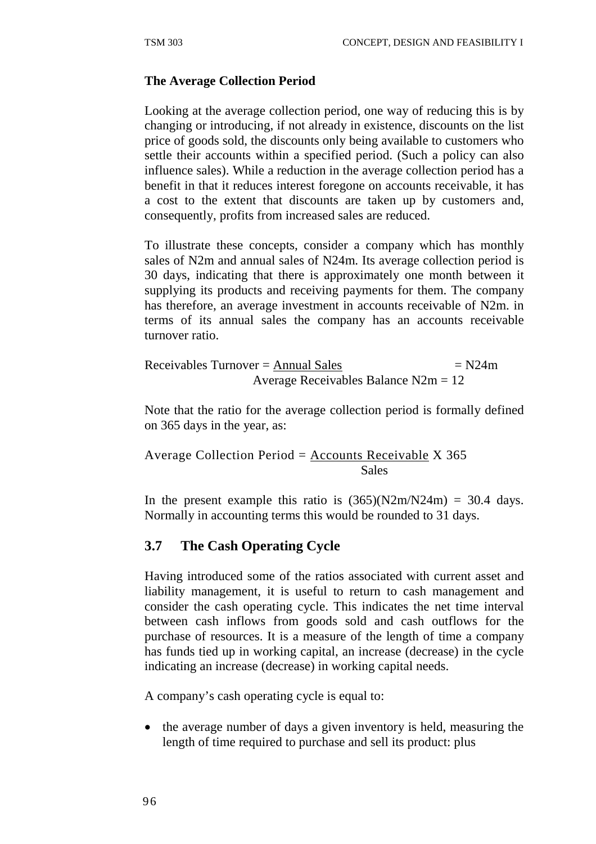#### **The Average Collection Period**

Looking at the average collection period, one way of reducing this is by changing or introducing, if not already in existence, discounts on the list price of goods sold, the discounts only being available to customers who settle their accounts within a specified period. (Such a policy can also influence sales). While a reduction in the average collection period has a benefit in that it reduces interest foregone on accounts receivable, it has a cost to the extent that discounts are taken up by customers and, consequently, profits from increased sales are reduced.

To illustrate these concepts, consider a company which has monthly sales of N2m and annual sales of N24m. Its average collection period is 30 days, indicating that there is approximately one month between it supplying its products and receiving payments for them. The company has therefore, an average investment in accounts receivable of N2m. in terms of its annual sales the company has an accounts receivable turnover ratio.

Receivables Turnover = Annual Sales = N24m Average Receivables Balance N2m = 12

Note that the ratio for the average collection period is formally defined on 365 days in the year, as:

Average Collection Period = Accounts Receivable X 365 **Sales** 

In the present example this ratio is  $(365)(N2m/N24m) = 30.4$  days. Normally in accounting terms this would be rounded to 31 days.

## **3.7 The Cash Operating Cycle**

Having introduced some of the ratios associated with current asset and liability management, it is useful to return to cash management and consider the cash operating cycle. This indicates the net time interval between cash inflows from goods sold and cash outflows for the purchase of resources. It is a measure of the length of time a company has funds tied up in working capital, an increase (decrease) in the cycle indicating an increase (decrease) in working capital needs.

A company's cash operating cycle is equal to:

• the average number of days a given inventory is held, measuring the length of time required to purchase and sell its product: plus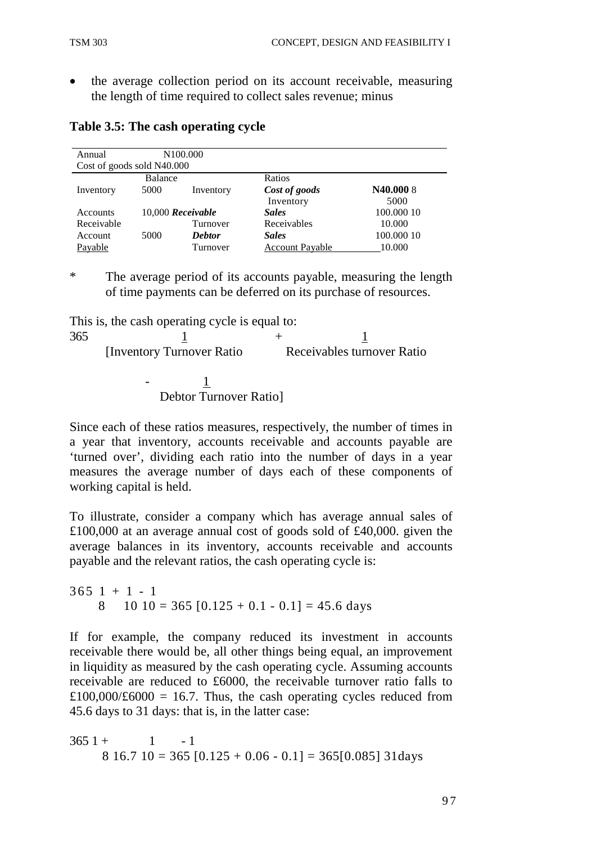• the average collection period on its account receivable, measuring the length of time required to collect sales revenue; minus

Annual N100.000 Cost of goods sold N40.000 Balance Ratios Inventory 5000 Inventory *Cost of goods* **N40.000** 8 Inventory 5000 Accounts 10,000 *Receivable Sales* 100.000 10 Receivable Turnover Receivables 10.000 Account 5000 *Debtor Sales* 100.000 10 Payable Turnover Account Payable 10.000

#### **Table 3.5: The cash operating cycle**

\* The average period of its accounts payable, measuring the length of time payments can be deferred on its purchase of resources.

This is, the cash operating cycle is equal to:

365  $\frac{1}{1}$  +  $\frac{1}{1}$ [Inventory Turnover Ratio Receivables turnover Ratio

 $-$  1 Debtor Turnover Ratio]

Since each of these ratios measures, respectively, the number of times in a year that inventory, accounts receivable and accounts payable are 'turned over', dividing each ratio into the number of days in a year measures the average number of days each of these components of working capital is held.

To illustrate, consider a company which has average annual sales of £100,000 at an average annual cost of goods sold of £40,000. given the average balances in its inventory, accounts receivable and accounts payable and the relevant ratios, the cash operating cycle is:

 $3651 + 1 - 1$ 8 10 10 = 365 [0.125 + 0.1 - 0.1] = 45.6 days

If for example, the company reduced its investment in accounts receivable there would be, all other things being equal, an improvement in liquidity as measured by the cash operating cycle. Assuming accounts receivable are reduced to £6000, the receivable turnover ratio falls to £100,000/£6000 = 16.7. Thus, the cash operating cycles reduced from 45.6 days to 31 days: that is, in the latter case:

 $3651 + 1 - 1$ 8 16.7 10 = 365  $[0.125 + 0.06 - 0.1] = 365[0.085]$  31days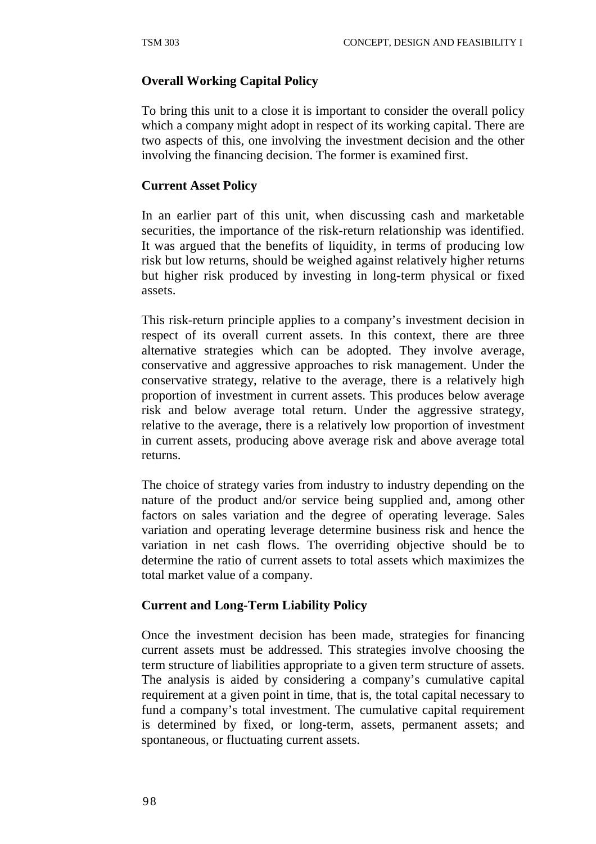#### **Overall Working Capital Policy**

To bring this unit to a close it is important to consider the overall policy which a company might adopt in respect of its working capital. There are two aspects of this, one involving the investment decision and the other involving the financing decision. The former is examined first.

#### **Current Asset Policy**

In an earlier part of this unit, when discussing cash and marketable securities, the importance of the risk-return relationship was identified. It was argued that the benefits of liquidity, in terms of producing low risk but low returns, should be weighed against relatively higher returns but higher risk produced by investing in long-term physical or fixed assets.

This risk-return principle applies to a company's investment decision in respect of its overall current assets. In this context, there are three alternative strategies which can be adopted. They involve average, conservative and aggressive approaches to risk management. Under the conservative strategy, relative to the average, there is a relatively high proportion of investment in current assets. This produces below average risk and below average total return. Under the aggressive strategy, relative to the average, there is a relatively low proportion of investment in current assets, producing above average risk and above average total returns.

The choice of strategy varies from industry to industry depending on the nature of the product and/or service being supplied and, among other factors on sales variation and the degree of operating leverage. Sales variation and operating leverage determine business risk and hence the variation in net cash flows. The overriding objective should be to determine the ratio of current assets to total assets which maximizes the total market value of a company.

#### **Current and Long-Term Liability Policy**

Once the investment decision has been made, strategies for financing current assets must be addressed. This strategies involve choosing the term structure of liabilities appropriate to a given term structure of assets. The analysis is aided by considering a company's cumulative capital requirement at a given point in time, that is, the total capital necessary to fund a company's total investment. The cumulative capital requirement is determined by fixed, or long-term, assets, permanent assets; and spontaneous, or fluctuating current assets.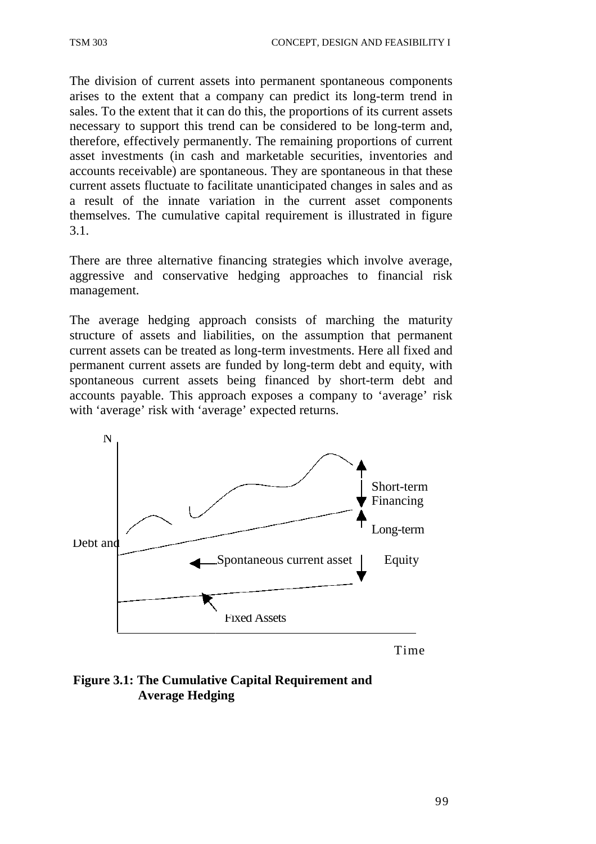The division of current assets into permanent spontaneous components arises to the extent that a company can predict its long-term trend in sales. To the extent that it can do this, the proportions of its current assets necessary to support this trend can be considered to be long-term and, therefore, effectively permanently. The remaining proportions of current asset investments (in cash and marketable securities, inventories and accounts receivable) are spontaneous. They are spontaneous in that these current assets fluctuate to facilitate unanticipated changes in sales and as a result of the innate variation in the current asset components themselves. The cumulative capital requirement is illustrated in figure 3.1. company can predict its long-term tren<br>in do this, the proportions of its current a<br>end can be considered to be long-term<br>nently. The remaining proportions of cu<br>and marketable securities, inventories<br>intaneous. They are s

There are three alternative financing strategies which involve average, aggressive and conservative hedging approaches to financial risk management. re three alternative financing strategies which involve average,<br>we and conservative hedging approaches to financial risk<br>ment.<br>erage hedging approach consists of marching the maturity<br>e of assets and liabilities, on the a

The average hedging approach consists of marching the maturity structure of assets and liabilities, on the assumption that permanent current assets can be treated as long-term investments. Here all fixed and permanent current assets are funded by long-term debt and equity, with spontaneous current assets being financed by short-term debt and accounts payable. This approach exposes a company to 'average' risk with 'average' risk with 'average' expected returns.



Time

#### **Figure 3.1: The Cumulative Capital Requirement and Average Hedging**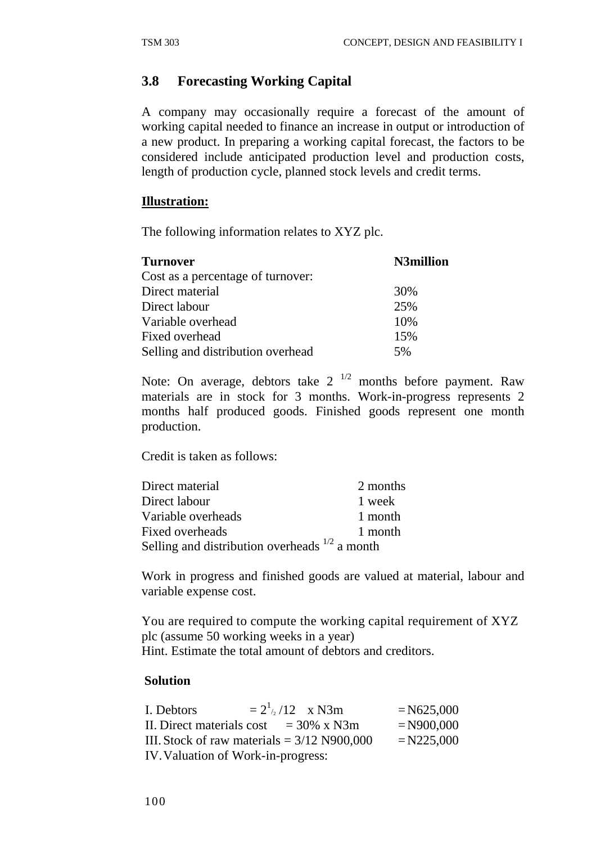## **3.8 Forecasting Working Capital**

A company may occasionally require a forecast of the amount of working capital needed to finance an increase in output or introduction of a new product. In preparing a working capital forecast, the factors to be considered include anticipated production level and production costs, length of production cycle, planned stock levels and credit terms.

#### **Illustration:**

The following information relates to XYZ plc.

| <b>Turnover</b>                   | <b>N3million</b> |  |
|-----------------------------------|------------------|--|
| Cost as a percentage of turnover: |                  |  |
| Direct material                   | 30%              |  |
| Direct labour                     | 25%              |  |
| Variable overhead                 | 10%              |  |
| Fixed overhead                    | 15%              |  |
| Selling and distribution overhead | 5%               |  |

Note: On average, debtors take  $2^{1/2}$  months before payment. Raw materials are in stock for 3 months. Work-in-progress represents 2 months half produced goods. Finished goods represent one month production.

Credit is taken as follows:

| Direct material                                     | 2 months |
|-----------------------------------------------------|----------|
| Direct labour                                       | 1 week   |
| Variable overheads                                  | 1 month  |
| Fixed overheads                                     | 1 month  |
| Selling and distribution overheads $^{1/2}$ a month |          |

Work in progress and finished goods are valued at material, labour and variable expense cost.

You are required to compute the working capital requirement of XYZ plc (assume 50 working weeks in a year) Hint. Estimate the total amount of debtors and creditors.

#### **Solution**

| I. Debtors                                    | $= 2^1/12$ x N3m | $=N625,000$  |
|-----------------------------------------------|------------------|--------------|
| II. Direct materials cost $=$ 30% x N3m       |                  | $=$ N900,000 |
| III. Stock of raw materials $= 3/12$ N900,000 |                  | $=N225,000$  |
| IV. Valuation of Work-in-progress:            |                  |              |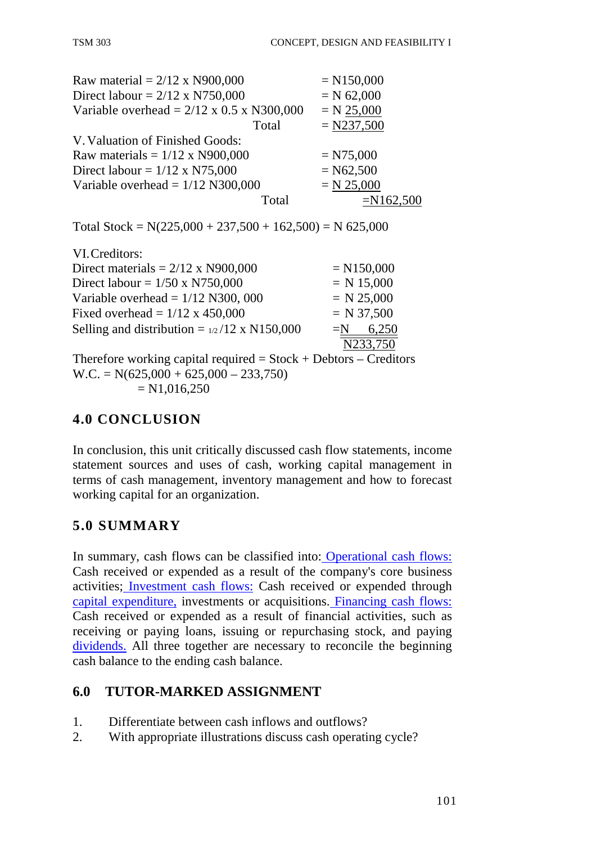| Raw material = $2/12 \times N900,000$                              | $= N150,000$  |
|--------------------------------------------------------------------|---------------|
| Direct labour = $2/12 \times N750,000$                             | $=$ N 62,000  |
| Variable overhead = $2/12 \times 0.5 \times N300,000$              | $=$ N 25,000  |
| Total                                                              | $= N237,500$  |
| V. Valuation of Finished Goods:                                    |               |
| Raw materials = $1/12$ x N900,000                                  | $= N75,000$   |
| Direct labour = $1/12$ x N75,000                                   | $=$ N62,500   |
| Variable overhead = $1/12$ N300,000                                | $=$ N 25,000  |
| Total                                                              | $=N162,500$   |
| Total Stock = $N(225,000 + 237,500 + 162,500) = N 625,000$         |               |
| VI. Creditors:                                                     |               |
| Direct materials = $2/12 \times N900,000$                          | $= N150,000$  |
| Direct labour = $1/50 \times N750,000$                             | $= N 15,000$  |
| Variable overhead = $1/12$ N300, 000                               | $= N 25,000$  |
| Fixed overhead = $1/12 \times 450,000$                             | $= N 37,500$  |
| Selling and distribution = $1/2/12 \times N150,000$                | 6,250<br>$=N$ |
|                                                                    | N233,750      |
| Therefore working capital required = $Stock + Debtors - Creditors$ |               |
| $W.C. = N(625,000 + 625,000 - 233,750)$                            |               |

 $= N1,016,250$ 

# **4.0 CONCLUSION**

In conclusion, this unit critically discussed cash flow statements, income statement sources and uses of cash, working capital management in terms of cash management, inventory management and how to forecast working capital for an organization.

# **5.0 SUMMARY**

In summary, cash flows can be classified into: Operational cash flows: Cash received or expended as a result of the company's core business activities; Investment cash flows: Cash received or expended through capital expenditure, investments or acquisitions. Financing cash flows: Cash received or expended as a result of financial activities, such as receiving or paying loans, issuing or repurchasing stock, and paying dividends. All three together are necessary to reconcile the beginning cash balance to the ending cash balance.

## **6.0 TUTOR-MARKED ASSIGNMENT**

- 1. Differentiate between cash inflows and outflows?
- 2. With appropriate illustrations discuss cash operating cycle?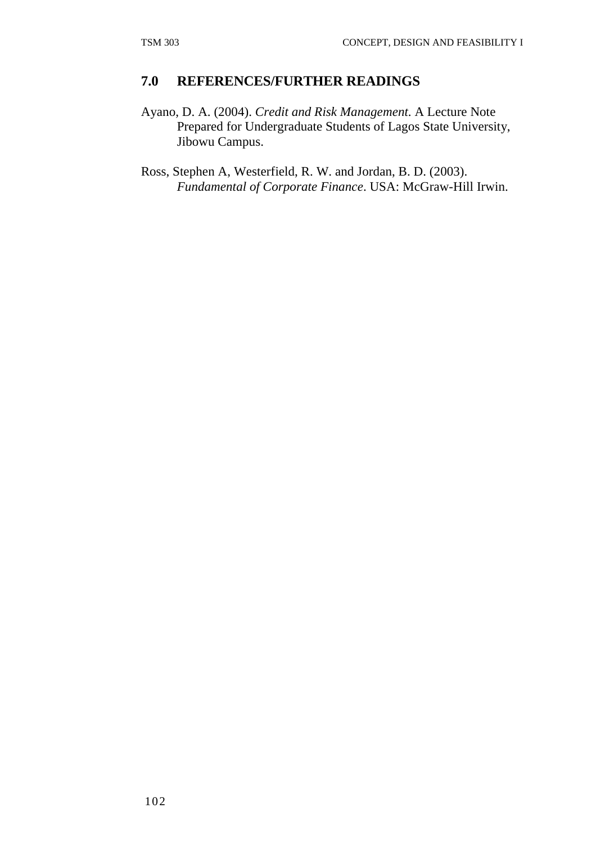#### **7.0 REFERENCES/FURTHER READINGS**

- Ayano, D. A. (2004). *Credit and Risk Management*. A Lecture Note Prepared for Undergraduate Students of Lagos State University, Jibowu Campus.
- Ross, Stephen A, Westerfield, R. W. and Jordan, B. D. (2003). *Fundamental of Corporate Finance*. USA: McGraw-Hill Irwin.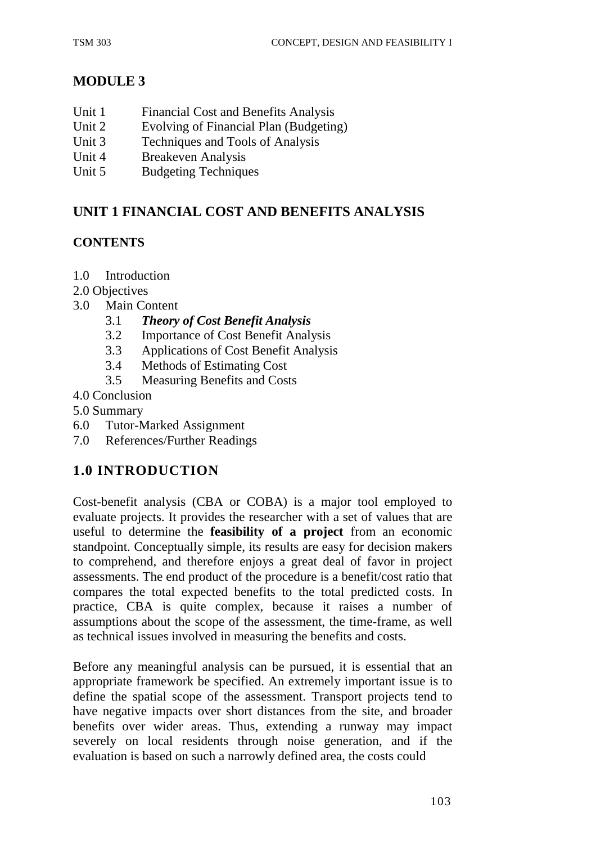## **MODULE 3**

- Unit 1 Financial Cost and Benefits Analysis<br>Unit 2 Evolving of Financial Plan (Budgetin
- Evolving of Financial Plan (Budgeting)
- Unit 3 Techniques and Tools of Analysis
- Unit 4 Breakeven Analysis
- Unit 5 Budgeting Techniques

# **UNIT 1 FINANCIAL COST AND BENEFITS ANALYSIS**

#### **CONTENTS**

- 1.0 Introduction
- 2.0 Objectives
- 3.0 Main Content
	- 3.1 *Theory of Cost Benefit Analysis*
	- 3.2 Importance of Cost Benefit Analysis
	- 3.3 Applications of Cost Benefit Analysis
	- 3.4 Methods of Estimating Cost
	- 3.5 Measuring Benefits and Costs
- 4.0 Conclusion
- 5.0 Summary
- 6.0 Tutor-Marked Assignment
- 7.0 References/Further Readings

## **1.0 INTRODUCTION**

Cost-benefit analysis (CBA or COBA) is a major tool employed to evaluate projects. It provides the researcher with a set of values that are useful to determine the **feasibility of a project** from an economic standpoint. Conceptually simple, its results are easy for decision makers to comprehend, and therefore enjoys a great deal of favor in project assessments. The end product of the procedure is a benefit/cost ratio that compares the total expected benefits to the total predicted costs. In practice, CBA is quite complex, because it raises a number of assumptions about the scope of the assessment, the time-frame, as well as technical issues involved in measuring the benefits and costs.

Before any meaningful analysis can be pursued, it is essential that an appropriate framework be specified. An extremely important issue is to define the spatial scope of the assessment. Transport projects tend to have negative impacts over short distances from the site, and broader benefits over wider areas. Thus, extending a runway may impact severely on local residents through noise generation, and if the evaluation is based on such a narrowly defined area, the costs could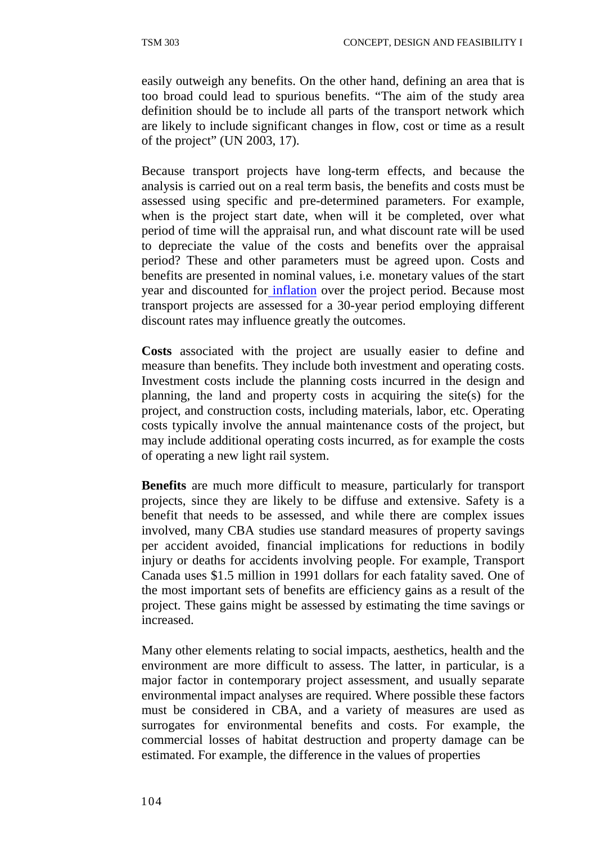easily outweigh any benefits. On the other hand, defining an area that is too broad could lead to spurious benefits. "The aim of the study area definition should be to include all parts of the transport network which are likely to include significant changes in flow, cost or time as a result of the project" (UN 2003, 17).

Because transport projects have long-term effects, and because the analysis is carried out on a real term basis, the benefits and costs must be assessed using specific and pre-determined parameters. For example, when is the project start date, when will it be completed, over what period of time will the appraisal run, and what discount rate will be used to depreciate the value of the costs and benefits over the appraisal period? These and other parameters must be agreed upon. Costs and benefits are presented in nominal values, i.e. monetary values of the start year and discounted for inflation over the project period. Because most transport projects are assessed for a 30-year period employing different discount rates may influence greatly the outcomes.

**Costs** associated with the project are usually easier to define and measure than benefits. They include both investment and operating costs. Investment costs include the planning costs incurred in the design and planning, the land and property costs in acquiring the site(s) for the project, and construction costs, including materials, labor, etc. Operating costs typically involve the annual maintenance costs of the project, but may include additional operating costs incurred, as for example the costs of operating a new light rail system.

**Benefits** are much more difficult to measure, particularly for transport projects, since they are likely to be diffuse and extensive. Safety is a benefit that needs to be assessed, and while there are complex issues involved, many CBA studies use standard measures of property savings per accident avoided, financial implications for reductions in bodily injury or deaths for accidents involving people. For example, Transport Canada uses \$1.5 million in 1991 dollars for each fatality saved. One of the most important sets of benefits are efficiency gains as a result of the project. These gains might be assessed by estimating the time savings or increased.

Many other elements relating to social impacts, aesthetics, health and the environment are more difficult to assess. The latter, in particular, is a major factor in contemporary project assessment, and usually separate environmental impact analyses are required. Where possible these factors must be considered in CBA, and a variety of measures are used as surrogates for environmental benefits and costs. For example, the commercial losses of habitat destruction and property damage can be estimated. For example, the difference in the values of properties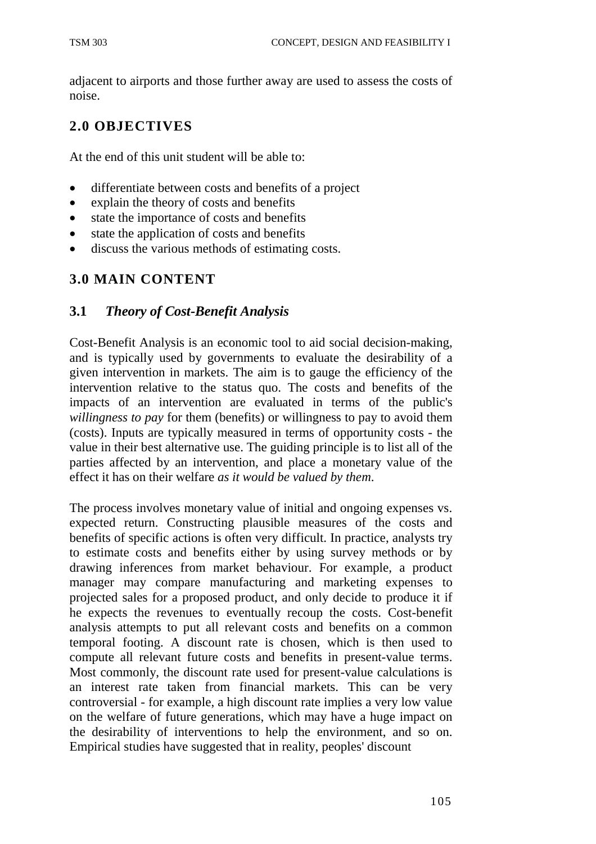adjacent to airports and those further away are used to assess the costs of noise.

# **2.0 OBJECTIVES**

At the end of this unit student will be able to:

- differentiate between costs and benefits of a project
- explain the theory of costs and benefits
- state the importance of costs and benefits
- state the application of costs and benefits
- discuss the various methods of estimating costs.

# **3.0 MAIN CONTENT**

## **3.1** *Theory of Cost-Benefit Analysis*

Cost-Benefit Analysis is an economic tool to aid social decision-making, and is typically used by governments to evaluate the desirability of a given intervention in markets. The aim is to gauge the efficiency of the intervention relative to the status quo. The costs and benefits of the impacts of an intervention are evaluated in terms of the public's *willingness to pay* for them (benefits) or willingness to pay to avoid them (costs). Inputs are typically measured in terms of opportunity costs - the value in their best alternative use. The guiding principle is to list all of the parties affected by an intervention, and place a monetary value of the effect it has on their welfare *as it would be valued by them*.

The process involves monetary value of initial and ongoing expenses vs. expected return. Constructing plausible measures of the costs and benefits of specific actions is often very difficult. In practice, analysts try to estimate costs and benefits either by using survey methods or by drawing inferences from market behaviour. For example, a product manager may compare manufacturing and marketing expenses to projected sales for a proposed product, and only decide to produce it if he expects the revenues to eventually recoup the costs. Cost-benefit analysis attempts to put all relevant costs and benefits on a common temporal footing. A discount rate is chosen, which is then used to compute all relevant future costs and benefits in present-value terms. Most commonly, the discount rate used for present-value calculations is an interest rate taken from financial markets. This can be very controversial - for example, a high discount rate implies a very low value on the welfare of future generations, which may have a huge impact on the desirability of interventions to help the environment, and so on. Empirical studies have suggested that in reality, peoples' discount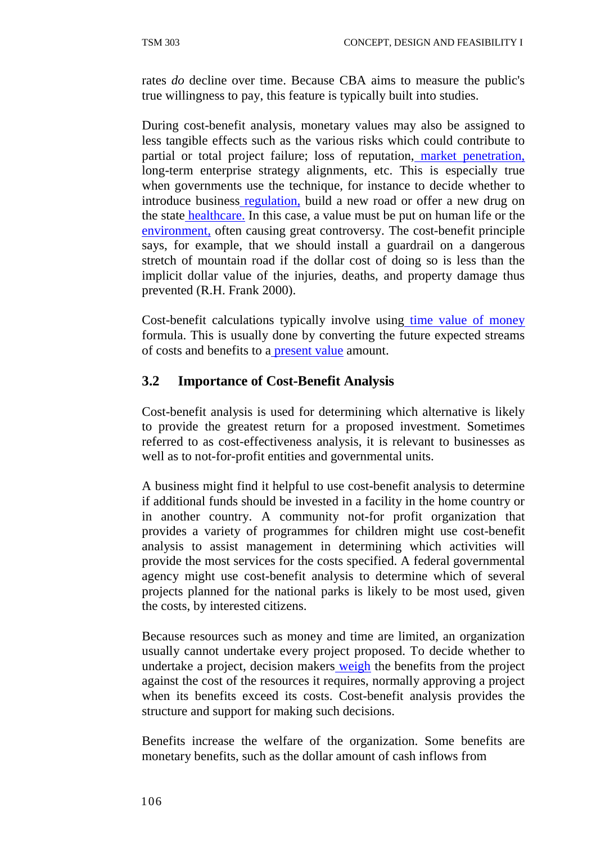rates *do* decline over time. Because CBA aims to measure the public's true willingness to pay, this feature is typically built into studies.

During cost-benefit analysis, monetary values may also be assigned to less tangible effects such as the various risks which could contribute to partial or total project failure; loss of reputation, market penetration, long-term enterprise strategy alignments, etc. This is especially true when governments use the technique, for instance to decide whether to introduce business regulation, build a new road or offer a new drug on the state healthcare. In this case, a value must be put on human life or the environment, often causing great controversy. The cost-benefit principle says, for example, that we should install a guardrail on a dangerous stretch of mountain road if the dollar cost of doing so is less than the implicit dollar value of the injuries, deaths, and property damage thus prevented (R.H. Frank 2000).

Cost-benefit calculations typically involve using time value of money formula. This is usually done by converting the future expected streams of costs and benefits to a present value amount.

### **3.2 Importance of Cost-Benefit Analysis**

Cost-benefit analysis is used for determining which alternative is likely to provide the greatest return for a proposed investment. Sometimes referred to as cost-effectiveness analysis, it is relevant to businesses as well as to not-for-profit entities and governmental units.

A business might find it helpful to use cost-benefit analysis to determine if additional funds should be invested in a facility in the home country or in another country. A community not-for profit organization that provides a variety of programmes for children might use cost-benefit analysis to assist management in determining which activities will provide the most services for the costs specified. A federal governmental agency might use cost-benefit analysis to determine which of several projects planned for the national parks is likely to be most used, given the costs, by interested citizens.

Because resources such as money and time are limited, an organization usually cannot undertake every project proposed. To decide whether to undertake a project, decision makers weigh the benefits from the project against the cost of the resources it requires, normally approving a project when its benefits exceed its costs. Cost-benefit analysis provides the structure and support for making such decisions.

Benefits increase the welfare of the organization. Some benefits are monetary benefits, such as the dollar amount of cash inflows from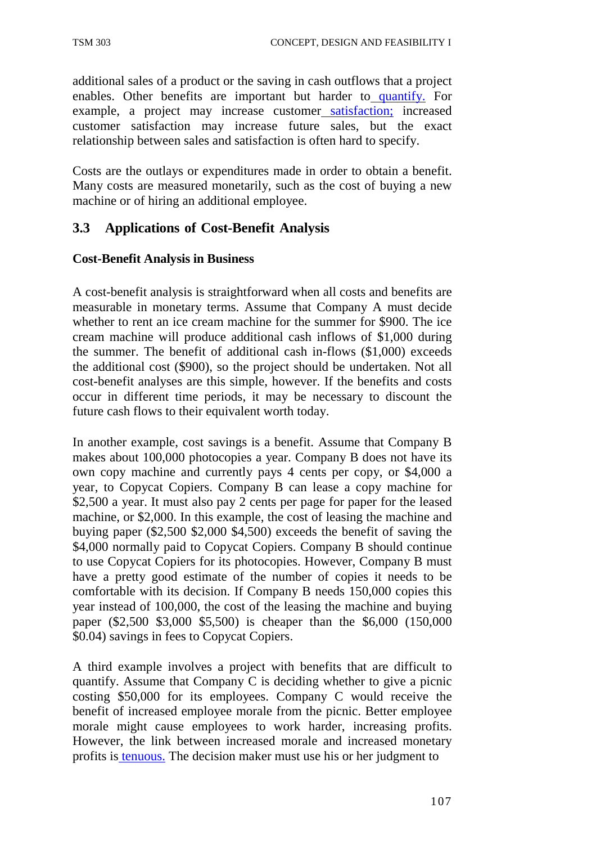additional sales of a product or the saving in cash outflows that a project enables. Other benefits are important but harder to quantify. For example, a project may increase customer satisfaction; increased customer satisfaction may increase future sales, but the exact relationship between sales and satisfaction is often hard to specify.

Costs are the outlays or expenditures made in order to obtain a benefit. Many costs are measured monetarily, such as the cost of buying a new machine or of hiring an additional employee.

# **3.3 Applications of Cost-Benefit Analysis**

#### **Cost-Benefit Analysis in Business**

A cost-benefit analysis is straightforward when all costs and benefits are measurable in monetary terms. Assume that Company A must decide whether to rent an ice cream machine for the summer for \$900. The ice cream machine will produce additional cash inflows of \$1,000 during the summer. The benefit of additional cash in-flows (\$1,000) exceeds the additional cost (\$900), so the project should be undertaken. Not all cost-benefit analyses are this simple, however. If the benefits and costs occur in different time periods, it may be necessary to discount the future cash flows to their equivalent worth today.

In another example, cost savings is a benefit. Assume that Company B makes about 100,000 photocopies a year. Company B does not have its own copy machine and currently pays 4 cents per copy, or \$4,000 a year, to Copycat Copiers. Company B can lease a copy machine for \$2,500 a year. It must also pay 2 cents per page for paper for the leased machine, or \$2,000. In this example, the cost of leasing the machine and buying paper (\$2,500 \$2,000 \$4,500) exceeds the benefit of saving the \$4,000 normally paid to Copycat Copiers. Company B should continue to use Copycat Copiers for its photocopies. However, Company B must have a pretty good estimate of the number of copies it needs to be comfortable with its decision. If Company B needs 150,000 copies this year instead of 100,000, the cost of the leasing the machine and buying paper (\$2,500 \$3,000 \$5,500) is cheaper than the \$6,000 (150,000 \$0.04) savings in fees to Copycat Copiers.

A third example involves a project with benefits that are difficult to quantify. Assume that Company C is deciding whether to give a picnic costing \$50,000 for its employees. Company C would receive the benefit of increased employee morale from the picnic. Better employee morale might cause employees to work harder, increasing profits. However, the link between increased morale and increased monetary profits is tenuous. The decision maker must use his or her judgment to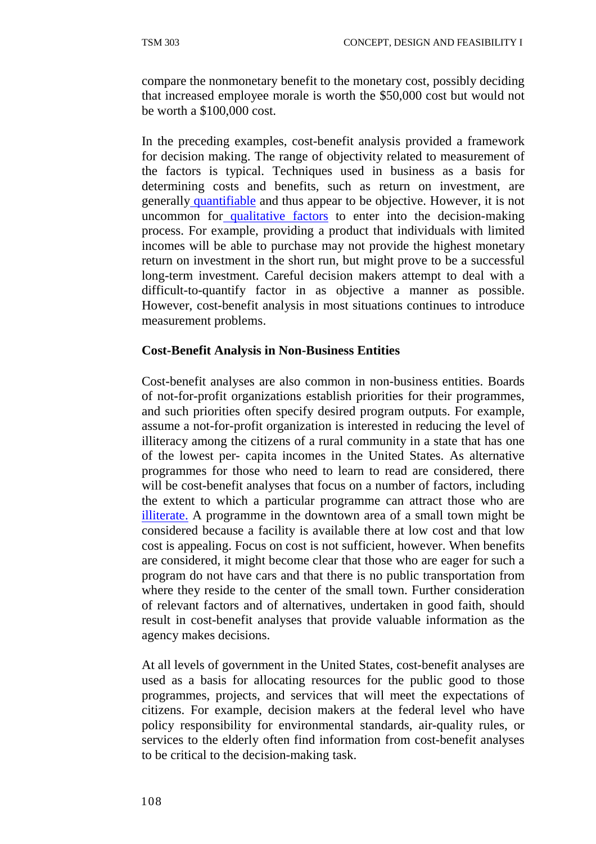compare the nonmonetary benefit to the monetary cost, possibly deciding that increased employee morale is worth the \$50,000 cost but would not be worth a \$100,000 cost.

In the preceding examples, cost-benefit analysis provided a framework for decision making. The range of objectivity related to measurement of the factors is typical. Techniques used in business as a basis for determining costs and benefits, such as return on investment, are generally quantifiable and thus appear to be objective. However, it is not uncommon for qualitative factors to enter into the decision-making process. For example, providing a product that individuals with limited incomes will be able to purchase may not provide the highest monetary return on investment in the short run, but might prove to be a successful long-term investment. Careful decision makers attempt to deal with a difficult-to-quantify factor in as objective a manner as possible. However, cost-benefit analysis in most situations continues to introduce measurement problems.

#### **Cost-Benefit Analysis in Non-Business Entities**

Cost-benefit analyses are also common in non-business entities. Boards of not-for-profit organizations establish priorities for their programmes, and such priorities often specify desired program outputs. For example, assume a not-for-profit organization is interested in reducing the level of illiteracy among the citizens of a rural community in a state that has one of the lowest per- capita incomes in the United States. As alternative programmes for those who need to learn to read are considered, there will be cost-benefit analyses that focus on a number of factors, including the extent to which a particular programme can attract those who are illiterate. A programme in the downtown area of a small town might be considered because a facility is available there at low cost and that low cost is appealing. Focus on cost is not sufficient, however. When benefits are considered, it might become clear that those who are eager for such a program do not have cars and that there is no public transportation from where they reside to the center of the small town. Further consideration of relevant factors and of alternatives, undertaken in good faith, should result in cost-benefit analyses that provide valuable information as the agency makes decisions.

At all levels of government in the United States, cost-benefit analyses are used as a basis for allocating resources for the public good to those programmes, projects, and services that will meet the expectations of citizens. For example, decision makers at the federal level who have policy responsibility for environmental standards, air-quality rules, or services to the elderly often find information from cost-benefit analyses to be critical to the decision-making task.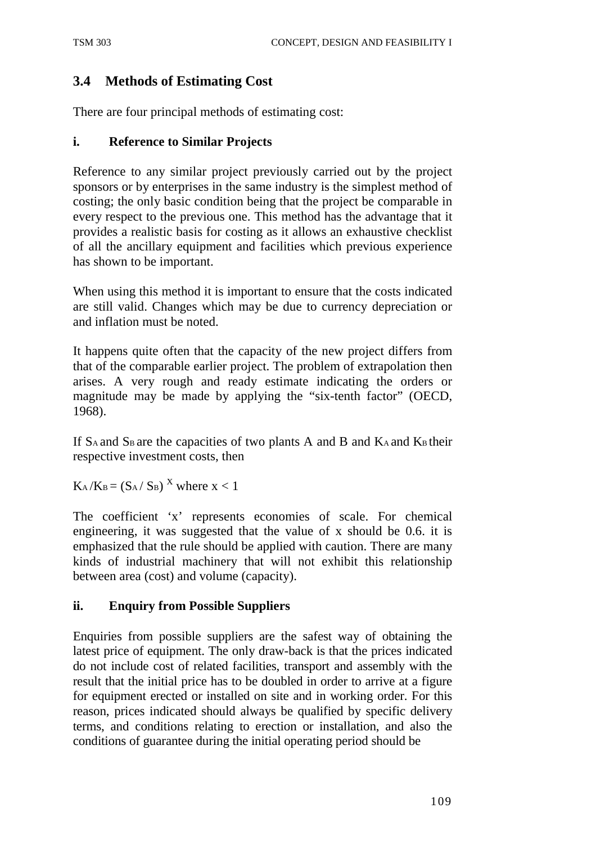# **3.4 Methods of Estimating Cost**

There are four principal methods of estimating cost:

## **i. Reference to Similar Projects**

Reference to any similar project previously carried out by the project sponsors or by enterprises in the same industry is the simplest method of costing; the only basic condition being that the project be comparable in every respect to the previous one. This method has the advantage that it provides a realistic basis for costing as it allows an exhaustive checklist of all the ancillary equipment and facilities which previous experience has shown to be important.

When using this method it is important to ensure that the costs indicated are still valid. Changes which may be due to currency depreciation or and inflation must be noted.

It happens quite often that the capacity of the new project differs from that of the comparable earlier project. The problem of extrapolation then arises. A very rough and ready estimate indicating the orders or magnitude may be made by applying the "six-tenth factor" (OECD, 1968).

If  $S_A$  and  $S_B$  are the capacities of two plants A and B and  $K_A$  and  $K_B$  their respective investment costs, then

 $K_A/K_B = (S_A/S_B)^X$  where  $x < 1$ 

The coefficient 'x' represents economies of scale. For chemical engineering, it was suggested that the value of x should be 0.6. it is emphasized that the rule should be applied with caution. There are many kinds of industrial machinery that will not exhibit this relationship between area (cost) and volume (capacity).

#### **ii. Enquiry from Possible Suppliers**

Enquiries from possible suppliers are the safest way of obtaining the latest price of equipment. The only draw-back is that the prices indicated do not include cost of related facilities, transport and assembly with the result that the initial price has to be doubled in order to arrive at a figure for equipment erected or installed on site and in working order. For this reason, prices indicated should always be qualified by specific delivery terms, and conditions relating to erection or installation, and also the conditions of guarantee during the initial operating period should be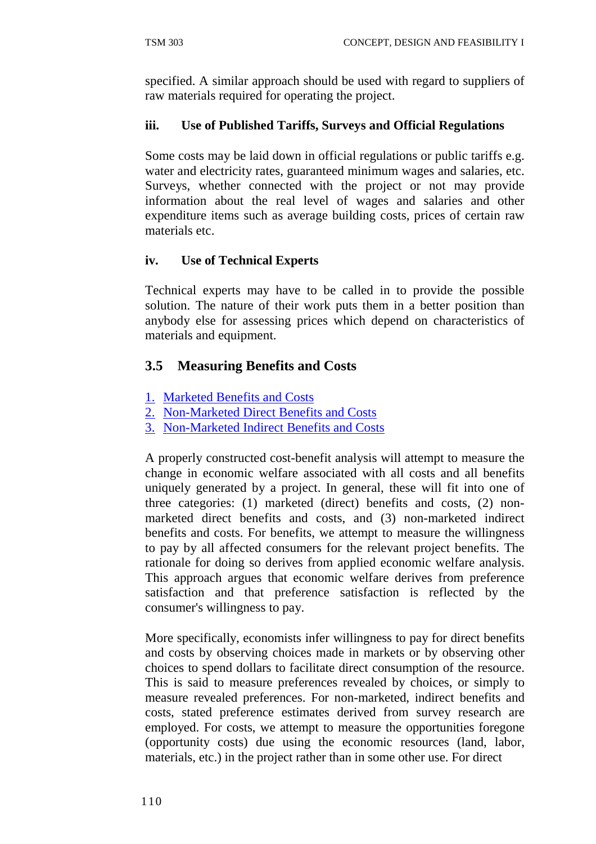specified. A similar approach should be used with regard to suppliers of raw materials required for operating the project.

### **iii. Use of Published Tariffs, Surveys and Official Regulations**

Some costs may be laid down in official regulations or public tariffs e.g. water and electricity rates, guaranteed minimum wages and salaries, etc. Surveys, whether connected with the project or not may provide information about the real level of wages and salaries and other expenditure items such as average building costs, prices of certain raw materials etc.

### **iv. Use of Technical Experts**

Technical experts may have to be called in to provide the possible solution. The nature of their work puts them in a better position than anybody else for assessing prices which depend on characteristics of materials and equipment.

# **3.5 Measuring Benefits and Costs**

- 1. Marketed Benefits and Costs
- 2. Non-Marketed Direct Benefits and Costs
- 3. Non-Marketed Indirect Benefits and Costs

A properly constructed cost-benefit analysis will attempt to measure the change in economic welfare associated with all costs and all benefits uniquely generated by a project. In general, these will fit into one of three categories: (1) marketed (direct) benefits and costs, (2) nonmarketed direct benefits and costs, and (3) non-marketed indirect benefits and costs. For benefits, we attempt to measure the willingness to pay by all affected consumers for the relevant project benefits. The rationale for doing so derives from applied economic welfare analysis. This approach argues that economic welfare derives from preference satisfaction and that preference satisfaction is reflected by the consumer's willingness to pay.

More specifically, economists infer willingness to pay for direct benefits and costs by observing choices made in markets or by observing other choices to spend dollars to facilitate direct consumption of the resource. This is said to measure preferences revealed by choices, or simply to measure revealed preferences. For non-marketed, indirect benefits and costs, stated preference estimates derived from survey research are employed. For costs, we attempt to measure the opportunities foregone (opportunity costs) due using the economic resources (land, labor, materials, etc.) in the project rather than in some other use. For direct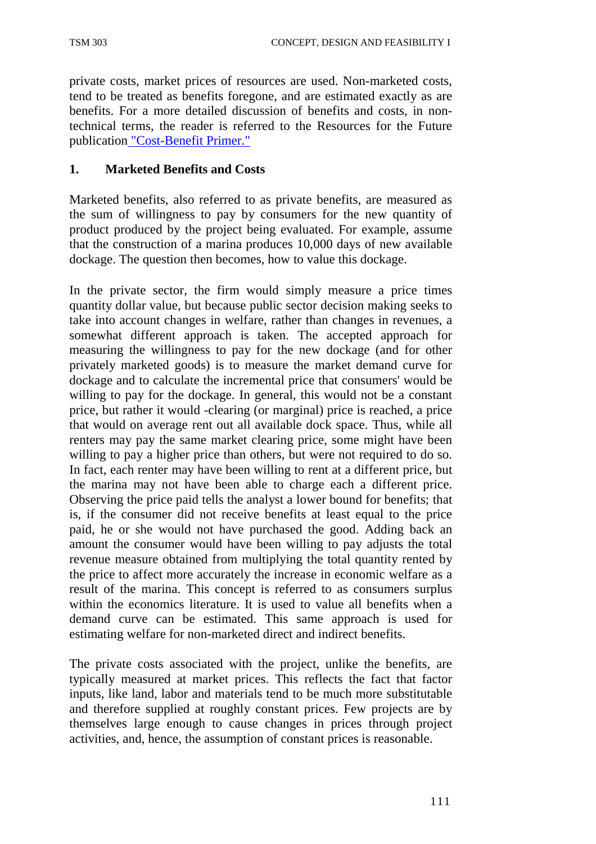private costs, market prices of resources are used. Non-marketed costs, tend to be treated as benefits foregone, and are estimated exactly as are benefits. For a more detailed discussion of benefits and costs, in nontechnical terms, the reader is referred to the Resources for the Future publication\_"Cost-Benefit Primer."

#### **1. Marketed Benefits and Costs**

Marketed benefits, also referred to as private benefits, are measured as the sum of willingness to pay by consumers for the new quantity of product produced by the project being evaluated. For example, assume that the construction of a marina produces 10,000 days of new available dockage. The question then becomes, how to value this dockage.

In the private sector, the firm would simply measure a price times quantity dollar value, but because public sector decision making seeks to take into account changes in welfare, rather than changes in revenues, a somewhat different approach is taken. The accepted approach for measuring the willingness to pay for the new dockage (and for other privately marketed goods) is to measure the market demand curve for dockage and to calculate the incremental price that consumers' would be willing to pay for the dockage. In general, this would not be a constant price, but rather it would -clearing (or marginal) price is reached, a price that would on average rent out all available dock space. Thus, while all renters may pay the same market clearing price, some might have been willing to pay a higher price than others, but were not required to do so. In fact, each renter may have been willing to rent at a different price, but the marina may not have been able to charge each a different price. Observing the price paid tells the analyst a lower bound for benefits; that is, if the consumer did not receive benefits at least equal to the price paid, he or she would not have purchased the good. Adding back an amount the consumer would have been willing to pay adjusts the total revenue measure obtained from multiplying the total quantity rented by the price to affect more accurately the increase in economic welfare as a result of the marina. This concept is referred to as consumers surplus within the economics literature. It is used to value all benefits when a demand curve can be estimated. This same approach is used for estimating welfare for non-marketed direct and indirect benefits.

The private costs associated with the project, unlike the benefits, are typically measured at market prices. This reflects the fact that factor inputs, like land, labor and materials tend to be much more substitutable and therefore supplied at roughly constant prices. Few projects are by themselves large enough to cause changes in prices through project activities, and, hence, the assumption of constant prices is reasonable.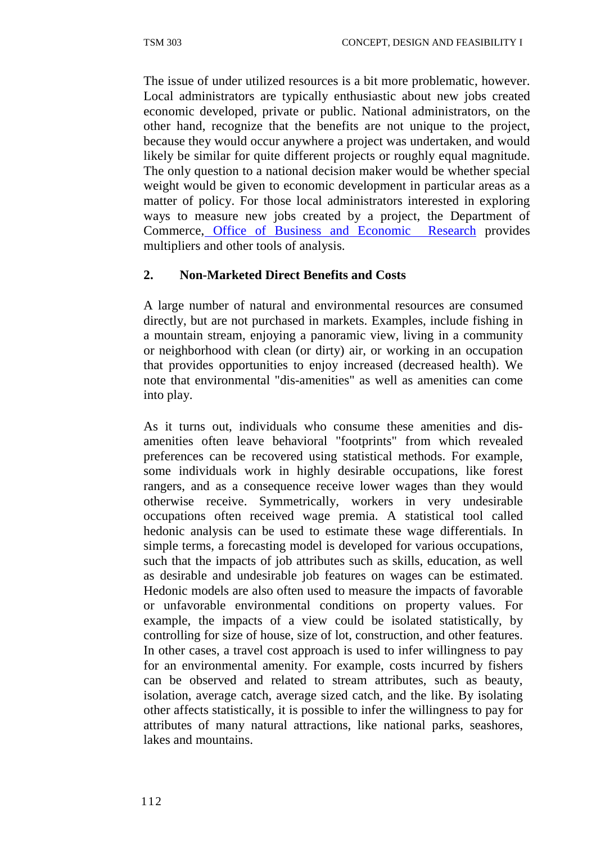The issue of under utilized resources is a bit more problematic, however. Local administrators are typically enthusiastic about new jobs created economic developed, private or public. National administrators, on the other hand, recognize that the benefits are not unique to the project, because they would occur anywhere a project was undertaken, and would likely be similar for quite different projects or roughly equal magnitude. The only question to a national decision maker would be whether special weight would be given to economic development in particular areas as a matter of policy. For those local administrators interested in exploring ways to measure new jobs created by a project, the Department of Commerce, Office of Business and Economic Research provides multipliers and other tools of analysis.

## **2. Non-Marketed Direct Benefits and Costs**

A large number of natural and environmental resources are consumed directly, but are not purchased in markets. Examples, include fishing in a mountain stream, enjoying a panoramic view, living in a community or neighborhood with clean (or dirty) air, or working in an occupation that provides opportunities to enjoy increased (decreased health). We note that environmental "dis-amenities" as well as amenities can come into play.

As it turns out, individuals who consume these amenities and disamenities often leave behavioral "footprints" from which revealed preferences can be recovered using statistical methods. For example, some individuals work in highly desirable occupations, like forest rangers, and as a consequence receive lower wages than they would otherwise receive. Symmetrically, workers in very undesirable occupations often received wage premia. A statistical tool called hedonic analysis can be used to estimate these wage differentials. In simple terms, a forecasting model is developed for various occupations, such that the impacts of job attributes such as skills, education, as well as desirable and undesirable job features on wages can be estimated. Hedonic models are also often used to measure the impacts of favorable or unfavorable environmental conditions on property values. For example, the impacts of a view could be isolated statistically, by controlling for size of house, size of lot, construction, and other features. In other cases, a travel cost approach is used to infer willingness to pay for an environmental amenity. For example, costs incurred by fishers can be observed and related to stream attributes, such as beauty, isolation, average catch, average sized catch, and the like. By isolating other affects statistically, it is possible to infer the willingness to pay for attributes of many natural attractions, like national parks, seashores, lakes and mountains.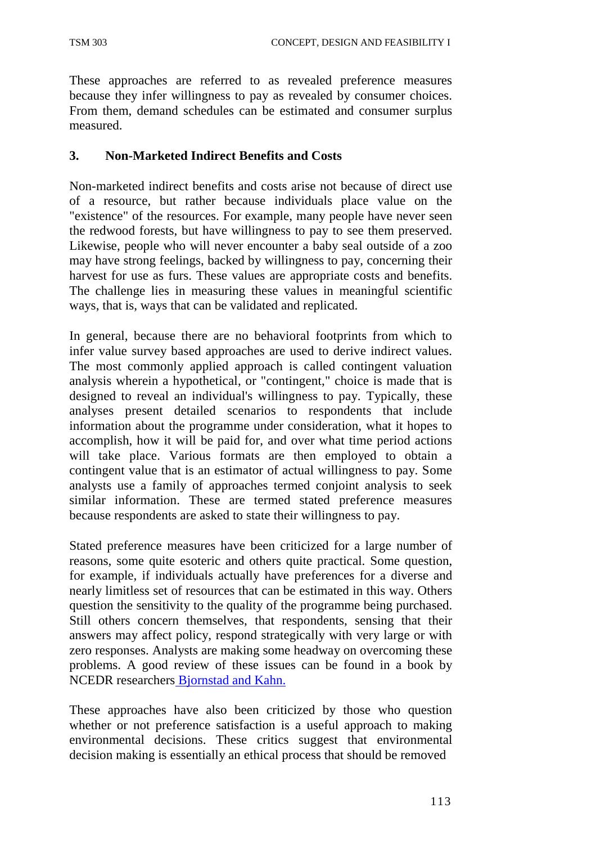These approaches are referred to as revealed preference measures because they infer willingness to pay as revealed by consumer choices. From them, demand schedules can be estimated and consumer surplus measured.

### **3. Non-Marketed Indirect Benefits and Costs**

Non-marketed indirect benefits and costs arise not because of direct use of a resource, but rather because individuals place value on the "existence" of the resources. For example, many people have never seen the redwood forests, but have willingness to pay to see them preserved. Likewise, people who will never encounter a baby seal outside of a zoo may have strong feelings, backed by willingness to pay, concerning their harvest for use as furs. These values are appropriate costs and benefits. The challenge lies in measuring these values in meaningful scientific ways, that is, ways that can be validated and replicated.

In general, because there are no behavioral footprints from which to infer value survey based approaches are used to derive indirect values. The most commonly applied approach is called contingent valuation analysis wherein a hypothetical, or "contingent," choice is made that is designed to reveal an individual's willingness to pay. Typically, these analyses present detailed scenarios to respondents that include information about the programme under consideration, what it hopes to accomplish, how it will be paid for, and over what time period actions will take place. Various formats are then employed to obtain a contingent value that is an estimator of actual willingness to pay. Some analysts use a family of approaches termed conjoint analysis to seek similar information. These are termed stated preference measures because respondents are asked to state their willingness to pay.

Stated preference measures have been criticized for a large number of reasons, some quite esoteric and others quite practical. Some question, for example, if individuals actually have preferences for a diverse and nearly limitless set of resources that can be estimated in this way. Others question the sensitivity to the quality of the programme being purchased. Still others concern themselves, that respondents, sensing that their answers may affect policy, respond strategically with very large or with zero responses. Analysts are making some headway on overcoming these problems. A good review of these issues can be found in a book by NCEDR researchers Bjornstad and Kahn.

These approaches have also been criticized by those who question whether or not preference satisfaction is a useful approach to making environmental decisions. These critics suggest that environmental decision making is essentially an ethical process that should be removed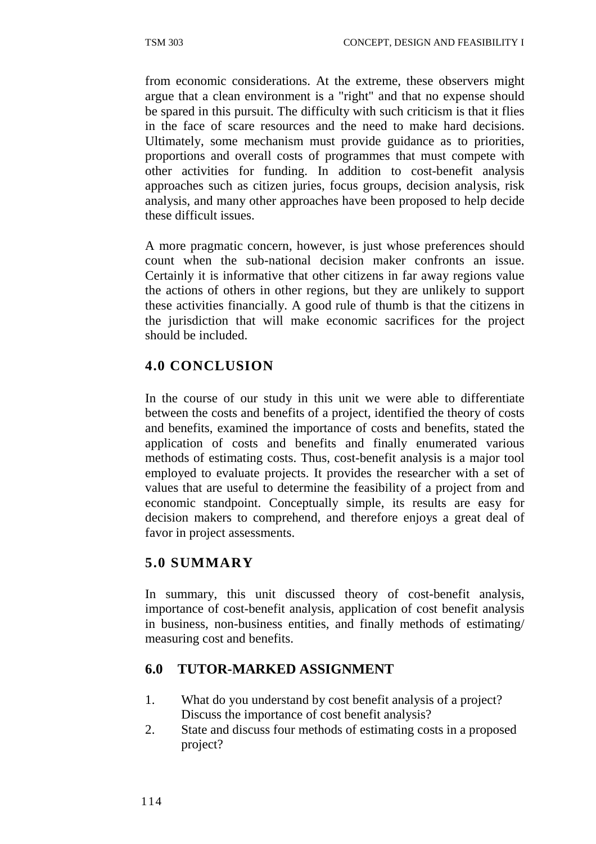from economic considerations. At the extreme, these observers might argue that a clean environment is a "right" and that no expense should be spared in this pursuit. The difficulty with such criticism is that it flies in the face of scare resources and the need to make hard decisions. Ultimately, some mechanism must provide guidance as to priorities, proportions and overall costs of programmes that must compete with other activities for funding. In addition to cost-benefit analysis approaches such as citizen juries, focus groups, decision analysis, risk analysis, and many other approaches have been proposed to help decide these difficult issues.

A more pragmatic concern, however, is just whose preferences should count when the sub-national decision maker confronts an issue. Certainly it is informative that other citizens in far away regions value the actions of others in other regions, but they are unlikely to support these activities financially. A good rule of thumb is that the citizens in the jurisdiction that will make economic sacrifices for the project should be included.

# **4.0 CONCLUSION**

In the course of our study in this unit we were able to differentiate between the costs and benefits of a project, identified the theory of costs and benefits, examined the importance of costs and benefits, stated the application of costs and benefits and finally enumerated various methods of estimating costs. Thus, cost-benefit analysis is a major tool employed to evaluate projects. It provides the researcher with a set of values that are useful to determine the feasibility of a project from and economic standpoint. Conceptually simple, its results are easy for decision makers to comprehend, and therefore enjoys a great deal of favor in project assessments.

# **5.0 SUMMARY**

In summary, this unit discussed theory of cost-benefit analysis, importance of cost-benefit analysis, application of cost benefit analysis in business, non-business entities, and finally methods of estimating/ measuring cost and benefits.

## **6.0 TUTOR-MARKED ASSIGNMENT**

- 1. What do you understand by cost benefit analysis of a project? Discuss the importance of cost benefit analysis?
- 2. State and discuss four methods of estimating costs in a proposed project?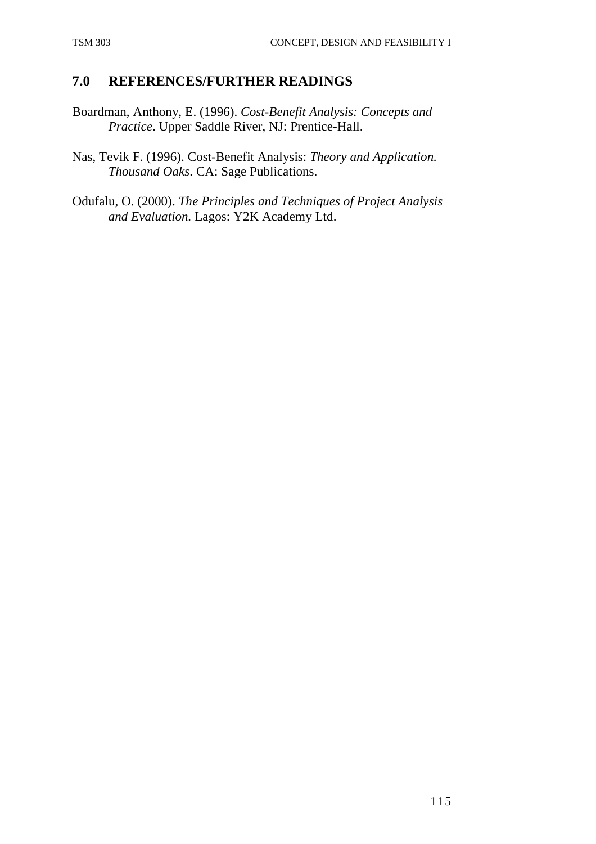### **7.0 REFERENCES/FURTHER READINGS**

- Boardman, Anthony, E. (1996). *Cost-Benefit Analysis: Concepts and Practice*. Upper Saddle River, NJ: Prentice-Hall.
- Nas, Tevik F. (1996). Cost-Benefit Analysis: *Theory and Application. Thousand Oaks*. CA: Sage Publications.
- Odufalu, O. (2000). *The Principles and Techniques of Project Analysis and Evaluation.* Lagos: Y2K Academy Ltd.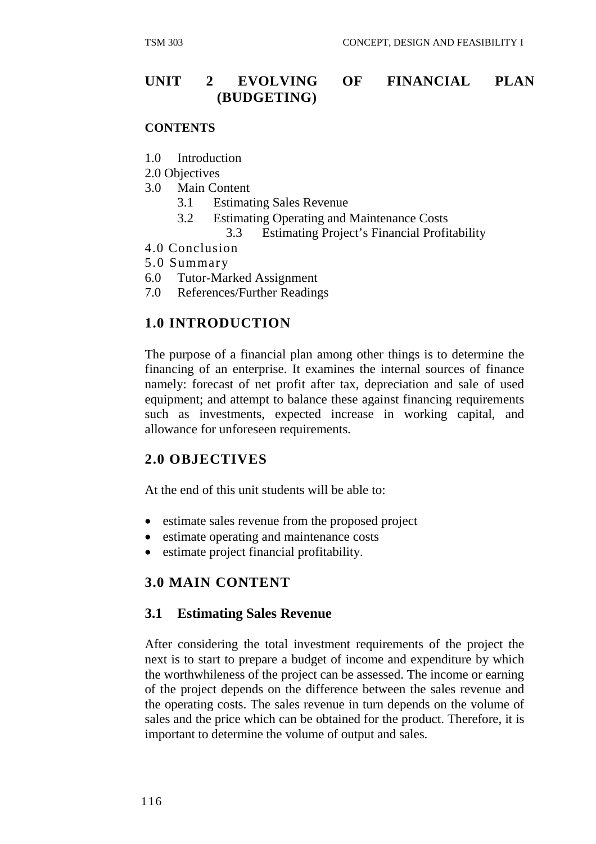# **UNIT 2 EVOLVING OF FINANCIAL PLAN (BUDGETING)**

#### **CONTENTS**

- 1.0 Introduction
- 2.0 Objectives
- 3.0 Main Content
	- 3.1 Estimating Sales Revenue
	- 3.2 Estimating Operating and Maintenance Costs
		- 3.3 Estimating Project's Financial Profitability
- 4.0 Conclusion
- 5.0 Summary
- 6.0 Tutor-Marked Assignment
- 7.0 References/Further Readings

# **1.0 INTRODUCTION**

The purpose of a financial plan among other things is to determine the financing of an enterprise. It examines the internal sources of finance namely: forecast of net profit after tax, depreciation and sale of used equipment; and attempt to balance these against financing requirements such as investments, expected increase in working capital, and allowance for unforeseen requirements.

## **2.0 OBJECTIVES**

At the end of this unit students will be able to:

- estimate sales revenue from the proposed project
- estimate operating and maintenance costs
- estimate project financial profitability.

## **3.0 MAIN CONTENT**

#### **3.1 Estimating Sales Revenue**

After considering the total investment requirements of the project the next is to start to prepare a budget of income and expenditure by which the worthwhileness of the project can be assessed. The income or earning of the project depends on the difference between the sales revenue and the operating costs. The sales revenue in turn depends on the volume of sales and the price which can be obtained for the product. Therefore, it is important to determine the volume of output and sales.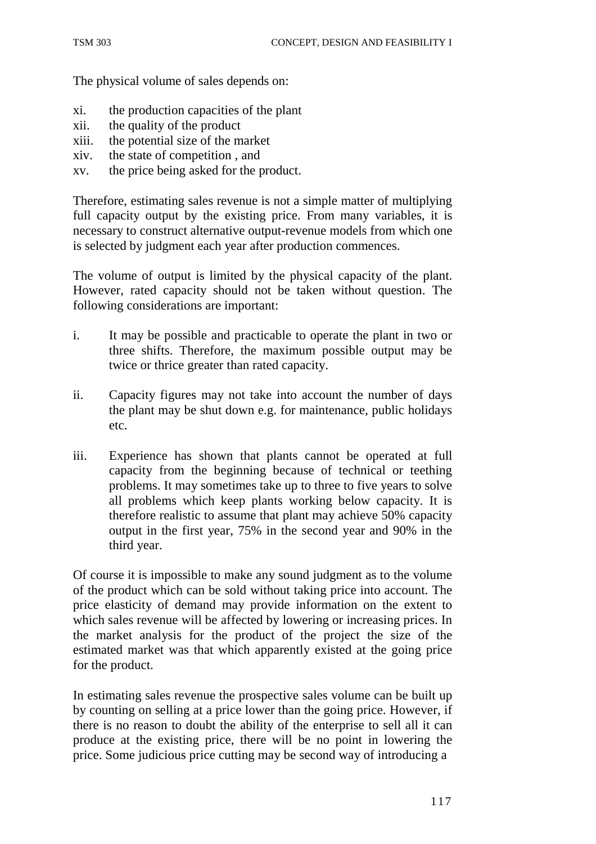The physical volume of sales depends on:

- xi. the production capacities of the plant
- xii. the quality of the product
- xiii. the potential size of the market
- xiv. the state of competition , and
- xv. the price being asked for the product.

Therefore, estimating sales revenue is not a simple matter of multiplying full capacity output by the existing price. From many variables, it is necessary to construct alternative output-revenue models from which one is selected by judgment each year after production commences.

The volume of output is limited by the physical capacity of the plant. However, rated capacity should not be taken without question. The following considerations are important:

- i. It may be possible and practicable to operate the plant in two or three shifts. Therefore, the maximum possible output may be twice or thrice greater than rated capacity.
- ii. Capacity figures may not take into account the number of days the plant may be shut down e.g. for maintenance, public holidays etc.
- iii. Experience has shown that plants cannot be operated at full capacity from the beginning because of technical or teething problems. It may sometimes take up to three to five years to solve all problems which keep plants working below capacity. It is therefore realistic to assume that plant may achieve 50% capacity output in the first year, 75% in the second year and 90% in the third year.

Of course it is impossible to make any sound judgment as to the volume of the product which can be sold without taking price into account. The price elasticity of demand may provide information on the extent to which sales revenue will be affected by lowering or increasing prices. In the market analysis for the product of the project the size of the estimated market was that which apparently existed at the going price for the product.

In estimating sales revenue the prospective sales volume can be built up by counting on selling at a price lower than the going price. However, if there is no reason to doubt the ability of the enterprise to sell all it can produce at the existing price, there will be no point in lowering the price. Some judicious price cutting may be second way of introducing a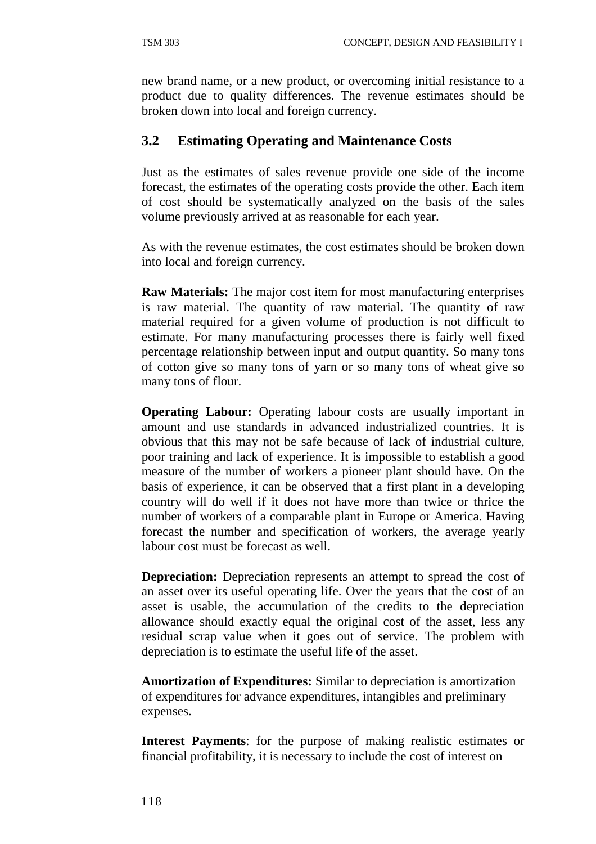new brand name, or a new product, or overcoming initial resistance to a product due to quality differences. The revenue estimates should be broken down into local and foreign currency.

## **3.2 Estimating Operating and Maintenance Costs**

Just as the estimates of sales revenue provide one side of the income forecast, the estimates of the operating costs provide the other. Each item of cost should be systematically analyzed on the basis of the sales volume previously arrived at as reasonable for each year.

As with the revenue estimates, the cost estimates should be broken down into local and foreign currency.

**Raw Materials:** The major cost item for most manufacturing enterprises is raw material. The quantity of raw material. The quantity of raw material required for a given volume of production is not difficult to estimate. For many manufacturing processes there is fairly well fixed percentage relationship between input and output quantity. So many tons of cotton give so many tons of yarn or so many tons of wheat give so many tons of flour.

**Operating Labour:** Operating labour costs are usually important in amount and use standards in advanced industrialized countries. It is obvious that this may not be safe because of lack of industrial culture, poor training and lack of experience. It is impossible to establish a good measure of the number of workers a pioneer plant should have. On the basis of experience, it can be observed that a first plant in a developing country will do well if it does not have more than twice or thrice the number of workers of a comparable plant in Europe or America. Having forecast the number and specification of workers, the average yearly labour cost must be forecast as well.

**Depreciation:** Depreciation represents an attempt to spread the cost of an asset over its useful operating life. Over the years that the cost of an asset is usable, the accumulation of the credits to the depreciation allowance should exactly equal the original cost of the asset, less any residual scrap value when it goes out of service. The problem with depreciation is to estimate the useful life of the asset.

**Amortization of Expenditures:** Similar to depreciation is amortization of expenditures for advance expenditures, intangibles and preliminary expenses.

**Interest Payments**: for the purpose of making realistic estimates or financial profitability, it is necessary to include the cost of interest on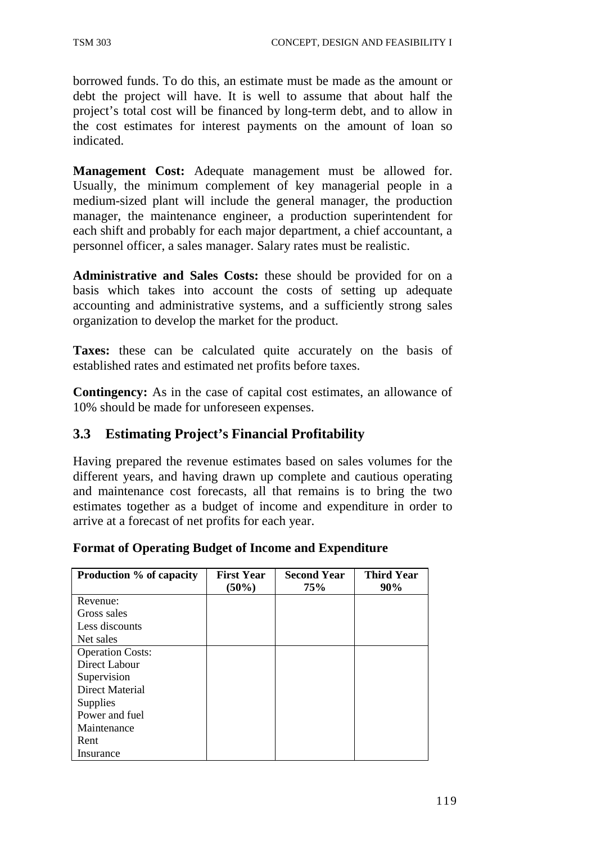borrowed funds. To do this, an estimate must be made as the amount or debt the project will have. It is well to assume that about half the project's total cost will be financed by long-term debt, and to allow in the cost estimates for interest payments on the amount of loan so indicated.

**Management Cost:** Adequate management must be allowed for. Usually, the minimum complement of key managerial people in a medium-sized plant will include the general manager, the production manager, the maintenance engineer, a production superintendent for each shift and probably for each major department, a chief accountant, a personnel officer, a sales manager. Salary rates must be realistic.

**Administrative and Sales Costs:** these should be provided for on a basis which takes into account the costs of setting up adequate accounting and administrative systems, and a sufficiently strong sales organization to develop the market for the product.

**Taxes:** these can be calculated quite accurately on the basis of established rates and estimated net profits before taxes.

**Contingency:** As in the case of capital cost estimates, an allowance of 10% should be made for unforeseen expenses.

# **3.3 Estimating Project's Financial Profitability**

Having prepared the revenue estimates based on sales volumes for the different years, and having drawn up complete and cautious operating and maintenance cost forecasts, all that remains is to bring the two estimates together as a budget of income and expenditure in order to arrive at a forecast of net profits for each year.

| <b>Production % of capacity</b> | <b>First Year</b><br>$(50\%)$ | <b>Second Year</b><br>75% | <b>Third Year</b><br>90% |
|---------------------------------|-------------------------------|---------------------------|--------------------------|
| Revenue:                        |                               |                           |                          |
| Gross sales                     |                               |                           |                          |
| Less discounts                  |                               |                           |                          |
| Net sales                       |                               |                           |                          |
| <b>Operation Costs:</b>         |                               |                           |                          |
| Direct Labour                   |                               |                           |                          |
| Supervision                     |                               |                           |                          |
| Direct Material                 |                               |                           |                          |
| <b>Supplies</b>                 |                               |                           |                          |
| Power and fuel                  |                               |                           |                          |
| Maintenance                     |                               |                           |                          |
| Rent                            |                               |                           |                          |
| Insurance                       |                               |                           |                          |

#### **Format of Operating Budget of Income and Expenditure**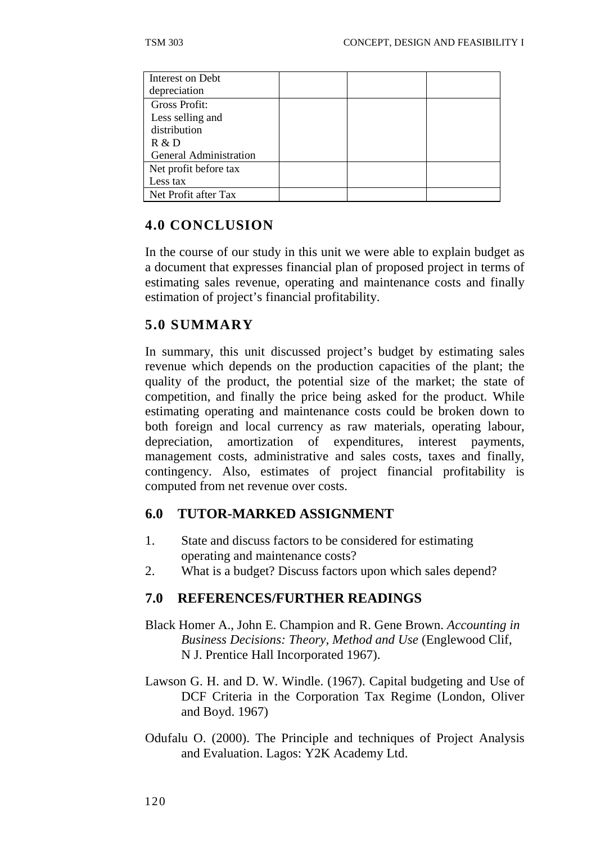| Interest on Debt              |  |  |
|-------------------------------|--|--|
| depreciation                  |  |  |
| Gross Profit:                 |  |  |
| Less selling and              |  |  |
| distribution                  |  |  |
| R & D                         |  |  |
| <b>General Administration</b> |  |  |
| Net profit before tax         |  |  |
| Less tax                      |  |  |
| Net Profit after Tax          |  |  |

# **4.0 CONCLUSION**

In the course of our study in this unit we were able to explain budget as a document that expresses financial plan of proposed project in terms of estimating sales revenue, operating and maintenance costs and finally estimation of project's financial profitability.

## **5.0 SUMMARY**

In summary, this unit discussed project's budget by estimating sales revenue which depends on the production capacities of the plant; the quality of the product, the potential size of the market; the state of competition, and finally the price being asked for the product. While estimating operating and maintenance costs could be broken down to both foreign and local currency as raw materials, operating labour, depreciation, amortization of expenditures, interest payments, management costs, administrative and sales costs, taxes and finally, contingency. Also, estimates of project financial profitability is computed from net revenue over costs.

## **6.0 TUTOR-MARKED ASSIGNMENT**

- 1. State and discuss factors to be considered for estimating operating and maintenance costs?
- 2. What is a budget? Discuss factors upon which sales depend?

## **7.0 REFERENCES/FURTHER READINGS**

- Black Homer A., John E. Champion and R. Gene Brown. *Accounting in Business Decisions: Theory, Method and Use* (Englewood Clif, N J. Prentice Hall Incorporated 1967).
- Lawson G. H. and D. W. Windle. (1967). Capital budgeting and Use of DCF Criteria in the Corporation Tax Regime (London, Oliver and Boyd. 1967)
- Odufalu O. (2000). The Principle and techniques of Project Analysis and Evaluation. Lagos: Y2K Academy Ltd.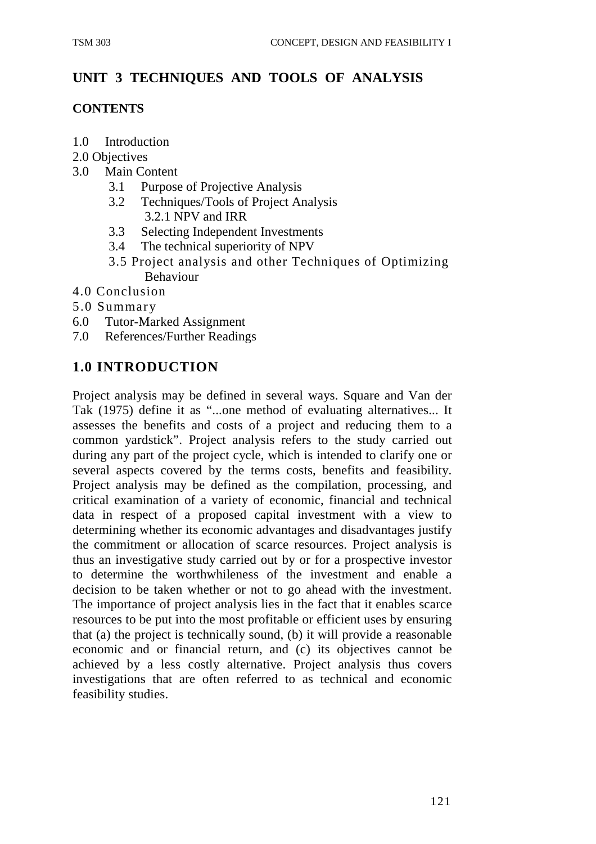# **UNIT 3 TECHNIQUES AND TOOLS OF ANALYSIS**

#### **CONTENTS**

- 1.0 Introduction
- 2.0 Objectives
- 3.0 Main Content
	- 3.1 Purpose of Projective Analysis
	- 3.2 Techniques/Tools of Project Analysis 3.2.1 NPV and IRR
	- 3.3 Selecting Independent Investments
	- 3.4 The technical superiority of NPV
	- 3.5 Project analysis and other Techniques of Optimizing Behaviour
- 4.0 Conclusion
- 5.0 Summary
- 6.0 Tutor-Marked Assignment
- 7.0 References/Further Readings

# **1.0 INTRODUCTION**

Project analysis may be defined in several ways. Square and Van der Tak (1975) define it as "...one method of evaluating alternatives... It assesses the benefits and costs of a project and reducing them to a common yardstick". Project analysis refers to the study carried out during any part of the project cycle, which is intended to clarify one or several aspects covered by the terms costs, benefits and feasibility. Project analysis may be defined as the compilation, processing, and critical examination of a variety of economic, financial and technical data in respect of a proposed capital investment with a view to determining whether its economic advantages and disadvantages justify the commitment or allocation of scarce resources. Project analysis is thus an investigative study carried out by or for a prospective investor to determine the worthwhileness of the investment and enable a decision to be taken whether or not to go ahead with the investment. The importance of project analysis lies in the fact that it enables scarce resources to be put into the most profitable or efficient uses by ensuring that (a) the project is technically sound, (b) it will provide a reasonable economic and or financial return, and (c) its objectives cannot be achieved by a less costly alternative. Project analysis thus covers investigations that are often referred to as technical and economic feasibility studies.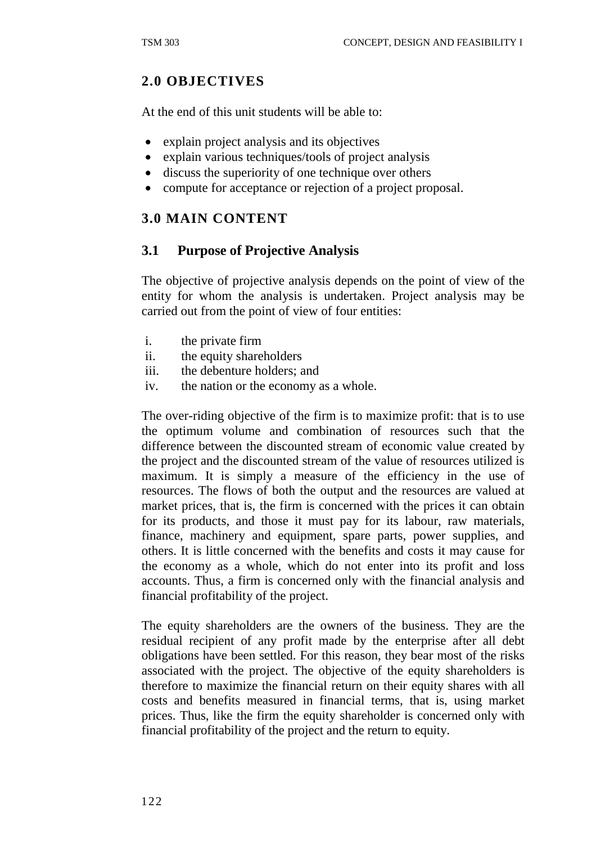# **2.0 OBJECTIVES**

At the end of this unit students will be able to:

- explain project analysis and its objectives
- explain various techniques/tools of project analysis
- discuss the superiority of one technique over others
- compute for acceptance or rejection of a project proposal.

# **3.0 MAIN CONTENT**

# **3.1 Purpose of Projective Analysis**

The objective of projective analysis depends on the point of view of the entity for whom the analysis is undertaken. Project analysis may be carried out from the point of view of four entities:

- i. the private firm
- ii. the equity shareholders
- iii. the debenture holders; and
- iv. the nation or the economy as a whole.

The over-riding objective of the firm is to maximize profit: that is to use the optimum volume and combination of resources such that the difference between the discounted stream of economic value created by the project and the discounted stream of the value of resources utilized is maximum. It is simply a measure of the efficiency in the use of resources. The flows of both the output and the resources are valued at market prices, that is, the firm is concerned with the prices it can obtain for its products, and those it must pay for its labour, raw materials, finance, machinery and equipment, spare parts, power supplies, and others. It is little concerned with the benefits and costs it may cause for the economy as a whole, which do not enter into its profit and loss accounts. Thus, a firm is concerned only with the financial analysis and financial profitability of the project.

The equity shareholders are the owners of the business. They are the residual recipient of any profit made by the enterprise after all debt obligations have been settled. For this reason, they bear most of the risks associated with the project. The objective of the equity shareholders is therefore to maximize the financial return on their equity shares with all costs and benefits measured in financial terms, that is, using market prices. Thus, like the firm the equity shareholder is concerned only with financial profitability of the project and the return to equity.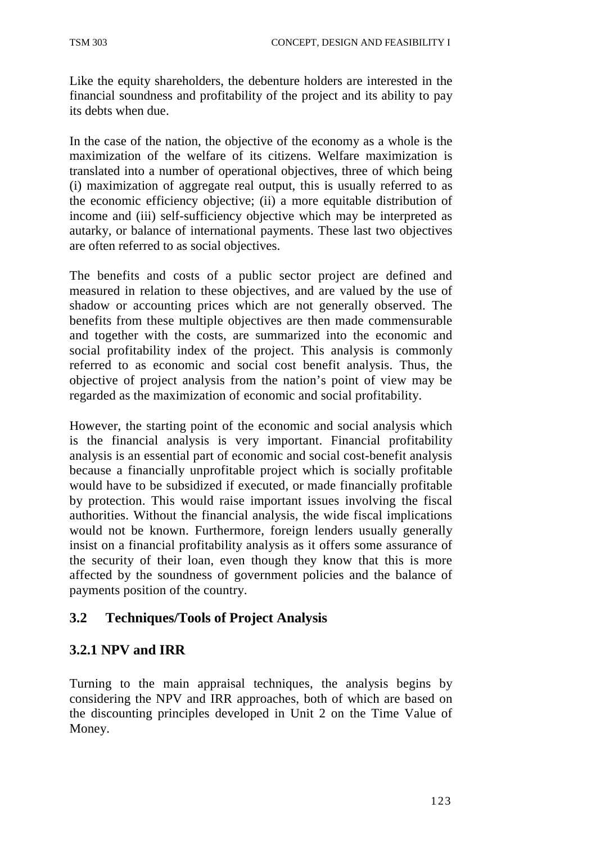Like the equity shareholders, the debenture holders are interested in the financial soundness and profitability of the project and its ability to pay its debts when due.

In the case of the nation, the objective of the economy as a whole is the maximization of the welfare of its citizens. Welfare maximization is translated into a number of operational objectives, three of which being (i) maximization of aggregate real output, this is usually referred to as the economic efficiency objective; (ii) a more equitable distribution of income and (iii) self-sufficiency objective which may be interpreted as autarky, or balance of international payments. These last two objectives are often referred to as social objectives.

The benefits and costs of a public sector project are defined and measured in relation to these objectives, and are valued by the use of shadow or accounting prices which are not generally observed. The benefits from these multiple objectives are then made commensurable and together with the costs, are summarized into the economic and social profitability index of the project. This analysis is commonly referred to as economic and social cost benefit analysis. Thus, the objective of project analysis from the nation's point of view may be regarded as the maximization of economic and social profitability.

However, the starting point of the economic and social analysis which is the financial analysis is very important. Financial profitability analysis is an essential part of economic and social cost-benefit analysis because a financially unprofitable project which is socially profitable would have to be subsidized if executed, or made financially profitable by protection. This would raise important issues involving the fiscal authorities. Without the financial analysis, the wide fiscal implications would not be known. Furthermore, foreign lenders usually generally insist on a financial profitability analysis as it offers some assurance of the security of their loan, even though they know that this is more affected by the soundness of government policies and the balance of payments position of the country.

# **3.2 Techniques/Tools of Project Analysis**

## **3.2.1 NPV and IRR**

Turning to the main appraisal techniques, the analysis begins by considering the NPV and IRR approaches, both of which are based on the discounting principles developed in Unit 2 on the Time Value of Money.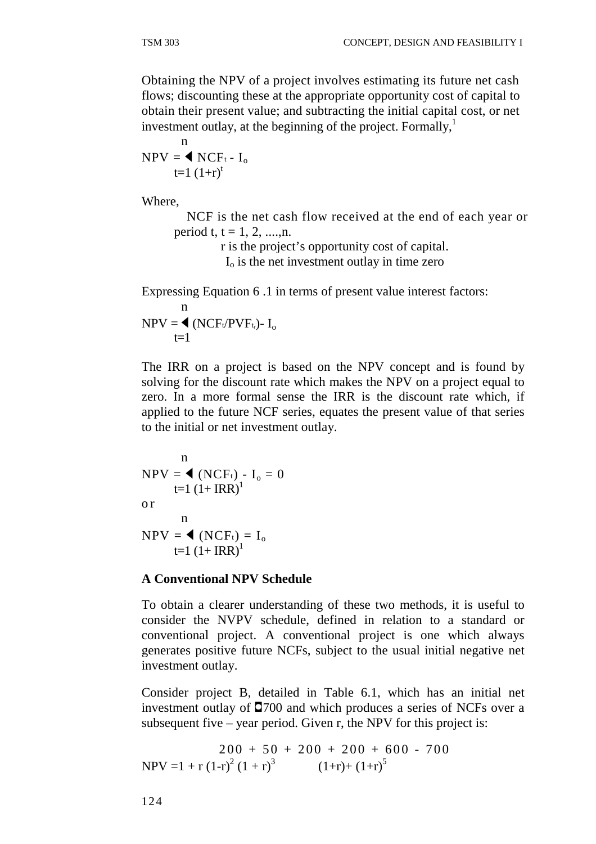Obtaining the NPV of a project involves estimating its future net cash flows; discounting these at the appropriate opportunity cost of capital to obtain their present value; and subtracting the initial capital cost, or net investment outlay, at the beginning of the project. Formally, $<sup>1</sup>$ </sup>

$$
\begin{array}{c}\n\text{n} \\
NPV = \blacktriangleleft NCF_{t} - I_{o} \\
\text{t=1} (1+r)^{t}\n\end{array}
$$

Where,

NCF is the net cash flow received at the end of each year or period t,  $t = 1, 2, ..., n$ .

> r is the project's opportunity cost of capital.  $I<sub>o</sub>$  is the net investment outlay in time zero

Expressing Equation 6 .1 in terms of present value interest factors:

$$
\begin{array}{c}\nn\\NPV = \blacktriangleleft (NCF_{t}/PVF_{t_{r}})-I_{o}\\t=1\n\end{array}
$$

The IRR on a project is based on the NPV concept and is found by solving for the discount rate which makes the NPV on a project equal to zero. In a more formal sense the IRR is the discount rate which, if applied to the future NCF series, equates the present value of that series to the initial or net investment outlay.

$$
n
$$
  
NPV = (NCF<sub>t</sub>) - I<sub>o</sub> = 0  
t=1 (1+IRR)<sup>1</sup>  
or  
n  
NPV = (NCF<sub>t</sub>) = I<sub>o</sub>  
t=1 (1+IRR)<sup>1</sup>

#### **A Conventional NPV Schedule**

To obtain a clearer understanding of these two methods, it is useful to consider the NVPV schedule, defined in relation to a standard or conventional project. A conventional project is one which always generates positive future NCFs, subject to the usual initial negative net investment outlay.

Consider project B, detailed in Table 6.1, which has an initial net investment outlay of  $\Box$  700 and which produces a series of NCFs over a subsequent five – year period. Given r, the NPV for this project is:

```
200 + 50 + 200 + 200 + 600 - 700NPV = 1 + r (1-r)<sup>2</sup> (1 + r)<sup>3</sup> (1+r)+ (1+r)<sup>5</sup>
```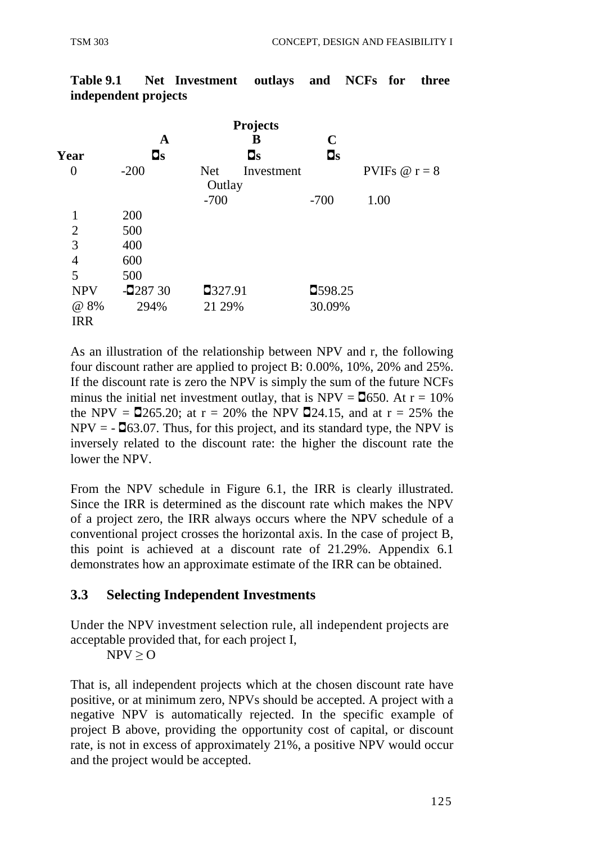| <b>Projects</b>    |                         |                                    |                 |                      |  |
|--------------------|-------------------------|------------------------------------|-----------------|----------------------|--|
|                    | A                       | B                                  | $\mathbf C$     |                      |  |
| Year               | $\mathsf{a}_\mathbf{S}$ | $\mathsf{Q}_\mathbf{S}$            | $\Box$ s        |                      |  |
| $\overline{0}$     | $-200$                  | <b>Net</b><br>Investment<br>Outlay |                 | PVIFs $\omega$ r = 8 |  |
|                    |                         | $-700$                             | $-700$          | 1.00                 |  |
| 1                  | 200                     |                                    |                 |                      |  |
| $\overline{2}$     | 500                     |                                    |                 |                      |  |
| 3                  | 400                     |                                    |                 |                      |  |
| $\overline{4}$     | 600                     |                                    |                 |                      |  |
| 5                  | 500                     |                                    |                 |                      |  |
| <b>NPV</b>         | $-28730$                | 0327.91                            | <b>O</b> 598.25 |                      |  |
| @ 8%<br><b>IRR</b> | 294%                    | 21 29%                             | 30.09%          |                      |  |

**Table 9.1 Net Investment outlays independent projects and NCFs for three** 

As an illustration of the relationship between NPV and r, the following four discount rather are applied to project B: 0.00%, 10%, 20% and 25%. If the discount rate is zero the NPV is simply the sum of the future NCFs minus the initial net investment outlay, that is NPV =  $\overline{Q}$ 650. At r = 10% the NPV =  $265.20$ ; at r = 20% the NPV  $24.15$ , and at r = 25% the  $NPV = -\square$ 63.07. Thus, for this project, and its standard type, the NPV is inversely related to the discount rate: the higher the discount rate the lower the NPV.

From the NPV schedule in Figure 6.1, the IRR is clearly illustrated. Since the IRR is determined as the discount rate which makes the NPV of a project zero, the IRR always occurs where the NPV schedule of a conventional project crosses the horizontal axis. In the case of project B, this point is achieved at a discount rate of 21.29%. Appendix 6.1 demonstrates how an approximate estimate of the IRR can be obtained.

## **3.3 Selecting Independent Investments**

Under the NPV investment selection rule, all independent projects are acceptable provided that, for each project I,

 $NPV > Q$ 

That is, all independent projects which at the chosen discount rate have positive, or at minimum zero, NPVs should be accepted. A project with a negative NPV is automatically rejected. In the specific example of project B above, providing the opportunity cost of capital, or discount rate, is not in excess of approximately 21%, a positive NPV would occur and the project would be accepted.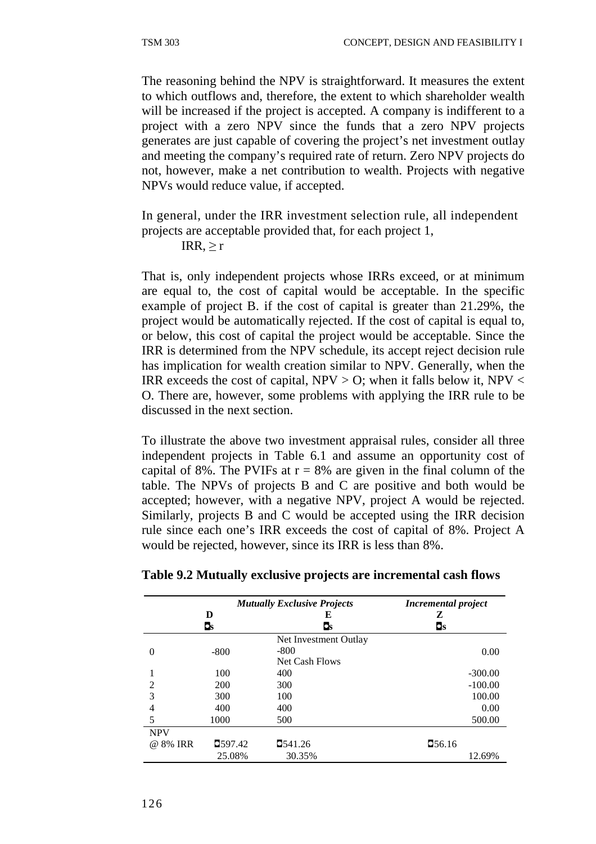The reasoning behind the NPV is straightforward. It measures the extent to which outflows and, therefore, the extent to which shareholder wealth will be increased if the project is accepted. A company is indifferent to a project with a zero NPV since the funds that a zero NPV projects generates are just capable of covering the project's net investment outlay and meeting the company's required rate of return. Zero NPV projects do not, however, make a net contribution to wealth. Projects with negative NPVs would reduce value, if accepted.

In general, under the IRR investment selection rule, all independent projects are acceptable provided that, for each project 1,

IRR,  $\geq r$ 

That is, only independent projects whose IRRs exceed, or at minimum are equal to, the cost of capital would be acceptable. In the specific example of project B. if the cost of capital is greater than 21.29%, the project would be automatically rejected. If the cost of capital is equal to, or below, this cost of capital the project would be acceptable. Since the IRR is determined from the NPV schedule, its accept reject decision rule has implication for wealth creation similar to NPV. Generally, when the IRR exceeds the cost of capital,  $NPV > O$ ; when it falls below it,  $NPV <$ O. There are, however, some problems with applying the IRR rule to be discussed in the next section.

To illustrate the above two investment appraisal rules, consider all three independent projects in Table 6.1 and assume an opportunity cost of capital of 8%. The PVIFs at  $r = 8%$  are given in the final column of the table. The NPVs of projects B and C are positive and both would be accepted; however, with a negative NPV, project A would be rejected. Similarly, projects B and C would be accepted using the IRR decision rule since each one's IRR exceeds the cost of capital of 8%. Project A would be rejected, however, since its IRR is less than 8%.

|                           | <b>Mutually Exclusive Projects</b> |                       | <b>Incremental project</b> |  |  |
|---------------------------|------------------------------------|-----------------------|----------------------------|--|--|
|                           | D<br>E                             |                       | z                          |  |  |
|                           | Ds                                 | Ds                    | Пs                         |  |  |
|                           |                                    | Net Investment Outlay |                            |  |  |
| $\theta$                  | $-800$                             | $-800$                | 0.00                       |  |  |
|                           |                                    | Net Cash Flows        |                            |  |  |
|                           | 100                                | 400                   | $-300.00$                  |  |  |
| $\overline{c}$            | 200                                | 300                   | $-100.00$                  |  |  |
| 3                         | 300                                | 100                   | 100.00                     |  |  |
| 4                         | 400                                | 400                   | 0.00                       |  |  |
| 5                         | 1000                               | 500                   | 500.00                     |  |  |
| <b>NPV</b>                |                                    |                       |                            |  |  |
| <b>8% IRR</b><br>$\omega$ | 0597.42                            | 0541.26               | <b>056.16</b>              |  |  |
|                           | 25.08%                             | 30.35%                | 12.69%                     |  |  |

**Table 9.2 Mutually exclusive projects are incremental cash flows**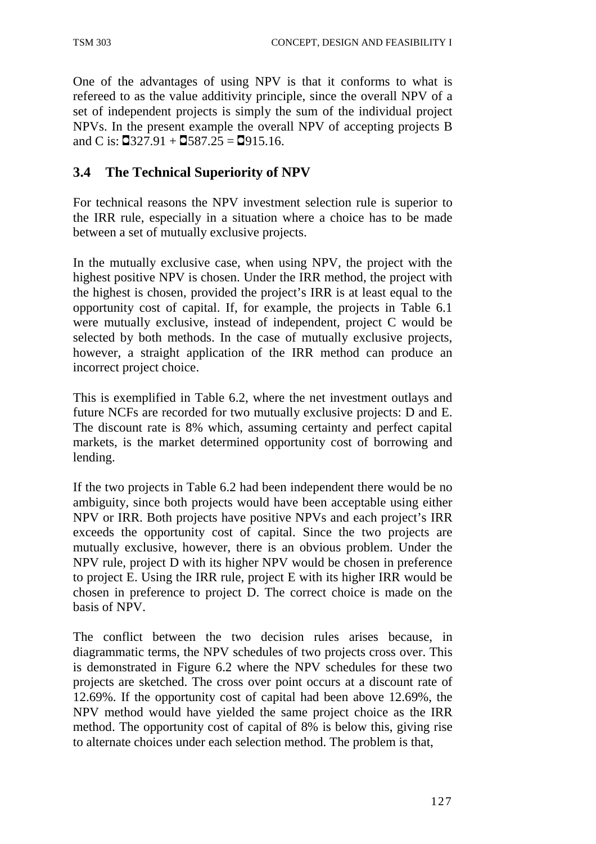One of the advantages of using NPV is that it conforms to what is refereed to as the value additivity principle, since the overall NPV of a set of independent projects is simply the sum of the individual project NPVs. In the present example the overall NPV of accepting projects B and C is:  $\Box$ 327.91 +  $\Box$ 587.25 =  $\Box$ 915.16.

## **3.4 The Technical Superiority of NPV**

For technical reasons the NPV investment selection rule is superior to the IRR rule, especially in a situation where a choice has to be made between a set of mutually exclusive projects.

In the mutually exclusive case, when using NPV, the project with the highest positive NPV is chosen. Under the IRR method, the project with the highest is chosen, provided the project's IRR is at least equal to the opportunity cost of capital. If, for example, the projects in Table 6.1 were mutually exclusive, instead of independent, project C would be selected by both methods. In the case of mutually exclusive projects, however, a straight application of the IRR method can produce an incorrect project choice.

This is exemplified in Table 6.2, where the net investment outlays and future NCFs are recorded for two mutually exclusive projects: D and E. The discount rate is 8% which, assuming certainty and perfect capital markets, is the market determined opportunity cost of borrowing and lending.

If the two projects in Table 6.2 had been independent there would be no ambiguity, since both projects would have been acceptable using either NPV or IRR. Both projects have positive NPVs and each project's IRR exceeds the opportunity cost of capital. Since the two projects are mutually exclusive, however, there is an obvious problem. Under the NPV rule, project D with its higher NPV would be chosen in preference to project E. Using the IRR rule, project E with its higher IRR would be chosen in preference to project D. The correct choice is made on the basis of NPV.

The conflict between the two decision rules arises because, in diagrammatic terms, the NPV schedules of two projects cross over. This is demonstrated in Figure 6.2 where the NPV schedules for these two projects are sketched. The cross over point occurs at a discount rate of 12.69%. If the opportunity cost of capital had been above 12.69%, the NPV method would have yielded the same project choice as the IRR method. The opportunity cost of capital of 8% is below this, giving rise to alternate choices under each selection method. The problem is that,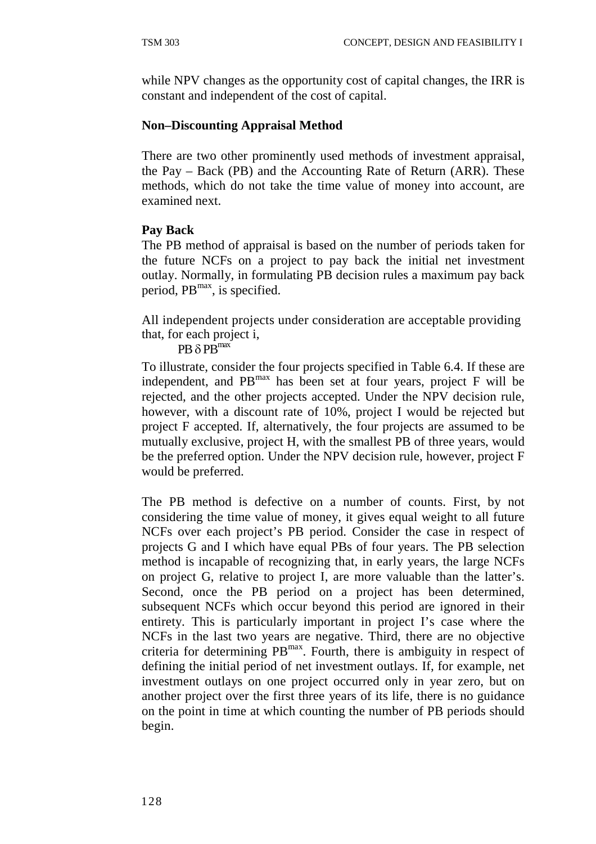while NPV changes as the opportunity cost of capital changes, the IRR is constant and independent of the cost of capital.

#### **Non–Discounting Appraisal Method**

There are two other prominently used methods of investment appraisal, the Pay – Back (PB) and the Accounting Rate of Return (ARR). These methods, which do not take the time value of money into account, are examined next.

#### **Pay Back**

The PB method of appraisal is based on the number of periods taken for the future NCFs on a project to pay back the initial net investment outlay. Normally, in formulating PB decision rules a maximum pay back period,  $PB^{max}$ , is specified.

All independent projects under consideration are acceptable providing that, for each project i,

 $PB \delta PR^{max}$ 

To illustrate, consider the four projects specified in Table 6.4. If these are independent, and  $PB^{max}$  has been set at four years, project  $F$  will be rejected, and the other projects accepted. Under the NPV decision rule, however, with a discount rate of 10%, project I would be rejected but project F accepted. If, alternatively, the four projects are assumed to be mutually exclusive, project H, with the smallest PB of three years, would be the preferred option. Under the NPV decision rule, however, project F would be preferred.

The PB method is defective on a number of counts. First, by not considering the time value of money, it gives equal weight to all future NCFs over each project's PB period. Consider the case in respect of projects G and I which have equal PBs of four years. The PB selection method is incapable of recognizing that, in early years, the large NCFs on project G, relative to project I, are more valuable than the latter's. Second, once the PB period on a project has been determined, subsequent NCFs which occur beyond this period are ignored in their entirety. This is particularly important in project I's case where the NCFs in the last two years are negative. Third, there are no objective criteria for determining PB<sup>max</sup>. Fourth, there is ambiguity in respect of defining the initial period of net investment outlays. If, for example, net investment outlays on one project occurred only in year zero, but on another project over the first three years of its life, there is no guidance on the point in time at which counting the number of PB periods should begin.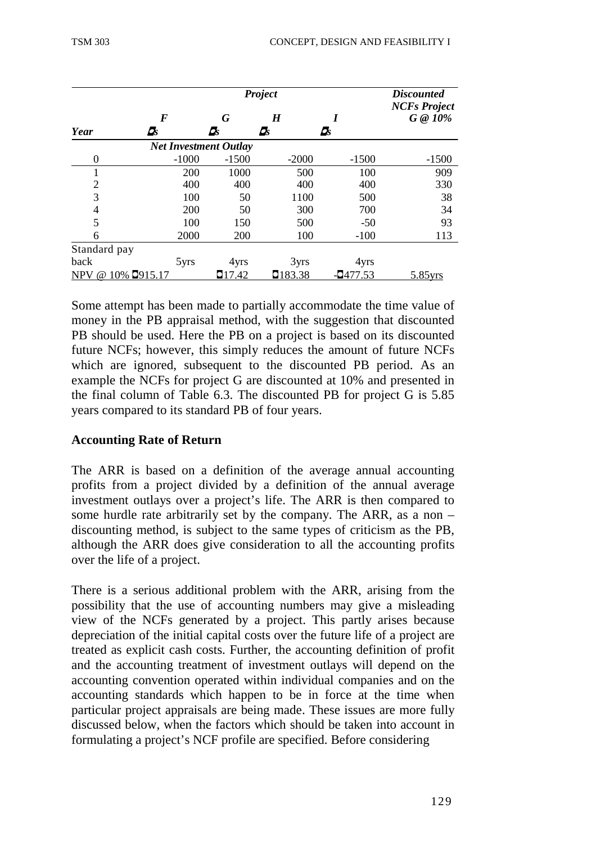|                                |                              | Project         |         |             |                                |
|--------------------------------|------------------------------|-----------------|---------|-------------|--------------------------------|
|                                | F                            | G               | $\bm H$ |             | <b>NCFs Project</b><br>G @ 10% |
| Year                           | Ωs                           | Ωs              | Δï      | Δï          |                                |
|                                | <b>Net Investment Outlay</b> |                 |         |             |                                |
| $\theta$                       | $-1000$                      | $-1500$         | $-2000$ | $-1500$     | $-1500$                        |
| 1                              | 200                          | 1000            | 500     | 100         | 909                            |
| 2                              | 400                          | 400             | 400     | 400         | 330                            |
| 3                              | 100                          | 50              | 1100    | 500         | 38                             |
| $\overline{4}$                 | 200                          | 50              | 300     | 700         | 34                             |
| 5                              | 100                          | 150             | 500     | $-50$       | 93                             |
| 6                              | 2000                         | 200             | 100     | $-100$      | 113                            |
| Standard pay                   |                              |                 |         |             |                                |
| back                           | 5yrs                         | 4yrs            | 3yrs    | 4yrs        |                                |
| 10% 0915.17<br><b>NPV</b><br>@ |                              | $\square$ 17.42 | □183.38 | $-$ 0477.53 | 5.85yrs                        |

Some attempt has been made to partially accommodate the time value of money in the PB appraisal method, with the suggestion that discounted PB should be used. Here the PB on a project is based on its discounted future NCFs; however, this simply reduces the amount of future NCFs which are ignored, subsequent to the discounted PB period. As an example the NCFs for project G are discounted at 10% and presented in the final column of Table 6.3. The discounted PB for project G is 5.85 years compared to its standard PB of four years.

#### **Accounting Rate of Return**

The ARR is based on a definition of the average annual accounting profits from a project divided by a definition of the annual average investment outlays over a project's life. The ARR is then compared to some hurdle rate arbitrarily set by the company. The ARR, as a non – discounting method, is subject to the same types of criticism as the PB, although the ARR does give consideration to all the accounting profits over the life of a project.

There is a serious additional problem with the ARR, arising from the possibility that the use of accounting numbers may give a misleading view of the NCFs generated by a project. This partly arises because depreciation of the initial capital costs over the future life of a project are treated as explicit cash costs. Further, the accounting definition of profit and the accounting treatment of investment outlays will depend on the accounting convention operated within individual companies and on the accounting standards which happen to be in force at the time when particular project appraisals are being made. These issues are more fully discussed below, when the factors which should be taken into account in formulating a project's NCF profile are specified. Before considering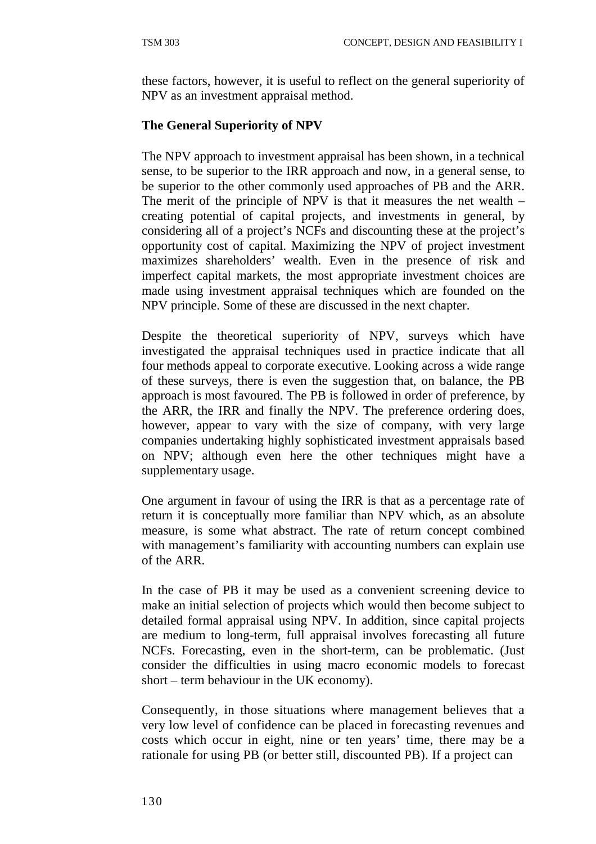these factors, however, it is useful to reflect on the general superiority of NPV as an investment appraisal method.

## **The General Superiority of NPV**

The NPV approach to investment appraisal has been shown, in a technical sense, to be superior to the IRR approach and now, in a general sense, to be superior to the other commonly used approaches of PB and the ARR. The merit of the principle of NPV is that it measures the net wealth – creating potential of capital projects, and investments in general, by considering all of a project's NCFs and discounting these at the project's opportunity cost of capital. Maximizing the NPV of project investment maximizes shareholders' wealth. Even in the presence of risk and imperfect capital markets, the most appropriate investment choices are made using investment appraisal techniques which are founded on the NPV principle. Some of these are discussed in the next chapter.

Despite the theoretical superiority of NPV, surveys which have investigated the appraisal techniques used in practice indicate that all four methods appeal to corporate executive. Looking across a wide range of these surveys, there is even the suggestion that, on balance, the PB approach is most favoured. The PB is followed in order of preference, by the ARR, the IRR and finally the NPV. The preference ordering does, however, appear to vary with the size of company, with very large companies undertaking highly sophisticated investment appraisals based on NPV; although even here the other techniques might have a supplementary usage.

One argument in favour of using the IRR is that as a percentage rate of return it is conceptually more familiar than NPV which, as an absolute measure, is some what abstract. The rate of return concept combined with management's familiarity with accounting numbers can explain use of the ARR.

In the case of PB it may be used as a convenient screening device to make an initial selection of projects which would then become subject to detailed formal appraisal using NPV. In addition, since capital projects are medium to long-term, full appraisal involves forecasting all future NCFs. Forecasting, even in the short-term, can be problematic. (Just consider the difficulties in using macro economic models to forecast short – term behaviour in the UK economy).

Consequently, in those situations where management believes that a very low level of confidence can be placed in forecasting revenues and costs which occur in eight, nine or ten years' time, there may be a rationale for using PB (or better still, discounted PB). If a project can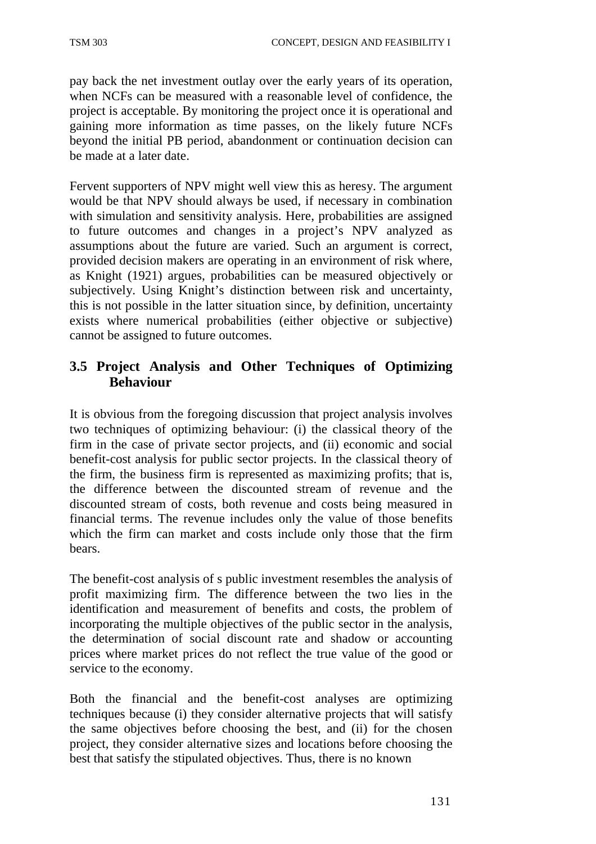pay back the net investment outlay over the early years of its operation, when NCFs can be measured with a reasonable level of confidence, the project is acceptable. By monitoring the project once it is operational and gaining more information as time passes, on the likely future NCFs beyond the initial PB period, abandonment or continuation decision can be made at a later date.

Fervent supporters of NPV might well view this as heresy. The argument would be that NPV should always be used, if necessary in combination with simulation and sensitivity analysis. Here, probabilities are assigned to future outcomes and changes in a project's NPV analyzed as assumptions about the future are varied. Such an argument is correct, provided decision makers are operating in an environment of risk where, as Knight (1921) argues, probabilities can be measured objectively or subjectively. Using Knight's distinction between risk and uncertainty, this is not possible in the latter situation since, by definition, uncertainty exists where numerical probabilities (either objective or subjective) cannot be assigned to future outcomes.

# **3.5 Project Analysis and Other Techniques of Optimizing Behaviour**

It is obvious from the foregoing discussion that project analysis involves two techniques of optimizing behaviour: (i) the classical theory of the firm in the case of private sector projects, and (ii) economic and social benefit-cost analysis for public sector projects. In the classical theory of the firm, the business firm is represented as maximizing profits; that is, the difference between the discounted stream of revenue and the discounted stream of costs, both revenue and costs being measured in financial terms. The revenue includes only the value of those benefits which the firm can market and costs include only those that the firm bears.

The benefit-cost analysis of s public investment resembles the analysis of profit maximizing firm. The difference between the two lies in the identification and measurement of benefits and costs, the problem of incorporating the multiple objectives of the public sector in the analysis, the determination of social discount rate and shadow or accounting prices where market prices do not reflect the true value of the good or service to the economy.

Both the financial and the benefit-cost analyses are optimizing techniques because (i) they consider alternative projects that will satisfy the same objectives before choosing the best, and (ii) for the chosen project, they consider alternative sizes and locations before choosing the best that satisfy the stipulated objectives. Thus, there is no known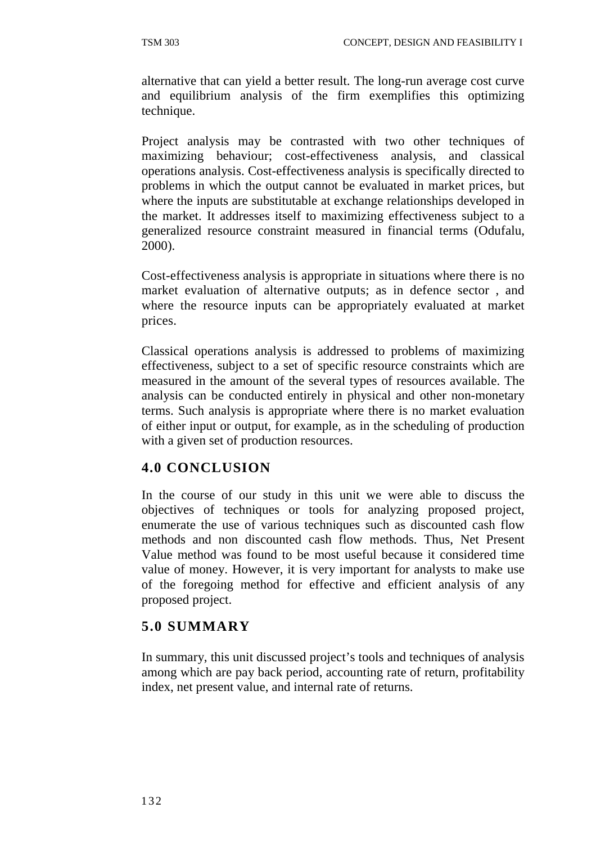alternative that can yield a better result. The long-run average cost curve and equilibrium analysis of the firm exemplifies this optimizing technique.

Project analysis may be contrasted with two other techniques of maximizing behaviour; cost-effectiveness analysis, and classical operations analysis. Cost-effectiveness analysis is specifically directed to problems in which the output cannot be evaluated in market prices, but where the inputs are substitutable at exchange relationships developed in the market. It addresses itself to maximizing effectiveness subject to a generalized resource constraint measured in financial terms (Odufalu, 2000).

Cost-effectiveness analysis is appropriate in situations where there is no market evaluation of alternative outputs; as in defence sector , and where the resource inputs can be appropriately evaluated at market prices.

Classical operations analysis is addressed to problems of maximizing effectiveness, subject to a set of specific resource constraints which are measured in the amount of the several types of resources available. The analysis can be conducted entirely in physical and other non-monetary terms. Such analysis is appropriate where there is no market evaluation of either input or output, for example, as in the scheduling of production with a given set of production resources.

## **4.0 CONCLUSION**

In the course of our study in this unit we were able to discuss the objectives of techniques or tools for analyzing proposed project, enumerate the use of various techniques such as discounted cash flow methods and non discounted cash flow methods. Thus, Net Present Value method was found to be most useful because it considered time value of money. However, it is very important for analysts to make use of the foregoing method for effective and efficient analysis of any proposed project.

## **5.0 SUMMARY**

In summary, this unit discussed project's tools and techniques of analysis among which are pay back period, accounting rate of return, profitability index, net present value, and internal rate of returns.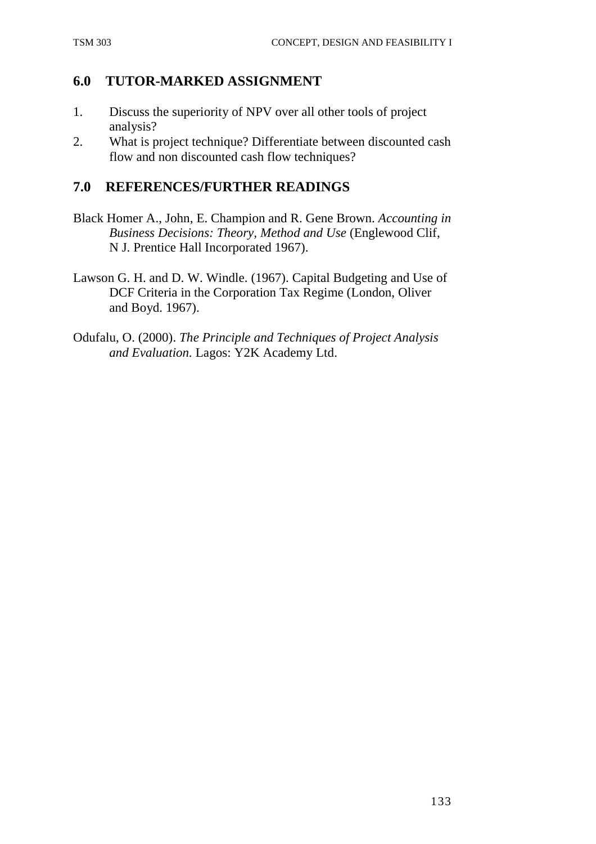## **6.0 TUTOR-MARKED ASSIGNMENT**

- 1. Discuss the superiority of NPV over all other tools of project analysis?
- 2. What is project technique? Differentiate between discounted cash flow and non discounted cash flow techniques?

#### **7.0 REFERENCES/FURTHER READINGS**

- Black Homer A., John, E. Champion and R. Gene Brown. *Accounting in Business Decisions: Theory, Method and Use* (Englewood Clif, N J. Prentice Hall Incorporated 1967).
- Lawson G. H. and D. W. Windle. (1967). Capital Budgeting and Use of DCF Criteria in the Corporation Tax Regime (London, Oliver and Boyd. 1967).
- Odufalu, O. (2000). *The Principle and Techniques of Project Analysis and Evaluation.* Lagos: Y2K Academy Ltd.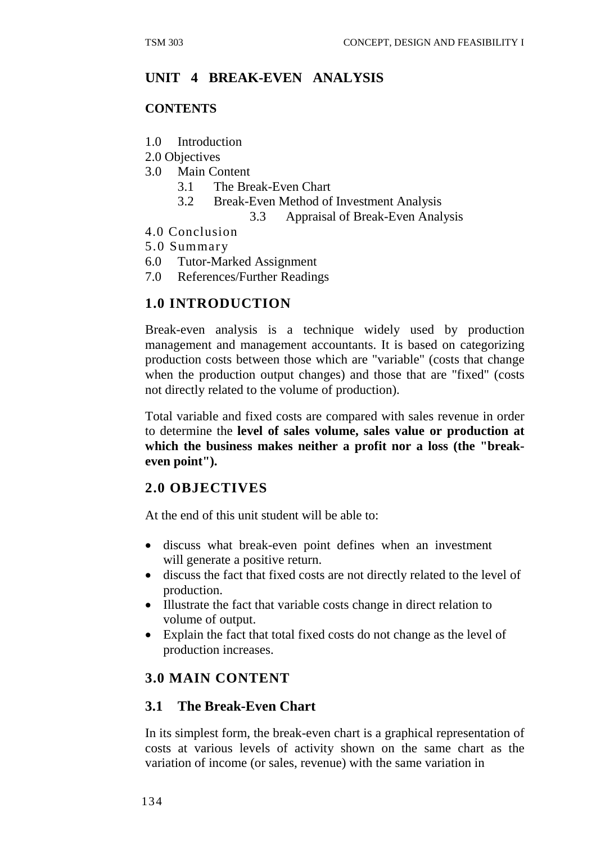# **UNIT 4 BREAK-EVEN ANALYSIS**

### **CONTENTS**

- 1.0 Introduction
- 2.0 Objectives
- 3.0 Main Content
	- 3.1 The Break-Even Chart
	- 3.2 Break-Even Method of Investment Analysis
		- 3.3 Appraisal of Break-Even Analysis
- 4.0 Conclusion
- 5.0 Summary
- 6.0 Tutor-Marked Assignment
- 7.0 References/Further Readings

# **1.0 INTRODUCTION**

Break-even analysis is a technique widely used by production management and management accountants. It is based on categorizing production costs between those which are "variable" (costs that change when the production output changes) and those that are "fixed" (costs not directly related to the volume of production).

Total variable and fixed costs are compared with sales revenue in order to determine the **level of sales volume, sales value or production at which the business makes neither a profit nor a loss (the "breakeven point").**

# **2.0 OBJECTIVES**

At the end of this unit student will be able to:

- discuss what break-even point defines when an investment will generate a positive return.
- discuss the fact that fixed costs are not directly related to the level of production.
- Illustrate the fact that variable costs change in direct relation to volume of output.
- Explain the fact that total fixed costs do not change as the level of production increases.

# **3.0 MAIN CONTENT**

# **3.1 The Break-Even Chart**

In its simplest form, the break-even chart is a graphical representation of costs at various levels of activity shown on the same chart as the variation of income (or sales, revenue) with the same variation in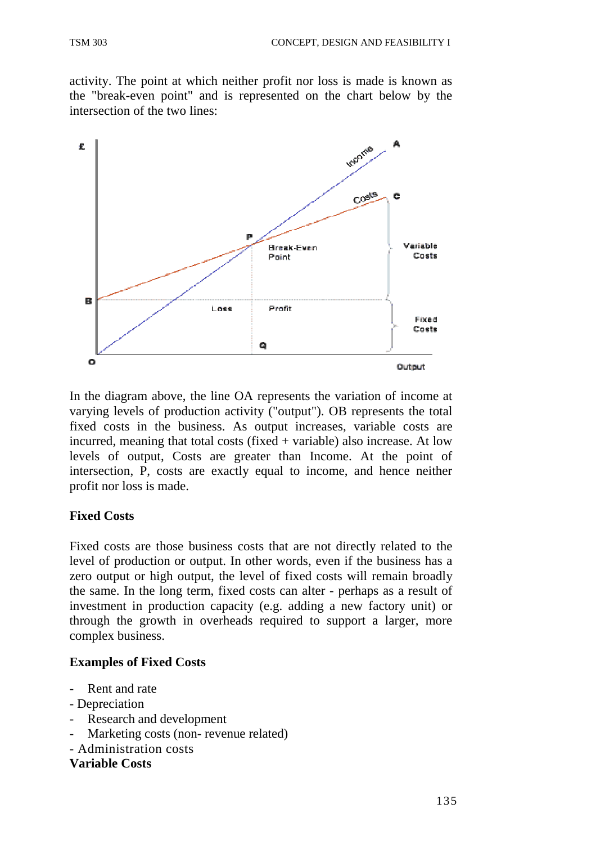activity. The point at which neither profit nor loss is made is known as the "break-even point" and is represented on the chart below by the intersection of the two lines:



In the diagram above, the line OA represents the variation of income at varying levels of production activity ("output"). OB represents the total fixed costs in the business. As output increases, variable costs are incurred, meaning that total costs (fixed + variable) also increase. At low levels of output, Costs are greater than Income. At the point of intersection, P, costs are exactly equal to income, and hence neither profit nor loss is made.

### **Fixed Costs**

Fixed costs are those business costs that are not directly related to the level of production or output. In other words, even if the business has a zero output or high output, the level of fixed costs will remain broadly the same. In the long term, fixed costs can alter - perhaps as a result of investment in production capacity (e.g. adding a new factory unit) or through the growth in overheads required to support a larger, more complex business.

### **Examples of Fixed Costs**

- Rent and rate
- Depreciation
- Research and development
- Marketing costs (non- revenue related)
- Administration costs

### **Variable Costs**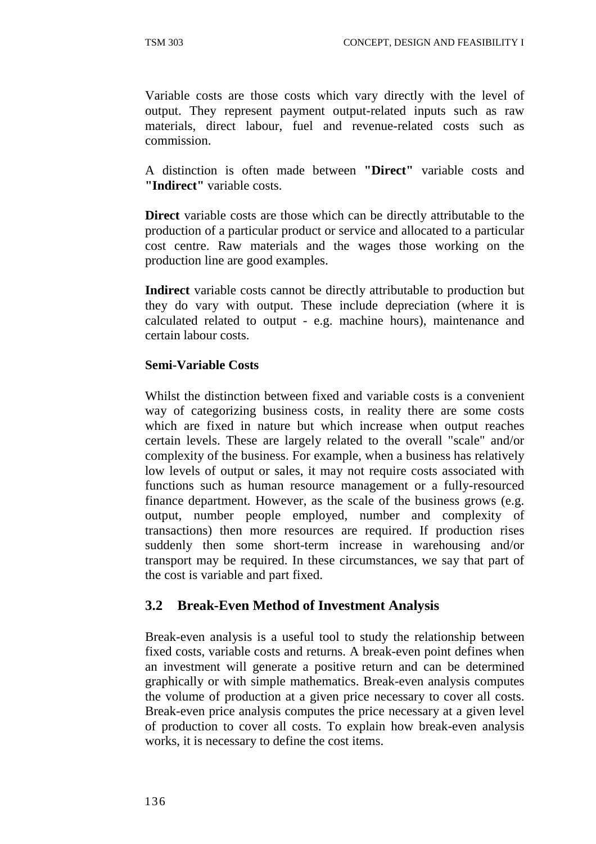Variable costs are those costs which vary directly with the level of output. They represent payment output-related inputs such as raw materials, direct labour, fuel and revenue-related costs such as commission.

A distinction is often made between **"Direct"** variable costs and **"Indirect"** variable costs.

**Direct** variable costs are those which can be directly attributable to the production of a particular product or service and allocated to a particular cost centre. Raw materials and the wages those working on the production line are good examples.

**Indirect** variable costs cannot be directly attributable to production but they do vary with output. These include depreciation (where it is calculated related to output - e.g. machine hours), maintenance and certain labour costs.

## **Semi-Variable Costs**

Whilst the distinction between fixed and variable costs is a convenient way of categorizing business costs, in reality there are some costs which are fixed in nature but which increase when output reaches certain levels. These are largely related to the overall "scale" and/or complexity of the business. For example, when a business has relatively low levels of output or sales, it may not require costs associated with functions such as human resource management or a fully-resourced finance department. However, as the scale of the business grows (e.g. output, number people employed, number and complexity of transactions) then more resources are required. If production rises suddenly then some short-term increase in warehousing and/or transport may be required. In these circumstances, we say that part of the cost is variable and part fixed.

# **3.2 Break-Even Method of Investment Analysis**

Break-even analysis is a useful tool to study the relationship between fixed costs, variable costs and returns. A break-even point defines when an investment will generate a positive return and can be determined graphically or with simple mathematics. Break-even analysis computes the volume of production at a given price necessary to cover all costs. Break-even price analysis computes the price necessary at a given level of production to cover all costs. To explain how break-even analysis works, it is necessary to define the cost items.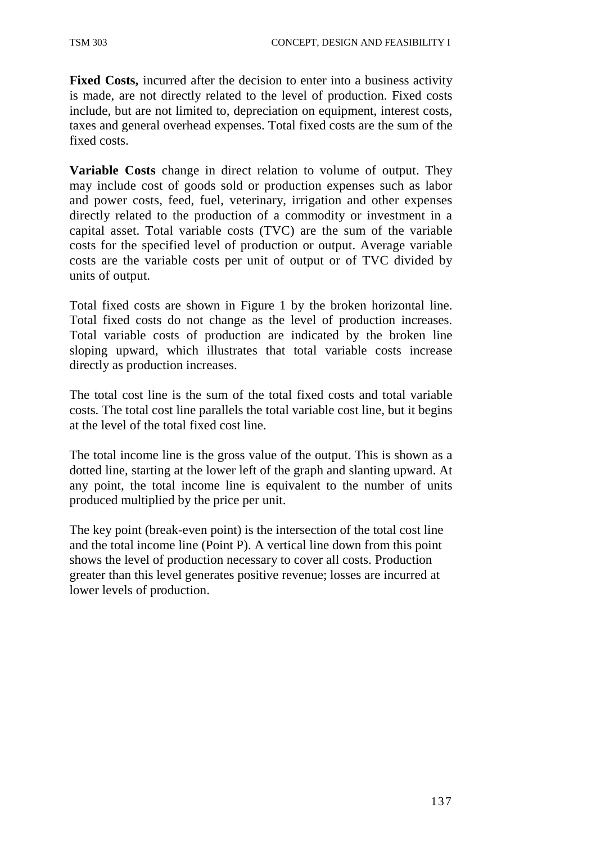**Fixed Costs,** incurred after the decision to enter into a business activity is made, are not directly related to the level of production. Fixed costs include, but are not limited to, depreciation on equipment, interest costs, taxes and general overhead expenses. Total fixed costs are the sum of the fixed costs.

**Variable Costs** change in direct relation to volume of output. They may include cost of goods sold or production expenses such as labor and power costs, feed, fuel, veterinary, irrigation and other expenses directly related to the production of a commodity or investment in a capital asset. Total variable costs (TVC) are the sum of the variable costs for the specified level of production or output. Average variable costs are the variable costs per unit of output or of TVC divided by units of output.

Total fixed costs are shown in Figure 1 by the broken horizontal line. Total fixed costs do not change as the level of production increases. Total variable costs of production are indicated by the broken line sloping upward, which illustrates that total variable costs increase directly as production increases.

The total cost line is the sum of the total fixed costs and total variable costs. The total cost line parallels the total variable cost line, but it begins at the level of the total fixed cost line.

The total income line is the gross value of the output. This is shown as a dotted line, starting at the lower left of the graph and slanting upward. At any point, the total income line is equivalent to the number of units produced multiplied by the price per unit.

The key point (break-even point) is the intersection of the total cost line and the total income line (Point P). A vertical line down from this point shows the level of production necessary to cover all costs. Production greater than this level generates positive revenue; losses are incurred at lower levels of production.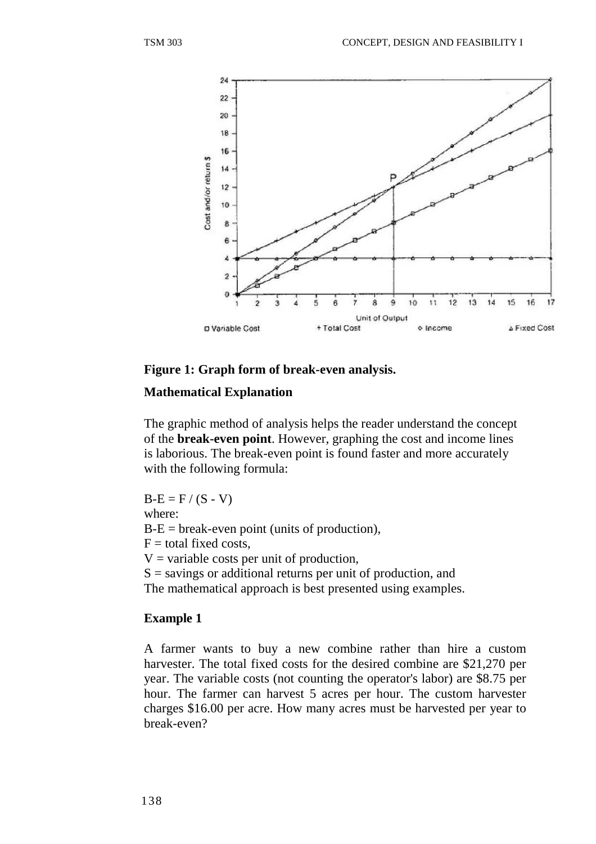

#### **Figure 1: Graph form of break-even analysis.**

#### **Mathematical Explanation**

The graphic method of analysis helps the reader understand the concept of the **break-even point**. However, graphing the cost and income lines is laborious. The break-even point is found faster and more accurately with the following formula:

 $B-E = F/(S - V)$ where:  $B-E = break$ -even point (units of production),  $F =$  total fixed costs.  $V =$  variable costs per unit of production,  $S =$  savings or additional returns per unit of production, and

The mathematical approach is best presented using examples.

#### **Example 1**

A farmer wants to buy a new combine rather than hire a custom harvester. The total fixed costs for the desired combine are \$21,270 per year. The variable costs (not counting the operator's labor) are \$8.75 per hour. The farmer can harvest 5 acres per hour. The custom harvester charges \$16.00 per acre. How many acres must be harvested per year to break-even?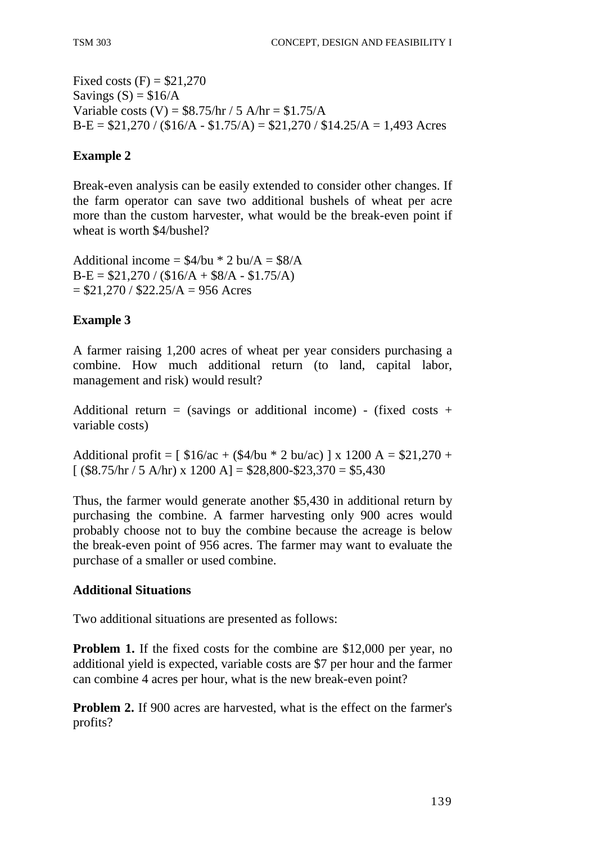Fixed costs  $(F) = $21,270$ Savings  $(S) = $16/A$ Variable costs (V) =  $$8.75/hr / 5 A/hr = $1.75/A$  $B-E = $21,270 / ($16/A - $1.75/A) = $21,270 / $14.25/A = 1,493$  Acres

### **Example 2**

Break-even analysis can be easily extended to consider other changes. If the farm operator can save two additional bushels of wheat per acre more than the custom harvester, what would be the break-even point if wheat is worth \$4/bushel?

Additional income =  $$4/bu * 2 bu/A = $8/A$  $B-E = $21,270 / ($16/A + $8/A - $1.75/A)$  $= $21.270 / $22.25/A = 956$  Acres

## **Example 3**

A farmer raising 1,200 acres of wheat per year considers purchasing a combine. How much additional return (to land, capital labor, management and risk) would result?

Additional return = (savings or additional income) - (fixed costs + variable costs)

Additional profit =  $[ $16/ac + ($4/bu * 2 bu/ac) ] x 1200 A = $21,270 +$  $[(\$8.75/hr / 5 A/hr) \times 1200 A] = \$28,800 - \$23,370 = \$5,430$ 

Thus, the farmer would generate another \$5,430 in additional return by purchasing the combine. A farmer harvesting only 900 acres would probably choose not to buy the combine because the acreage is below the break-even point of 956 acres. The farmer may want to evaluate the purchase of a smaller or used combine.

### **Additional Situations**

Two additional situations are presented as follows:

**Problem 1.** If the fixed costs for the combine are \$12,000 per year, no additional yield is expected, variable costs are \$7 per hour and the farmer can combine 4 acres per hour, what is the new break-even point?

**Problem 2.** If 900 acres are harvested, what is the effect on the farmer's profits?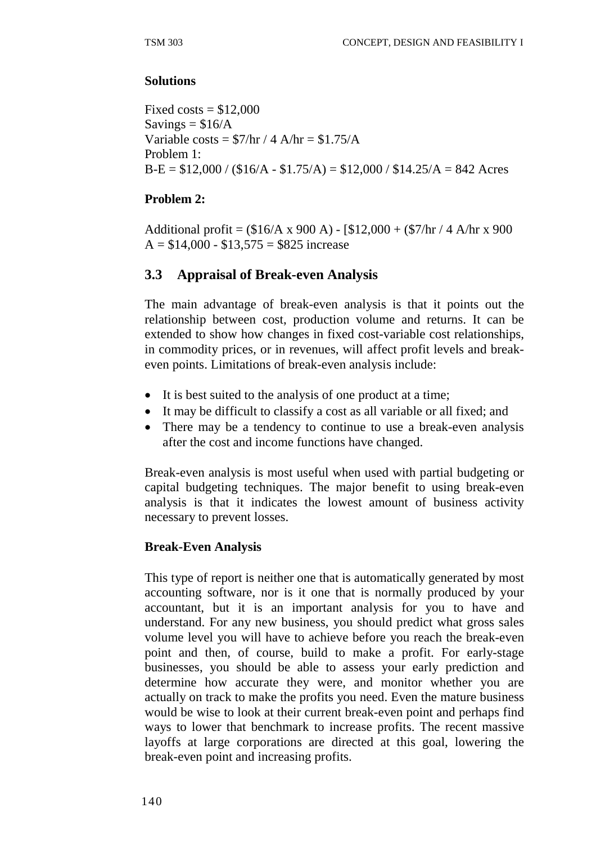### **Solutions**

Fixed costs  $= $12,000$ Savings  $= $16/A$ Variable costs =  $\frac{87}{hr}$  / 4 A/hr =  $\frac{175}{A}$ Problem 1:  $B-E = $12,000 / ($16/A - $1.75/A) = $12,000 / $14.25/A = 842$  Acres

#### **Problem 2:**

Additional profit =  $($16/A \times 900 \text{ A}) - $12,000 + $7/\text{hr} / 4 \text{ A/hr} \times 900$  $A = $14,000 - $13,575 = $825$  increase

## **3.3 Appraisal of Break-even Analysis**

The main advantage of break-even analysis is that it points out the relationship between cost, production volume and returns. It can be extended to show how changes in fixed cost-variable cost relationships, in commodity prices, or in revenues, will affect profit levels and breakeven points. Limitations of break-even analysis include:

- It is best suited to the analysis of one product at a time;
- It may be difficult to classify a cost as all variable or all fixed; and
- There may be a tendency to continue to use a break-even analysis after the cost and income functions have changed.

Break-even analysis is most useful when used with partial budgeting or capital budgeting techniques. The major benefit to using break-even analysis is that it indicates the lowest amount of business activity necessary to prevent losses.

#### **Break-Even Analysis**

This type of report is neither one that is automatically generated by most accounting software, nor is it one that is normally produced by your accountant, but it is an important analysis for you to have and understand. For any new business, you should predict what gross sales volume level you will have to achieve before you reach the break-even point and then, of course, build to make a profit. For early-stage businesses, you should be able to assess your early prediction and determine how accurate they were, and monitor whether you are actually on track to make the profits you need. Even the mature business would be wise to look at their current break-even point and perhaps find ways to lower that benchmark to increase profits. The recent massive layoffs at large corporations are directed at this goal, lowering the break-even point and increasing profits.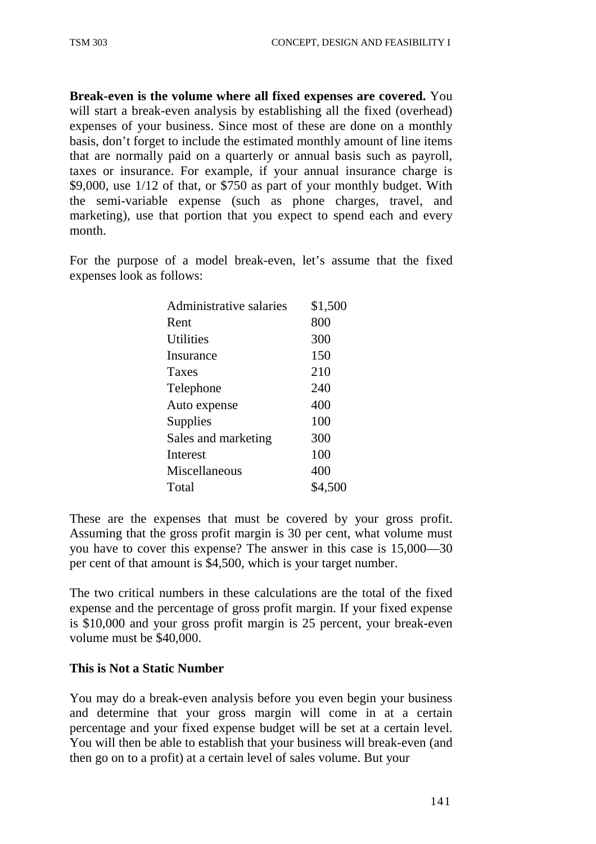**Break-even is the volume where all fixed expenses are covered.** You will start a break-even analysis by establishing all the fixed (overhead) expenses of your business. Since most of these are done on a monthly basis, don't forget to include the estimated monthly amount of line items that are normally paid on a quarterly or annual basis such as payroll, taxes or insurance. For example, if your annual insurance charge is \$9,000, use 1/12 of that, or \$750 as part of your monthly budget. With the semi-variable expense (such as phone charges, travel, and marketing), use that portion that you expect to spend each and every month.

For the purpose of a model break-even, let's assume that the fixed expenses look as follows:

| Administrative salaries | \$1,500 |
|-------------------------|---------|
| Rent                    | 800     |
| <b>Utilities</b>        | 300     |
| Insurance               | 150     |
| <b>Taxes</b>            | 210     |
| Telephone               | 240     |
| Auto expense            | 400     |
| Supplies                | 100     |
| Sales and marketing     | 300     |
| Interest                | 100     |
| Miscellaneous           | 400     |
| Total                   | \$4,500 |

These are the expenses that must be covered by your gross profit. Assuming that the gross profit margin is 30 per cent, what volume must you have to cover this expense? The answer in this case is 15,000—30 per cent of that amount is \$4,500, which is your target number.

The two critical numbers in these calculations are the total of the fixed expense and the percentage of gross profit margin. If your fixed expense is \$10,000 and your gross profit margin is 25 percent, your break-even volume must be \$40,000.

### **This is Not a Static Number**

You may do a break-even analysis before you even begin your business and determine that your gross margin will come in at a certain percentage and your fixed expense budget will be set at a certain level. You will then be able to establish that your business will break-even (and then go on to a profit) at a certain level of sales volume. But your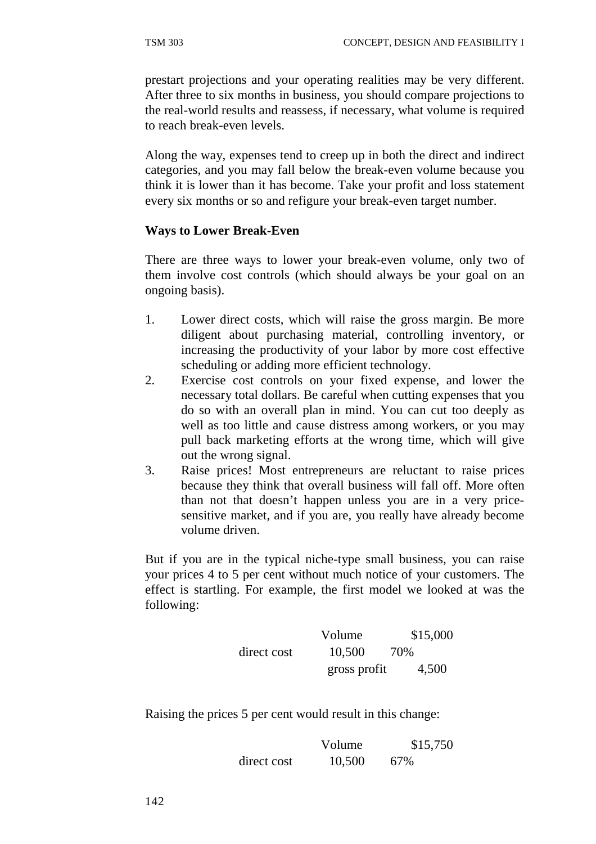prestart projections and your operating realities may be very different. After three to six months in business, you should compare projections to the real-world results and reassess, if necessary, what volume is required to reach break-even levels.

Along the way, expenses tend to creep up in both the direct and indirect categories, and you may fall below the break-even volume because you think it is lower than it has become. Take your profit and loss statement every six months or so and refigure your break-even target number.

### **Ways to Lower Break-Even**

There are three ways to lower your break-even volume, only two of them involve cost controls (which should always be your goal on an ongoing basis).

- 1. Lower direct costs, which will raise the gross margin. Be more diligent about purchasing material, controlling inventory, or increasing the productivity of your labor by more cost effective scheduling or adding more efficient technology.
- 2. Exercise cost controls on your fixed expense, and lower the necessary total dollars. Be careful when cutting expenses that you do so with an overall plan in mind. You can cut too deeply as well as too little and cause distress among workers, or you may pull back marketing efforts at the wrong time, which will give out the wrong signal.
- 3. Raise prices! Most entrepreneurs are reluctant to raise prices because they think that overall business will fall off. More often than not that doesn't happen unless you are in a very pricesensitive market, and if you are, you really have already become volume driven.

But if you are in the typical niche-type small business, you can raise your prices 4 to 5 per cent without much notice of your customers. The effect is startling. For example, the first model we looked at was the following:

|             | Volume       | \$15,000 |
|-------------|--------------|----------|
| direct cost | 10,500       | 70%      |
|             | gross profit | 4,500    |

Raising the prices 5 per cent would result in this change:

|             | Volume | \$15,750 |
|-------------|--------|----------|
| direct cost | 10,500 | 67%      |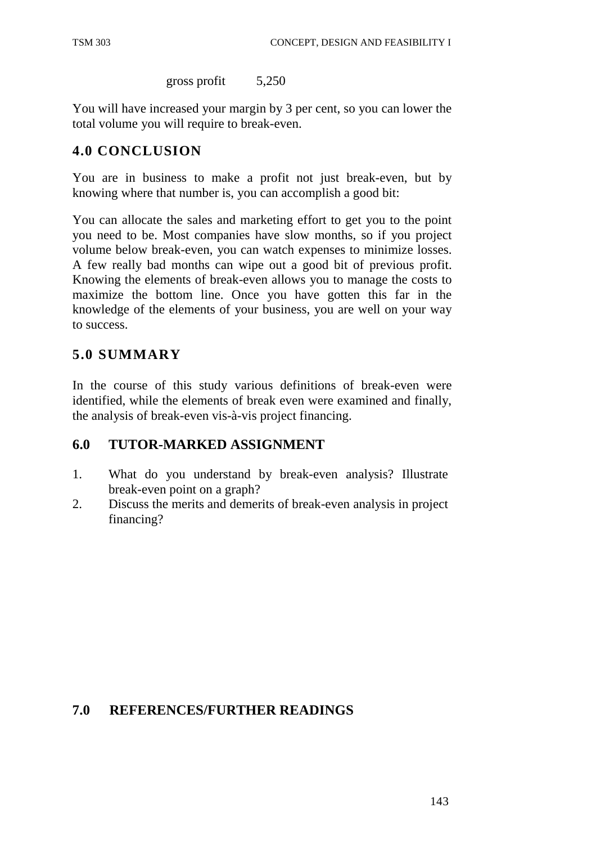gross profit 5,250

You will have increased your margin by 3 per cent, so you can lower the total volume you will require to break-even.

# **4.0 CONCLUSION**

You are in business to make a profit not just break-even, but by knowing where that number is, you can accomplish a good bit:

You can allocate the sales and marketing effort to get you to the point you need to be. Most companies have slow months, so if you project volume below break-even, you can watch expenses to minimize losses. A few really bad months can wipe out a good bit of previous profit. Knowing the elements of break-even allows you to manage the costs to maximize the bottom line. Once you have gotten this far in the knowledge of the elements of your business, you are well on your way to success.

# **5.0 SUMMARY**

In the course of this study various definitions of break-even were identified, while the elements of break even were examined and finally, the analysis of break-even vis-à-vis project financing.

# **6.0 TUTOR-MARKED ASSIGNMENT**

- 1. What do you understand by break-even analysis? Illustrate break-even point on a graph?
- 2. Discuss the merits and demerits of break-even analysis in project financing?

# **7.0 REFERENCES/FURTHER READINGS**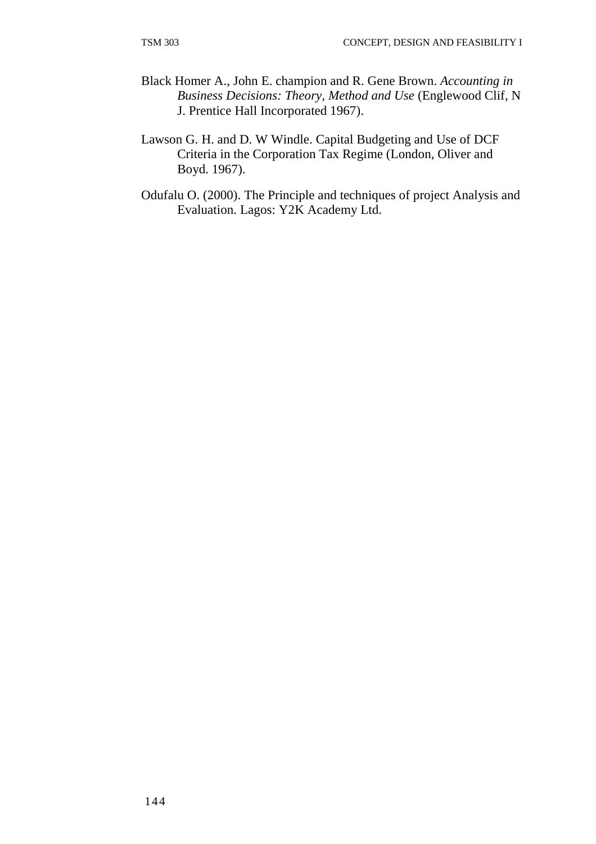- Black Homer A., John E. champion and R. Gene Brown. *Accounting in Business Decisions: Theory, Method and Use* (Englewood Clif, N J. Prentice Hall Incorporated 1967).
- Lawson G. H. and D. W Windle. Capital Budgeting and Use of DCF Criteria in the Corporation Tax Regime (London, Oliver and Boyd. 1967).
- Odufalu O. (2000). The Principle and techniques of project Analysis and Evaluation. Lagos: Y2K Academy Ltd.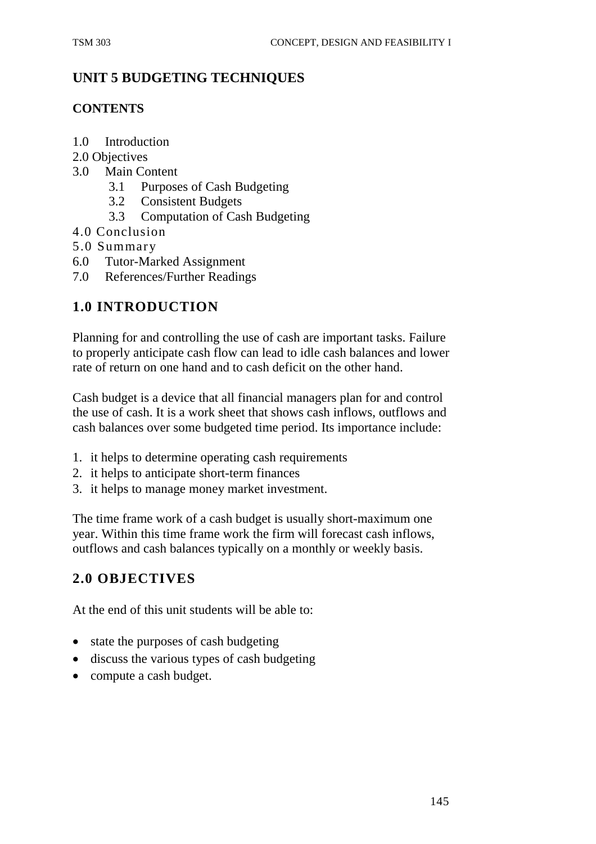# **UNIT 5 BUDGETING TECHNIQUES**

## **CONTENTS**

- 1.0 Introduction
- 2.0 Objectives
- 3.0 Main Content
	- 3.1 Purposes of Cash Budgeting
	- 3.2 Consistent Budgets
	- 3.3 Computation of Cash Budgeting
- 4.0 Conclusion
- 5.0 Summary
- 6.0 Tutor-Marked Assignment
- 7.0 References/Further Readings

# **1.0 INTRODUCTION**

Planning for and controlling the use of cash are important tasks. Failure to properly anticipate cash flow can lead to idle cash balances and lower rate of return on one hand and to cash deficit on the other hand.

Cash budget is a device that all financial managers plan for and control the use of cash. It is a work sheet that shows cash inflows, outflows and cash balances over some budgeted time period. Its importance include:

- 1. it helps to determine operating cash requirements
- 2. it helps to anticipate short-term finances
- 3. it helps to manage money market investment.

The time frame work of a cash budget is usually short-maximum one year. Within this time frame work the firm will forecast cash inflows, outflows and cash balances typically on a monthly or weekly basis.

# **2.0 OBJECTIVES**

At the end of this unit students will be able to:

- state the purposes of cash budgeting
- discuss the various types of cash budgeting
- compute a cash budget.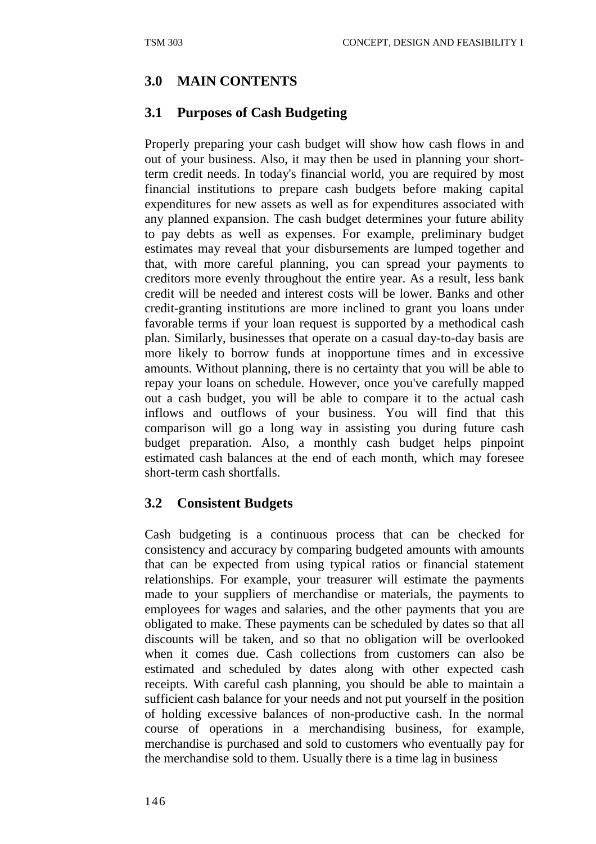# **3.0 MAIN CONTENTS**

# **3.1 Purposes of Cash Budgeting**

Properly preparing your cash budget will show how cash flows in and out of your business. Also, it may then be used in planning your shortterm credit needs. In today's financial world, you are required by most financial institutions to prepare cash budgets before making capital expenditures for new assets as well as for expenditures associated with any planned expansion. The cash budget determines your future ability to pay debts as well as expenses. For example, preliminary budget estimates may reveal that your disbursements are lumped together and that, with more careful planning, you can spread your payments to creditors more evenly throughout the entire year. As a result, less bank credit will be needed and interest costs will be lower. Banks and other credit-granting institutions are more inclined to grant you loans under favorable terms if your loan request is supported by a methodical cash plan. Similarly, businesses that operate on a casual day-to-day basis are more likely to borrow funds at inopportune times and in excessive amounts. Without planning, there is no certainty that you will be able to repay your loans on schedule. However, once you've carefully mapped out a cash budget, you will be able to compare it to the actual cash inflows and outflows of your business. You will find that this comparison will go a long way in assisting you during future cash budget preparation. Also, a monthly cash budget helps pinpoint estimated cash balances at the end of each month, which may foresee short-term cash shortfalls.

# **3.2 Consistent Budgets**

Cash budgeting is a continuous process that can be checked for consistency and accuracy by comparing budgeted amounts with amounts that can be expected from using typical ratios or financial statement relationships. For example, your treasurer will estimate the payments made to your suppliers of merchandise or materials, the payments to employees for wages and salaries, and the other payments that you are obligated to make. These payments can be scheduled by dates so that all discounts will be taken, and so that no obligation will be overlooked when it comes due. Cash collections from customers can also be estimated and scheduled by dates along with other expected cash receipts. With careful cash planning, you should be able to maintain a sufficient cash balance for your needs and not put yourself in the position of holding excessive balances of non-productive cash. In the normal course of operations in a merchandising business, for example, merchandise is purchased and sold to customers who eventually pay for the merchandise sold to them. Usually there is a time lag in business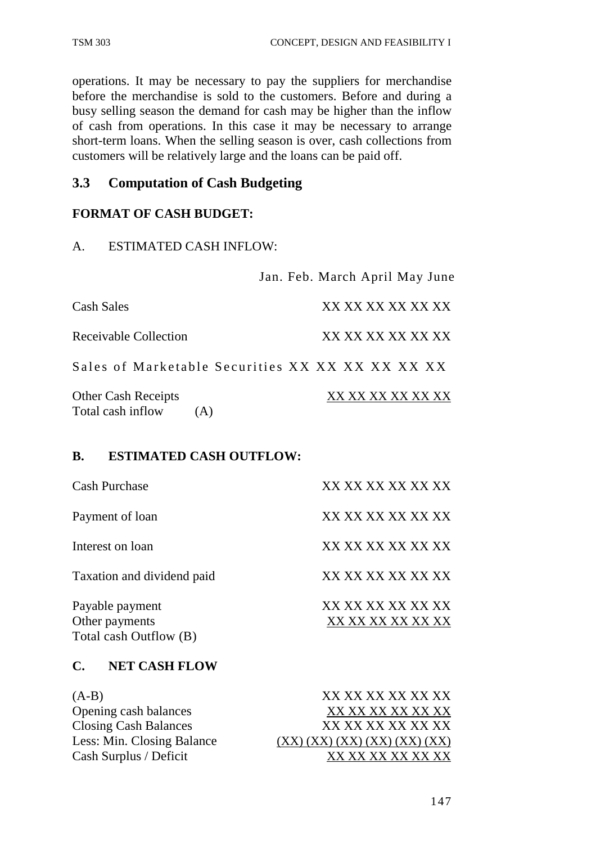operations. It may be necessary to pay the suppliers for merchandise before the merchandise is sold to the customers. Before and during a busy selling season the demand for cash may be higher than the inflow of cash from operations. In this case it may be necessary to arrange short-term loans. When the selling season is over, cash collections from customers will be relatively large and the loans can be paid off.

# **3.3 Computation of Cash Budgeting**

## **FORMAT OF CASH BUDGET:**

#### A. ESTIMATED CASH INFLOW:

|                                                        | Jan. Feb. March April May June |
|--------------------------------------------------------|--------------------------------|
| <b>Cash Sales</b>                                      | XX XX XX XX XX XX              |
| <b>Receivable Collection</b>                           | XX XX XX XX XX XX              |
| Sales of Marketable Securities XX XX XX XX XX XX       |                                |
| <b>Other Cash Receipts</b><br>Total cash inflow<br>(A) | XX XX XX XX XX XX              |
| <b>ESTIMATED CASH OUTFLOW:</b><br>В.                   |                                |
| <b>Cash Purchase</b>                                   | XX XX XX XX XX XX              |
| Payment of loan                                        | XX XX XX XX XX XX              |

Interest on loan XX XX XX XX XX XX XX

Taxation and dividend paid XX XX XX XX XX XX

Payable payment XX XX XX XX XX XX XX Other payments XX XX XX XX XX XX XX Total cash Outflow (B)

### **C. NET CASH FLOW**

| $(A-B)$                      | XX XX XX XX XX XX                                |
|------------------------------|--------------------------------------------------|
| Opening cash balances        | XX XX XX XX XX XX                                |
| <b>Closing Cash Balances</b> | XX XX XX XX XX XX                                |
| Less: Min. Closing Balance   | $(XX)$ $(XX)$ $(XX)$ $(XX)$ $(XX)$ $(XX)$ $(XX)$ |
| Cash Surplus / Deficit       | XX XX XX XX XX XX                                |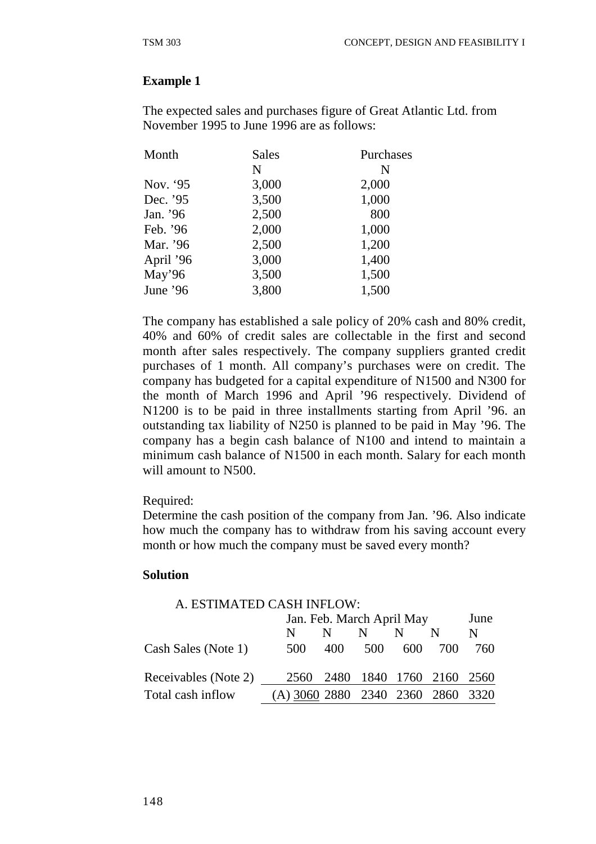## **Example 1**

The expected sales and purchases figure of Great Atlantic Ltd. from November 1995 to June 1996 are as follows:

| Month     | Sales | Purchases |
|-----------|-------|-----------|
|           | N     | N         |
| Nov. '95  | 3,000 | 2,000     |
| Dec. '95  | 3,500 | 1,000     |
| Jan. '96  | 2,500 | 800       |
| Feb. '96  | 2,000 | 1,000     |
| Mar. '96  | 2,500 | 1,200     |
| April '96 | 3,000 | 1,400     |
| May'96    | 3,500 | 1,500     |
| June '96  | 3,800 | 1,500     |
|           |       |           |

The company has established a sale policy of 20% cash and 80% credit, 40% and 60% of credit sales are collectable in the first and second month after sales respectively. The company suppliers granted credit purchases of 1 month. All company's purchases were on credit. The company has budgeted for a capital expenditure of N1500 and N300 for the month of March 1996 and April '96 respectively. Dividend of N1200 is to be paid in three installments starting from April '96. an outstanding tax liability of N250 is planned to be paid in May '96. The company has a begin cash balance of N100 and intend to maintain a minimum cash balance of N1500 in each month. Salary for each month will amount to N500.

#### Required:

Determine the cash position of the company from Jan. '96. Also indicate how much the company has to withdraw from his saving account every month or how much the company must be saved every month?

#### **Solution**

| A. ESTIMATED CASH INFLOW: |                                   |     |     |     |                               |     |
|---------------------------|-----------------------------------|-----|-----|-----|-------------------------------|-----|
|                           | Jan. Feb. March April May         |     |     |     | June                          |     |
|                           | N<br>N<br>N.<br>N<br>N.           |     |     |     |                               |     |
| Cash Sales (Note 1)       | 500                               | 400 | 500 | 600 | 700                           | 760 |
| Receivables (Note 2)      |                                   |     |     |     | 2560 2480 1840 1760 2160 2560 |     |
| Total cash inflow         | (A) 3060 2880 2340 2360 2860 3320 |     |     |     |                               |     |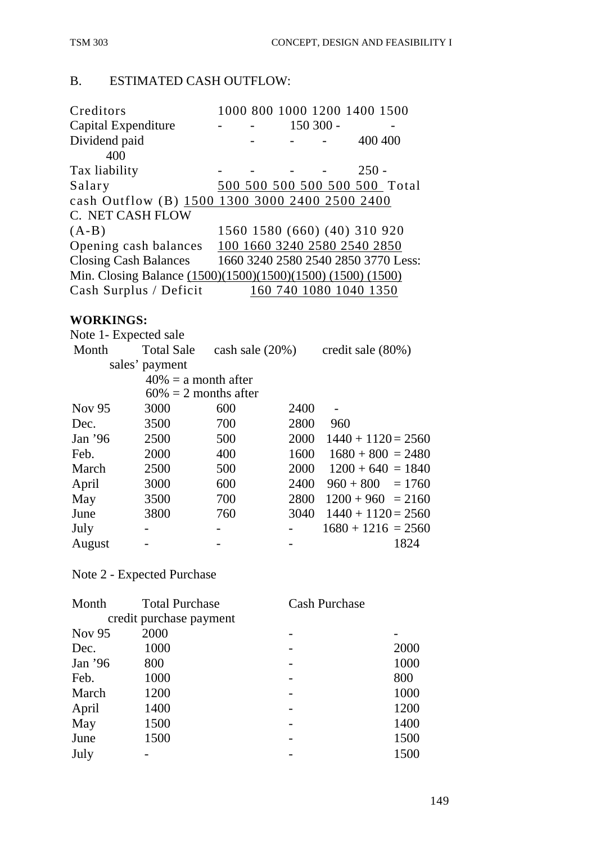# B. ESTIMATED CASH OUTFLOW:

| Creditors                                                   |  | 1000 800 1000 1200 1400 1500 |           |         |                                     |
|-------------------------------------------------------------|--|------------------------------|-----------|---------|-------------------------------------|
| Capital Expenditure                                         |  |                              | 150 300 - |         |                                     |
| Dividend paid                                               |  |                              |           |         | 400 400                             |
| 400                                                         |  |                              |           |         |                                     |
| Tax liability                                               |  |                              |           | $250 -$ |                                     |
| Salary                                                      |  |                              |           |         | 500 500 500 500 500 500 Total       |
| cash Outflow (B) 1500 1300 3000 2400 2500 2400              |  |                              |           |         |                                     |
| C. NET CASH FLOW                                            |  |                              |           |         |                                     |
| $(A-B)$                                                     |  | 1560 1580 (660) (40) 310 920 |           |         |                                     |
| Opening cash balances                                       |  | 100 1660 3240 2580 2540 2850 |           |         |                                     |
| <b>Closing Cash Balances</b>                                |  |                              |           |         | 1660 3240 2580 2540 2850 3770 Less: |
| Min. Closing Balance (1500)(1500)(1500)(1500) (1500) (1500) |  |                              |           |         |                                     |
| Cash Surplus / Deficit                                      |  | 160 740 1080 1040 1350       |           |         |                                     |

### **WORKINGS:**

| Note 1- Expected sale |                         |                    |      |                      |
|-----------------------|-------------------------|--------------------|------|----------------------|
| Month                 | <b>Total Sale</b>       | cash sale $(20\%)$ |      | credit sale (80%)    |
|                       | sales' payment          |                    |      |                      |
|                       | $40\% = a$ month after  |                    |      |                      |
|                       | $60\% = 2$ months after |                    |      |                      |
| Nov 95                | 3000                    | 600                | 2400 |                      |
| Dec.                  | 3500                    | 700                | 2800 | 960                  |
| Jan $'96$             | 2500                    | 500                | 2000 | $1440 + 1120 = 2560$ |
| Feb.                  | 2000                    | 400                | 1600 | $1680 + 800 = 2480$  |
| March                 | 2500                    | 500                | 2000 | $1200 + 640 = 1840$  |
| April                 | 3000                    | 600                | 2400 | $960 + 800 = 1760$   |
| May                   | 3500                    | 700                | 2800 | $1200 + 960 = 2160$  |
| June                  | 3800                    | 760                | 3040 | $1440 + 1120 = 2560$ |
| July                  |                         | -                  |      | $1680 + 1216 = 2560$ |
| August                |                         |                    |      | 1824                 |
|                       |                         |                    |      |                      |

# Note 2 - Expected Purchase

| Month         | <b>Total Purchase</b>   | <b>Cash Purchase</b> |      |
|---------------|-------------------------|----------------------|------|
|               | credit purchase payment |                      |      |
| <b>Nov 95</b> | 2000                    |                      |      |
| Dec.          | 1000                    |                      | 2000 |
| Jan '96       | 800                     |                      | 1000 |
| Feb.          | 1000                    |                      | 800  |
| March         | 1200                    |                      | 1000 |
| April         | 1400                    |                      | 1200 |
| May           | 1500                    |                      | 1400 |
| June          | 1500                    |                      | 1500 |
| July          |                         |                      | 1500 |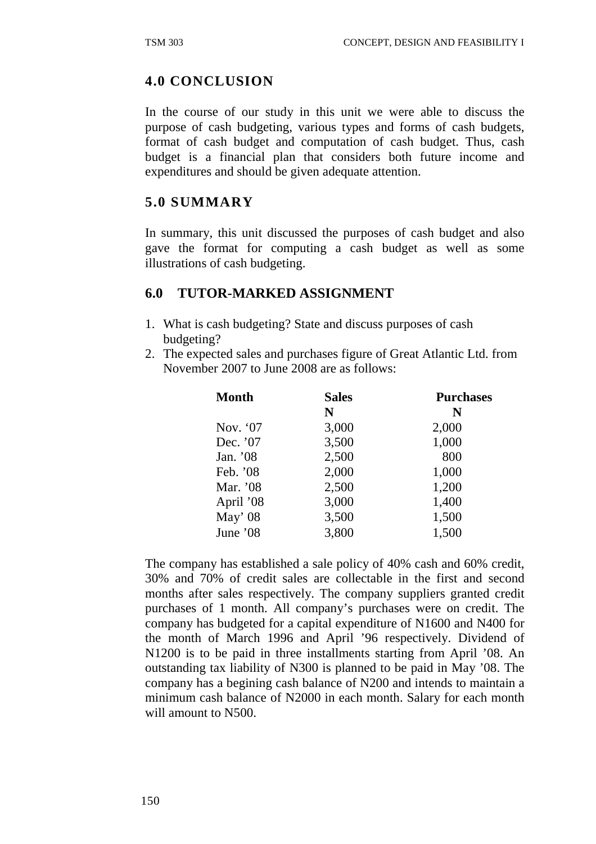# **4.0 CONCLUSION**

In the course of our study in this unit we were able to discuss the purpose of cash budgeting, various types and forms of cash budgets, format of cash budget and computation of cash budget. Thus, cash budget is a financial plan that considers both future income and expenditures and should be given adequate attention.

# **5.0 SUMMARY**

In summary, this unit discussed the purposes of cash budget and also gave the format for computing a cash budget as well as some illustrations of cash budgeting.

# **6.0 TUTOR-MARKED ASSIGNMENT**

- 1. What is cash budgeting? State and discuss purposes of cash budgeting?
- 2. The expected sales and purchases figure of Great Atlantic Ltd. from November 2007 to June 2008 are as follows:

| <b>Sales</b> | <b>Purchases</b> |
|--------------|------------------|
| N            | N                |
| 3,000        | 2,000            |
| 3,500        | 1,000            |
| 2,500        | 800              |
| 2,000        | 1,000            |
| 2,500        | 1,200            |
| 3,000        | 1,400            |
| 3,500        | 1,500            |
| 3,800        | 1,500            |
|              |                  |

The company has established a sale policy of 40% cash and 60% credit, 30% and 70% of credit sales are collectable in the first and second months after sales respectively. The company suppliers granted credit purchases of 1 month. All company's purchases were on credit. The company has budgeted for a capital expenditure of N1600 and N400 for the month of March 1996 and April '96 respectively. Dividend of N1200 is to be paid in three installments starting from April '08. An outstanding tax liability of N300 is planned to be paid in May '08. The company has a begining cash balance of N200 and intends to maintain a minimum cash balance of N2000 in each month. Salary for each month will amount to N500.